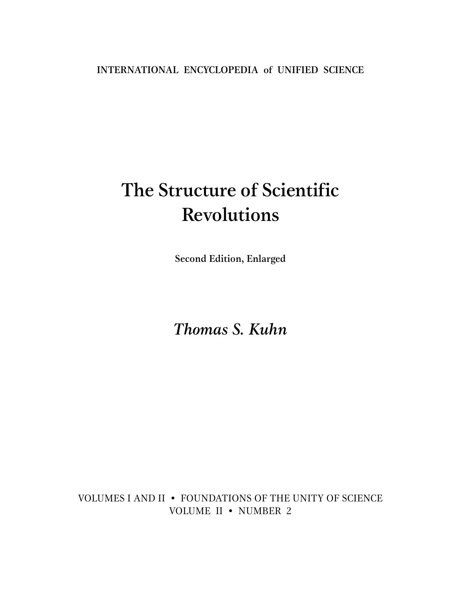# INTERNATIONAL ENCYCLOPEDIA of UNIFIED SCIENCE

# The Structure of Scientific Revolutions

Second Edition, Enlarged

*Thomas S. Kuhn*

VOLUMES I AND II • FOUNDATIONS OF THE UNITY OF SCIENCE VOLUME II • NUMBER 2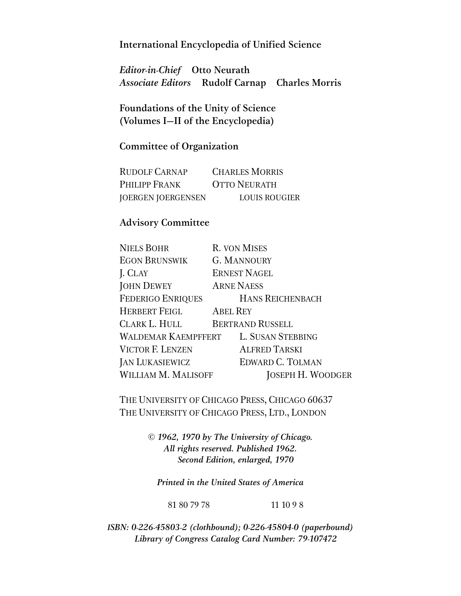International Encyclopedia of Unified Science

*Editor-in-Chief* Otto Neurath *Associate Editors* Rudolf Carnap Charles Morris

Foundations of the Unity of Science (Volumes I—II of the Encyclopedia)

Committee of Organization

| RUDOLF CARNAP             | <b>CHARLES MORRIS</b> |
|---------------------------|-----------------------|
| PHILIPP FRANK             | <b>OTTO NEURATH</b>   |
| <b>JOERGEN JOERGENSEN</b> | LOUIS ROUGIER         |

#### Advisory Committee

| <b>NIELS BOHR</b>        | R. VON MISES                          |
|--------------------------|---------------------------------------|
| EGON BRUNSWIK            | G. MANNOURY                           |
| J. CLAY                  | <b>ERNEST NAGEL</b>                   |
| <b>JOHN DEWEY</b>        | <b>ARNE NAESS</b>                     |
| <b>FEDERIGO ENRIQUES</b> | <b>HANS REICHENBACH</b>               |
| Herbert Feigl            | <b>ABEL REY</b>                       |
| CLARK L. HULL            | <b>BERTRAND RUSSELL</b>               |
|                          | WALDEMAR KAEMPFFERT L. SUSAN STEBBING |
| VICTOR F. LENZEN         | <b>ALFRED TARSKI</b>                  |
| JAN LUKASIEWICZ          | EDWARD C. TOLMAN                      |
| WILLIAM M. MALISOFF      | JOSEPH H. WOODGER                     |

THE UNIVERSITY OF CHICAGO PRESS, CHICAGO 60637 THE UNIVERSITY OF CHICAGO PRESS, LTD., LONDON

> © *1962, 1970 by The University of Chicago. All rights reserved. Published 1962. Second Edition, enlarged, 1970*

*Printed in the United States of America* 

81 80 79 78 11 10 9 8

*ISBN: 0-226-45803-2 (clothbound); 0-226-45804-0 (paperbound) Library of Congress Catalog Card Number: 79-107472*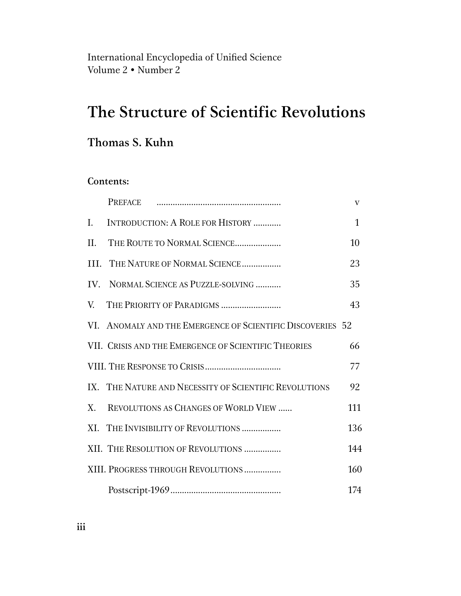# The Structure of Scientific Revolutions

# Thomas S. Kuhn

# Contents:

|                | <b>PREFACE</b>                                             | $\mathbf V$ |
|----------------|------------------------------------------------------------|-------------|
| $\mathbf{I}$ . | <b>INTRODUCTION: A ROLE FOR HISTORY </b>                   | 1           |
| II.            | THE ROUTE TO NORMAL SCIENCE                                | 10          |
|                | III. THE NATURE OF NORMAL SCIENCE                          | 23          |
|                | IV. NORMAL SCIENCE AS PUZZLE-SOLVING                       | 35          |
|                | V. THE PRIORITY OF PARADIGMS                               | 43          |
|                | VI. ANOMALY AND THE EMERGENCE OF SCIENTIFIC DISCOVERIES 52 |             |
|                | VII. CRISIS AND THE EMERGENCE OF SCIENTIFIC THEORIES       | 66          |
|                |                                                            |             |
|                | IX. THE NATURE AND NECESSITY OF SCIENTIFIC REVOLUTIONS     | 92          |
|                | X. REVOLUTIONS AS CHANGES OF WORLD VIEW                    | 111         |
|                | XI. THE INVISIBILITY OF REVOLUTIONS                        | 136         |
|                | XII. THE RESOLUTION OF REVOLUTIONS                         | 144         |
|                | XIII. PROGRESS THROUGH REVOLUTIONS                         | 160         |
|                |                                                            | 174         |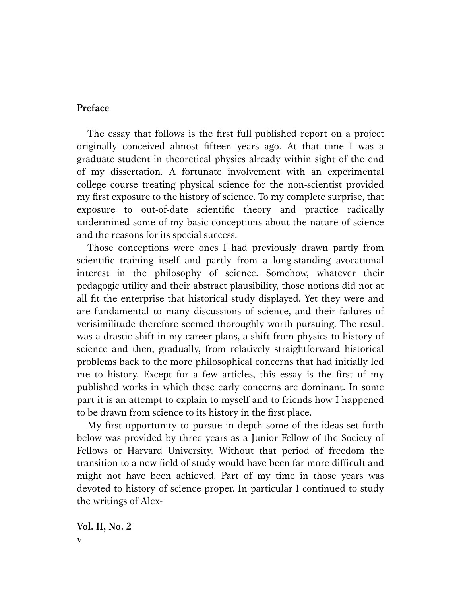The essay that follows is the first full published report on a project originally conceived almost fifteen years ago. At that time I was a graduate student in theoretical physics already within sight of the end of my dissertation. A fortunate involvement with an experimental college course treating physical science for the non-scientist provided my first exposure to the history of science. To my complete surprise, that exposure to out-of-date scientific theory and practice radically undermined some of my basic conceptions about the nature of science and the reasons for its special success.

Those conceptions were ones I had previously drawn partly from scientific training itself and partly from a long-standing avocational interest in the philosophy of science. Somehow, whatever their pedagogic utility and their abstract plausibility, those notions did not at all fit the enterprise that historical study displayed. Yet they were and are fundamental to many discussions of science, and their failures of verisimilitude therefore seemed thoroughly worth pursuing. The result was a drastic shift in my career plans, a shift from physics to history of science and then, gradually, from relatively straightforward historical problems back to the more philosophical concerns that had initially led me to history. Except for a few articles, this essay is the first of my published works in which these early concerns are dominant. In some part it is an attempt to explain to myself and to friends how I happened to be drawn from science to its history in the first place.

My first opportunity to pursue in depth some of the ideas set forth below was provided by three years as a Junior Fellow of the Society of Fellows of Harvard University. Without that period of freedom the transition to a new field of study would have been far more difficult and might not have been achieved. Part of my time in those years was devoted to history of science proper. In particular I continued to study the writings of Alex-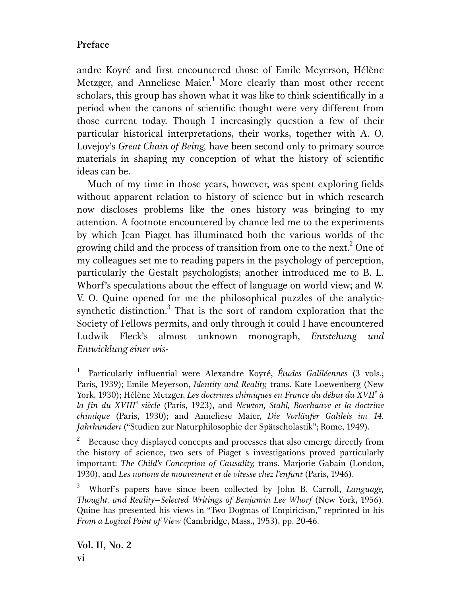andre Koyré and first encountered those of Emile Meyerson, Hélène Metzger, and Anneliese Maier.<sup>1</sup> More clearly than most other recent scholars, this group has shown what it was like to think scientifically in a period when the canons of scientific thought were very different from those current today. Though I increasingly question a few of their particular historical interpretations, their works, together with A. O. Lovejoy's *Great Chain of Being,* have been second only to primary source materials in shaping my conception of what the history of scientific ideas can be.

Much of my time in those years, however, was spent exploring fields without apparent relation to history of science but in which research now discloses problems like the ones history was bringing to my attention. A footnote encountered by chance led me to the experiments by which Jean Piaget has illuminated both the various worlds of the growing child and the process of transition from one to the next. $^2$  One of my colleagues set me to reading papers in the psychology of perception, particularly the Gestalt psychologists; another introduced me to B. L. Whorf's speculations about the effect of language on world view; and W. V. O. Quine opened for me the philosophical puzzles of the analyticsynthetic distinction.<sup>3</sup> That is the sort of random exploration that the Society of Fellows permits, and only through it could I have encountered Ludwik Fleck's almost unknown monograph, *Entstehung und Entwicklung einer wis-*

<sup>1</sup> Particularly influential were Alexandre Koyré, *Études Galiléennes* (3 vols.; Paris, 1939); Emile Meyerson, *Identity and Reality,* trans. Kate Loewenberg (New York, 1930); Hélène Metzger, *Les doctrines chimiques en France du début du XVII<sup>e</sup> à la fin du XVIII<sup>e</sup> siècle* (Paris, 1923), and *Newton, Stahl, Boerhaave et la doctrine chimique* (Paris, 1930); and Anneliese Maier, *Die Vorläufer Galileis im 14. Jahrhundert* ("Studien zur Naturphilosophie der Spätscholastik"; Rome, 1949).

2 Because they displayed concepts and processes that also emerge directly from the history of science, two sets of Piaget s investigations proved particularly important: *The Child's Conception of Causality,* trans. Marjorie Gabain (London, 1930), and *Les notions de mouvement et de vitesse chez l'enfant* (Paris, 1946).

3 Whorf's papers have since been collected by John B. Carroll, *Language, Thought, and Reality—Selected Writings of Benjamin Lee Whorf* (New York, 1956). Quine has presented his views in "Two Dogmas of Empiricism," reprinted in his *From a Logical Point of View* (Cambridge, Mass., 1953), pp. 20-46.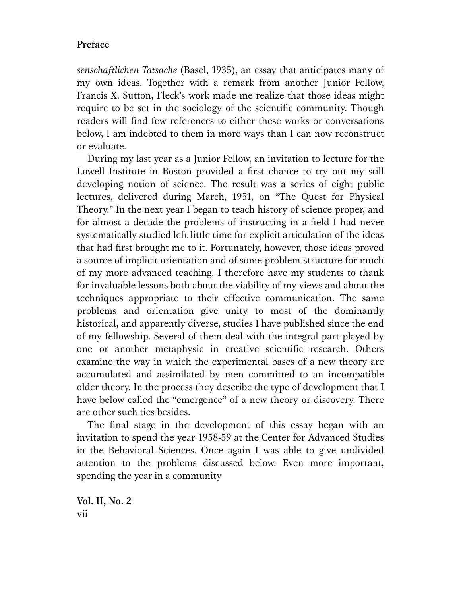*senschaftlichen Tatsache* (Basel, 1935), an essay that anticipates many of my own ideas. Together with a remark from another Junior Fellow, Francis X. Sutton, Fleck's work made me realize that those ideas might require to be set in the sociology of the scientific community. Though readers will find few references to either these works or conversations below, I am indebted to them in more ways than I can now reconstruct or evaluate.

During my last year as a Junior Fellow, an invitation to lecture for the Lowell Institute in Boston provided a first chance to try out my still developing notion of science. The result was a series of eight public lectures, delivered during March, 1951, on "The Quest for Physical Theory." In the next year I began to teach history of science proper, and for almost a decade the problems of instructing in a field I had never systematically studied left little time for explicit articulation of the ideas that had first brought me to it. Fortunately, however, those ideas proved a source of implicit orientation and of some problem-structure for much of my more advanced teaching. I therefore have my students to thank for invaluable lessons both about the viability of my views and about the techniques appropriate to their effective communication. The same problems and orientation give unity to most of the dominantly historical, and apparently diverse, studies I have published since the end of my fellowship. Several of them deal with the integral part played by one or another metaphysic in creative scientific research. Others examine the way in which the experimental bases of a new theory are accumulated and assimilated by men committed to an incompatible older theory. In the process they describe the type of development that I have below called the "emergence" of a new theory or discovery. There are other such ties besides.

The final stage in the development of this essay began with an invitation to spend the year 1958-59 at the Center for Advanced Studies in the Behavioral Sciences. Once again I was able to give undivided attention to the problems discussed below. Even more important, spending the year in a community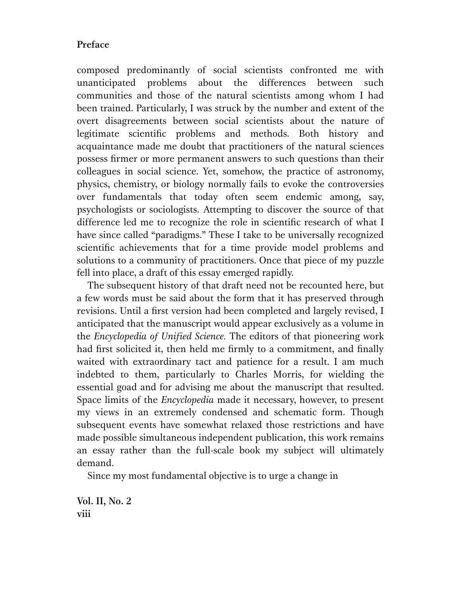composed predominantly of social scientists confronted me with unanticipated problems about the differences between such communities and those of the natural scientists among whom I had been trained. Particularly, I was struck by the number and extent of the overt disagreements between social scientists about the nature of legitimate scientific problems and methods. Both history and acquaintance made me doubt that practitioners of the natural sciences possess firmer or more permanent answers to such questions than their colleagues in social science. Yet, somehow, the practice of astronomy, physics, chemistry, or biology normally fails to evoke the controversies over fundamentals that today often seem endemic among, say, psychologists or sociologists. Attempting to discover the source of that difference led me to recognize the role in scientific research of what I have since called "paradigms." These I take to be universally recognized scientific achievements that for a time provide model problems and solutions to a community of practitioners. Once that piece of my puzzle fell into place, a draft of this essay emerged rapidly.

The subsequent history of that draft need not be recounted here, but a few words must be said about the form that it has preserved through revisions. Until a first version had been completed and largely revised, I anticipated that the manuscript would appear exclusively as a volume in the *Encyclopedia of Unified Science.* The editors of that pioneering work had first solicited it, then held me firmly to a commitment, and finally waited with extraordinary tact and patience for a result. I am much indebted to them, particularly to Charles Morris, for wielding the essential goad and for advising me about the manuscript that resulted. Space limits of the *Encyclopedia* made it necessary, however, to present my views in an extremely condensed and schematic form. Though subsequent events have somewhat relaxed those restrictions and have made possible simultaneous independent publication, this work remains an essay rather than the full-scale book my subject will ultimately demand.

Since my most fundamental objective is to urge a change in

Vol. II, No. 2 viii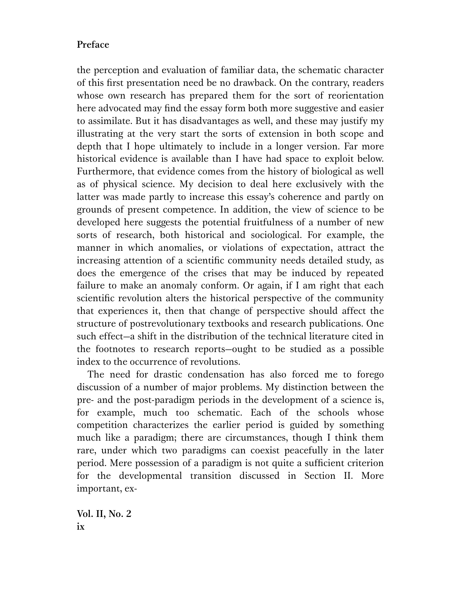the perception and evaluation of familiar data, the schematic character of this first presentation need be no drawback. On the contrary, readers whose own research has prepared them for the sort of reorientation here advocated may find the essay form both more suggestive and easier to assimilate. But it has disadvantages as well, and these may justify my illustrating at the very start the sorts of extension in both scope and depth that I hope ultimately to include in a longer version. Far more historical evidence is available than I have had space to exploit below. Furthermore, that evidence comes from the history of biological as well as of physical science. My decision to deal here exclusively with the latter was made partly to increase this essay's coherence and partly on grounds of present competence. In addition, the view of science to be developed here suggests the potential fruitfulness of a number of new sorts of research, both historical and sociological. For example, the manner in which anomalies, or violations of expectation, attract the increasing attention of a scientific community needs detailed study, as does the emergence of the crises that may be induced by repeated failure to make an anomaly conform. Or again, if I am right that each scientific revolution alters the historical perspective of the community that experiences it, then that change of perspective should affect the structure of postrevolutionary textbooks and research publications. One such effect—a shift in the distribution of the technical literature cited in the footnotes to research reports—ought to be studied as a possible index to the occurrence of revolutions.

The need for drastic condensation has also forced me to forego discussion of a number of major problems. My distinction between the pre- and the post-paradigm periods in the development of a science is, for example, much too schematic. Each of the schools whose competition characterizes the earlier period is guided by something much like a paradigm; there are circumstances, though I think them rare, under which two paradigms can coexist peacefully in the later period. Mere possession of a paradigm is not quite a sufficient criterion for the developmental transition discussed in Section II. More important, ex-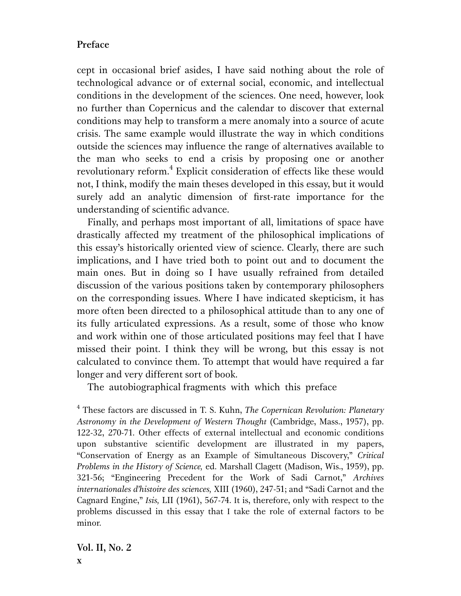cept in occasional brief asides, I have said nothing about the role of technological advance or of external social, economic, and intellectual conditions in the development of the sciences. One need, however, look no further than Copernicus and the calendar to discover that external conditions may help to transform a mere anomaly into a source of acute crisis. The same example would illustrate the way in which conditions outside the sciences may influence the range of alternatives available to the man who seeks to end a crisis by proposing one or another revolutionary reform.<sup>4</sup> Explicit consideration of effects like these would not, I think, modify the main theses developed in this essay, but it would surely add an analytic dimension of first-rate importance for the understanding of scientific advance.

Finally, and perhaps most important of all, limitations of space have drastically affected my treatment of the philosophical implications of this essay's historically oriented view of science. Clearly, there are such implications, and I have tried both to point out and to document the main ones. But in doing so I have usually refrained from detailed discussion of the various positions taken by contemporary philosophers on the corresponding issues. Where I have indicated skepticism, it has more often been directed to a philosophical attitude than to any one of its fully articulated expressions. As a result, some of those who know and work within one of those articulated positions may feel that I have missed their point. I think they will be wrong, but this essay is not calculated to convince them. To attempt that would have required a far longer and very different sort of book.

The autobiographical fragments with which this preface

4 These factors are discussed in T. S. Kuhn, *The Copernican Revolution: Planetary Astronomy in the Development of Western Thought* (Cambridge, Mass., 1957), pp. 122-32, 270-71. Other effects of external intellectual and economic conditions upon substantive scientific development are illustrated in my papers, "Conservation of Energy as an Example of Simultaneous Discovery," *Critical Problems in the History of Science,* ed. Marshall Clagett (Madison, Wis., 1959), pp. 321-56; "Engineering Precedent for the Work of Sadi Carnot," *Archives internationales d'histoire des sciences,* XIII (1960), 247-51; and "Sadi Carnot and the Cagnard Engine," *Isis,* LII (1961), 567-74. It is, therefore, only with respect to the problems discussed in this essay that I take the role of external factors to be minor.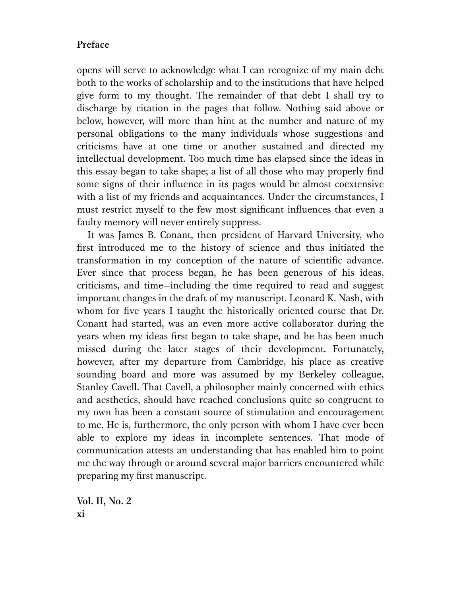opens will serve to acknowledge what I can recognize of my main debt both to the works of scholarship and to the institutions that have helped give form to my thought. The remainder of that debt I shall try to discharge by citation in the pages that follow. Nothing said above or below, however, will more than hint at the number and nature of my personal obligations to the many individuals whose suggestions and criticisms have at one time or another sustained and directed my intellectual development. Too much time has elapsed since the ideas in this essay began to take shape; a list of all those who may properly find some signs of their influence in its pages would be almost coextensive with a list of my friends and acquaintances. Under the circumstances, I must restrict myself to the few most significant influences that even a faulty memory will never entirely suppress.

It was James B. Conant, then president of Harvard University, who first introduced me to the history of science and thus initiated the transformation in my conception of the nature of scientific advance. Ever since that process began, he has been generous of his ideas, criticisms, and time—including the time required to read and suggest important changes in the draft of my manuscript. Leonard K. Nash, with whom for five years I taught the historically oriented course that Dr. Conant had started, was an even more active collaborator during the years when my ideas first began to take shape, and he has been much missed during the later stages of their development. Fortunately, however, after my departure from Cambridge, his place as creative sounding board and more was assumed by my Berkeley colleague, Stanley Cavell. That Cavell, a philosopher mainly concerned with ethics and aesthetics, should have reached conclusions quite so congruent to my own has been a constant source of stimulation and encouragement to me. He is, furthermore, the only person with whom I have ever been able to explore my ideas in incomplete sentences. That mode of communication attests an understanding that has enabled him to point me the way through or around several major barriers encountered while preparing my first manuscript.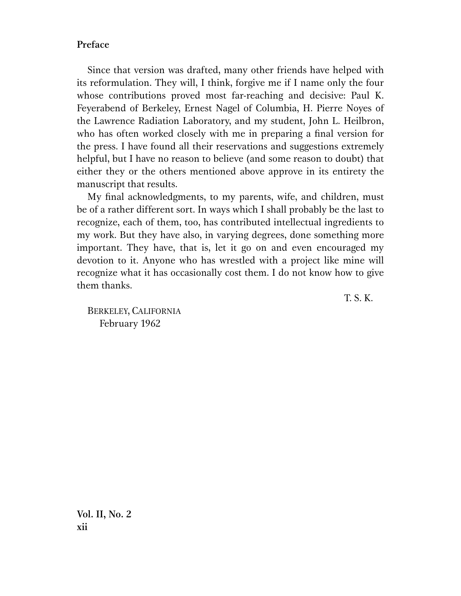Since that version was drafted, many other friends have helped with its reformulation. They will, I think, forgive me if I name only the four whose contributions proved most far-reaching and decisive: Paul K. Feyerabend of Berkeley, Ernest Nagel of Columbia, H. Pierre Noyes of the Lawrence Radiation Laboratory, and my student, John L. Heilbron, who has often worked closely with me in preparing a final version for the press. I have found all their reservations and suggestions extremely helpful, but I have no reason to believe (and some reason to doubt) that either they or the others mentioned above approve in its entirety the manuscript that results.

My final acknowledgments, to my parents, wife, and children, must be of a rather different sort. In ways which I shall probably be the last to recognize, each of them, too, has contributed intellectual ingredients to my work. But they have also, in varying degrees, done something more important. They have, that is, let it go on and even encouraged my devotion to it. Anyone who has wrestled with a project like mine will recognize what it has occasionally cost them. I do not know how to give them thanks.

T. S. K.

BERKELEY, CALIFORNIA February 1962

Vol. II, No. 2 xii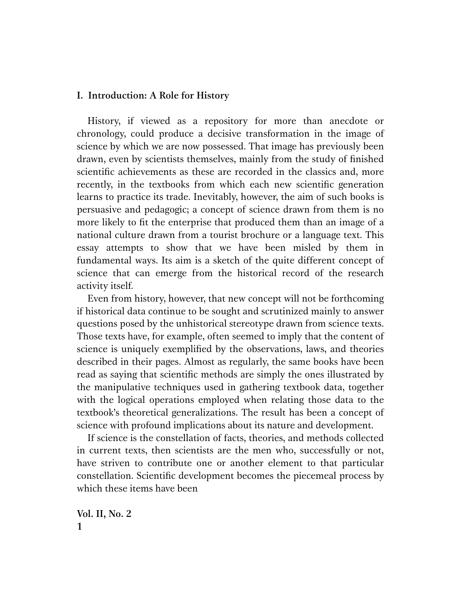#### I. Introduction: A Role for History

History, if viewed as a repository for more than anecdote or chronology, could produce a decisive transformation in the image of science by which we are now possessed. That image has previously been drawn, even by scientists themselves, mainly from the study of finished scientific achievements as these are recorded in the classics and, more recently, in the textbooks from which each new scientific generation learns to practice its trade. Inevitably, however, the aim of such books is persuasive and pedagogic; a concept of science drawn from them is no more likely to fit the enterprise that produced them than an image of a national culture drawn from a tourist brochure or a language text. This essay attempts to show that we have been misled by them in fundamental ways. Its aim is a sketch of the quite different concept of science that can emerge from the historical record of the research activity itself.

Even from history, however, that new concept will not be forthcoming if historical data continue to be sought and scrutinized mainly to answer questions posed by the unhistorical stereotype drawn from science texts. Those texts have, for example, often seemed to imply that the content of science is uniquely exemplified by the observations, laws, and theories described in their pages. Almost as regularly, the same books have been read as saying that scientific methods are simply the ones illustrated by the manipulative techniques used in gathering textbook data, together with the logical operations employed when relating those data to the textbook's theoretical generalizations. The result has been a concept of science with profound implications about its nature and development.

If science is the constellation of facts, theories, and methods collected in current texts, then scientists are the men who, successfully or not, have striven to contribute one or another element to that particular constellation. Scientific development becomes the piecemeal process by which these items have been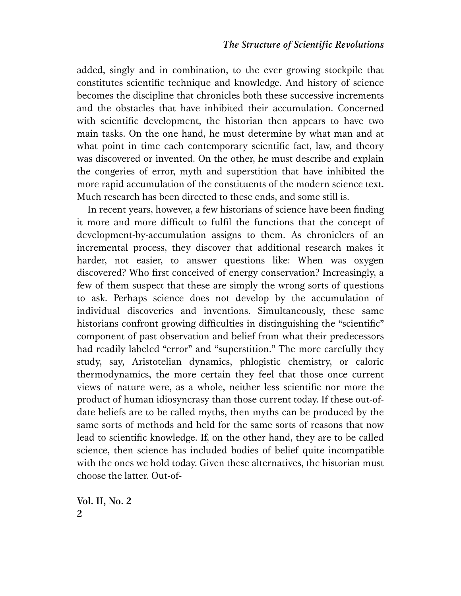added, singly and in combination, to the ever growing stockpile that constitutes scientific technique and knowledge. And history of science becomes the discipline that chronicles both these successive increments and the obstacles that have inhibited their accumulation. Concerned with scientific development, the historian then appears to have two main tasks. On the one hand, he must determine by what man and at what point in time each contemporary scientific fact, law, and theory was discovered or invented. On the other, he must describe and explain the congeries of error, myth and superstition that have inhibited the more rapid accumulation of the constituents of the modern science text. Much research has been directed to these ends, and some still is.

In recent years, however, a few historians of science have been finding it more and more difficult to fulfil the functions that the concept of development-by-accumulation assigns to them. As chroniclers of an incremental process, they discover that additional research makes it harder, not easier, to answer questions like: When was oxygen discovered? Who first conceived of energy conservation? Increasingly, a few of them suspect that these are simply the wrong sorts of questions to ask. Perhaps science does not develop by the accumulation of individual discoveries and inventions. Simultaneously, these same historians confront growing difficulties in distinguishing the "scientific" component of past observation and belief from what their predecessors had readily labeled "error" and "superstition." The more carefully they study, say, Aristotelian dynamics, phlogistic chemistry, or caloric thermodynamics, the more certain they feel that those once current views of nature were, as a whole, neither less scientific nor more the product of human idiosyncrasy than those current today. If these out-ofdate beliefs are to be called myths, then myths can be produced by the same sorts of methods and held for the same sorts of reasons that now lead to scientific knowledge. If, on the other hand, they are to be called science, then science has included bodies of belief quite incompatible with the ones we hold today. Given these alternatives, the historian must choose the latter. Out-of-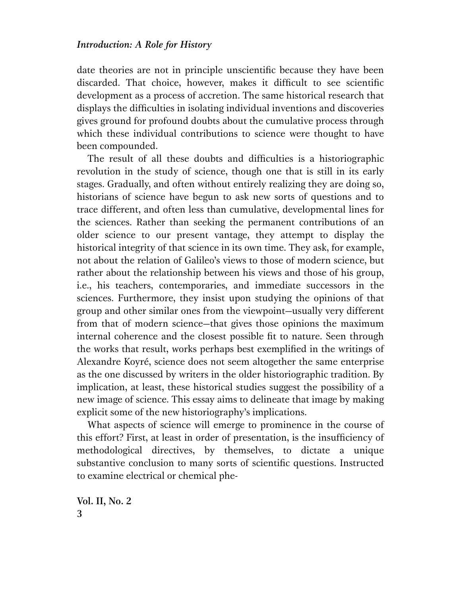#### *Introduction: A Role for History*

date theories are not in principle unscientific because they have been discarded. That choice, however, makes it difficult to see scientific development as a process of accretion. The same historical research that displays the difficulties in isolating individual inventions and discoveries gives ground for profound doubts about the cumulative process through which these individual contributions to science were thought to have been compounded.

The result of all these doubts and difficulties is a historiographic revolution in the study of science, though one that is still in its early stages. Gradually, and often without entirely realizing they are doing so, historians of science have begun to ask new sorts of questions and to trace different, and often less than cumulative, developmental lines for the sciences. Rather than seeking the permanent contributions of an older science to our present vantage, they attempt to display the historical integrity of that science in its own time. They ask, for example, not about the relation of Galileo's views to those of modern science, but rather about the relationship between his views and those of his group, i.e., his teachers, contemporaries, and immediate successors in the sciences. Furthermore, they insist upon studying the opinions of that group and other similar ones from the viewpoint—usually very different from that of modern science—that gives those opinions the maximum internal coherence and the closest possible fit to nature. Seen through the works that result, works perhaps best exemplified in the writings of Alexandre Koyré, science does not seem altogether the same enterprise as the one discussed by writers in the older historiographic tradition. By implication, at least, these historical studies suggest the possibility of a new image of science. This essay aims to delineate that image by making explicit some of the new historiography's implications.

What aspects of science will emerge to prominence in the course of this effort? First, at least in order of presentation, is the insufficiency of methodological directives, by themselves, to dictate a unique substantive conclusion to many sorts of scientific questions. Instructed to examine electrical or chemical phe-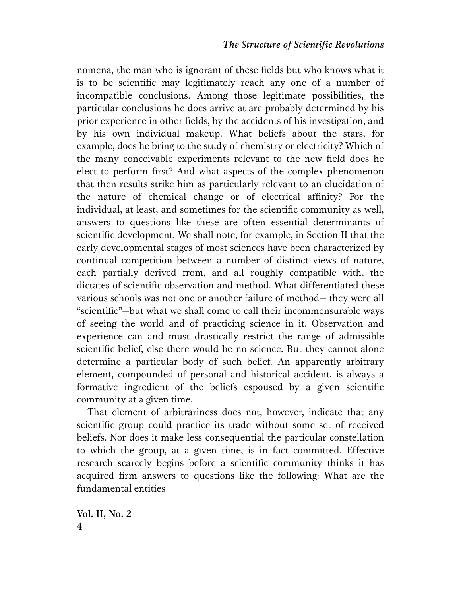nomena, the man who is ignorant of these fields but who knows what it is to be scientific may legitimately reach any one of a number of incompatible conclusions. Among those legitimate possibilities, the particular conclusions he does arrive at are probably determined by his prior experience in other fields, by the accidents of his investigation, and by his own individual makeup. What beliefs about the stars, for example, does he bring to the study of chemistry or electricity? Which of the many conceivable experiments relevant to the new field does he elect to perform first? And what aspects of the complex phenomenon that then results strike him as particularly relevant to an elucidation of the nature of chemical change or of electrical affinity? For the individual, at least, and sometimes for the scientific community as well, answers to questions like these are often essential determinants of scientific development. We shall note, for example, in Section II that the early developmental stages of most sciences have been characterized by continual competition between a number of distinct views of nature, each partially derived from, and all roughly compatible with, the dictates of scientific observation and method. What differentiated these various schools was not one or another failure of method— they were all "scientific"—but what we shall come to call their incommensurable ways of seeing the world and of practicing science in it. Observation and experience can and must drastically restrict the range of admissible scientific belief, else there would be no science. But they cannot alone determine a particular body of such belief. An apparently arbitrary element, compounded of personal and historical accident, is always a formative ingredient of the beliefs espoused by a given scientific community at a given time.

That element of arbitrariness does not, however, indicate that any scientific group could practice its trade without some set of received beliefs. Nor does it make less consequential the particular constellation to which the group, at a given time, is in fact committed. Effective research scarcely begins before a scientific community thinks it has acquired firm answers to questions like the following: What are the fundamental entities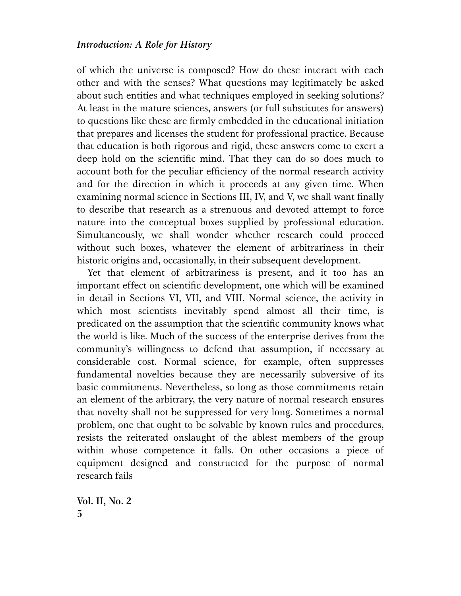#### *Introduction: A Role for History*

of which the universe is composed? How do these interact with each other and with the senses? What questions may legitimately be asked about such entities and what techniques employed in seeking solutions? At least in the mature sciences, answers (or full substitutes for answers) to questions like these are firmly embedded in the educational initiation that prepares and licenses the student for professional practice. Because that education is both rigorous and rigid, these answers come to exert a deep hold on the scientific mind. That they can do so does much to account both for the peculiar efficiency of the normal research activity and for the direction in which it proceeds at any given time. When examining normal science in Sections III, IV, and V, we shall want finally to describe that research as a strenuous and devoted attempt to force nature into the conceptual boxes supplied by professional education. Simultaneously, we shall wonder whether research could proceed without such boxes, whatever the element of arbitrariness in their historic origins and, occasionally, in their subsequent development.

Yet that element of arbitrariness is present, and it too has an important effect on scientific development, one which will be examined in detail in Sections VI, VII, and VIII. Normal science, the activity in which most scientists inevitably spend almost all their time, is predicated on the assumption that the scientific community knows what the world is like. Much of the success of the enterprise derives from the community's willingness to defend that assumption, if necessary at considerable cost. Normal science, for example, often suppresses fundamental novelties because they are necessarily subversive of its basic commitments. Nevertheless, so long as those commitments retain an element of the arbitrary, the very nature of normal research ensures that novelty shall not be suppressed for very long. Sometimes a normal problem, one that ought to be solvable by known rules and procedures, resists the reiterated onslaught of the ablest members of the group within whose competence it falls. On other occasions a piece of equipment designed and constructed for the purpose of normal research fails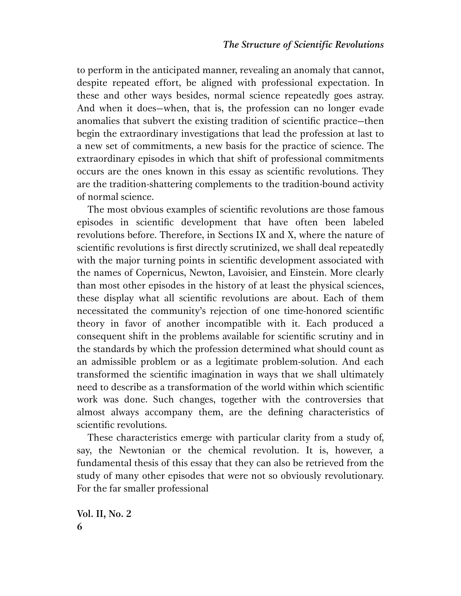to perform in the anticipated manner, revealing an anomaly that cannot, despite repeated effort, be aligned with professional expectation. In these and other ways besides, normal science repeatedly goes astray. And when it does—when, that is, the profession can no longer evade anomalies that subvert the existing tradition of scientific practice—then begin the extraordinary investigations that lead the profession at last to a new set of commitments, a new basis for the practice of science. The extraordinary episodes in which that shift of professional commitments occurs are the ones known in this essay as scientific revolutions. They are the tradition-shattering complements to the tradition-bound activity of normal science.

The most obvious examples of scientific revolutions are those famous episodes in scientific development that have often been labeled revolutions before. Therefore, in Sections IX and X, where the nature of scientific revolutions is first directly scrutinized, we shall deal repeatedly with the major turning points in scientific development associated with the names of Copernicus, Newton, Lavoisier, and Einstein. More clearly than most other episodes in the history of at least the physical sciences, these display what all scientific revolutions are about. Each of them necessitated the community's rejection of one time-honored scientific theory in favor of another incompatible with it. Each produced a consequent shift in the problems available for scientific scrutiny and in the standards by which the profession determined what should count as an admissible problem or as a legitimate problem-solution. And each transformed the scientific imagination in ways that we shall ultimately need to describe as a transformation of the world within which scientific work was done. Such changes, together with the controversies that almost always accompany them, are the defining characteristics of scientific revolutions.

These characteristics emerge with particular clarity from a study of, say, the Newtonian or the chemical revolution. It is, however, a fundamental thesis of this essay that they can also be retrieved from the study of many other episodes that were not so obviously revolutionary. For the far smaller professional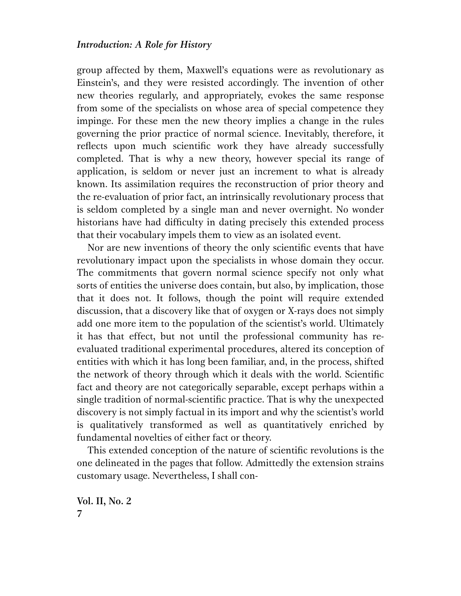group affected by them, Maxwell's equations were as revolutionary as Einstein's, and they were resisted accordingly. The invention of other new theories regularly, and appropriately, evokes the same response from some of the specialists on whose area of special competence they impinge. For these men the new theory implies a change in the rules governing the prior practice of normal science. Inevitably, therefore, it reflects upon much scientific work they have already successfully completed. That is why a new theory, however special its range of application, is seldom or never just an increment to what is already known. Its assimilation requires the reconstruction of prior theory and the re-evaluation of prior fact, an intrinsically revolutionary process that is seldom completed by a single man and never overnight. No wonder historians have had difficulty in dating precisely this extended process that their vocabulary impels them to view as an isolated event.

Nor are new inventions of theory the only scientific events that have revolutionary impact upon the specialists in whose domain they occur. The commitments that govern normal science specify not only what sorts of entities the universe does contain, but also, by implication, those that it does not. It follows, though the point will require extended discussion, that a discovery like that of oxygen or X-rays does not simply add one more item to the population of the scientist's world. Ultimately it has that effect, but not until the professional community has reevaluated traditional experimental procedures, altered its conception of entities with which it has long been familiar, and, in the process, shifted the network of theory through which it deals with the world. Scientific fact and theory are not categorically separable, except perhaps within a single tradition of normal-scientific practice. That is why the unexpected discovery is not simply factual in its import and why the scientist's world is qualitatively transformed as well as quantitatively enriched by fundamental novelties of either fact or theory.

This extended conception of the nature of scientific revolutions is the one delineated in the pages that follow. Admittedly the extension strains customary usage. Nevertheless, I shall con-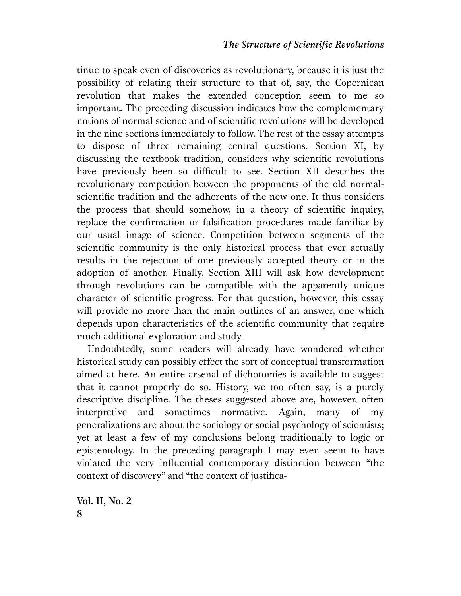tinue to speak even of discoveries as revolutionary, because it is just the possibility of relating their structure to that of, say, the Copernican revolution that makes the extended conception seem to me so important. The preceding discussion indicates how the complementary notions of normal science and of scientific revolutions will be developed in the nine sections immediately to follow. The rest of the essay attempts to dispose of three remaining central questions. Section XI, by discussing the textbook tradition, considers why scientific revolutions have previously been so difficult to see. Section XII describes the revolutionary competition between the proponents of the old normalscientific tradition and the adherents of the new one. It thus considers the process that should somehow, in a theory of scientific inquiry, replace the confirmation or falsification procedures made familiar by our usual image of science. Competition between segments of the scientific community is the only historical process that ever actually results in the rejection of one previously accepted theory or in the adoption of another. Finally, Section XIII will ask how development through revolutions can be compatible with the apparently unique character of scientific progress. For that question, however, this essay will provide no more than the main outlines of an answer, one which depends upon characteristics of the scientific community that require much additional exploration and study.

Undoubtedly, some readers will already have wondered whether historical study can possibly effect the sort of conceptual transformation aimed at here. An entire arsenal of dichotomies is available to suggest that it cannot properly do so. History, we too often say, is a purely descriptive discipline. The theses suggested above are, however, often interpretive and sometimes normative. Again, many of my generalizations are about the sociology or social psychology of scientists; yet at least a few of my conclusions belong traditionally to logic or epistemology. In the preceding paragraph I may even seem to have violated the very influential contemporary distinction between "the context of discovery" and "the context of justifica-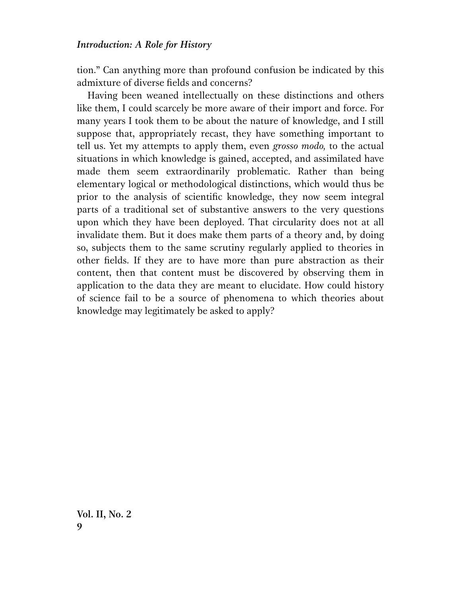tion." Can anything more than profound confusion be indicated by this admixture of diverse fields and concerns?

Having been weaned intellectually on these distinctions and others like them, I could scarcely be more aware of their import and force. For many years I took them to be about the nature of knowledge, and I still suppose that, appropriately recast, they have something important to tell us. Yet my attempts to apply them, even *grosso modo,* to the actual situations in which knowledge is gained, accepted, and assimilated have made them seem extraordinarily problematic. Rather than being elementary logical or methodological distinctions, which would thus be prior to the analysis of scientific knowledge, they now seem integral parts of a traditional set of substantive answers to the very questions upon which they have been deployed. That circularity does not at all invalidate them. But it does make them parts of a theory and, by doing so, subjects them to the same scrutiny regularly applied to theories in other fields. If they are to have more than pure abstraction as their content, then that content must be discovered by observing them in application to the data they are meant to elucidate. How could history of science fail to be a source of phenomena to which theories about knowledge may legitimately be asked to apply?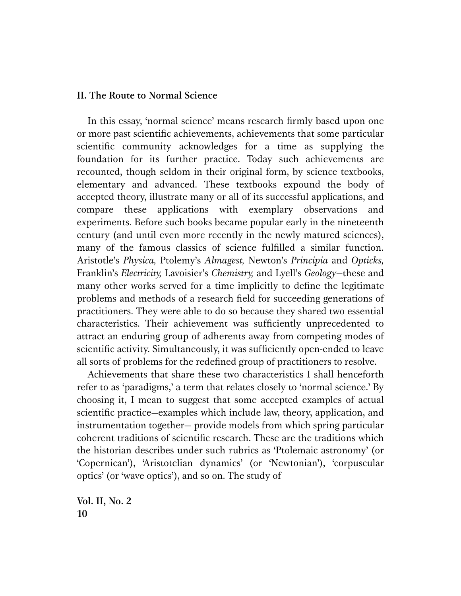#### II. The Route to Normal Science

In this essay, 'normal science' means research firmly based upon one or more past scientific achievements, achievements that some particular scientific community acknowledges for a time as supplying the foundation for its further practice. Today such achievements are recounted, though seldom in their original form, by science textbooks, elementary and advanced. These textbooks expound the body of accepted theory, illustrate many or all of its successful applications, and compare these applications with exemplary observations and experiments. Before such books became popular early in the nineteenth century (and until even more recently in the newly matured sciences), many of the famous classics of science fulfilled a similar function. Aristotle's *Physica,* Ptolemy's *Almagest,* Newton's *Principia* and *Opticks,*  Franklin's *Electricity,* Lavoisier's *Chemistry,* and Lyell's *Geology—*these and many other works served for a time implicitly to define the legitimate problems and methods of a research field for succeeding generations of practitioners. They were able to do so because they shared two essential characteristics. Their achievement was sufficiently unprecedented to attract an enduring group of adherents away from competing modes of scientific activity. Simultaneously, it was sufficiently open-ended to leave all sorts of problems for the redefined group of practitioners to resolve.

Achievements that share these two characteristics I shall henceforth refer to as 'paradigms,' a term that relates closely to 'normal science.' By choosing it, I mean to suggest that some accepted examples of actual scientific practice—examples which include law, theory, application, and instrumentation together— provide models from which spring particular coherent traditions of scientific research. These are the traditions which the historian describes under such rubrics as 'Ptolemaic astronomy' (or 'Copernican'), 'Aristotelian dynamics' (or 'Newtonian'), 'corpuscular optics' (or 'wave optics'), and so on. The study of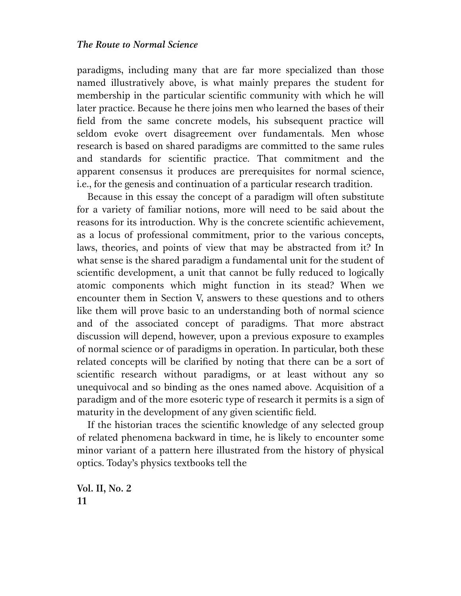paradigms, including many that are far more specialized than those named illustratively above, is what mainly prepares the student for membership in the particular scientific community with which he will later practice. Because he there joins men who learned the bases of their field from the same concrete models, his subsequent practice will seldom evoke overt disagreement over fundamentals. Men whose research is based on shared paradigms are committed to the same rules and standards for scientific practice. That commitment and the apparent consensus it produces are prerequisites for normal science, i.e., for the genesis and continuation of a particular research tradition.

Because in this essay the concept of a paradigm will often substitute for a variety of familiar notions, more will need to be said about the reasons for its introduction. Why is the concrete scientific achievement, as a locus of professional commitment, prior to the various concepts, laws, theories, and points of view that may be abstracted from it? In what sense is the shared paradigm a fundamental unit for the student of scientific development, a unit that cannot be fully reduced to logically atomic components which might function in its stead? When we encounter them in Section V, answers to these questions and to others like them will prove basic to an understanding both of normal science and of the associated concept of paradigms. That more abstract discussion will depend, however, upon a previous exposure to examples of normal science or of paradigms in operation. In particular, both these related concepts will be clarified by noting that there can be a sort of scientific research without paradigms, or at least without any so unequivocal and so binding as the ones named above. Acquisition of a paradigm and of the more esoteric type of research it permits is a sign of maturity in the development of any given scientific field.

If the historian traces the scientific knowledge of any selected group of related phenomena backward in time, he is likely to encounter some minor variant of a pattern here illustrated from the history of physical optics. Today's physics textbooks tell the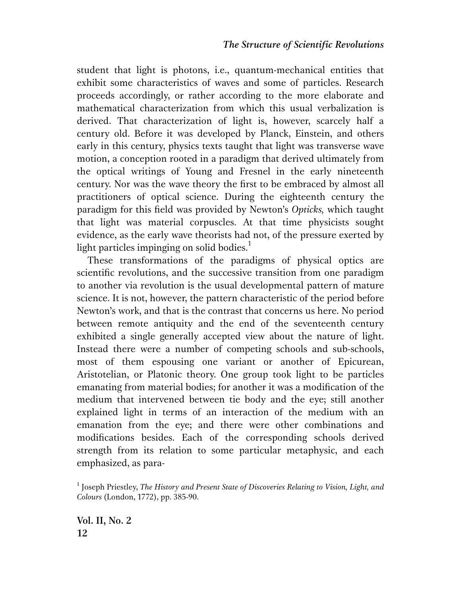student that light is photons, i.e., quantum-mechanical entities that exhibit some characteristics of waves and some of particles. Research proceeds accordingly, or rather according to the more elaborate and mathematical characterization from which this usual verbalization is derived. That characterization of light is, however, scarcely half a century old. Before it was developed by Planck, Einstein, and others early in this century, physics texts taught that light was transverse wave motion, a conception rooted in a paradigm that derived ultimately from the optical writings of Young and Fresnel in the early nineteenth century. Nor was the wave theory the first to be embraced by almost all practitioners of optical science. During the eighteenth century the paradigm for this field was provided by Newton's *Opticks,* which taught that light was material corpuscles. At that time physicists sought evidence, as the early wave theorists had not, of the pressure exerted by light particles impinging on solid bodies.<sup>1</sup>

These transformations of the paradigms of physical optics are scientific revolutions, and the successive transition from one paradigm to another via revolution is the usual developmental pattern of mature science. It is not, however, the pattern characteristic of the period before Newton's work, and that is the contrast that concerns us here. No period between remote antiquity and the end of the seventeenth century exhibited a single generally accepted view about the nature of light. Instead there were a number of competing schools and sub-schools, most of them espousing one variant or another of Epicurean, Aristotelian, or Platonic theory. One group took light to be particles emanating from material bodies; for another it was a modification of the medium that intervened between tie body and the eye; still another explained light in terms of an interaction of the medium with an emanation from the eye; and there were other combinations and modifications besides. Each of the corresponding schools derived strength from its relation to some particular metaphysic, and each emphasized, as para-

<sup>1</sup> Joseph Priestley, *The History and Present State of Discoveries Relating to Vision, Light, and Colours* (London, 1772), pp. 385-90.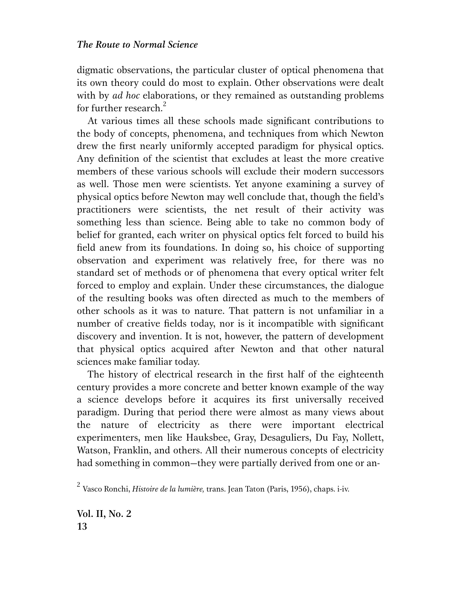digmatic observations, the particular cluster of optical phenomena that its own theory could do most to explain. Other observations were dealt with by *ad hoc* elaborations, or they remained as outstanding problems for further research.<sup>2</sup>

At various times all these schools made significant contributions to the body of concepts, phenomena, and techniques from which Newton drew the first nearly uniformly accepted paradigm for physical optics. Any definition of the scientist that excludes at least the more creative members of these various schools will exclude their modern successors as well. Those men were scientists. Yet anyone examining a survey of physical optics before Newton may well conclude that, though the field's practitioners were scientists, the net result of their activity was something less than science. Being able to take no common body of belief for granted, each writer on physical optics felt forced to build his field anew from its foundations. In doing so, his choice of supporting observation and experiment was relatively free, for there was no standard set of methods or of phenomena that every optical writer felt forced to employ and explain. Under these circumstances, the dialogue of the resulting books was often directed as much to the members of other schools as it was to nature. That pattern is not unfamiliar in a number of creative fields today, nor is it incompatible with significant discovery and invention. It is not, however, the pattern of development that physical optics acquired after Newton and that other natural sciences make familiar today.

The history of electrical research in the first half of the eighteenth century provides a more concrete and better known example of the way a science develops before it acquires its first universally received paradigm. During that period there were almost as many views about the nature of electricity as there were important electrical experimenters, men like Hauksbee, Gray, Desaguliers, Du Fay, Nollett, Watson, Franklin, and others. All their numerous concepts of electricity had something in common—they were partially derived from one or an-

<sup>2</sup> Vasco Ronchi, *Histoire de la lumière,* trans. Jean Taton (Paris, 1956), chaps. i-iv.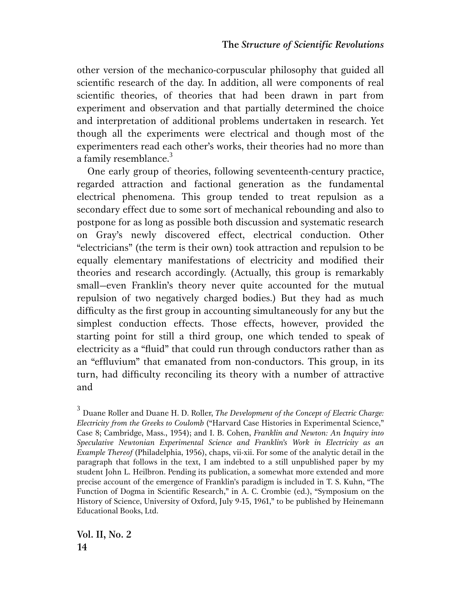other version of the mechanico-corpuscular philosophy that guided all scientific research of the day. In addition, all were components of real scientific theories, of theories that had been drawn in part from experiment and observation and that partially determined the choice and interpretation of additional problems undertaken in research. Yet though all the experiments were electrical and though most of the experimenters read each other's works, their theories had no more than a family resemblance.<sup>3</sup>

One early group of theories, following seventeenth-century practice, regarded attraction and factional generation as the fundamental electrical phenomena. This group tended to treat repulsion as a secondary effect due to some sort of mechanical rebounding and also to postpone for as long as possible both discussion and systematic research on Gray's newly discovered effect, electrical conduction. Other "electricians" (the term is their own) took attraction and repulsion to be equally elementary manifestations of electricity and modified their theories and research accordingly. (Actually, this group is remarkably small—even Franklin's theory never quite accounted for the mutual repulsion of two negatively charged bodies.) But they had as much difficulty as the first group in accounting simultaneously for any but the simplest conduction effects. Those effects, however, provided the starting point for still a third group, one which tended to speak of electricity as a "fluid" that could run through conductors rather than as an "effluvium" that emanated from non-conductors. This group, in its turn, had difficulty reconciling its theory with a number of attractive and

<sup>3</sup> Duane Roller and Duane H. D. Roller, *The Development of the Concept of Electric Charge: Electricity from the Greeks to Coulomb* ("Harvard Case Histories in Experimental Science," Case 8; Cambridge, Mass., 1954); and I. B. Cohen, *Franklin and Newton: An Inquiry into Speculative Newtonian Experimental Science and Franklin's Work in Electricity as an Example Thereof* (Philadelphia, 1956), chaps, vii-xii. For some of the analytic detail in the paragraph that follows in the text, I am indebted to a still unpublished paper by my student John L. Heilbron. Pending its publication, a somewhat more extended and more precise account of the emergence of Franklin's paradigm is included in T. S. Kuhn, "The Function of Dogma in Scientific Research," in A. C. Crombie (ed.), "Symposium on the History of Science, University of Oxford, July 9-15, 1961," to be published by Heinemann Educational Books, Ltd.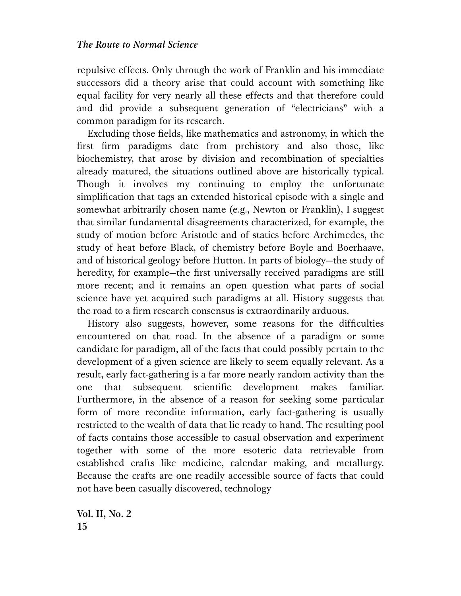repulsive effects. Only through the work of Franklin and his immediate successors did a theory arise that could account with something like equal facility for very nearly all these effects and that therefore could and did provide a subsequent generation of "electricians" with a common paradigm for its research.

Excluding those fields, like mathematics and astronomy, in which the first firm paradigms date from prehistory and also those, like biochemistry, that arose by division and recombination of specialties already matured, the situations outlined above are historically typical. Though it involves my continuing to employ the unfortunate simplification that tags an extended historical episode with a single and somewhat arbitrarily chosen name (e.g., Newton or Franklin), I suggest that similar fundamental disagreements characterized, for example, the study of motion before Aristotle and of statics before Archimedes, the study of heat before Black, of chemistry before Boyle and Boerhaave, and of historical geology before Hutton. In parts of biology—the study of heredity, for example—the first universally received paradigms are still more recent; and it remains an open question what parts of social science have yet acquired such paradigms at all. History suggests that the road to a firm research consensus is extraordinarily arduous.

History also suggests, however, some reasons for the difficulties encountered on that road. In the absence of a paradigm or some candidate for paradigm, all of the facts that could possibly pertain to the development of a given science are likely to seem equally relevant. As a result, early fact-gathering is a far more nearly random activity than the one that subsequent scientific development makes familiar. Furthermore, in the absence of a reason for seeking some particular form of more recondite information, early fact-gathering is usually restricted to the wealth of data that lie ready to hand. The resulting pool of facts contains those accessible to casual observation and experiment together with some of the more esoteric data retrievable from established crafts like medicine, calendar making, and metallurgy. Because the crafts are one readily accessible source of facts that could not have been casually discovered, technology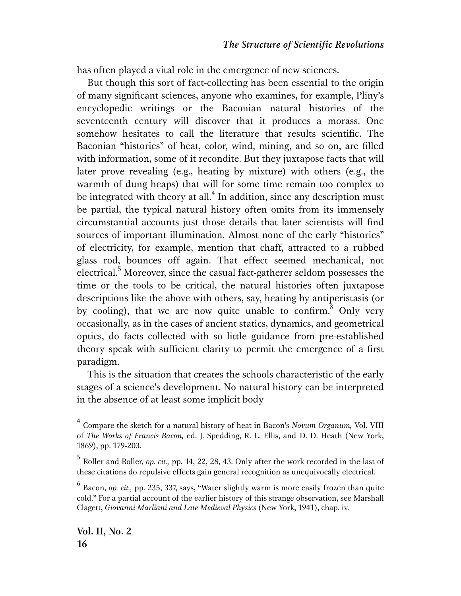has often played a vital role in the emergence of new sciences.

But though this sort of fact-collecting has been essential to the origin of many significant sciences, anyone who examines, for example, Pliny's encyclopedic writings or the Baconian natural histories of the seventeenth century will discover that it produces a morass. One somehow hesitates to call the literature that results scientific. The Baconian "histories" of heat, color, wind, mining, and so on, are filled with information, some of it recondite. But they juxtapose facts that will later prove revealing (e.g., heating by mixture) with others (e.g., the warmth of dung heaps) that will for some time remain too complex to be integrated with theory at all. $^4$  In addition, since any description must be partial, the typical natural history often omits from its immensely circumstantial accounts just those details that later scientists will find sources of important illumination. Almost none of the early "histories" of electricity, for example, mention that chaff, attracted to a rubbed glass rod, bounces off again. That effect seemed mechanical, not electrical. $^5$  Moreover, since the casual fact-gatherer seldom possesses the time or the tools to be critical, the natural histories often juxtapose descriptions like the above with others, say, heating by antiperistasis (or by cooling), that we are now quite unable to confirm.<sup>8</sup> Only very occasionally, as in the cases of ancient statics, dynamics, and geometrical optics, do facts collected with so little guidance from pre-established theory speak with sufficient clarity to permit the emergence of a first paradigm.

This is the situation that creates the schools characteristic of the early stages of a science's development. No natural history can be interpreted in the absence of at least some implicit body

<sup>4</sup> Compare the sketch for a natural history of heat in Bacon's *Novum Organum,* Vol. VIII of *The Works of Francis Bacon,* ed. J. Spedding, R. L. Ellis, and D. D. Heath (New York, 1869), pp. 179-203.

<sup>5</sup> Roller and Roller, *op. cit.,* pp. 14, 22, 28, 43. Only after the work recorded in the last of these citations do repulsive effects gain general recognition as unequivocally electrical.

<sup>6</sup> Bacon, *op. cit.,* pp. 235, 337, says, "Water slightly warm is more easily frozen than quite cold." For a partial account of the earlier history of this strange observation, see Marshall Clagett, *Giovanni Marliani and Late Medieval Physics* (New York, 1941), chap. iv.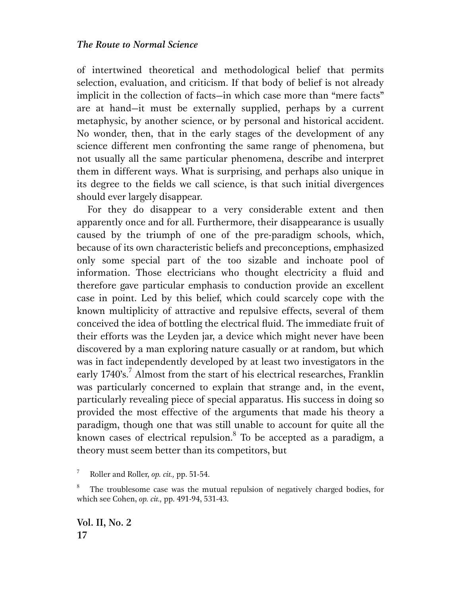of intertwined theoretical and methodological belief that permits selection, evaluation, and criticism. If that body of belief is not already implicit in the collection of facts—in which case more than "mere facts" are at hand—it must be externally supplied, perhaps by a current metaphysic, by another science, or by personal and historical accident. No wonder, then, that in the early stages of the development of any science different men confronting the same range of phenomena, but not usually all the same particular phenomena, describe and interpret them in different ways. What is surprising, and perhaps also unique in its degree to the fields we call science, is that such initial divergences should ever largely disappear.

For they do disappear to a very considerable extent and then apparently once and for all. Furthermore, their disappearance is usually caused by the triumph of one of the pre-paradigm schools, which, because of its own characteristic beliefs and preconceptions, emphasized only some special part of the too sizable and inchoate pool of information. Those electricians who thought electricity a fluid and therefore gave particular emphasis to conduction provide an excellent case in point. Led by this belief, which could scarcely cope with the known multiplicity of attractive and repulsive effects, several of them conceived the idea of bottling the electrical fluid. The immediate fruit of their efforts was the Leyden jar, a device which might never have been discovered by a man exploring nature casually or at random, but which was in fact independently developed by at least two investigators in the early 1740's.<sup>7</sup> Almost from the start of his electrical researches, Franklin was particularly concerned to explain that strange and, in the event, particularly revealing piece of special apparatus. His success in doing so provided the most effective of the arguments that made his theory a paradigm, though one that was still unable to account for quite all the known cases of electrical repulsion. $^8$  To be accepted as a paradigm, a theory must seem better than its competitors, but

7 Roller and Roller, *op. cit.,* pp. 51-54.

<sup>8</sup> The troublesome case was the mutual repulsion of negatively charged bodies, for which see Cohen, *op. cit.,* pp. 491-94, 531-43.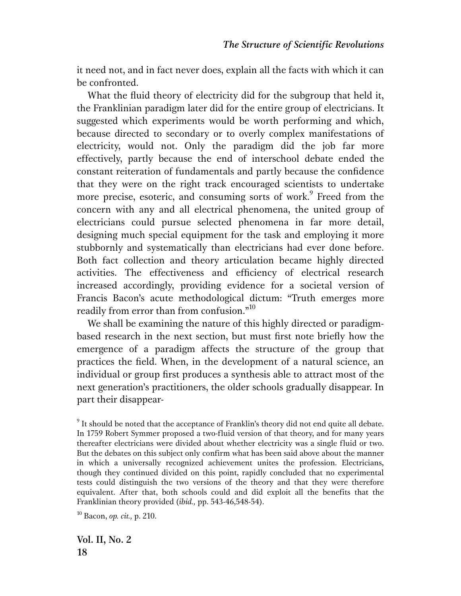it need not, and in fact never does, explain all the facts with which it can be confronted.

What the fluid theory of electricity did for the subgroup that held it, the Franklinian paradigm later did for the entire group of electricians. It suggested which experiments would be worth performing and which, because directed to secondary or to overly complex manifestations of electricity, would not. Only the paradigm did the job far more effectively, partly because the end of interschool debate ended the constant reiteration of fundamentals and partly because the confidence that they were on the right track encouraged scientists to undertake more precise, esoteric, and consuming sorts of work.<sup>9</sup> Freed from the concern with any and all electrical phenomena, the united group of electricians could pursue selected phenomena in far more detail, designing much special equipment for the task and employing it more stubbornly and systematically than electricians had ever done before. Both fact collection and theory articulation became highly directed activities. The effectiveness and efficiency of electrical research increased accordingly, providing evidence for a societal version of Francis Bacon's acute methodological dictum: "Truth emerges more readily from error than from confusion."<sup>10</sup>

We shall be examining the nature of this highly directed or paradigmbased research in the next section, but must first note briefly how the emergence of a paradigm affects the structure of the group that practices the field. When, in the development of a natural science, an individual or group first produces a synthesis able to attract most of the next generation's practitioners, the older schools gradually disappear. In part their disappear-

 $9$  It should be noted that the acceptance of Franklin's theory did not end quite all debate. In 1759 Robert Symmer proposed a two-fluid version of that theory, and for many years thereafter electricians were divided about whether electricity was a single fluid or two. But the debates on this subject only confirm what has been said above about the manner in which a universally recognized achievement unites the profession. Electricians, though they continued divided on this point, rapidly concluded that no experimental tests could distinguish the two versions of the theory and that they were therefore equivalent. After that, both schools could and did exploit all the benefits that the Franklinian theory provided (*ibid.,* pp. 543-46,548-54).

10 Bacon, *op. cit.,* p. 210.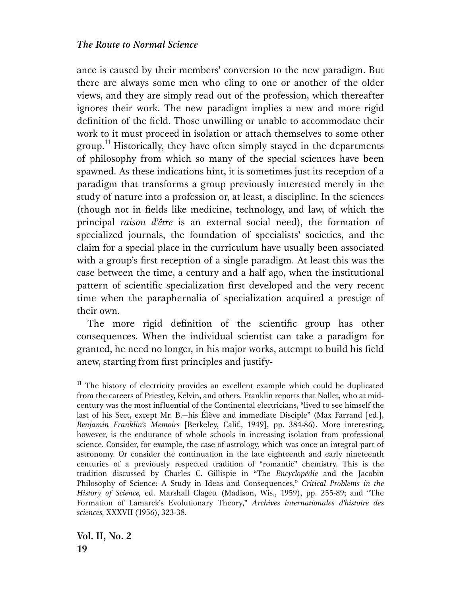#### *The Route to Normal Science*

ance is caused by their members' conversion to the new paradigm. But there are always some men who cling to one or another of the older views, and they are simply read out of the profession, which thereafter ignores their work. The new paradigm implies a new and more rigid definition of the field. Those unwilling or unable to accommodate their work to it must proceed in isolation or attach themselves to some other group.<sup>11</sup> Historically, they have often simply stayed in the departments of philosophy from which so many of the special sciences have been spawned. As these indications hint, it is sometimes just its reception of a paradigm that transforms a group previously interested merely in the study of nature into a profession or, at least, a discipline. In the sciences (though not in fields like medicine, technology, and law, of which the principal *raison d'être* is an external social need), the formation of specialized journals, the foundation of specialists' societies, and the claim for a special place in the curriculum have usually been associated with a group's first reception of a single paradigm. At least this was the case between the time, a century and a half ago, when the institutional pattern of scientific specialization first developed and the very recent time when the paraphernalia of specialization acquired a prestige of their own.

The more rigid definition of the scientific group has other consequences. When the individual scientist can take a paradigm for granted, he need no longer, in his major works, attempt to build his field anew, starting from first principles and justify-

 $11$  The history of electricity provides an excellent example which could be duplicated from the careers of Priestley, Kelvin, and others. Franklin reports that Nollet, who at midcentury was the most influential of the Continental electricians, "lived to see himself the last of his Sect, except Mr. B.—his Élève and immediate Disciple" (Max Farrand [ed.], *Benjamin Franklin's Memoirs* [Berkeley, Calif., 1949], pp. 384-86). More interesting, however, is the endurance of whole schools in increasing isolation from professional science. Consider, for example, the case of astrology, which was once an integral part of astronomy. Or consider the continuation in the late eighteenth and early nineteenth centuries of a previously respected tradition of "romantic" chemistry. This is the tradition discussed by Charles C. Gillispie in "The *Encyclopédie* and the Jacobin Philosophy of Science: A Study in Ideas and Consequences," *Critical Problems in the History of Science,* ed. Marshall Clagett (Madison, Wis., 1959), pp. 255-89; and "The Formation of Lamarck's Evolutionary Theory," *Archives internationales d'histoire des sciences,* XXXVII (1956), 323-38.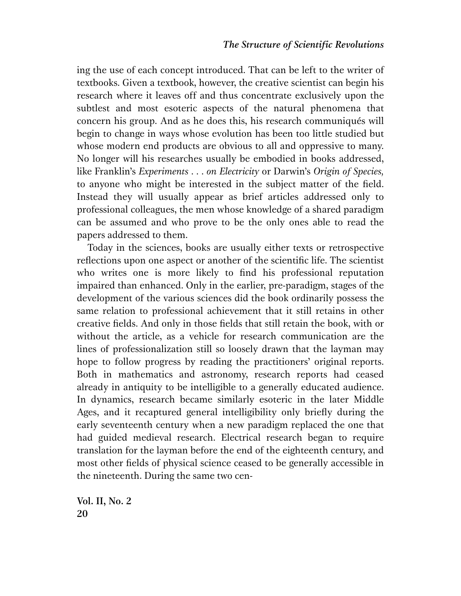ing the use of each concept introduced. That can be left to the writer of textbooks. Given a textbook, however, the creative scientist can begin his research where it leaves off and thus concentrate exclusively upon the subtlest and most esoteric aspects of the natural phenomena that concern his group. And as he does this, his research communiqués will begin to change in ways whose evolution has been too little studied but whose modern end products are obvious to all and oppressive to many. No longer will his researches usually be embodied in books addressed, like Franklin's *Experiments* . . . *on Electricity* or Darwin's *Origin of Species,*  to anyone who might be interested in the subject matter of the field. Instead they will usually appear as brief articles addressed only to professional colleagues, the men whose knowledge of a shared paradigm can be assumed and who prove to be the only ones able to read the papers addressed to them.

Today in the sciences, books are usually either texts or retrospective reflections upon one aspect or another of the scientific life. The scientist who writes one is more likely to find his professional reputation impaired than enhanced. Only in the earlier, pre-paradigm, stages of the development of the various sciences did the book ordinarily possess the same relation to professional achievement that it still retains in other creative fields. And only in those fields that still retain the book, with or without the article, as a vehicle for research communication are the lines of professionalization still so loosely drawn that the layman may hope to follow progress by reading the practitioners' original reports. Both in mathematics and astronomy, research reports had ceased already in antiquity to be intelligible to a generally educated audience. In dynamics, research became similarly esoteric in the later Middle Ages, and it recaptured general intelligibility only briefly during the early seventeenth century when a new paradigm replaced the one that had guided medieval research. Electrical research began to require translation for the layman before the end of the eighteenth century, and most other fields of physical science ceased to be generally accessible in the nineteenth. During the same two cen-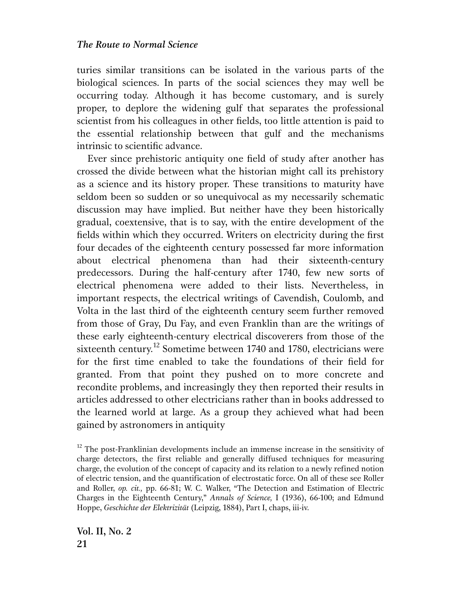turies similar transitions can be isolated in the various parts of the biological sciences. In parts of the social sciences they may well be occurring today. Although it has become customary, and is surely proper, to deplore the widening gulf that separates the professional scientist from his colleagues in other fields, too little attention is paid to the essential relationship between that gulf and the mechanisms intrinsic to scientific advance.

Ever since prehistoric antiquity one field of study after another has crossed the divide between what the historian might call its prehistory as a science and its history proper. These transitions to maturity have seldom been so sudden or so unequivocal as my necessarily schematic discussion may have implied. But neither have they been historically gradual, coextensive, that is to say, with the entire development of the fields within which they occurred. Writers on electricity during the first four decades of the eighteenth century possessed far more information about electrical phenomena than had their sixteenth-century predecessors. During the half-century after 1740, few new sorts of electrical phenomena were added to their lists. Nevertheless, in important respects, the electrical writings of Cavendish, Coulomb, and Volta in the last third of the eighteenth century seem further removed from those of Gray, Du Fay, and even Franklin than are the writings of these early eighteenth-century electrical discoverers from those of the sixteenth century.<sup>12</sup> Sometime between 1740 and 1780, electricians were for the first time enabled to take the foundations of their field for granted. From that point they pushed on to more concrete and recondite problems, and increasingly they then reported their results in articles addressed to other electricians rather than in books addressed to the learned world at large. As a group they achieved what had been gained by astronomers in antiquity

 $12$  The post-Franklinian developments include an immense increase in the sensitivity of charge detectors, the first reliable and generally diffused techniques for measuring charge, the evolution of the concept of capacity and its relation to a newly refined notion of electric tension, and the quantification of electrostatic force. On all of these see Roller and Roller, *op. cit.,* pp. 66-81; W. C. Walker, "The Detection and Estimation of Electric Charges in the Eighteenth Century," *Annals of Science,* I (1936), 66-100; and Edmund Hoppe, *Geschichte der Elektrizität* (Leipzig, 1884), Part I, chaps, iii-iv.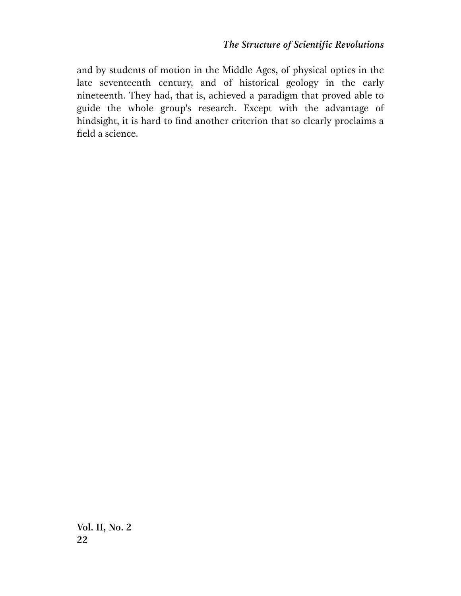and by students of motion in the Middle Ages, of physical optics in the late seventeenth century, and of historical geology in the early nineteenth. They had, that is, achieved a paradigm that proved able to guide the whole group's research. Except with the advantage of hindsight, it is hard to find another criterion that so clearly proclaims a field a science.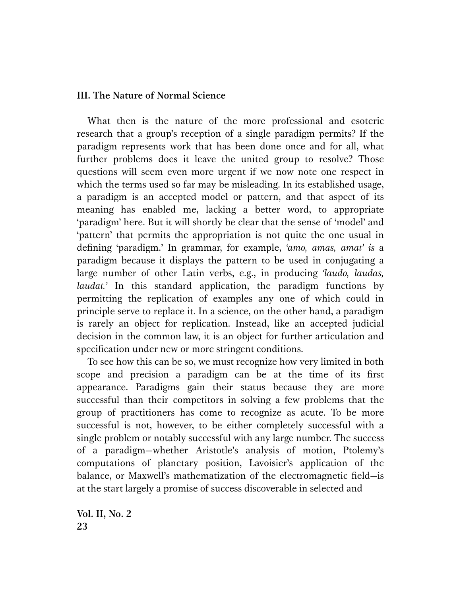#### III. The Nature of Normal Science

What then is the nature of the more professional and esoteric research that a group's reception of a single paradigm permits? If the paradigm represents work that has been done once and for all, what further problems does it leave the united group to resolve? Those questions will seem even more urgent if we now note one respect in which the terms used so far may be misleading. In its established usage, a paradigm is an accepted model or pattern, and that aspect of its meaning has enabled me, lacking a better word, to appropriate 'paradigm' here. But it will shortly be clear that the sense of 'model' and 'pattern' that permits the appropriation is not quite the one usual in defining 'paradigm.' In grammar, for example, *'amo, amas, amat' is* a paradigm because it displays the pattern to be used in conjugating a large number of other Latin verbs, e.g., in producing *'laudo, laudas, laudat.*' In this standard application, the paradigm functions by permitting the replication of examples any one of which could in principle serve to replace it. In a science, on the other hand, a paradigm is rarely an object for replication. Instead, like an accepted judicial decision in the common law, it is an object for further articulation and specification under new or more stringent conditions.

To see how this can be so, we must recognize how very limited in both scope and precision a paradigm can be at the time of its first appearance. Paradigms gain their status because they are more successful than their competitors in solving a few problems that the group of practitioners has come to recognize as acute. To be more successful is not, however, to be either completely successful with a single problem or notably successful with any large number. The success of a paradigm—whether Aristotle's analysis of motion, Ptolemy's computations of planetary position, Lavoisier's application of the balance, or Maxwell's mathematization of the electromagnetic field—is at the start largely a promise of success discoverable in selected and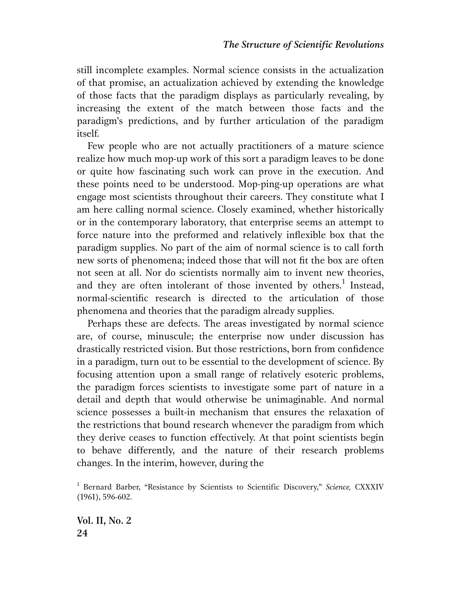still incomplete examples. Normal science consists in the actualization of that promise, an actualization achieved by extending the knowledge of those facts that the paradigm displays as particularly revealing, by increasing the extent of the match between those facts and the paradigm's predictions, and by further articulation of the paradigm itself.

Few people who are not actually practitioners of a mature science realize how much mop-up work of this sort a paradigm leaves to be done or quite how fascinating such work can prove in the execution. And these points need to be understood. Mop-ping-up operations are what engage most scientists throughout their careers. They constitute what I am here calling normal science. Closely examined, whether historically or in the contemporary laboratory, that enterprise seems an attempt to force nature into the preformed and relatively inflexible box that the paradigm supplies. No part of the aim of normal science is to call forth new sorts of phenomena; indeed those that will not fit the box are often not seen at all. Nor do scientists normally aim to invent new theories, and they are often intolerant of those invented by others.<sup>1</sup> Instead, normal-scientific research is directed to the articulation of those phenomena and theories that the paradigm already supplies.

Perhaps these are defects. The areas investigated by normal science are, of course, minuscule; the enterprise now under discussion has drastically restricted vision. But those restrictions, born from confidence in a paradigm, turn out to be essential to the development of science. By focusing attention upon a small range of relatively esoteric problems, the paradigm forces scientists to investigate some part of nature in a detail and depth that would otherwise be unimaginable. And normal science possesses a built-in mechanism that ensures the relaxation of the restrictions that bound research whenever the paradigm from which they derive ceases to function effectively. At that point scientists begin to behave differently, and the nature of their research problems changes. In the interim, however, during the

<sup>1</sup> Bernard Barber, "Resistance by Scientists to Scientific Discovery," *Science,* CXXXIV (1961), 596-602.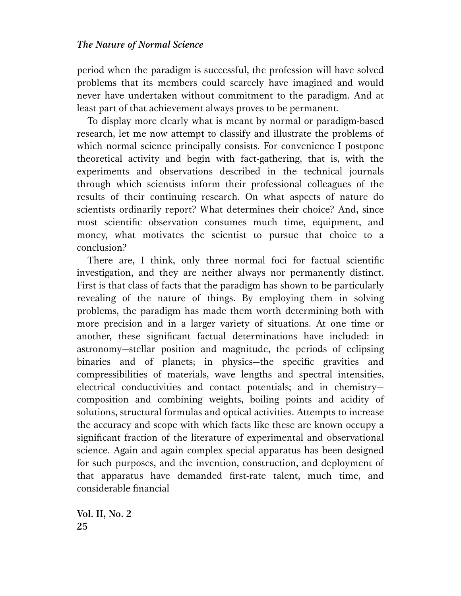period when the paradigm is successful, the profession will have solved problems that its members could scarcely have imagined and would never have undertaken without commitment to the paradigm. And at least part of that achievement always proves to be permanent.

To display more clearly what is meant by normal or paradigm-based research, let me now attempt to classify and illustrate the problems of which normal science principally consists. For convenience I postpone theoretical activity and begin with fact-gathering, that is, with the experiments and observations described in the technical journals through which scientists inform their professional colleagues of the results of their continuing research. On what aspects of nature do scientists ordinarily report? What determines their choice? And, since most scientific observation consumes much time, equipment, and money, what motivates the scientist to pursue that choice to a conclusion?

There are, I think, only three normal foci for factual scientific investigation, and they are neither always nor permanently distinct. First is that class of facts that the paradigm has shown to be particularly revealing of the nature of things. By employing them in solving problems, the paradigm has made them worth determining both with more precision and in a larger variety of situations. At one time or another, these significant factual determinations have included: in astronomy—stellar position and magnitude, the periods of eclipsing binaries and of planets; in physics—the specific gravities and compressibilities of materials, wave lengths and spectral intensities, electrical conductivities and contact potentials; and in chemistry composition and combining weights, boiling points and acidity of solutions, structural formulas and optical activities. Attempts to increase the accuracy and scope with which facts like these are known occupy a significant fraction of the literature of experimental and observational science. Again and again complex special apparatus has been designed for such purposes, and the invention, construction, and deployment of that apparatus have demanded first-rate talent, much time, and considerable financial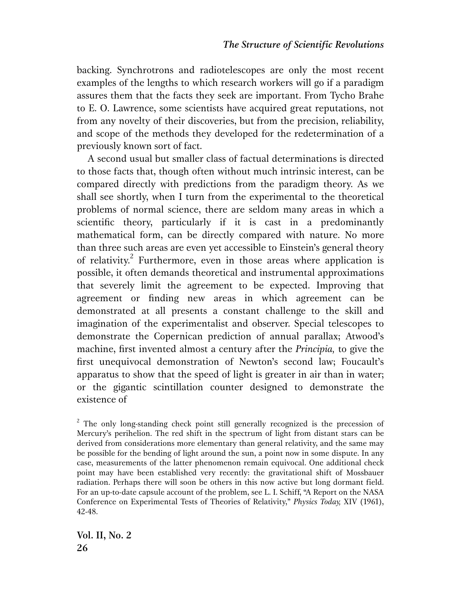backing. Synchrotrons and radiotelescopes are only the most recent examples of the lengths to which research workers will go if a paradigm assures them that the facts they seek are important. From Tycho Brahe to E. O. Lawrence, some scientists have acquired great reputations, not from any novelty of their discoveries, but from the precision, reliability, and scope of the methods they developed for the redetermination of a previously known sort of fact.

A second usual but smaller class of factual determinations is directed to those facts that, though often without much intrinsic interest, can be compared directly with predictions from the paradigm theory. As we shall see shortly, when I turn from the experimental to the theoretical problems of normal science, there are seldom many areas in which a scientific theory, particularly if it is cast in a predominantly mathematical form, can be directly compared with nature. No more than three such areas are even yet accessible to Einstein's general theory of relativity.<sup>2</sup> Furthermore, even in those areas where application is possible, it often demands theoretical and instrumental approximations that severely limit the agreement to be expected. Improving that agreement or finding new areas in which agreement can be demonstrated at all presents a constant challenge to the skill and imagination of the experimentalist and observer. Special telescopes to demonstrate the Copernican prediction of annual parallax; Atwood's machine, first invented almost a century after the *Principia,* to give the first unequivocal demonstration of Newton's second law; Foucault's apparatus to show that the speed of light is greater in air than in water; or the gigantic scintillation counter designed to demonstrate the existence of

<sup>2</sup> The only long-standing check point still generally recognized is the precession of Mercury's perihelion. The red shift in the spectrum of light from distant stars can be derived from considerations more elementary than general relativity, and the same may be possible for the bending of light around the sun, a point now in some dispute. In any case, measurements of the latter phenomenon remain equivocal. One additional check point may have been established very recently: the gravitational shift of Mossbauer radiation. Perhaps there will soon be others in this now active but long dormant field. For an up-to-date capsule account of the problem, see L. I. Schiff, "A Report on the NASA Conference on Experimental Tests of Theories of Relativity," *Physics Today,* XIV (1961), 42-48.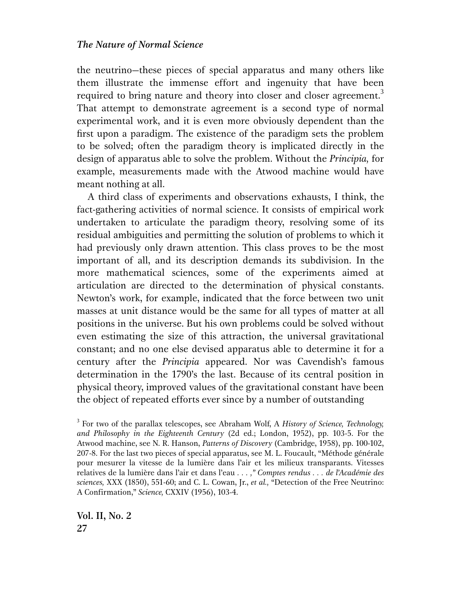### *The Nature of Normal Science*

the neutrino—these pieces of special apparatus and many others like them illustrate the immense effort and ingenuity that have been required to bring nature and theory into closer and closer agreement.<sup>3</sup> That attempt to demonstrate agreement is a second type of normal experimental work, and it is even more obviously dependent than the first upon a paradigm. The existence of the paradigm sets the problem to be solved; often the paradigm theory is implicated directly in the design of apparatus able to solve the problem. Without the *Principia,* for example, measurements made with the Atwood machine would have meant nothing at all.

A third class of experiments and observations exhausts, I think, the fact-gathering activities of normal science. It consists of empirical work undertaken to articulate the paradigm theory, resolving some of its residual ambiguities and permitting the solution of problems to which it had previously only drawn attention. This class proves to be the most important of all, and its description demands its subdivision. In the more mathematical sciences, some of the experiments aimed at articulation are directed to the determination of physical constants. Newton's work, for example, indicated that the force between two unit masses at unit distance would be the same for all types of matter at all positions in the universe. But his own problems could be solved without even estimating the size of this attraction, the universal gravitational constant; and no one else devised apparatus able to determine it for a century after the *Principia* appeared. Nor was Cavendish's famous determination in the 1790's the last. Because of its central position in physical theory, improved values of the gravitational constant have been the object of repeated efforts ever since by a number of outstanding

<sup>3</sup> For two of the parallax telescopes, see Abraham Wolf, A *History of Science, Technology, and Philosophy in the Eighteenth Century* (2d ed.; London, 1952), pp. 103-5. For the Atwood machine, see N. R. Hanson, *Patterns of Discovery* (Cambridge, 1958), pp. 100-102, 207-8. For the last two pieces of special apparatus, see M. L. Foucault, "Méthode générale pour mesurer la vitesse de la lumière dans l'air et les milieux transparants. Vitesses relatives de la lumière dans l'air et dans l'eau *. . . ," Comptes rendus . . . de l'Académie des sciences,* XXX (1850), 551-60; and C. L. Cowan, Jr., *et al.,* "Detection of the Free Neutrino: A Confirmation," *Science,* CXXIV (1956), 103-4.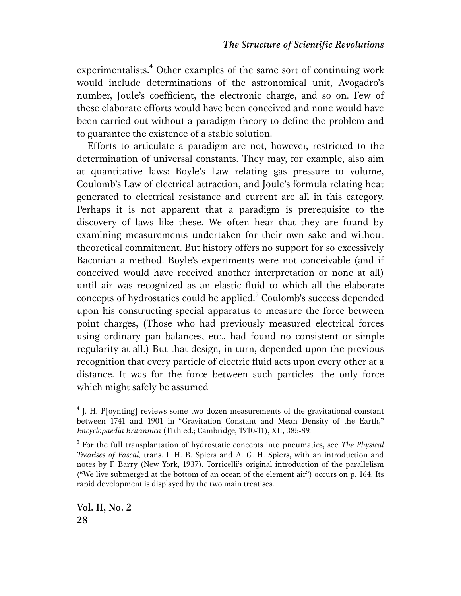experimentalists.<sup>4</sup> Other examples of the same sort of continuing work would include determinations of the astronomical unit, Avogadro's number, Joule's coefficient, the electronic charge, and so on. Few of these elaborate efforts would have been conceived and none would have been carried out without a paradigm theory to define the problem and to guarantee the existence of a stable solution.

Efforts to articulate a paradigm are not, however, restricted to the determination of universal constants. They may, for example, also aim at quantitative laws: Boyle's Law relating gas pressure to volume, Coulomb's Law of electrical attraction, and Joule's formula relating heat generated to electrical resistance and current are all in this category. Perhaps it is not apparent that a paradigm is prerequisite to the discovery of laws like these. We often hear that they are found by examining measurements undertaken for their own sake and without theoretical commitment. But history offers no support for so excessively Baconian a method. Boyle's experiments were not conceivable (and if conceived would have received another interpretation or none at all) until air was recognized as an elastic fluid to which all the elaborate concepts of hydrostatics could be applied. $5$  Coulomb's success depended upon his constructing special apparatus to measure the force between point charges, (Those who had previously measured electrical forces using ordinary pan balances, etc., had found no consistent or simple regularity at all.) But that design, in turn, depended upon the previous recognition that every particle of electric fluid acts upon every other at a distance. It was for the force between such particles—the only force which might safely be assumed

<sup>&</sup>lt;sup>4</sup> J. H. P[oynting] reviews some two dozen measurements of the gravitational constant between 1741 and 1901 in "Gravitation Constant and Mean Density of the Earth," *Encyclopaedia Britannica* (11th ed.; Cambridge, 1910-11), XII, 385-89.

<sup>5</sup> For the full transplantation of hydrostatic concepts into pneumatics, see *The Physical Treatises of Pascal,* trans. I. H. B. Spiers and A. G. H. Spiers, with an introduction and notes by F. Barry (New York, 1937). Torricelli's original introduction of the parallelism ("We live submerged at the bottom of an ocean of the element air") occurs on p. 164. Its rapid development is displayed by the two main treatises.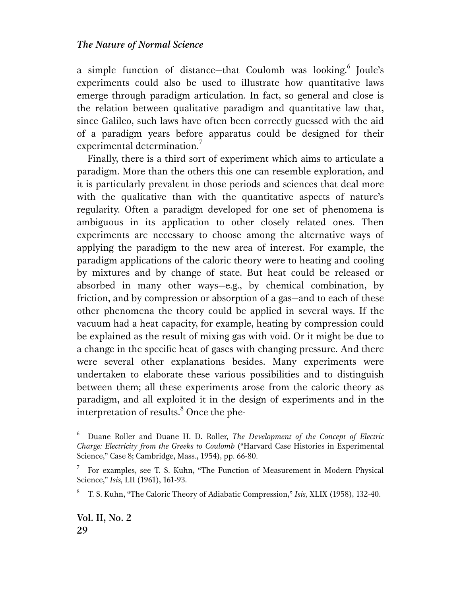a simple function of distance—that Coulomb was looking.<sup>6</sup> Joule's experiments could also be used to illustrate how quantitative laws emerge through paradigm articulation. In fact, so general and close is the relation between qualitative paradigm and quantitative law that, since Galileo, such laws have often been correctly guessed with the aid of a paradigm years before apparatus could be designed for their experimental determination.<sup>7</sup>

Finally, there is a third sort of experiment which aims to articulate a paradigm. More than the others this one can resemble exploration, and it is particularly prevalent in those periods and sciences that deal more with the qualitative than with the quantitative aspects of nature's regularity. Often a paradigm developed for one set of phenomena is ambiguous in its application to other closely related ones. Then experiments are necessary to choose among the alternative ways of applying the paradigm to the new area of interest. For example, the paradigm applications of the caloric theory were to heating and cooling by mixtures and by change of state. But heat could be released or absorbed in many other ways—e.g., by chemical combination, by friction, and by compression or absorption of a gas—and to each of these other phenomena the theory could be applied in several ways. If the vacuum had a heat capacity, for example, heating by compression could be explained as the result of mixing gas with void. Or it might be due to a change in the specific heat of gases with changing pressure. And there were several other explanations besides. Many experiments were undertaken to elaborate these various possibilities and to distinguish between them; all these experiments arose from the caloric theory as paradigm, and all exploited it in the design of experiments and in the interpretation of results.<sup>8</sup> Once the phe-

8

<sup>6</sup> Duane Roller and Duane H. D. Roller, *The Development of the Concept of Electric Charge: Electricity from the Greeks to Coulomb* ("Harvard Case Histories in Experimental Science," Case 8; Cambridge, Mass., 1954), pp. 66-80.

<sup>7</sup> For examples, see T. S. Kuhn, "The Function of Measurement in Modern Physical Science," *Isis,* LII (1961), 161-93.

T. S. Kuhn, "The Caloric Theory of Adiabatic Compression," *Isis,* XLIX (1958), 132-40.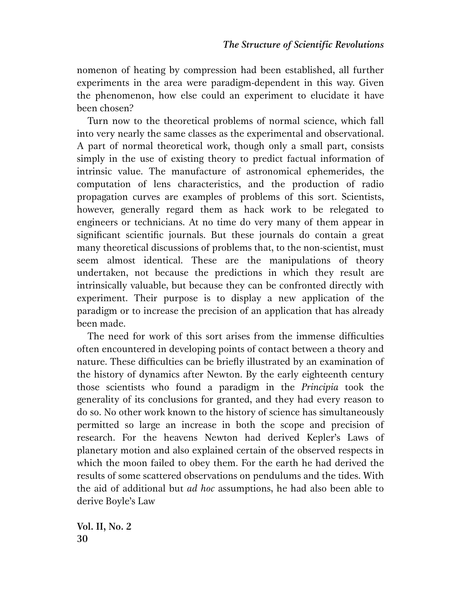nomenon of heating by compression had been established, all further experiments in the area were paradigm-dependent in this way. Given the phenomenon, how else could an experiment to elucidate it have been chosen?

Turn now to the theoretical problems of normal science, which fall into very nearly the same classes as the experimental and observational. A part of normal theoretical work, though only a small part, consists simply in the use of existing theory to predict factual information of intrinsic value. The manufacture of astronomical ephemerides, the computation of lens characteristics, and the production of radio propagation curves are examples of problems of this sort. Scientists, however, generally regard them as hack work to be relegated to engineers or technicians. At no time do very many of them appear in significant scientific journals. But these journals do contain a great many theoretical discussions of problems that, to the non-scientist, must seem almost identical. These are the manipulations of theory undertaken, not because the predictions in which they result are intrinsically valuable, but because they can be confronted directly with experiment. Their purpose is to display a new application of the paradigm or to increase the precision of an application that has already been made.

The need for work of this sort arises from the immense difficulties often encountered in developing points of contact between a theory and nature. These difficulties can be briefly illustrated by an examination of the history of dynamics after Newton. By the early eighteenth century those scientists who found a paradigm in the *Principia* took the generality of its conclusions for granted, and they had every reason to do so. No other work known to the history of science has simultaneously permitted so large an increase in both the scope and precision of research. For the heavens Newton had derived Kepler's Laws of planetary motion and also explained certain of the observed respects in which the moon failed to obey them. For the earth he had derived the results of some scattered observations on pendulums and the tides. With the aid of additional but *ad hoc* assumptions, he had also been able to derive Boyle's Law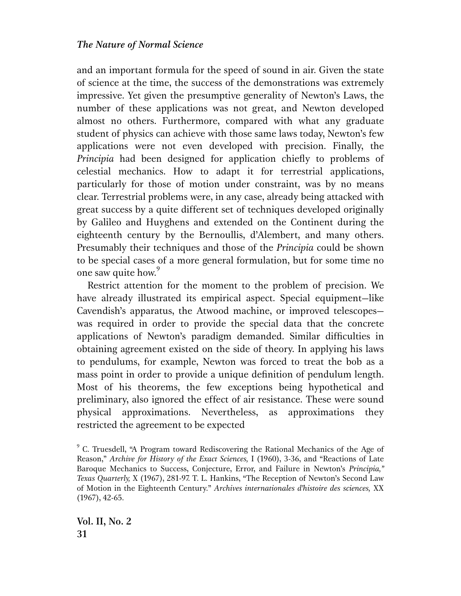and an important formula for the speed of sound in air. Given the state of science at the time, the success of the demonstrations was extremely impressive. Yet given the presumptive generality of Newton's Laws, the number of these applications was not great, and Newton developed almost no others. Furthermore, compared with what any graduate student of physics can achieve with those same laws today, Newton's few applications were not even developed with precision. Finally, the *Principia* had been designed for application chiefly to problems of celestial mechanics. How to adapt it for terrestrial applications, particularly for those of motion under constraint, was by no means clear. Terrestrial problems were, in any case, already being attacked with great success by a quite different set of techniques developed originally by Galileo and Huyghens and extended on the Continent during the eighteenth century by the Bernoullis, d'Alembert, and many others. Presumably their techniques and those of the *Principia* could be shown to be special cases of a more general formulation, but for some time no one saw quite how.<sup>9</sup>

Restrict attention for the moment to the problem of precision. We have already illustrated its empirical aspect. Special equipment—like Cavendish's apparatus, the Atwood machine, or improved telescopes was required in order to provide the special data that the concrete applications of Newton's paradigm demanded. Similar difficulties in obtaining agreement existed on the side of theory. In applying his laws to pendulums, for example, Newton was forced to treat the bob as a mass point in order to provide a unique definition of pendulum length. Most of his theorems, the few exceptions being hypothetical and preliminary, also ignored the effect of air resistance. These were sound physical approximations. Nevertheless, as approximations they restricted the agreement to be expected

<sup>&</sup>lt;sup>9</sup> C. Truesdell, "A Program toward Rediscovering the Rational Mechanics of the Age of Reason," *Archive for History of the Exact Sciences,* I (1960), 3-36, and "Reactions of Late Baroque Mechanics to Success, Conjecture, Error, and Failure in Newton's *Principia," Texas Quarterly,* X (1967), 281-97. T. L. Hankins, "The Reception of Newton's Second Law of Motion in the Eighteenth Century." *Archives internationales d'histoire des sciences,* XX (1967), 42-65.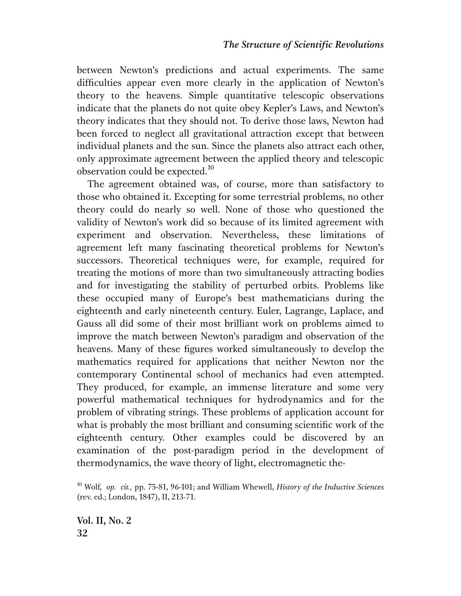between Newton's predictions and actual experiments. The same difficulties appear even more clearly in the application of Newton's theory to the heavens. Simple quantitative telescopic observations indicate that the planets do not quite obey Kepler's Laws, and Newton's theory indicates that they should not. To derive those laws, Newton had been forced to neglect all gravitational attraction except that between individual planets and the sun. Since the planets also attract each other, only approximate agreement between the applied theory and telescopic observation could be expected.<sup>10</sup>

The agreement obtained was, of course, more than satisfactory to those who obtained it. Excepting for some terrestrial problems, no other theory could do nearly so well. None of those who questioned the validity of Newton's work did so because of its limited agreement with experiment and observation. Nevertheless, these limitations of agreement left many fascinating theoretical problems for Newton's successors. Theoretical techniques were, for example, required for treating the motions of more than two simultaneously attracting bodies and for investigating the stability of perturbed orbits. Problems like these occupied many of Europe's best mathematicians during the eighteenth and early nineteenth century. Euler, Lagrange, Laplace, and Gauss all did some of their most brilliant work on problems aimed to improve the match between Newton's paradigm and observation of the heavens. Many of these figures worked simultaneously to develop the mathematics required for applications that neither Newton nor the contemporary Continental school of mechanics had even attempted. They produced, for example, an immense literature and some very powerful mathematical techniques for hydrodynamics and for the problem of vibrating strings. These problems of application account for what is probably the most brilliant and consuming scientific work of the eighteenth century. Other examples could be discovered by an examination of the post-paradigm period in the development of thermodynamics, the wave theory of light, electromagnetic the-

<sup>10</sup> Wolf, *op. cit.,* pp. 75-81, 96-101; and William Whewell, *History of the Inductive Sciences*  (rev. ed.; London, 1847), II, 213-71.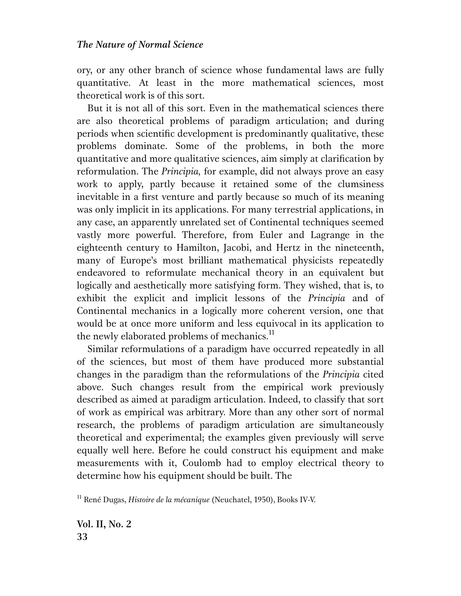ory, or any other branch of science whose fundamental laws are fully quantitative. At least in the more mathematical sciences, most theoretical work is of this sort.

But it is not all of this sort. Even in the mathematical sciences there are also theoretical problems of paradigm articulation; and during periods when scientific development is predominantly qualitative, these problems dominate. Some of the problems, in both the more quantitative and more qualitative sciences, aim simply at clarification by reformulation. The *Principia,* for example, did not always prove an easy work to apply, partly because it retained some of the clumsiness inevitable in a first venture and partly because so much of its meaning was only implicit in its applications. For many terrestrial applications, in any case, an apparently unrelated set of Continental techniques seemed vastly more powerful. Therefore, from Euler and Lagrange in the eighteenth century to Hamilton, Jacobi, and Hertz in the nineteenth, many of Europe's most brilliant mathematical physicists repeatedly endeavored to reformulate mechanical theory in an equivalent but logically and aesthetically more satisfying form. They wished, that is, to exhibit the explicit and implicit lessons of the *Principia* and of Continental mechanics in a logically more coherent version, one that would be at once more uniform and less equivocal in its application to the newly elaborated problems of mechanics.<sup>11</sup>

Similar reformulations of a paradigm have occurred repeatedly in all of the sciences, but most of them have produced more substantial changes in the paradigm than the reformulations of the *Principia* cited above. Such changes result from the empirical work previously described as aimed at paradigm articulation. Indeed, to classify that sort of work as empirical was arbitrary. More than any other sort of normal research, the problems of paradigm articulation are simultaneously theoretical and experimental; the examples given previously will serve equally well here. Before he could construct his equipment and make measurements with it, Coulomb had to employ electrical theory to determine how his equipment should be built. The

11 René Dugas, *Histoire de la mécanique* (Neuchatel, 1950), Books IV-V.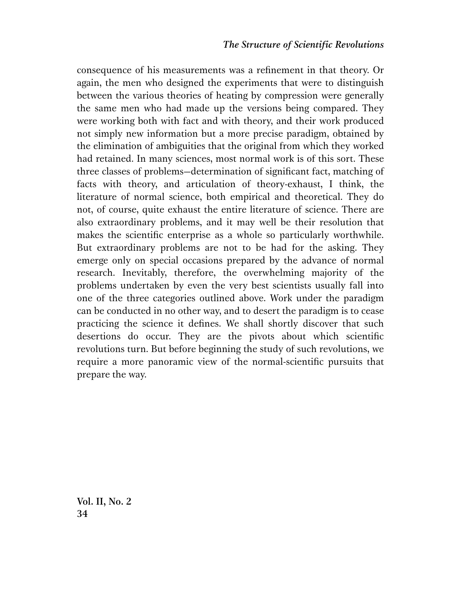consequence of his measurements was a refinement in that theory. Or again, the men who designed the experiments that were to distinguish between the various theories of heating by compression were generally the same men who had made up the versions being compared. They were working both with fact and with theory, and their work produced not simply new information but a more precise paradigm, obtained by the elimination of ambiguities that the original from which they worked had retained. In many sciences, most normal work is of this sort. These three classes of problems—determination of significant fact, matching of facts with theory, and articulation of theory-exhaust, I think, the literature of normal science, both empirical and theoretical. They do not, of course, quite exhaust the entire literature of science. There are also extraordinary problems, and it may well be their resolution that makes the scientific enterprise as a whole so particularly worthwhile. But extraordinary problems are not to be had for the asking. They emerge only on special occasions prepared by the advance of normal research. Inevitably, therefore, the overwhelming majority of the problems undertaken by even the very best scientists usually fall into one of the three categories outlined above. Work under the paradigm can be conducted in no other way, and to desert the paradigm is to cease practicing the science it defines. We shall shortly discover that such desertions do occur. They are the pivots about which scientific revolutions turn. But before beginning the study of such revolutions, we require a more panoramic view of the normal-scientific pursuits that prepare the way.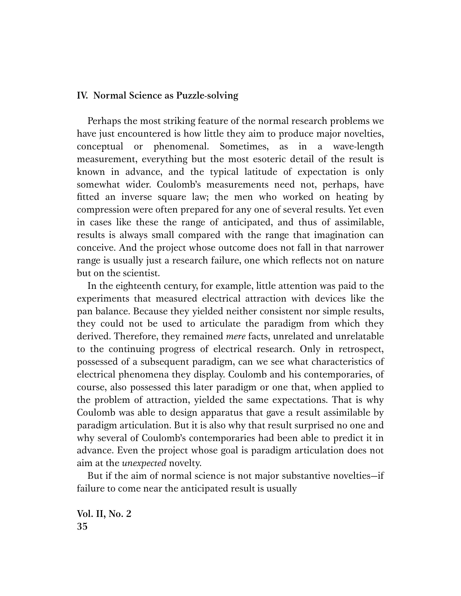#### IV. Normal Science as Puzzle-solving

Perhaps the most striking feature of the normal research problems we have just encountered is how little they aim to produce major novelties, conceptual or phenomenal. Sometimes, as in a wave-length measurement, everything but the most esoteric detail of the result is known in advance, and the typical latitude of expectation is only somewhat wider. Coulomb's measurements need not, perhaps, have fitted an inverse square law; the men who worked on heating by compression were often prepared for any one of several results. Yet even in cases like these the range of anticipated, and thus of assimilable, results is always small compared with the range that imagination can conceive. And the project whose outcome does not fall in that narrower range is usually just a research failure, one which reflects not on nature but on the scientist.

In the eighteenth century, for example, little attention was paid to the experiments that measured electrical attraction with devices like the pan balance. Because they yielded neither consistent nor simple results, they could not be used to articulate the paradigm from which they derived. Therefore, they remained *mere* facts, unrelated and unrelatable to the continuing progress of electrical research. Only in retrospect, possessed of a subsequent paradigm, can we see what characteristics of electrical phenomena they display. Coulomb and his contemporaries, of course, also possessed this later paradigm or one that, when applied to the problem of attraction, yielded the same expectations. That is why Coulomb was able to design apparatus that gave a result assimilable by paradigm articulation. But it is also why that result surprised no one and why several of Coulomb's contemporaries had been able to predict it in advance. Even the project whose goal is paradigm articulation does not aim at the *unexpected* novelty.

But if the aim of normal science is not major substantive novelties—if failure to come near the anticipated result is usually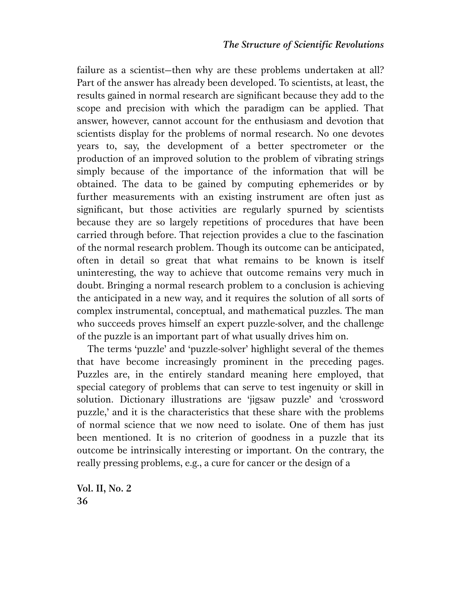failure as a scientist—then why are these problems undertaken at all? Part of the answer has already been developed. To scientists, at least, the results gained in normal research are significant because they add to the scope and precision with which the paradigm can be applied. That answer, however, cannot account for the enthusiasm and devotion that scientists display for the problems of normal research. No one devotes years to, say, the development of a better spectrometer or the production of an improved solution to the problem of vibrating strings simply because of the importance of the information that will be obtained. The data to be gained by computing ephemerides or by further measurements with an existing instrument are often just as significant, but those activities are regularly spurned by scientists because they are so largely repetitions of procedures that have been carried through before. That rejection provides a clue to the fascination of the normal research problem. Though its outcome can be anticipated, often in detail so great that what remains to be known is itself uninteresting, the way to achieve that outcome remains very much in doubt. Bringing a normal research problem to a conclusion is achieving the anticipated in a new way, and it requires the solution of all sorts of complex instrumental, conceptual, and mathematical puzzles. The man who succeeds proves himself an expert puzzle-solver, and the challenge of the puzzle is an important part of what usually drives him on.

The terms 'puzzle' and 'puzzle-solver' highlight several of the themes that have become increasingly prominent in the preceding pages. Puzzles are, in the entirely standard meaning here employed, that special category of problems that can serve to test ingenuity or skill in solution. Dictionary illustrations are 'jigsaw puzzle' and 'crossword puzzle,' and it is the characteristics that these share with the problems of normal science that we now need to isolate. One of them has just been mentioned. It is no criterion of goodness in a puzzle that its outcome be intrinsically interesting or important. On the contrary, the really pressing problems, e.g., a cure for cancer or the design of a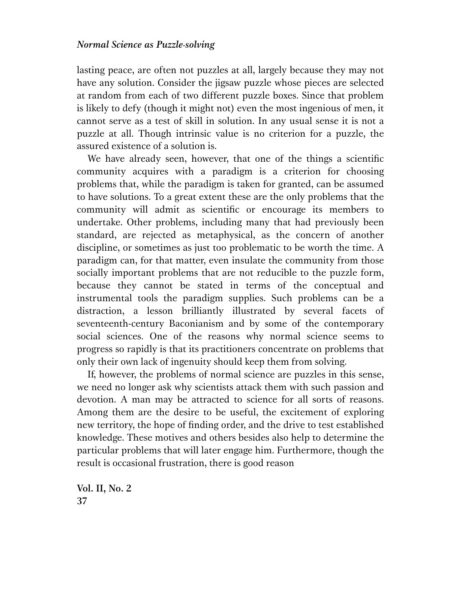lasting peace, are often not puzzles at all, largely because they may not have any solution. Consider the jigsaw puzzle whose pieces are selected at random from each of two different puzzle boxes. Since that problem is likely to defy (though it might not) even the most ingenious of men, it cannot serve as a test of skill in solution. In any usual sense it is not a puzzle at all. Though intrinsic value is no criterion for a puzzle, the assured existence of a solution is.

We have already seen, however, that one of the things a scientific community acquires with a paradigm is a criterion for choosing problems that, while the paradigm is taken for granted, can be assumed to have solutions. To a great extent these are the only problems that the community will admit as scientific or encourage its members to undertake. Other problems, including many that had previously been standard, are rejected as metaphysical, as the concern of another discipline, or sometimes as just too problematic to be worth the time. A paradigm can, for that matter, even insulate the community from those socially important problems that are not reducible to the puzzle form, because they cannot be stated in terms of the conceptual and instrumental tools the paradigm supplies. Such problems can be a distraction, a lesson brilliantly illustrated by several facets of seventeenth-century Baconianism and by some of the contemporary social sciences. One of the reasons why normal science seems to progress so rapidly is that its practitioners concentrate on problems that only their own lack of ingenuity should keep them from solving.

If, however, the problems of normal science are puzzles in this sense, we need no longer ask why scientists attack them with such passion and devotion. A man may be attracted to science for all sorts of reasons. Among them are the desire to be useful, the excitement of exploring new territory, the hope of finding order, and the drive to test established knowledge. These motives and others besides also help to determine the particular problems that will later engage him. Furthermore, though the result is occasional frustration, there is good reason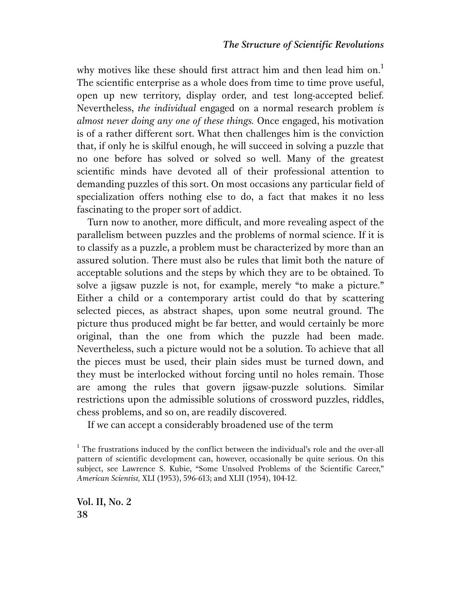why motives like these should first attract him and then lead him on.<sup>1</sup> The scientific enterprise as a whole does from time to time prove useful, open up new territory, display order, and test long-accepted belief. Nevertheless, *the individual* engaged on a normal research problem *is almost never doing any one of these things.* Once engaged, his motivation is of a rather different sort. What then challenges him is the conviction that, if only he is skilful enough, he will succeed in solving a puzzle that no one before has solved or solved so well. Many of the greatest scientific minds have devoted all of their professional attention to demanding puzzles of this sort. On most occasions any particular field of specialization offers nothing else to do, a fact that makes it no less fascinating to the proper sort of addict.

Turn now to another, more difficult, and more revealing aspect of the parallelism between puzzles and the problems of normal science. If it is to classify as a puzzle, a problem must be characterized by more than an assured solution. There must also be rules that limit both the nature of acceptable solutions and the steps by which they are to be obtained. To solve a jigsaw puzzle is not, for example, merely "to make a picture." Either a child or a contemporary artist could do that by scattering selected pieces, as abstract shapes, upon some neutral ground. The picture thus produced might be far better, and would certainly be more original, than the one from which the puzzle had been made. Nevertheless, such a picture would not be a solution. To achieve that all the pieces must be used, their plain sides must be turned down, and they must be interlocked without forcing until no holes remain. Those are among the rules that govern jigsaw-puzzle solutions. Similar restrictions upon the admissible solutions of crossword puzzles, riddles, chess problems, and so on, are readily discovered.

If we can accept a considerably broadened use of the term

<sup>&</sup>lt;sup>1</sup> The frustrations induced by the conflict between the individual's role and the over-all pattern of scientific development can, however, occasionally be quite serious. On this subject, see Lawrence S. Kubie, "Some Unsolved Problems of the Scientific Career," *American Scientist,* XLI (1953), 596-613; and XLII (1954), 104-12.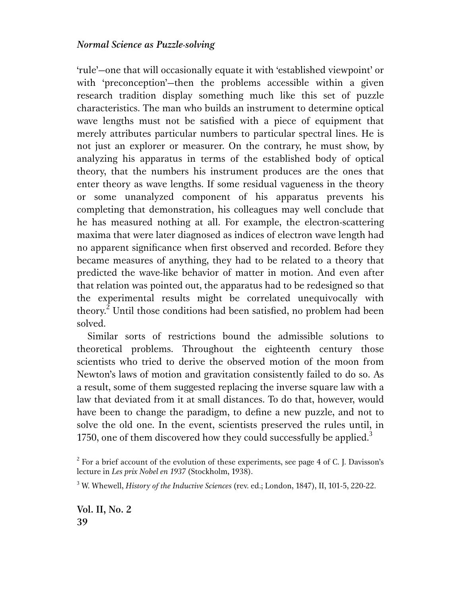## *Normal Science as Puzzle-solving*

'rule'—one that will occasionally equate it with 'established viewpoint' or with 'preconception'—then the problems accessible within a given research tradition display something much like this set of puzzle characteristics. The man who builds an instrument to determine optical wave lengths must not be satisfied with a piece of equipment that merely attributes particular numbers to particular spectral lines. He is not just an explorer or measurer. On the contrary, he must show, by analyzing his apparatus in terms of the established body of optical theory, that the numbers his instrument produces are the ones that enter theory as wave lengths. If some residual vagueness in the theory or some unanalyzed component of his apparatus prevents his completing that demonstration, his colleagues may well conclude that he has measured nothing at all. For example, the electron-scattering maxima that were later diagnosed as indices of electron wave length had no apparent significance when first observed and recorded. Before they became measures of anything, they had to be related to a theory that predicted the wave-like behavior of matter in motion. And even after that relation was pointed out, the apparatus had to be redesigned so that the experimental results might be correlated unequivocally with theory.<sup>2</sup> Until those conditions had been satisfied, no problem had been solved.

Similar sorts of restrictions bound the admissible solutions to theoretical problems. Throughout the eighteenth century those scientists who tried to derive the observed motion of the moon from Newton's laws of motion and gravitation consistently failed to do so. As a result, some of them suggested replacing the inverse square law with a law that deviated from it at small distances. To do that, however, would have been to change the paradigm, to define a new puzzle, and not to solve the old one. In the event, scientists preserved the rules until, in 1750, one of them discovered how they could successfully be applied.<sup>3</sup>

 $2^2$  For a brief account of the evolution of these experiments, see page 4 of C. J. Davisson's lecture in *Les prix Nobel en 1937* (Stockholm, 1938).

<sup>3</sup> W. Whewell, *History of the Inductive Sciences* (rev. ed.; London, 1847), II, 101-5, 220-22.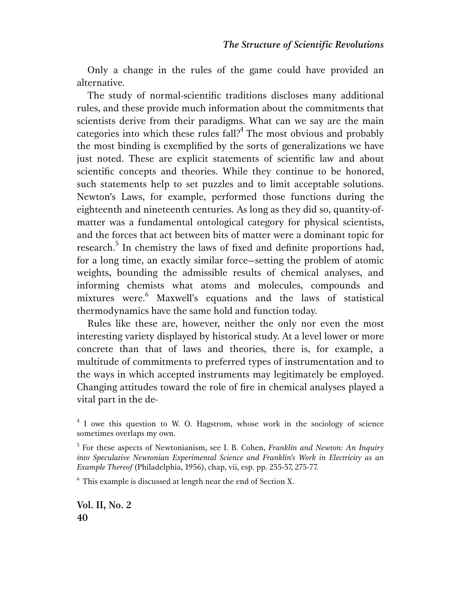Only a change in the rules of the game could have provided an alternative.

The study of normal-scientific traditions discloses many additional rules, and these provide much information about the commitments that scientists derive from their paradigms. What can we say are the main categories into which these rules fall?<sup>4</sup> The most obvious and probably the most binding is exemplified by the sorts of generalizations we have just noted. These are explicit statements of scientific law and about scientific concepts and theories. While they continue to be honored, such statements help to set puzzles and to limit acceptable solutions. Newton's Laws, for example, performed those functions during the eighteenth and nineteenth centuries. As long as they did so, quantity-ofmatter was a fundamental ontological category for physical scientists, and the forces that act between bits of matter were a dominant topic for research.<sup>5</sup> In chemistry the laws of fixed and definite proportions had, for a long time, an exactly similar force—setting the problem of atomic weights, bounding the admissible results of chemical analyses, and informing chemists what atoms and molecules, compounds and mixtures were.<sup>6</sup> Maxwell's equations and the laws of statistical thermodynamics have the same hold and function today.

Rules like these are, however, neither the only nor even the most interesting variety displayed by historical study. At a level lower or more concrete than that of laws and theories, there is, for example, a multitude of commitments to preferred types of instrumentation and to the ways in which accepted instruments may legitimately be employed. Changing attitudes toward the role of fire in chemical analyses played a vital part in the de-

 $6$  This example is discussed at length near the end of Section X.

<sup>&</sup>lt;sup>4</sup> I owe this question to W. O. Hagstrom, whose work in the sociology of science sometimes overlaps my own.

<sup>5</sup> For these aspects of Newtonianism, see I. B. Cohen, *Franklin and Newton: An Inquiry into Speculative Newtonian Experimental Science and Franklin's Work in Electricity as an Example Thereof* (Philadelphia, 1956), chap, vii, esp. pp. 255-57, 275-77.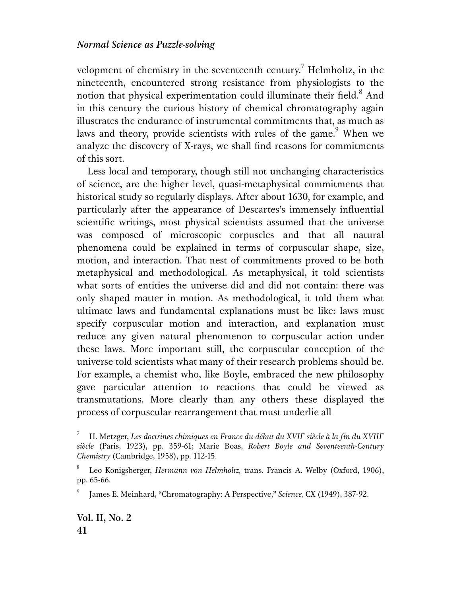## *Normal Science as Puzzle-solving*

velopment of chemistry in the seventeenth century.<sup>7</sup> Helmholtz, in the nineteenth, encountered strong resistance from physiologists to the notion that physical experimentation could illuminate their field. $^8$  And in this century the curious history of chemical chromatography again illustrates the endurance of instrumental commitments that, as much as laws and theory, provide scientists with rules of the game.<sup>9</sup> When we analyze the discovery of X-rays, we shall find reasons for commitments of this sort.

Less local and temporary, though still not unchanging characteristics of science, are the higher level, quasi-metaphysical commitments that historical study so regularly displays. After about 1630, for example, and particularly after the appearance of Descartes's immensely influential scientific writings, most physical scientists assumed that the universe was composed of microscopic corpuscles and that all natural phenomena could be explained in terms of corpuscular shape, size, motion, and interaction. That nest of commitments proved to be both metaphysical and methodological. As metaphysical, it told scientists what sorts of entities the universe did and did not contain: there was only shaped matter in motion. As methodological, it told them what ultimate laws and fundamental explanations must be like: laws must specify corpuscular motion and interaction, and explanation must reduce any given natural phenomenon to corpuscular action under these laws. More important still, the corpuscular conception of the universe told scientists what many of their research problems should be. For example, a chemist who, like Boyle, embraced the new philosophy gave particular attention to reactions that could be viewed as transmutations. More clearly than any others these displayed the process of corpuscular rearrangement that must underlie all

9 James E. Meinhard, "Chromatography: A Perspective," *Science,* CX (1949), 387-92.

<sup>7</sup> H. Metzger, *Les doctrines chimiques en France du début du XVIIe siècle à la fin du XVIII<sup>e</sup> siècle* (Paris, 1923), pp. 359-61; Marie Boas, *Robert Boyle and Seventeenth-Century Chemistry* (Cambridge, 1958), pp. 112-15.

<sup>8</sup> Leo Konigsberger, *Hermann von Helmholtz,* trans. Francis A. Welby (Oxford, 1906), pp. 65-66.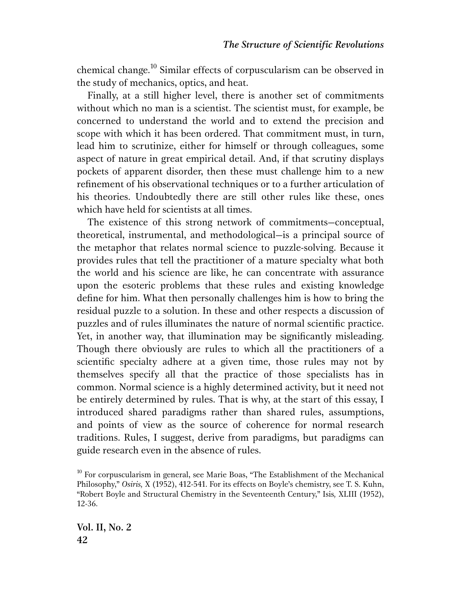chemical change.10 Similar effects of corpuscularism can be observed in the study of mechanics, optics, and heat.

Finally, at a still higher level, there is another set of commitments without which no man is a scientist. The scientist must, for example, be concerned to understand the world and to extend the precision and scope with which it has been ordered. That commitment must, in turn, lead him to scrutinize, either for himself or through colleagues, some aspect of nature in great empirical detail. And, if that scrutiny displays pockets of apparent disorder, then these must challenge him to a new refinement of his observational techniques or to a further articulation of his theories. Undoubtedly there are still other rules like these, ones which have held for scientists at all times.

The existence of this strong network of commitments—conceptual, theoretical, instrumental, and methodological—is a principal source of the metaphor that relates normal science to puzzle-solving. Because it provides rules that tell the practitioner of a mature specialty what both the world and his science are like, he can concentrate with assurance upon the esoteric problems that these rules and existing knowledge define for him. What then personally challenges him is how to bring the residual puzzle to a solution. In these and other respects a discussion of puzzles and of rules illuminates the nature of normal scientific practice. Yet, in another way, that illumination may be significantly misleading. Though there obviously are rules to which all the practitioners of a scientific specialty adhere at a given time, those rules may not by themselves specify all that the practice of those specialists has in common. Normal science is a highly determined activity, but it need not be entirely determined by rules. That is why, at the start of this essay, I introduced shared paradigms rather than shared rules, assumptions, and points of view as the source of coherence for normal research traditions. Rules, I suggest, derive from paradigms, but paradigms can guide research even in the absence of rules.

<sup>&</sup>lt;sup>10</sup> For corpuscularism in general, see Marie Boas, "The Establishment of the Mechanical Philosophy," *Osiris,* X (1952), 412-541. For its effects on Boyle's chemistry, see T. S. Kuhn, "Robert Boyle and Structural Chemistry in the Seventeenth Century," Isis*,* XLIII (1952), 12-36.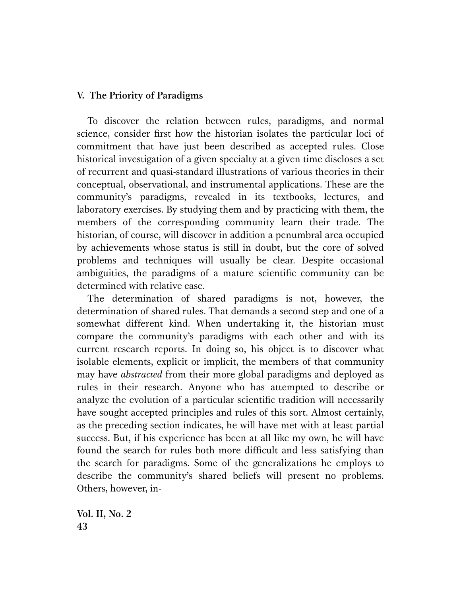### V. The Priority of Paradigms

To discover the relation between rules, paradigms, and normal science, consider first how the historian isolates the particular loci of commitment that have just been described as accepted rules. Close historical investigation of a given specialty at a given time discloses a set of recurrent and quasi-standard illustrations of various theories in their conceptual, observational, and instrumental applications. These are the community's paradigms, revealed in its textbooks, lectures, and laboratory exercises. By studying them and by practicing with them, the members of the corresponding community learn their trade. The historian, of course, will discover in addition a penumbral area occupied by achievements whose status is still in doubt, but the core of solved problems and techniques will usually be clear. Despite occasional ambiguities, the paradigms of a mature scientific community can be determined with relative ease.

The determination of shared paradigms is not, however, the determination of shared rules. That demands a second step and one of a somewhat different kind. When undertaking it, the historian must compare the community's paradigms with each other and with its current research reports. In doing so, his object is to discover what isolable elements, explicit or implicit, the members of that community may have *abstracted* from their more global paradigms and deployed as rules in their research. Anyone who has attempted to describe or analyze the evolution of a particular scientific tradition will necessarily have sought accepted principles and rules of this sort. Almost certainly, as the preceding section indicates, he will have met with at least partial success. But, if his experience has been at all like my own, he will have found the search for rules both more difficult and less satisfying than the search for paradigms. Some of the generalizations he employs to describe the community's shared beliefs will present no problems. Others, however, in-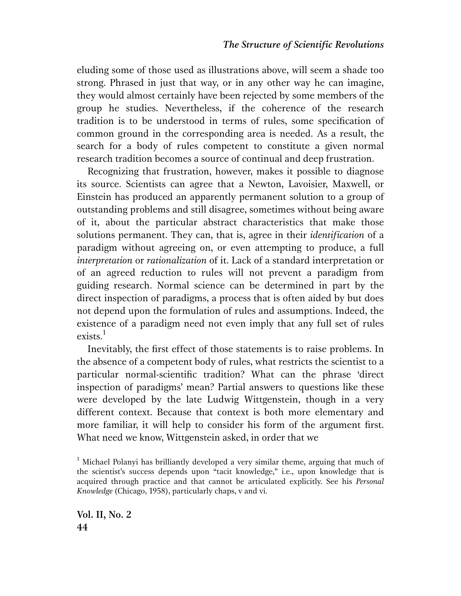eluding some of those used as illustrations above, will seem a shade too strong. Phrased in just that way, or in any other way he can imagine, they would almost certainly have been rejected by some members of the group he studies. Nevertheless, if the coherence of the research tradition is to be understood in terms of rules, some specification of common ground in the corresponding area is needed. As a result, the search for a body of rules competent to constitute a given normal research tradition becomes a source of continual and deep frustration.

Recognizing that frustration, however, makes it possible to diagnose its source. Scientists can agree that a Newton, Lavoisier, Maxwell, or Einstein has produced an apparently permanent solution to a group of outstanding problems and still disagree, sometimes without being aware of it, about the particular abstract characteristics that make those solutions permanent. They can, that is, agree in their *identification* of a paradigm without agreeing on, or even attempting to produce, a full *interpretation* or *rationalization* of it. Lack of a standard interpretation or of an agreed reduction to rules will not prevent a paradigm from guiding research. Normal science can be determined in part by the direct inspection of paradigms, a process that is often aided by but does not depend upon the formulation of rules and assumptions. Indeed, the existence of a paradigm need not even imply that any full set of rules exists.<sup>1</sup>

Inevitably, the first effect of those statements is to raise problems. In the absence of a competent body of rules, what restricts the scientist to a particular normal-scientific tradition? What can the phrase 'direct inspection of paradigms' mean? Partial answers to questions like these were developed by the late Ludwig Wittgenstein, though in a very different context. Because that context is both more elementary and more familiar, it will help to consider his form of the argument first. What need we know, Wittgenstein asked, in order that we

<sup>1</sup> Michael Polanyi has brilliantly developed a very similar theme, arguing that much of the scientist's success depends upon "tacit knowledge," i.e., upon knowledge that is acquired through practice and that cannot be articulated explicitly. See his *Personal Knowledge* (Chicago, 1958), particularly chaps, v and vi.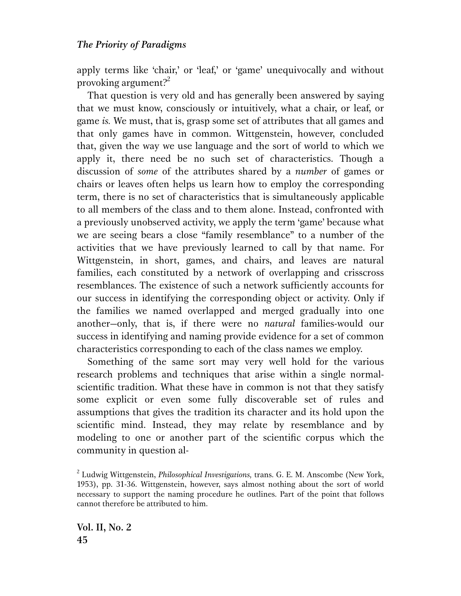apply terms like 'chair,' or 'leaf,' or 'game' unequivocally and without provoking argument?<sup>2</sup>

That question is very old and has generally been answered by saying that we must know, consciously or intuitively, what a chair, or leaf, or game *is.* We must, that is, grasp some set of attributes that all games and that only games have in common. Wittgenstein, however, concluded that, given the way we use language and the sort of world to which we apply it, there need be no such set of characteristics. Though a discussion of *some* of the attributes shared by a *number* of games or chairs or leaves often helps us learn how to employ the corresponding term, there is no set of characteristics that is simultaneously applicable to all members of the class and to them alone. Instead, confronted with a previously unobserved activity, we apply the term 'game' because what we are seeing bears a close "family resemblance" to a number of the activities that we have previously learned to call by that name. For Wittgenstein, in short, games, and chairs, and leaves are natural families, each constituted by a network of overlapping and crisscross resemblances. The existence of such a network sufficiently accounts for our success in identifying the corresponding object or activity. Only if the families we named overlapped and merged gradually into one another—only, that is, if there were no *natural* families-would our success in identifying and naming provide evidence for a set of common characteristics corresponding to each of the class names we employ.

Something of the same sort may very well hold for the various research problems and techniques that arise within a single normalscientific tradition. What these have in common is not that they satisfy some explicit or even some fully discoverable set of rules and assumptions that gives the tradition its character and its hold upon the scientific mind. Instead, they may relate by resemblance and by modeling to one or another part of the scientific corpus which the community in question al-

<sup>2</sup> Ludwig Wittgenstein, *Philosophical Investigations,* trans. G. E. M. Anscombe (New York, 1953), pp. 31-36. Wittgenstein, however, says almost nothing about the sort of world necessary to support the naming procedure he outlines. Part of the point that follows cannot therefore be attributed to him.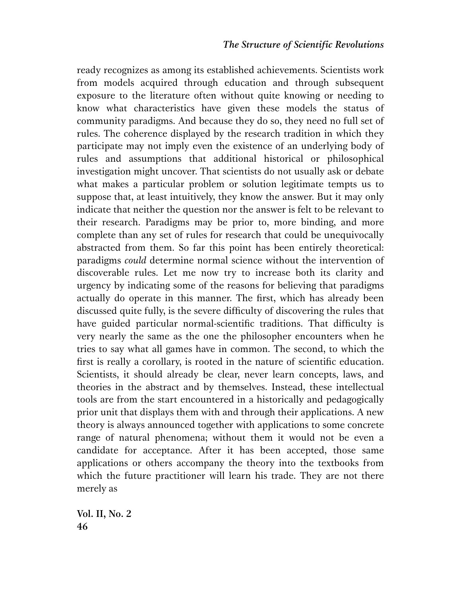ready recognizes as among its established achievements. Scientists work from models acquired through education and through subsequent exposure to the literature often without quite knowing or needing to know what characteristics have given these models the status of community paradigms. And because they do so, they need no full set of rules. The coherence displayed by the research tradition in which they participate may not imply even the existence of an underlying body of rules and assumptions that additional historical or philosophical investigation might uncover. That scientists do not usually ask or debate what makes a particular problem or solution legitimate tempts us to suppose that, at least intuitively, they know the answer. But it may only indicate that neither the question nor the answer is felt to be relevant to their research. Paradigms may be prior to, more binding, and more complete than any set of rules for research that could be unequivocally abstracted from them. So far this point has been entirely theoretical: paradigms *could* determine normal science without the intervention of discoverable rules. Let me now try to increase both its clarity and urgency by indicating some of the reasons for believing that paradigms actually do operate in this manner. The first, which has already been discussed quite fully, is the severe difficulty of discovering the rules that have guided particular normal-scientific traditions. That difficulty is very nearly the same as the one the philosopher encounters when he tries to say what all games have in common. The second, to which the first is really a corollary, is rooted in the nature of scientific education. Scientists, it should already be clear, never learn concepts, laws, and theories in the abstract and by themselves. Instead, these intellectual tools are from the start encountered in a historically and pedagogically prior unit that displays them with and through their applications. A new theory is always announced together with applications to some concrete range of natural phenomena; without them it would not be even a candidate for acceptance. After it has been accepted, those same applications or others accompany the theory into the textbooks from which the future practitioner will learn his trade. They are not there merely as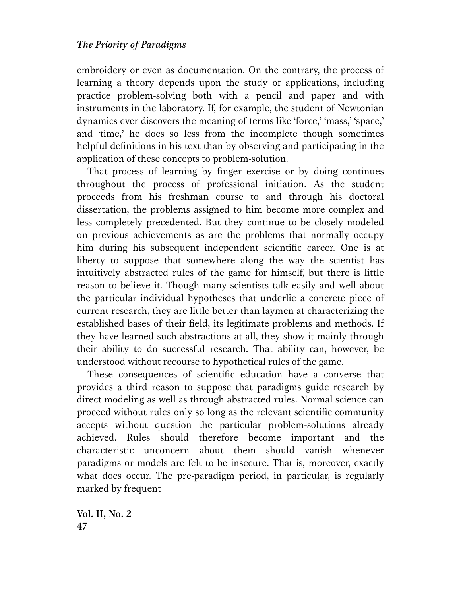## *The Priority of Paradigms*

embroidery or even as documentation. On the contrary, the process of learning a theory depends upon the study of applications, including practice problem-solving both with a pencil and paper and with instruments in the laboratory. If, for example, the student of Newtonian dynamics ever discovers the meaning of terms like 'force,' 'mass,' 'space,' and 'time,' he does so less from the incomplete though sometimes helpful definitions in his text than by observing and participating in the application of these concepts to problem-solution.

That process of learning by finger exercise or by doing continues throughout the process of professional initiation. As the student proceeds from his freshman course to and through his doctoral dissertation, the problems assigned to him become more complex and less completely precedented. But they continue to be closely modeled on previous achievements as are the problems that normally occupy him during his subsequent independent scientific career. One is at liberty to suppose that somewhere along the way the scientist has intuitively abstracted rules of the game for himself, but there is little reason to believe it. Though many scientists talk easily and well about the particular individual hypotheses that underlie a concrete piece of current research, they are little better than laymen at characterizing the established bases of their field, its legitimate problems and methods. If they have learned such abstractions at all, they show it mainly through their ability to do successful research. That ability can, however, be understood without recourse to hypothetical rules of the game.

These consequences of scientific education have a converse that provides a third reason to suppose that paradigms guide research by direct modeling as well as through abstracted rules. Normal science can proceed without rules only so long as the relevant scientific community accepts without question the particular problem-solutions already achieved. Rules should therefore become important and the characteristic unconcern about them should vanish whenever paradigms or models are felt to be insecure. That is, moreover, exactly what does occur. The pre-paradigm period, in particular, is regularly marked by frequent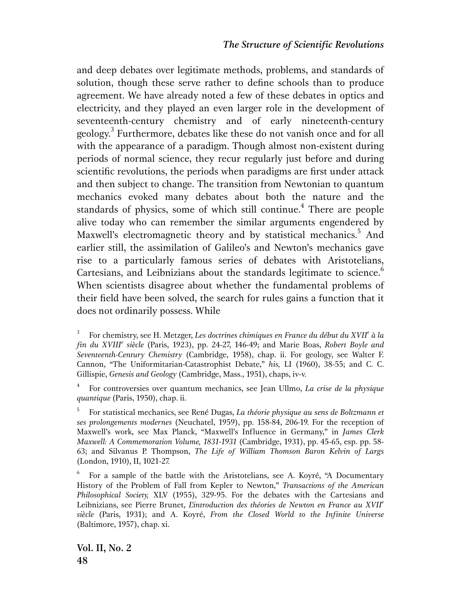and deep debates over legitimate methods, problems, and standards of solution, though these serve rather to define schools than to produce agreement. We have already noted a few of these debates in optics and electricity, and they played an even larger role in the development of seventeenth-century chemistry and of early nineteenth-century geology.<sup>3</sup> Furthermore, debates like these do not vanish once and for all with the appearance of a paradigm. Though almost non-existent during periods of normal science, they recur regularly just before and during scientific revolutions, the periods when paradigms are first under attack and then subject to change. The transition from Newtonian to quantum mechanics evoked many debates about both the nature and the standards of physics, some of which still continue.<sup>4</sup> There are people alive today who can remember the similar arguments engendered by Maxwell's electromagnetic theory and by statistical mechanics.<sup>5</sup> And earlier still, the assimilation of Galileo's and Newton's mechanics gave rise to a particularly famous series of debates with Aristotelians, Cartesians, and Leibnizians about the standards legitimate to science.<sup>6</sup> When scientists disagree about whether the fundamental problems of their field have been solved, the search for rules gains a function that it does not ordinarily possess. While

<sup>3</sup> For chemistry, see H. Metzger, *Les doctrines chimiques en France du début du XVII<sup>e</sup> à la fin du XVIII<sup>e</sup> siècle* (Paris, 1923), pp. 24-27, 146-49; and Marie Boas, *Robert Boyle and Seventeenth-Century Chemistry* (Cambridge, 1958), chap. ii. For geology, see Walter F. Cannon, "The Uniformitarian-Catastrophist Debate," *his,* LI (1960), 38-55; and C. C. Gillispie, *Genesis and Geology* (Cambridge, Mass., 1951), chaps, iv-v.

<sup>4</sup> For controversies over quantum mechanics, see Jean Ullmo, *La crise de la physique quantique* (Paris, 1950), chap. ii.

<sup>5</sup> For statistical mechanics, see René Dugas, *La théorie physique au sens de Boltzmann et ses prolongements modernes* (Neuchatel, 1959), pp. 158-84, 206-19. For the reception of Maxwell's work, see Max Planck, "Maxwell's Influence in Germany," in *James Clerk Maxwell: A Commemoration Volume, 1831-1931* (Cambridge, 1931), pp. 45-65, esp. pp. 58- 63; and Silvanus P. Thompson, *The Life of William Thomson Baron Kelvin of Largs*  (London, 1910), II, 1021-27.

<sup>6</sup> For a sample of the battle with the Aristotelians, see A. Koyré, "A Documentary History of the Problem of Fall from Kepler to Newton," *Transactions of the American Philosophical Society,* XLV (1955), 329-95. For the debates with the Cartesians and Leibnizians, see Pierre Brunet, *L'introduction des théories de Newton en France au XVII<sup>e</sup> siècle* (Paris, 1931); and A. Koyré, *From the Closed World to the Infinite Universe*  (Baltimore, 1957), chap. xi.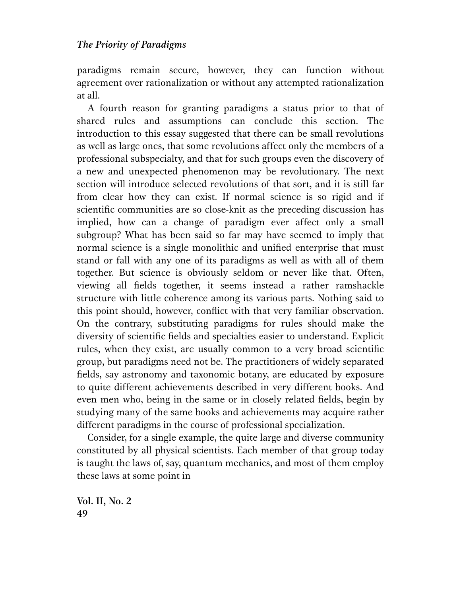## *The Priority of Paradigms*

paradigms remain secure, however, they can function without agreement over rationalization or without any attempted rationalization at all.

A fourth reason for granting paradigms a status prior to that of shared rules and assumptions can conclude this section. The introduction to this essay suggested that there can be small revolutions as well as large ones, that some revolutions affect only the members of a professional subspecialty, and that for such groups even the discovery of a new and unexpected phenomenon may be revolutionary. The next section will introduce selected revolutions of that sort, and it is still far from clear how they can exist. If normal science is so rigid and if scientific communities are so close-knit as the preceding discussion has implied, how can a change of paradigm ever affect only a small subgroup? What has been said so far may have seemed to imply that normal science is a single monolithic and unified enterprise that must stand or fall with any one of its paradigms as well as with all of them together. But science is obviously seldom or never like that. Often, viewing all fields together, it seems instead a rather ramshackle structure with little coherence among its various parts. Nothing said to this point should, however, conflict with that very familiar observation. On the contrary, substituting paradigms for rules should make the diversity of scientific fields and specialties easier to understand. Explicit rules, when they exist, are usually common to a very broad scientific group, but paradigms need not be. The practitioners of widely separated fields, say astronomy and taxonomic botany, are educated by exposure to quite different achievements described in very different books. And even men who, being in the same or in closely related fields, begin by studying many of the same books and achievements may acquire rather different paradigms in the course of professional specialization.

Consider, for a single example, the quite large and diverse community constituted by all physical scientists. Each member of that group today is taught the laws of, say, quantum mechanics, and most of them employ these laws at some point in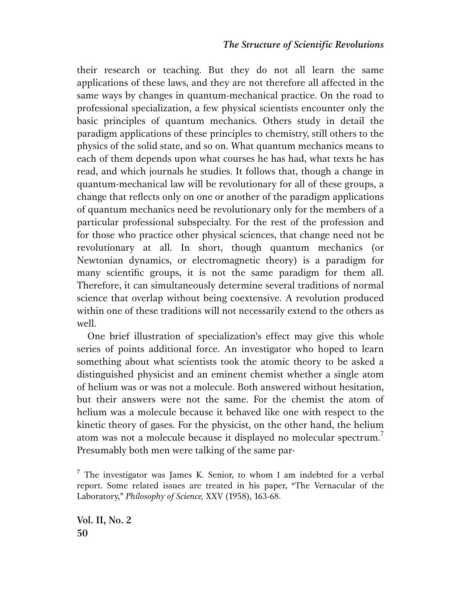their research or teaching. But they do not all learn the same applications of these laws, and they are not therefore all affected in the same ways by changes in quantum-mechanical practice. On the road to professional specialization, a few physical scientists encounter only the basic principles of quantum mechanics. Others study in detail the paradigm applications of these principles to chemistry, still others to the physics of the solid state, and so on. What quantum mechanics means to each of them depends upon what courses he has had, what texts he has read, and which journals he studies. It follows that, though a change in quantum-mechanical law will be revolutionary for all of these groups, a change that reflects only on one or another of the paradigm applications of quantum mechanics need be revolutionary only for the members of a particular professional subspecialty. For the rest of the profession and for those who practice other physical sciences, that change need not be revolutionary at all. In short, though quantum mechanics (or Newtonian dynamics, or electromagnetic theory) is a paradigm for many scientific groups, it is not the same paradigm for them all. Therefore, it can simultaneously determine several traditions of normal science that overlap without being coextensive. A revolution produced within one of these traditions will not necessarily extend to the others as well.

One brief illustration of specialization's effect may give this whole series of points additional force. An investigator who hoped to learn something about what scientists took the atomic theory to be asked a distinguished physicist and an eminent chemist whether a single atom of helium was or was not a molecule. Both answered without hesitation, but their answers were not the same. For the chemist the atom of helium was a molecule because it behaved like one with respect to the kinetic theory of gases. For the physicist, on the other hand, the helium atom was not a molecule because it displayed no molecular spectrum.<sup>7</sup> Presumably both men were talking of the same par-

<sup>7</sup> The investigator was James K. Senior, to whom I am indebted for a verbal report. Some related issues are treated in his paper, "The Vernacular of the Laboratory," *Philosophy of Science,* XXV (1958), 163-68.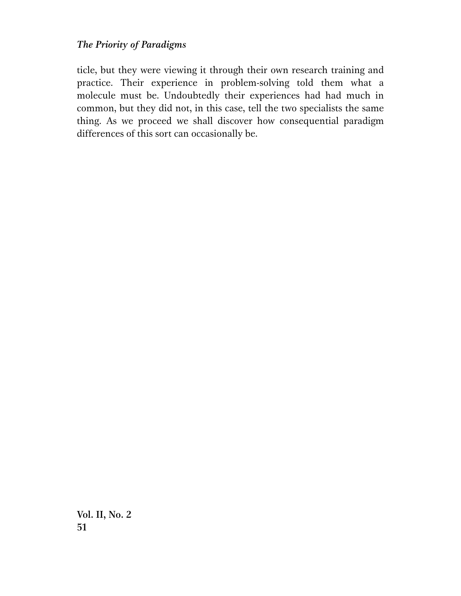# *The Priority of Paradigms*

ticle, but they were viewing it through their own research training and practice. Their experience in problem-solving told them what a molecule must be. Undoubtedly their experiences had had much in common, but they did not, in this case, tell the two specialists the same thing. As we proceed we shall discover how consequential paradigm differences of this sort can occasionally be.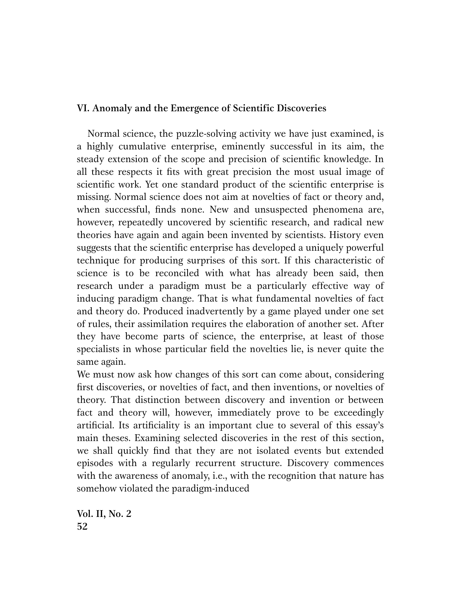## VI. Anomaly and the Emergence of Scientific Discoveries

Normal science, the puzzle-solving activity we have just examined, is a highly cumulative enterprise, eminently successful in its aim, the steady extension of the scope and precision of scientific knowledge. In all these respects it fits with great precision the most usual image of scientific work. Yet one standard product of the scientific enterprise is missing. Normal science does not aim at novelties of fact or theory and, when successful, finds none. New and unsuspected phenomena are, however, repeatedly uncovered by scientific research, and radical new theories have again and again been invented by scientists. History even suggests that the scientific enterprise has developed a uniquely powerful technique for producing surprises of this sort. If this characteristic of science is to be reconciled with what has already been said, then research under a paradigm must be a particularly effective way of inducing paradigm change. That is what fundamental novelties of fact and theory do. Produced inadvertently by a game played under one set of rules, their assimilation requires the elaboration of another set. After they have become parts of science, the enterprise, at least of those specialists in whose particular field the novelties lie, is never quite the same again.

We must now ask how changes of this sort can come about, considering first discoveries, or novelties of fact, and then inventions, or novelties of theory. That distinction between discovery and invention or between fact and theory will, however, immediately prove to be exceedingly artificial. Its artificiality is an important clue to several of this essay's main theses. Examining selected discoveries in the rest of this section, we shall quickly find that they are not isolated events but extended episodes with a regularly recurrent structure. Discovery commences with the awareness of anomaly, i.e., with the recognition that nature has somehow violated the paradigm-induced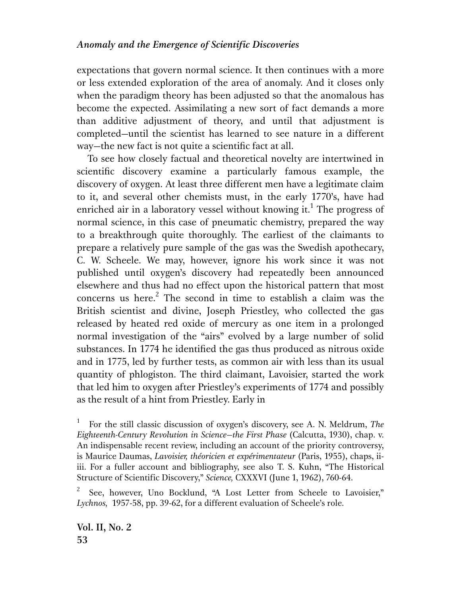expectations that govern normal science. It then continues with a more or less extended exploration of the area of anomaly. And it closes only when the paradigm theory has been adjusted so that the anomalous has become the expected. Assimilating a new sort of fact demands a more than additive adjustment of theory, and until that adjustment is completed—until the scientist has learned to see nature in a different way—the new fact is not quite a scientific fact at all.

To see how closely factual and theoretical novelty are intertwined in scientific discovery examine a particularly famous example, the discovery of oxygen. At least three different men have a legitimate claim to it, and several other chemists must, in the early 1770's, have had enriched air in a laboratory vessel without knowing it.<sup>1</sup> The progress of normal science, in this case of pneumatic chemistry, prepared the way to a breakthrough quite thoroughly. The earliest of the claimants to prepare a relatively pure sample of the gas was the Swedish apothecary, C. W. Scheele. We may, however, ignore his work since it was not published until oxygen's discovery had repeatedly been announced elsewhere and thus had no effect upon the historical pattern that most concerns us here.<sup>2</sup> The second in time to establish a claim was the British scientist and divine, Joseph Priestley, who collected the gas released by heated red oxide of mercury as one item in a prolonged normal investigation of the "airs" evolved by a large number of solid substances. In 1774 he identified the gas thus produced as nitrous oxide and in 1775, led by further tests, as common air with less than its usual quantity of phlogiston. The third claimant, Lavoisier, started the work that led him to oxygen after Priestley's experiments of 1774 and possibly as the result of a hint from Priestley. Early in

1 For the still classic discussion of oxygen's discovery, see A. N. Meldrum, *The Eighteenth-Century Revolution in Science—the First Phase* (Calcutta, 1930), chap. v. An indispensable recent review, including an account of the priority controversy, is Maurice Daumas, *Lavoisier, théoricien et expérimentateur* (Paris, 1955), chaps, iiiii. For a fuller account and bibliography, see also T. S. Kuhn, "The Historical Structure of Scientific Discovery," *Science,* CXXXVI (June 1, 1962), 760-64.

2 See, however, Uno Bocklund, "A Lost Letter from Scheele to Lavoisier," *Lychnos,* 1957-58, pp. 39-62, for a different evaluation of Scheele's role.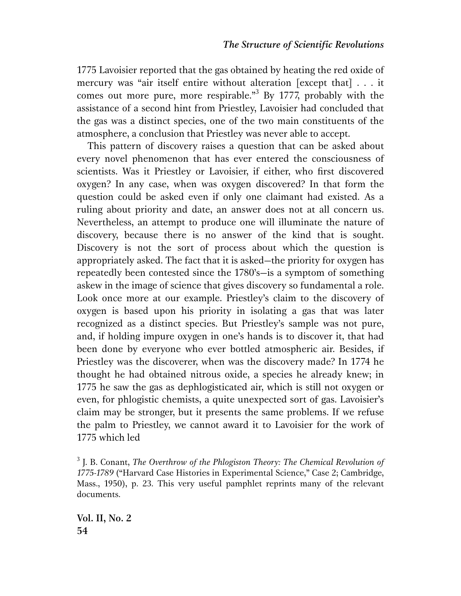1775 Lavoisier reported that the gas obtained by heating the red oxide of mercury was "air itself entire without alteration [except that] . . . it comes out more pure, more respirable."<sup>3</sup> By 1777, probably with the assistance of a second hint from Priestley, Lavoisier had concluded that the gas was a distinct species, one of the two main constituents of the atmosphere, a conclusion that Priestley was never able to accept.

This pattern of discovery raises a question that can be asked about every novel phenomenon that has ever entered the consciousness of scientists. Was it Priestley or Lavoisier, if either, who first discovered oxygen? In any case, when was oxygen discovered? In that form the question could be asked even if only one claimant had existed. As a ruling about priority and date, an answer does not at all concern us. Nevertheless, an attempt to produce one will illuminate the nature of discovery, because there is no answer of the kind that is sought. Discovery is not the sort of process about which the question is appropriately asked. The fact that it is asked—the priority for oxygen has repeatedly been contested since the 1780's—is a symptom of something askew in the image of science that gives discovery so fundamental a role. Look once more at our example. Priestley's claim to the discovery of oxygen is based upon his priority in isolating a gas that was later recognized as a distinct species. But Priestley's sample was not pure, and, if holding impure oxygen in one's hands is to discover it, that had been done by everyone who ever bottled atmospheric air. Besides, if Priestley was the discoverer, when was the discovery made? In 1774 he thought he had obtained nitrous oxide, a species he already knew; in 1775 he saw the gas as dephlogisticated air, which is still not oxygen or even, for phlogistic chemists, a quite unexpected sort of gas. Lavoisier's claim may be stronger, but it presents the same problems. If we refuse the palm to Priestley, we cannot award it to Lavoisier for the work of 1775 which led

<sup>3</sup> J. B. Conant, *The Overthrow of the Phlogiston Theory: The Chemical Revolution of 1775-1789* ("Harvard Case Histories in Experimental Science," Case 2; Cambridge, Mass., 1950), p. 23. This very useful pamphlet reprints many of the relevant documents.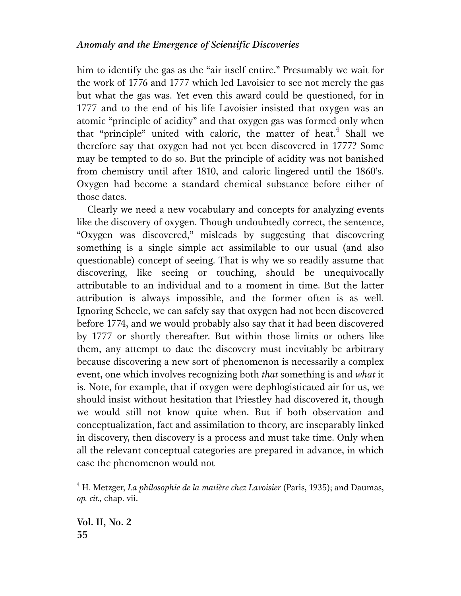him to identify the gas as the "air itself entire." Presumably we wait for the work of 1776 and 1777 which led Lavoisier to see not merely the gas but what the gas was. Yet even this award could be questioned, for in 1777 and to the end of his life Lavoisier insisted that oxygen was an atomic "principle of acidity" and that oxygen gas was formed only when that "principle" united with caloric, the matter of heat.<sup>4</sup> Shall we therefore say that oxygen had not yet been discovered in 1777? Some may be tempted to do so. But the principle of acidity was not banished from chemistry until after 1810, and caloric lingered until the 1860's. Oxygen had become a standard chemical substance before either of those dates.

Clearly we need a new vocabulary and concepts for analyzing events like the discovery of oxygen. Though undoubtedly correct, the sentence, "Oxygen was discovered," misleads by suggesting that discovering something is a single simple act assimilable to our usual (and also questionable) concept of seeing. That is why we so readily assume that discovering, like seeing or touching, should be unequivocally attributable to an individual and to a moment in time. But the latter attribution is always impossible, and the former often is as well. Ignoring Scheele, we can safely say that oxygen had not been discovered before 1774, and we would probably also say that it had been discovered by 1777 or shortly thereafter. But within those limits or others like them, any attempt to date the discovery must inevitably be arbitrary because discovering a new sort of phenomenon is necessarily a complex event, one which involves recognizing both *that* something is and *what* it is. Note, for example, that if oxygen were dephlogisticated air for us, we should insist without hesitation that Priestley had discovered it, though we would still not know quite when. But if both observation and conceptualization, fact and assimilation to theory, are inseparably linked in discovery, then discovery is a process and must take time. Only when all the relevant conceptual categories are prepared in advance, in which case the phenomenon would not

<sup>4</sup> H. Metzger, *La philosophie de la matière chez Lavoisier (Paris, 1935); and Daumas, op. cit.,* chap. vii.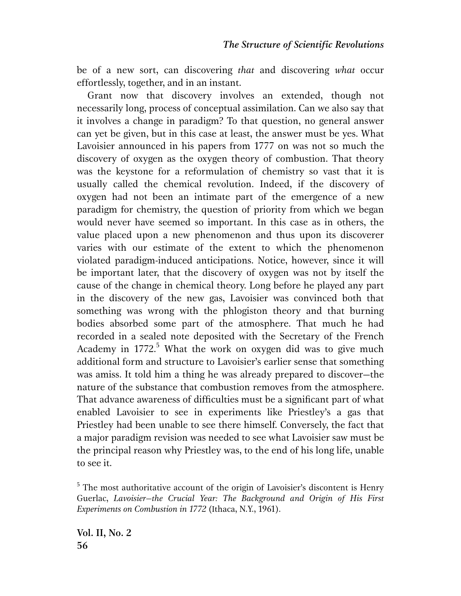be of a new sort, can discovering *that* and discovering *what* occur effortlessly, together, and in an instant.

Grant now that discovery involves an extended, though not necessarily long, process of conceptual assimilation. Can we also say that it involves a change in paradigm? To that question, no general answer can yet be given, but in this case at least, the answer must be yes. What Lavoisier announced in his papers from 1777 on was not so much the discovery of oxygen as the oxygen theory of combustion. That theory was the keystone for a reformulation of chemistry so vast that it is usually called the chemical revolution. Indeed, if the discovery of oxygen had not been an intimate part of the emergence of a new paradigm for chemistry, the question of priority from which we began would never have seemed so important. In this case as in others, the value placed upon a new phenomenon and thus upon its discoverer varies with our estimate of the extent to which the phenomenon violated paradigm-induced anticipations. Notice, however, since it will be important later, that the discovery of oxygen was not by itself the cause of the change in chemical theory. Long before he played any part in the discovery of the new gas, Lavoisier was convinced both that something was wrong with the phlogiston theory and that burning bodies absorbed some part of the atmosphere. That much he had recorded in a sealed note deposited with the Secretary of the French Academy in 1772.<sup>5</sup> What the work on oxygen did was to give much additional form and structure to Lavoisier's earlier sense that something was amiss. It told him a thing he was already prepared to discover—the nature of the substance that combustion removes from the atmosphere. That advance awareness of difficulties must be a significant part of what enabled Lavoisier to see in experiments like Priestley's a gas that Priestley had been unable to see there himself. Conversely, the fact that a major paradigm revision was needed to see what Lavoisier saw must be the principal reason why Priestley was, to the end of his long life, unable to see it.

 $5$  The most authoritative account of the origin of Lavoisier's discontent is Henry Guerlac, *Lavoisier—the Crucial Year: The Background and Origin of His First Experiments on Combustion in 1772* (Ithaca, N.Y., 1961).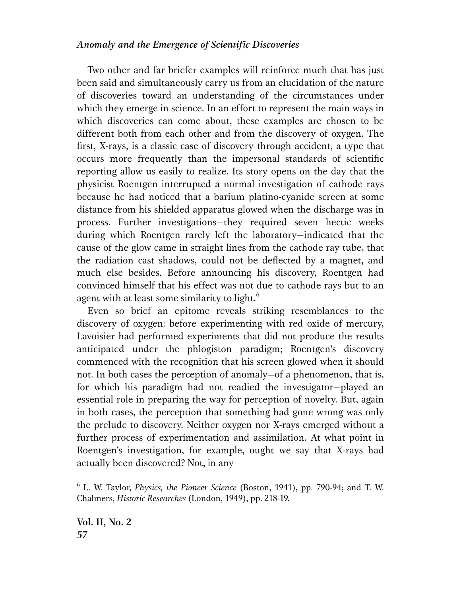#### *Anomaly and the Emergence of Scientific Discoveries*

Two other and far briefer examples will reinforce much that has just been said and simultaneously carry us from an elucidation of the nature of discoveries toward an understanding of the circumstances under which they emerge in science. In an effort to represent the main ways in which discoveries can come about, these examples are chosen to be different both from each other and from the discovery of oxygen. The first, X-rays, is a classic case of discovery through accident, a type that occurs more frequently than the impersonal standards of scientific reporting allow us easily to realize. Its story opens on the day that the physicist Roentgen interrupted a normal investigation of cathode rays because he had noticed that a barium platino-cyanide screen at some distance from his shielded apparatus glowed when the discharge was in process. Further investigations—they required seven hectic weeks during which Roentgen rarely left the laboratory—indicated that the cause of the glow came in straight lines from the cathode ray tube, that the radiation cast shadows, could not be deflected by a magnet, and much else besides. Before announcing his discovery, Roentgen had convinced himself that his effect was not due to cathode rays but to an agent with at least some similarity to light.<sup>6</sup>

Even so brief an epitome reveals striking resemblances to the discovery of oxygen: before experimenting with red oxide of mercury, Lavoisier had performed experiments that did not produce the results anticipated under the phlogiston paradigm; Roentgen's discovery commenced with the recognition that his screen glowed when it should not. In both cases the perception of anomaly—of a phenomenon, that is, for which his paradigm had not readied the investigator—played an essential role in preparing the way for perception of novelty. But, again in both cases, the perception that something had gone wrong was only the prelude to discovery. Neither oxygen nor X-rays emerged without a further process of experimentation and assimilation. At what point in Roentgen's investigation, for example, ought we say that X-rays had actually been discovered? Not, in any

6 L. W. Taylor, *Physics, the Pioneer Science* (Boston, 1941), pp. 790-94; and T. W. Chalmers, *Historic Researches* (London, 1949), pp. 218-19.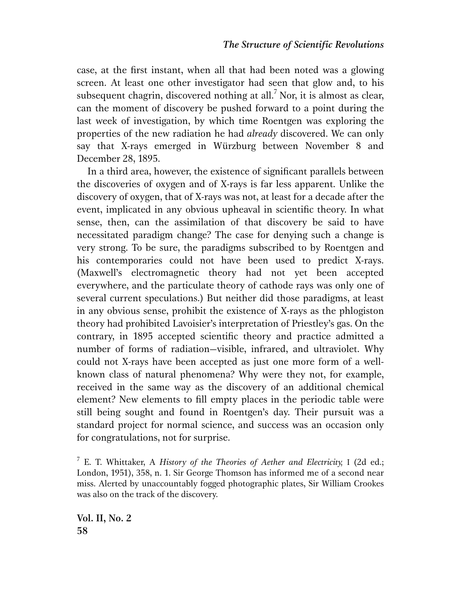case, at the first instant, when all that had been noted was a glowing screen. At least one other investigator had seen that glow and, to his subsequent chagrin, discovered nothing at all.<sup>7</sup> Nor, it is almost as clear, can the moment of discovery be pushed forward to a point during the last week of investigation, by which time Roentgen was exploring the properties of the new radiation he had *already* discovered. We can only say that X-rays emerged in Würzburg between November 8 and December 28, 1895.

In a third area, however, the existence of significant parallels between the discoveries of oxygen and of X-rays is far less apparent. Unlike the discovery of oxygen, that of X-rays was not, at least for a decade after the event, implicated in any obvious upheaval in scientific theory. In what sense, then, can the assimilation of that discovery be said to have necessitated paradigm change? The case for denying such a change is very strong. To be sure, the paradigms subscribed to by Roentgen and his contemporaries could not have been used to predict X-rays. (Maxwell's electromagnetic theory had not yet been accepted everywhere, and the particulate theory of cathode rays was only one of several current speculations.) But neither did those paradigms, at least in any obvious sense, prohibit the existence of X-rays as the phlogiston theory had prohibited Lavoisier's interpretation of Priestley's gas. On the contrary, in 1895 accepted scientific theory and practice admitted a number of forms of radiation—visible, infrared, and ultraviolet. Why could not X-rays have been accepted as just one more form of a wellknown class of natural phenomena? Why were they not, for example, received in the same way as the discovery of an additional chemical element? New elements to fill empty places in the periodic table were still being sought and found in Roentgen's day. Their pursuit was a standard project for normal science, and success was an occasion only for congratulations, not for surprise.

<sup>7</sup> E. T. Whittaker, A *History of the Theories of Aether and Electricity,* I (2d ed.; London, 1951), 358, n. 1. Sir George Thomson has informed me of a second near miss. Alerted by unaccountably fogged photographic plates, Sir William Crookes was also on the track of the discovery.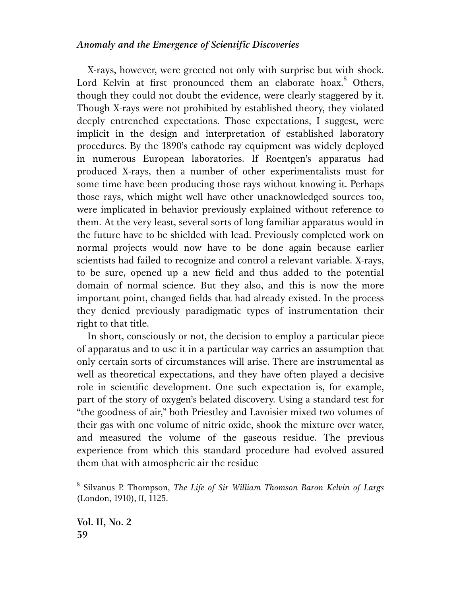#### *Anomaly and the Emergence of Scientific Discoveries*

X-rays, however, were greeted not only with surprise but with shock. Lord Kelvin at first pronounced them an elaborate hoax.<sup>8</sup> Others, though they could not doubt the evidence, were clearly staggered by it. Though X-rays were not prohibited by established theory, they violated deeply entrenched expectations. Those expectations, I suggest, were implicit in the design and interpretation of established laboratory procedures. By the 1890's cathode ray equipment was widely deployed in numerous European laboratories. If Roentgen's apparatus had produced X-rays, then a number of other experimentalists must for some time have been producing those rays without knowing it. Perhaps those rays, which might well have other unacknowledged sources too, were implicated in behavior previously explained without reference to them. At the very least, several sorts of long familiar apparatus would in the future have to be shielded with lead. Previously completed work on normal projects would now have to be done again because earlier scientists had failed to recognize and control a relevant variable. X-rays, to be sure, opened up a new field and thus added to the potential domain of normal science. But they also, and this is now the more important point, changed fields that had already existed. In the process they denied previously paradigmatic types of instrumentation their right to that title.

In short, consciously or not, the decision to employ a particular piece of apparatus and to use it in a particular way carries an assumption that only certain sorts of circumstances will arise. There are instrumental as well as theoretical expectations, and they have often played a decisive role in scientific development. One such expectation is, for example, part of the story of oxygen's belated discovery. Using a standard test for "the goodness of air," both Priestley and Lavoisier mixed two volumes of their gas with one volume of nitric oxide, shook the mixture over water, and measured the volume of the gaseous residue. The previous experience from which this standard procedure had evolved assured them that with atmospheric air the residue

<sup>8</sup> Silvanus P. Thompson, *The Life of Sir William Thomson Baron Kelvin of Largs*  (London, 1910), II, 1125.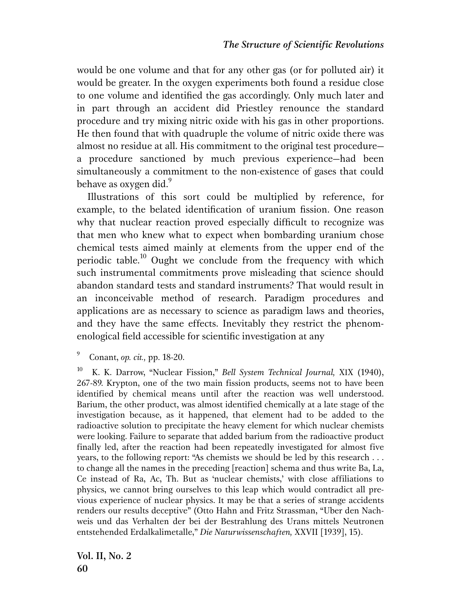would be one volume and that for any other gas (or for polluted air) it would be greater. In the oxygen experiments both found a residue close to one volume and identified the gas accordingly. Only much later and in part through an accident did Priestley renounce the standard procedure and try mixing nitric oxide with his gas in other proportions. He then found that with quadruple the volume of nitric oxide there was almost no residue at all. His commitment to the original test procedure a procedure sanctioned by much previous experience—had been simultaneously a commitment to the non-existence of gases that could behave as oxygen did.<sup>9</sup>

Illustrations of this sort could be multiplied by reference, for example, to the belated identification of uranium fission. One reason why that nuclear reaction proved especially difficult to recognize was that men who knew what to expect when bombarding uranium chose chemical tests aimed mainly at elements from the upper end of the periodic table.<sup>10</sup> Ought we conclude from the frequency with which such instrumental commitments prove misleading that science should abandon standard tests and standard instruments? That would result in an inconceivable method of research. Paradigm procedures and applications are as necessary to science as paradigm laws and theories, and they have the same effects. Inevitably they restrict the phenomenological field accessible for scientific investigation at any

9 Conant, *op. cit.,* pp. 18-20.

10 K. K. Darrow, "Nuclear Fission," *Bell System Technical Journal,* XIX (1940), 267-89. Krypton, one of the two main fission products, seems not to have been identified by chemical means until after the reaction was well understood. Barium, the other product, was almost identified chemically at a late stage of the investigation because, as it happened, that element had to be added to the radioactive solution to precipitate the heavy element for which nuclear chemists were looking. Failure to separate that added barium from the radioactive product finally led, after the reaction had been repeatedly investigated for almost five years, to the following report: "As chemists we should be led by this research . . . to change all the names in the preceding [reaction] schema and thus write Ba, La, Ce instead of Ra, Ac, Th. But as 'nuclear chemists,' with close affiliations to physics, we cannot bring ourselves to this leap which would contradict all previous experience of nuclear physics. It may be that a series of strange accidents renders our results deceptive" (Otto Hahn and Fritz Strassman, "Uber den Nachweis und das Verhalten der bei der Bestrahlung des Urans mittels Neutronen entstehended Erdalkalimetalle," *Die Naturwissenschaften,* XXVII [1939], 15).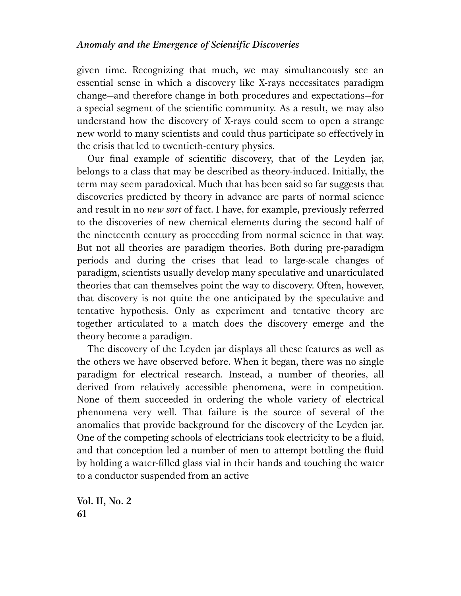given time. Recognizing that much, we may simultaneously see an essential sense in which a discovery like X-rays necessitates paradigm change—and therefore change in both procedures and expectations—for a special segment of the scientific community. As a result, we may also understand how the discovery of X-rays could seem to open a strange new world to many scientists and could thus participate so effectively in the crisis that led to twentieth-century physics.

Our final example of scientific discovery, that of the Leyden jar, belongs to a class that may be described as theory-induced. Initially, the term may seem paradoxical. Much that has been said so far suggests that discoveries predicted by theory in advance are parts of normal science and result in no *new sort* of fact. I have, for example, previously referred to the discoveries of new chemical elements during the second half of the nineteenth century as proceeding from normal science in that way. But not all theories are paradigm theories. Both during pre-paradigm periods and during the crises that lead to large-scale changes of paradigm, scientists usually develop many speculative and unarticulated theories that can themselves point the way to discovery. Often, however, that discovery is not quite the one anticipated by the speculative and tentative hypothesis. Only as experiment and tentative theory are together articulated to a match does the discovery emerge and the theory become a paradigm.

The discovery of the Leyden jar displays all these features as well as the others we have observed before. When it began, there was no single paradigm for electrical research. Instead, a number of theories, all derived from relatively accessible phenomena, were in competition. None of them succeeded in ordering the whole variety of electrical phenomena very well. That failure is the source of several of the anomalies that provide background for the discovery of the Leyden jar. One of the competing schools of electricians took electricity to be a fluid, and that conception led a number of men to attempt bottling the fluid by holding a water-filled glass vial in their hands and touching the water to a conductor suspended from an active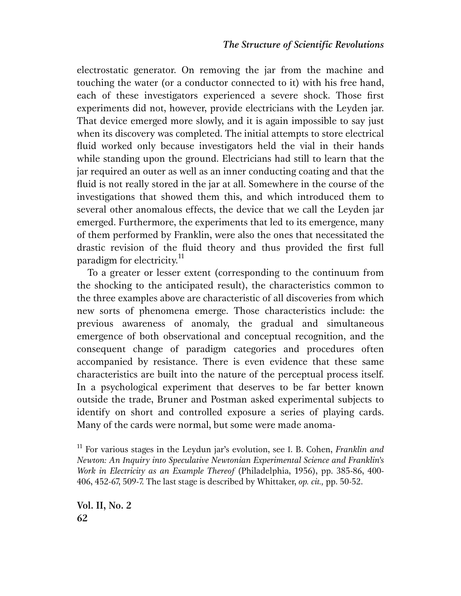electrostatic generator. On removing the jar from the machine and touching the water (or a conductor connected to it) with his free hand, each of these investigators experienced a severe shock. Those first experiments did not, however, provide electricians with the Leyden jar. That device emerged more slowly, and it is again impossible to say just when its discovery was completed. The initial attempts to store electrical fluid worked only because investigators held the vial in their hands while standing upon the ground. Electricians had still to learn that the jar required an outer as well as an inner conducting coating and that the fluid is not really stored in the jar at all. Somewhere in the course of the investigations that showed them this, and which introduced them to several other anomalous effects, the device that we call the Leyden jar emerged. Furthermore, the experiments that led to its emergence, many of them performed by Franklin, were also the ones that necessitated the drastic revision of the fluid theory and thus provided the first full paradigm for electricity.<sup>11</sup>

To a greater or lesser extent (corresponding to the continuum from the shocking to the anticipated result), the characteristics common to the three examples above are characteristic of all discoveries from which new sorts of phenomena emerge. Those characteristics include: the previous awareness of anomaly, the gradual and simultaneous emergence of both observational and conceptual recognition, and the consequent change of paradigm categories and procedures often accompanied by resistance. There is even evidence that these same characteristics are built into the nature of the perceptual process itself. In a psychological experiment that deserves to be far better known outside the trade, Bruner and Postman asked experimental subjects to identify on short and controlled exposure a series of playing cards. Many of the cards were normal, but some were made anoma-

<sup>11</sup> For various stages in the Leydun jar's evolution, see I. B. Cohen, *Franklin and Newton: An Inquiry into Speculative Newtonian Experimental Science and Franklin's Work in Electricity as an Example Thereof* (Philadelphia, 1956), pp. 385-86, 400- 406, 452-67, 509-7. The last stage is described by Whittaker, *op. cit.,* pp. 50-52.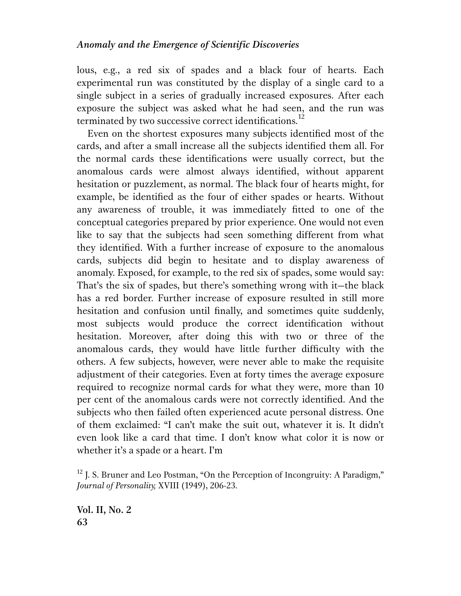lous, e.g., a red six of spades and a black four of hearts. Each experimental run was constituted by the display of a single card to a single subject in a series of gradually increased exposures. After each exposure the subject was asked what he had seen, and the run was terminated by two successive correct identifications.<sup>12</sup>

Even on the shortest exposures many subjects identified most of the cards, and after a small increase all the subjects identified them all. For the normal cards these identifications were usually correct, but the anomalous cards were almost always identified, without apparent hesitation or puzzlement, as normal. The black four of hearts might, for example, be identified as the four of either spades or hearts. Without any awareness of trouble, it was immediately fitted to one of the conceptual categories prepared by prior experience. One would not even like to say that the subjects had seen something different from what they identified. With a further increase of exposure to the anomalous cards, subjects did begin to hesitate and to display awareness of anomaly. Exposed, for example, to the red six of spades, some would say: That's the six of spades, but there's something wrong with it—the black has a red border. Further increase of exposure resulted in still more hesitation and confusion until finally, and sometimes quite suddenly, most subjects would produce the correct identification without hesitation. Moreover, after doing this with two or three of the anomalous cards, they would have little further difficulty with the others. A few subjects, however, were never able to make the requisite adjustment of their categories. Even at forty times the average exposure required to recognize normal cards for what they were, more than 10 per cent of the anomalous cards were not correctly identified. And the subjects who then failed often experienced acute personal distress. One of them exclaimed: "I can't make the suit out, whatever it is. It didn't even look like a card that time. I don't know what color it is now or whether it's a spade or a heart. I'm

 $12$  J. S. Bruner and Leo Postman, "On the Perception of Incongruity: A Paradigm," *Journal of Personality,* XVIII (1949), 206-23.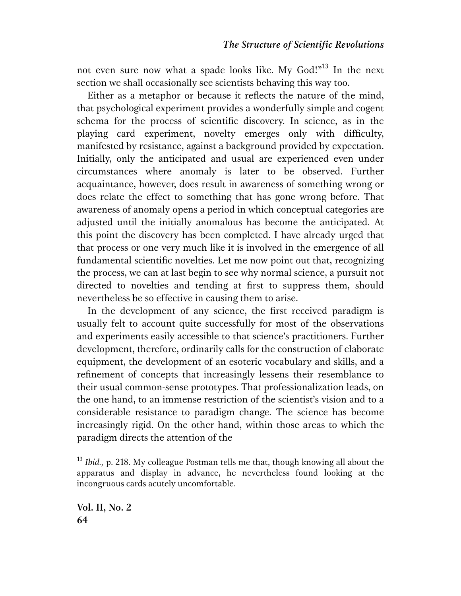not even sure now what a spade looks like. My God!"<sup>13</sup> In the next section we shall occasionally see scientists behaving this way too.

Either as a metaphor or because it reflects the nature of the mind, that psychological experiment provides a wonderfully simple and cogent schema for the process of scientific discovery. In science, as in the playing card experiment, novelty emerges only with difficulty, manifested by resistance, against a background provided by expectation. Initially, only the anticipated and usual are experienced even under circumstances where anomaly is later to be observed. Further acquaintance, however, does result in awareness of something wrong or does relate the effect to something that has gone wrong before. That awareness of anomaly opens a period in which conceptual categories are adjusted until the initially anomalous has become the anticipated. At this point the discovery has been completed. I have already urged that that process or one very much like it is involved in the emergence of all fundamental scientific novelties. Let me now point out that, recognizing the process, we can at last begin to see why normal science, a pursuit not directed to novelties and tending at first to suppress them, should nevertheless be so effective in causing them to arise.

In the development of any science, the first received paradigm is usually felt to account quite successfully for most of the observations and experiments easily accessible to that science's practitioners. Further development, therefore, ordinarily calls for the construction of elaborate equipment, the development of an esoteric vocabulary and skills, and a refinement of concepts that increasingly lessens their resemblance to their usual common-sense prototypes. That professionalization leads, on the one hand, to an immense restriction of the scientist's vision and to a considerable resistance to paradigm change. The science has become increasingly rigid. On the other hand, within those areas to which the paradigm directs the attention of the

<sup>13</sup> *Ibid.,* p. 218. My colleague Postman tells me that, though knowing all about the apparatus and display in advance, he nevertheless found looking at the incongruous cards acutely uncomfortable.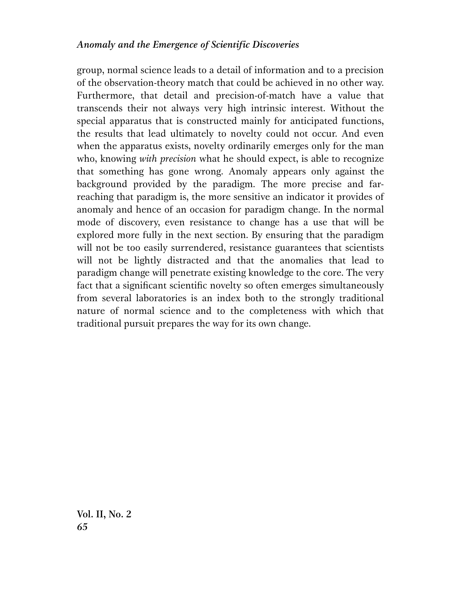# *Anomaly and the Emergence of Scientific Discoveries*

group, normal science leads to a detail of information and to a precision of the observation-theory match that could be achieved in no other way. Furthermore, that detail and precision-of-match have a value that transcends their not always very high intrinsic interest. Without the special apparatus that is constructed mainly for anticipated functions, the results that lead ultimately to novelty could not occur. And even when the apparatus exists, novelty ordinarily emerges only for the man who, knowing *with precision* what he should expect, is able to recognize that something has gone wrong. Anomaly appears only against the background provided by the paradigm. The more precise and farreaching that paradigm is, the more sensitive an indicator it provides of anomaly and hence of an occasion for paradigm change. In the normal mode of discovery, even resistance to change has a use that will be explored more fully in the next section. By ensuring that the paradigm will not be too easily surrendered, resistance guarantees that scientists will not be lightly distracted and that the anomalies that lead to paradigm change will penetrate existing knowledge to the core. The very fact that a significant scientific novelty so often emerges simultaneously from several laboratories is an index both to the strongly traditional nature of normal science and to the completeness with which that traditional pursuit prepares the way for its own change.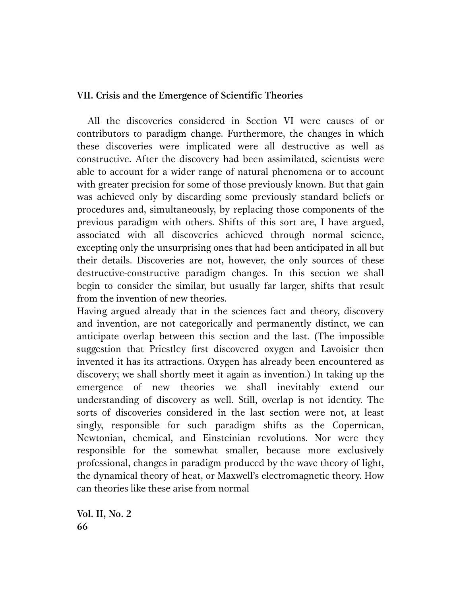# VII. Crisis and the Emergence of Scientific Theories

All the discoveries considered in Section VI were causes of or contributors to paradigm change. Furthermore, the changes in which these discoveries were implicated were all destructive as well as constructive. After the discovery had been assimilated, scientists were able to account for a wider range of natural phenomena or to account with greater precision for some of those previously known. But that gain was achieved only by discarding some previously standard beliefs or procedures and, simultaneously, by replacing those components of the previous paradigm with others. Shifts of this sort are, I have argued, associated with all discoveries achieved through normal science, excepting only the unsurprising ones that had been anticipated in all but their details. Discoveries are not, however, the only sources of these destructive-constructive paradigm changes. In this section we shall begin to consider the similar, but usually far larger, shifts that result from the invention of new theories.

Having argued already that in the sciences fact and theory, discovery and invention, are not categorically and permanently distinct, we can anticipate overlap between this section and the last. (The impossible suggestion that Priestley first discovered oxygen and Lavoisier then invented it has its attractions. Oxygen has already been encountered as discovery; we shall shortly meet it again as invention.) In taking up the emergence of new theories we shall inevitably extend our understanding of discovery as well. Still, overlap is not identity. The sorts of discoveries considered in the last section were not, at least singly, responsible for such paradigm shifts as the Copernican, Newtonian, chemical, and Einsteinian revolutions. Nor were they responsible for the somewhat smaller, because more exclusively professional, changes in paradigm produced by the wave theory of light, the dynamical theory of heat, or Maxwell's electromagnetic theory. How can theories like these arise from normal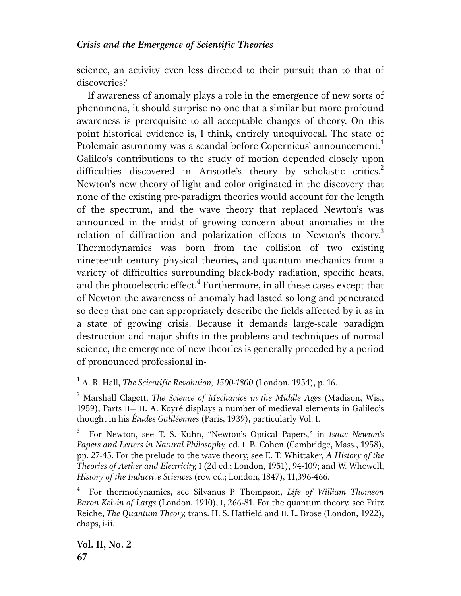## *Crisis and the Emergence of Scientific Theories*

science, an activity even less directed to their pursuit than to that of discoveries?

If awareness of anomaly plays a role in the emergence of new sorts of phenomena, it should surprise no one that a similar but more profound awareness is prerequisite to all acceptable changes of theory. On this point historical evidence is, I think, entirely unequivocal. The state of Ptolemaic astronomy was a scandal before Copernicus' announcement.<sup>1</sup> Galileo's contributions to the study of motion depended closely upon difficulties discovered in Aristotle's theory by scholastic critics.<sup>2</sup> Newton's new theory of light and color originated in the discovery that none of the existing pre-paradigm theories would account for the length of the spectrum, and the wave theory that replaced Newton's was announced in the midst of growing concern about anomalies in the relation of diffraction and polarization effects to Newton's theory.<sup>3</sup> Thermodynamics was born from the collision of two existing nineteenth-century physical theories, and quantum mechanics from a variety of difficulties surrounding black-body radiation, specific heats, and the photoelectric effect. $^{4}$  Furthermore, in all these cases except that of Newton the awareness of anomaly had lasted so long and penetrated so deep that one can appropriately describe the fields affected by it as in a state of growing crisis. Because it demands large-scale paradigm destruction and major shifts in the problems and techniques of normal science, the emergence of new theories is generally preceded by a period of pronounced professional in-

2 Marshall Clagett, *The Science of Mechanics in the Middle Ages* (Madison, Wis., 1959), Parts II—III. A. Koyré displays a number of medieval elements in Galileo's thought in his *Études Galiléennes* (Paris, 1939), particularly Vol. I.

3 For Newton, see T. S. Kuhn, "Newton's Optical Papers," in *Isaac Newton's Papers and Letters in Natural Philosophy,* ed. I. B. Cohen (Cambridge, Mass., 1958), pp. 27-45. For the prelude to the wave theory, see E. T. Whittaker, *A History of the Theories of Aether and Electricity,* I (2d ed.; London, 1951), 94-109; and W. Whewell, *History of the Inductive Sciences* (rev. ed.; London, 1847), 11,396-466.

4 For thermodynamics, see Silvanus P. Thompson, *Life of William Thomson Baron Kelvin of Largs* (London, 1910), I, 266-81. For the quantum theory, see Fritz Reiche, *The Quantum Theory,* trans. H. S. Hatfield and II. L. Brose (London, 1922), chaps, i-ii.

<sup>1</sup> A. R. Hall, *The Scientific Revolution, 1500-1800* (London, 1954), p. 16.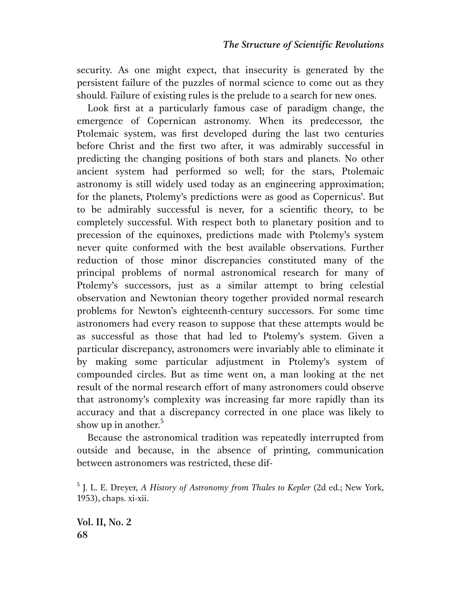security. As one might expect, that insecurity is generated by the persistent failure of the puzzles of normal science to come out as they should. Failure of existing rules is the prelude to a search for new ones.

Look first at a particularly famous case of paradigm change, the emergence of Copernican astronomy. When its predecessor, the Ptolemaic system, was first developed during the last two centuries before Christ and the first two after, it was admirably successful in predicting the changing positions of both stars and planets. No other ancient system had performed so well; for the stars, Ptolemaic astronomy is still widely used today as an engineering approximation; for the planets, Ptolemy's predictions were as good as Copernicus'. But to be admirably successful is never, for a scientific theory, to be completely successful. With respect both to planetary position and to precession of the equinoxes, predictions made with Ptolemy's system never quite conformed with the best available observations. Further reduction of those minor discrepancies constituted many of the principal problems of normal astronomical research for many of Ptolemy's successors, just as a similar attempt to bring celestial observation and Newtonian theory together provided normal research problems for Newton's eighteenth-century successors. For some time astronomers had every reason to suppose that these attempts would be as successful as those that had led to Ptolemy's system. Given a particular discrepancy, astronomers were invariably able to eliminate it by making some particular adjustment in Ptolemy's system of compounded circles. But as time went on, a man looking at the net result of the normal research effort of many astronomers could observe that astronomy's complexity was increasing far more rapidly than its accuracy and that a discrepancy corrected in one place was likely to show up in another. $5$ 

Because the astronomical tradition was repeatedly interrupted from outside and because, in the absence of printing, communication between astronomers was restricted, these dif-

<sup>5</sup> J. L. E. Dreyer, *A History of Astronomy from Thales to Kepler* (2d ed.; New York, 1953), chaps. xi-xii.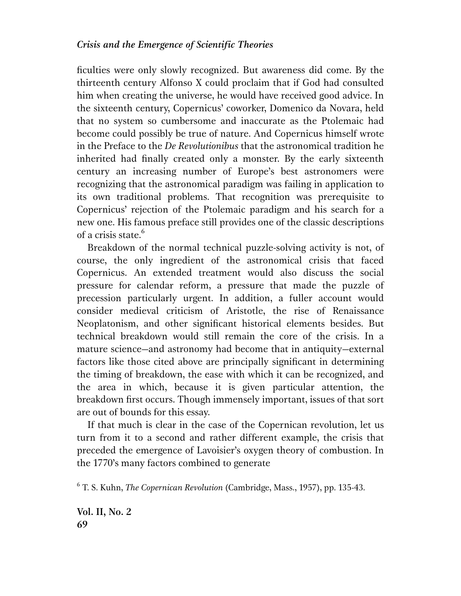ficulties were only slowly recognized. But awareness did come. By the thirteenth century Alfonso X could proclaim that if God had consulted him when creating the universe, he would have received good advice. In the sixteenth century, Copernicus' coworker, Domenico da Novara, held that no system so cumbersome and inaccurate as the Ptolemaic had become could possibly be true of nature. And Copernicus himself wrote in the Preface to the *De Revolutionibus* that the astronomical tradition he inherited had finally created only a monster. By the early sixteenth century an increasing number of Europe's best astronomers were recognizing that the astronomical paradigm was failing in application to its own traditional problems. That recognition was prerequisite to Copernicus' rejection of the Ptolemaic paradigm and his search for a new one. His famous preface still provides one of the classic descriptions of a crisis state.<sup>6</sup>

Breakdown of the normal technical puzzle-solving activity is not, of course, the only ingredient of the astronomical crisis that faced Copernicus. An extended treatment would also discuss the social pressure for calendar reform, a pressure that made the puzzle of precession particularly urgent. In addition, a fuller account would consider medieval criticism of Aristotle, the rise of Renaissance Neoplatonism, and other significant historical elements besides. But technical breakdown would still remain the core of the crisis. In a mature science—and astronomy had become that in antiquity—external factors like those cited above are principally significant in determining the timing of breakdown, the ease with which it can be recognized, and the area in which, because it is given particular attention, the breakdown first occurs. Though immensely important, issues of that sort are out of bounds for this essay.

If that much is clear in the case of the Copernican revolution, let us turn from it to a second and rather different example, the crisis that preceded the emergence of Lavoisier's oxygen theory of combustion. In the 1770's many factors combined to generate

6 T. S. Kuhn, *The Copernican Revolution* (Cambridge, Mass., 1957), pp. 135-43.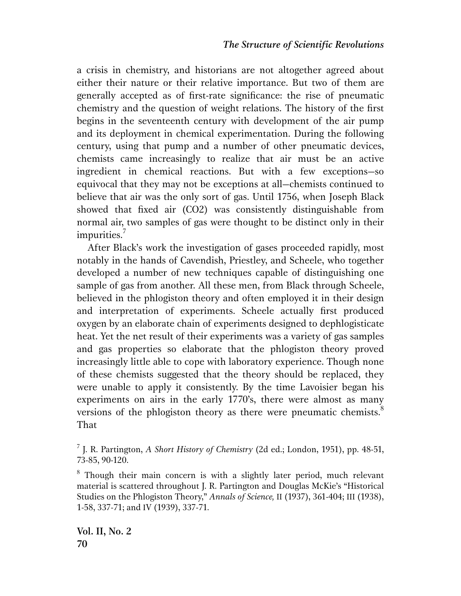a crisis in chemistry, and historians are not altogether agreed about either their nature or their relative importance. But two of them are generally accepted as of first-rate significance: the rise of pneumatic chemistry and the question of weight relations. The history of the first begins in the seventeenth century with development of the air pump and its deployment in chemical experimentation. During the following century, using that pump and a number of other pneumatic devices, chemists came increasingly to realize that air must be an active ingredient in chemical reactions. But with a few exceptions—so equivocal that they may not be exceptions at all—chemists continued to believe that air was the only sort of gas. Until 1756, when Joseph Black showed that fixed air (CO2) was consistently distinguishable from normal air, two samples of gas were thought to be distinct only in their impurities.<sup>7</sup>

After Black's work the investigation of gases proceeded rapidly, most notably in the hands of Cavendish, Priestley, and Scheele, who together developed a number of new techniques capable of distinguishing one sample of gas from another. All these men, from Black through Scheele, believed in the phlogiston theory and often employed it in their design and interpretation of experiments. Scheele actually first produced oxygen by an elaborate chain of experiments designed to dephlogisticate heat. Yet the net result of their experiments was a variety of gas samples and gas properties so elaborate that the phlogiston theory proved increasingly little able to cope with laboratory experience. Though none of these chemists suggested that the theory should be replaced, they were unable to apply it consistently. By the time Lavoisier began his experiments on airs in the early 1770's, there were almost as many versions of the phlogiston theory as there were pneumatic chemists.<sup>8</sup> That

7 J. R. Partington, *A Short History of Chemistry* (2d ed.; London, 1951), pp. 48-51, 73-85, 90-120.

<sup>8</sup> Though their main concern is with a slightly later period, much relevant material is scattered throughout J. R. Partington and Douglas McKie's "Historical Studies on the Phlogiston Theory," *Annals of Science,* II (1937), 361-404; III (1938), 1-58, 337-71; and IV (1939), 337-71.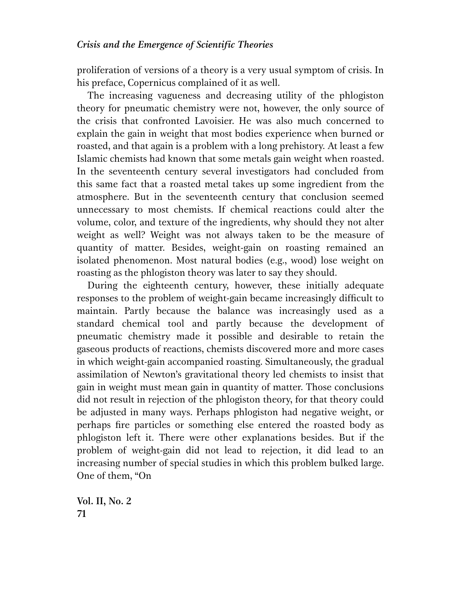### *Crisis and the Emergence of Scientific Theories*

proliferation of versions of a theory is a very usual symptom of crisis. In his preface, Copernicus complained of it as well.

The increasing vagueness and decreasing utility of the phlogiston theory for pneumatic chemistry were not, however, the only source of the crisis that confronted Lavoisier. He was also much concerned to explain the gain in weight that most bodies experience when burned or roasted, and that again is a problem with a long prehistory. At least a few Islamic chemists had known that some metals gain weight when roasted. In the seventeenth century several investigators had concluded from this same fact that a roasted metal takes up some ingredient from the atmosphere. But in the seventeenth century that conclusion seemed unnecessary to most chemists. If chemical reactions could alter the volume, color, and texture of the ingredients, why should they not alter weight as well? Weight was not always taken to be the measure of quantity of matter. Besides, weight-gain on roasting remained an isolated phenomenon. Most natural bodies (e.g., wood) lose weight on roasting as the phlogiston theory was later to say they should.

During the eighteenth century, however, these initially adequate responses to the problem of weight-gain became increasingly difficult to maintain. Partly because the balance was increasingly used as a standard chemical tool and partly because the development of pneumatic chemistry made it possible and desirable to retain the gaseous products of reactions, chemists discovered more and more cases in which weight-gain accompanied roasting. Simultaneously, the gradual assimilation of Newton's gravitational theory led chemists to insist that gain in weight must mean gain in quantity of matter. Those conclusions did not result in rejection of the phlogiston theory, for that theory could be adjusted in many ways. Perhaps phlogiston had negative weight, or perhaps fire particles or something else entered the roasted body as phlogiston left it. There were other explanations besides. But if the problem of weight-gain did not lead to rejection, it did lead to an increasing number of special studies in which this problem bulked large. One of them, "On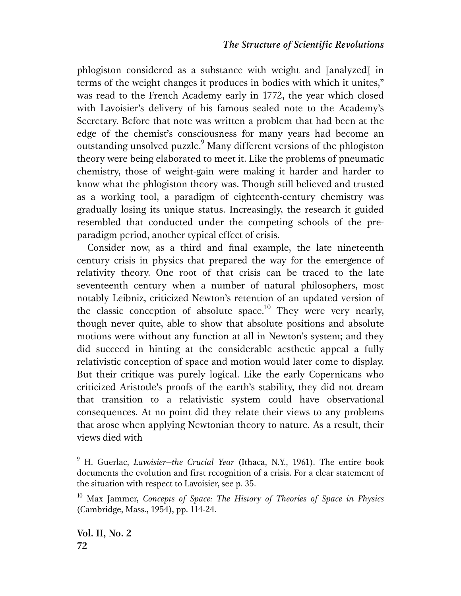phlogiston considered as a substance with weight and [analyzed] in terms of the weight changes it produces in bodies with which it unites," was read to the French Academy early in 1772, the year which closed with Lavoisier's delivery of his famous sealed note to the Academy's Secretary. Before that note was written a problem that had been at the edge of the chemist's consciousness for many years had become an outstanding unsolved puzzle.<sup>9</sup> Many different versions of the phlogiston theory were being elaborated to meet it. Like the problems of pneumatic chemistry, those of weight-gain were making it harder and harder to know what the phlogiston theory was. Though still believed and trusted as a working tool, a paradigm of eighteenth-century chemistry was gradually losing its unique status. Increasingly, the research it guided resembled that conducted under the competing schools of the preparadigm period, another typical effect of crisis.

Consider now, as a third and final example, the late nineteenth century crisis in physics that prepared the way for the emergence of relativity theory. One root of that crisis can be traced to the late seventeenth century when a number of natural philosophers, most notably Leibniz, criticized Newton's retention of an updated version of the classic conception of absolute space.<sup>10</sup> They were very nearly, though never quite, able to show that absolute positions and absolute motions were without any function at all in Newton's system; and they did succeed in hinting at the considerable aesthetic appeal a fully relativistic conception of space and motion would later come to display. But their critique was purely logical. Like the early Copernicans who criticized Aristotle's proofs of the earth's stability, they did not dream that transition to a relativistic system could have observational consequences. At no point did they relate their views to any problems that arose when applying Newtonian theory to nature. As a result, their views died with

<sup>9</sup> H. Guerlac, *Lavoisier—the Crucial Year* (Ithaca, N.Y., 1961). The entire book documents the evolution and first recognition of a crisis. For a clear statement of the situation with respect to Lavoisier, see p. 35.

<sup>10</sup> Max Jammer, *Concepts of Space: The History of Theories of Space in Physics*  (Cambridge, Mass., 1954), pp. 114-24.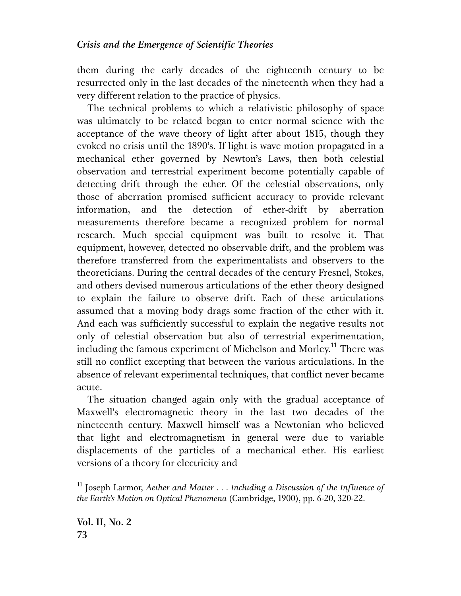them during the early decades of the eighteenth century to be resurrected only in the last decades of the nineteenth when they had a very different relation to the practice of physics.

The technical problems to which a relativistic philosophy of space was ultimately to be related began to enter normal science with the acceptance of the wave theory of light after about 1815, though they evoked no crisis until the 1890's. If light is wave motion propagated in a mechanical ether governed by Newton's Laws, then both celestial observation and terrestrial experiment become potentially capable of detecting drift through the ether. Of the celestial observations, only those of aberration promised sufficient accuracy to provide relevant information, and the detection of ether-drift by aberration measurements therefore became a recognized problem for normal research. Much special equipment was built to resolve it. That equipment, however, detected no observable drift, and the problem was therefore transferred from the experimentalists and observers to the theoreticians. During the central decades of the century Fresnel, Stokes, and others devised numerous articulations of the ether theory designed to explain the failure to observe drift. Each of these articulations assumed that a moving body drags some fraction of the ether with it. And each was sufficiently successful to explain the negative results not only of celestial observation but also of terrestrial experimentation, including the famous experiment of Michelson and Morley.<sup>11</sup> There was still no conflict excepting that between the various articulations. In the absence of relevant experimental techniques, that conflict never became acute.

The situation changed again only with the gradual acceptance of Maxwell's electromagnetic theory in the last two decades of the nineteenth century. Maxwell himself was a Newtonian who believed that light and electromagnetism in general were due to variable displacements of the particles of a mechanical ether. His earliest versions of a theory for electricity and

11 Joseph Larmor, *Aether and Matter* . . . *Including a Discussion of the Influence of the Earth's Motion on Optical Phenomena* (Cambridge, 1900), pp. 6-20, 320-22.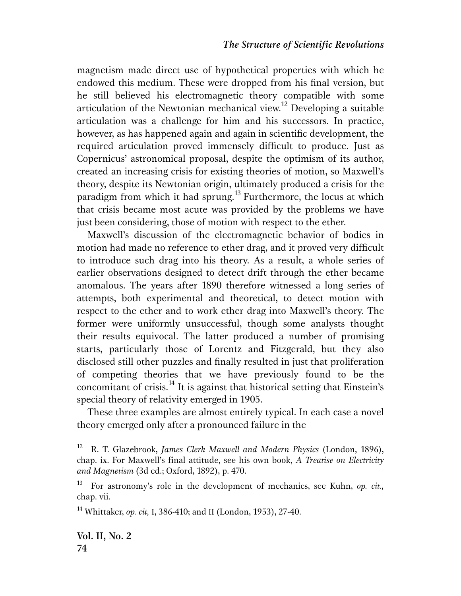magnetism made direct use of hypothetical properties with which he endowed this medium. These were dropped from his final version, but he still believed his electromagnetic theory compatible with some articulation of the Newtonian mechanical view.<sup>12</sup> Developing a suitable articulation was a challenge for him and his successors. In practice, however, as has happened again and again in scientific development, the required articulation proved immensely difficult to produce. Just as Copernicus' astronomical proposal, despite the optimism of its author, created an increasing crisis for existing theories of motion, so Maxwell's theory, despite its Newtonian origin, ultimately produced a crisis for the paradigm from which it had sprung.<sup>13</sup> Furthermore, the locus at which that crisis became most acute was provided by the problems we have just been considering, those of motion with respect to the ether.

Maxwell's discussion of the electromagnetic behavior of bodies in motion had made no reference to ether drag, and it proved very difficult to introduce such drag into his theory. As a result, a whole series of earlier observations designed to detect drift through the ether became anomalous. The years after 1890 therefore witnessed a long series of attempts, both experimental and theoretical, to detect motion with respect to the ether and to work ether drag into Maxwell's theory. The former were uniformly unsuccessful, though some analysts thought their results equivocal. The latter produced a number of promising starts, particularly those of Lorentz and Fitzgerald, but they also disclosed still other puzzles and finally resulted in just that proliferation of competing theories that we have previously found to be the concomitant of crisis.<sup>14</sup> It is against that historical setting that Einstein's special theory of relativity emerged in 1905.

These three examples are almost entirely typical. In each case a novel theory emerged only after a pronounced failure in the

14 Whittaker, *op. cit,* I, 386-410; and II (London, 1953), 27-40.

<sup>12</sup> R. T. Glazebrook, *James Clerk Maxwell and Modern Physics* (London, 1896), chap. ix. For Maxwell's final attitude, see his own book, *A Treatise on Electricity and Magnetism* (3d ed.; Oxford, 1892), p. 470.

<sup>13</sup> For astronomy's role in the development of mechanics, see Kuhn, *op. cit.,*  chap. vii.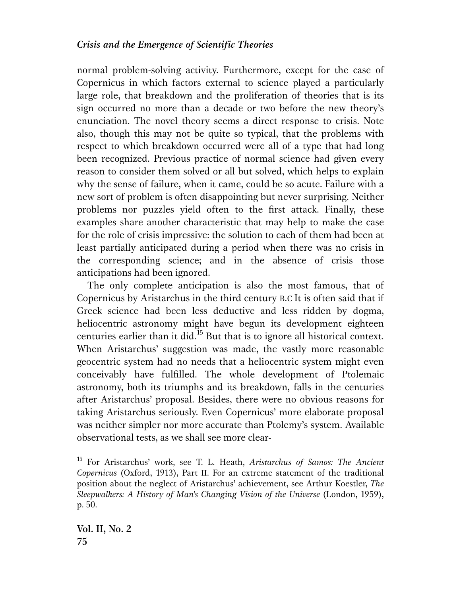normal problem-solving activity. Furthermore, except for the case of Copernicus in which factors external to science played a particularly large role, that breakdown and the proliferation of theories that is its sign occurred no more than a decade or two before the new theory's enunciation. The novel theory seems a direct response to crisis. Note also, though this may not be quite so typical, that the problems with respect to which breakdown occurred were all of a type that had long been recognized. Previous practice of normal science had given every reason to consider them solved or all but solved, which helps to explain why the sense of failure, when it came, could be so acute. Failure with a new sort of problem is often disappointing but never surprising. Neither problems nor puzzles yield often to the first attack. Finally, these examples share another characteristic that may help to make the case for the role of crisis impressive: the solution to each of them had been at least partially anticipated during a period when there was no crisis in the corresponding science; and in the absence of crisis those anticipations had been ignored.

The only complete anticipation is also the most famous, that of Copernicus by Aristarchus in the third century B.C It is often said that if Greek science had been less deductive and less ridden by dogma, heliocentric astronomy might have begun its development eighteen centuries earlier than it did. $15$  But that is to ignore all historical context. When Aristarchus' suggestion was made, the vastly more reasonable geocentric system had no needs that a heliocentric system might even conceivably have fulfilled. The whole development of Ptolemaic astronomy, both its triumphs and its breakdown, falls in the centuries after Aristarchus' proposal. Besides, there were no obvious reasons for taking Aristarchus seriously. Even Copernicus' more elaborate proposal was neither simpler nor more accurate than Ptolemy's system. Available observational tests, as we shall see more clear-

15 For Aristarchus' work, see T. L. Heath, *Aristarchus of Samos: The Ancient Copernicus* (Oxford, 1913), Part II. For an extreme statement of the traditional position about the neglect of Aristarchus' achievement, see Arthur Koestler, *The Sleepwalkers: A History of Man's Changing Vision of the Universe* (London, 1959), p. 50.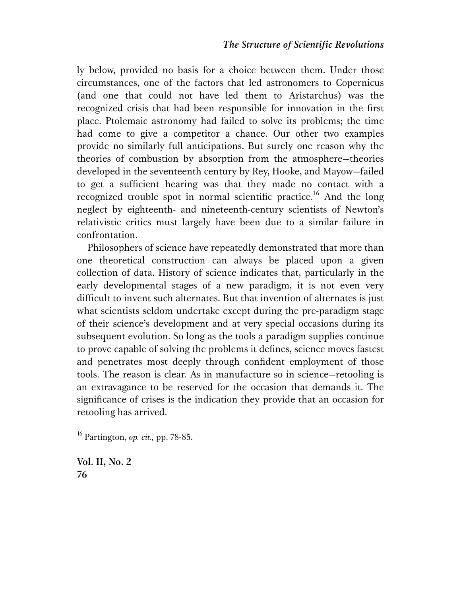ly below, provided no basis for a choice between them. Under those circumstances, one of the factors that led astronomers to Copernicus (and one that could not have led them to Aristarchus) was the recognized crisis that had been responsible for innovation in the first place. Ptolemaic astronomy had failed to solve its problems; the time had come to give a competitor a chance. Our other two examples provide no similarly full anticipations. But surely one reason why the theories of combustion by absorption from the atmosphere—theories developed in the seventeenth century by Rey, Hooke, and Mayow—failed to get a sufficient hearing was that they made no contact with a recognized trouble spot in normal scientific practice.<sup>16</sup> And the long neglect by eighteenth- and nineteenth-century scientists of Newton's relativistic critics must largely have been due to a similar failure in confrontation.

Philosophers of science have repeatedly demonstrated that more than one theoretical construction can always be placed upon a given collection of data. History of science indicates that, particularly in the early developmental stages of a new paradigm, it is not even very difficult to invent such alternates. But that invention of alternates is just what scientists seldom undertake except during the pre-paradigm stage of their science's development and at very special occasions during its subsequent evolution. So long as the tools a paradigm supplies continue to prove capable of solving the problems it defines, science moves fastest and penetrates most deeply through confident employment of those tools. The reason is clear. As in manufacture so in science—retooling is an extravagance to be reserved for the occasion that demands it. The significance of crises is the indication they provide that an occasion for retooling has arrived.

16 Partington, *op. cit.,* pp. 78-85.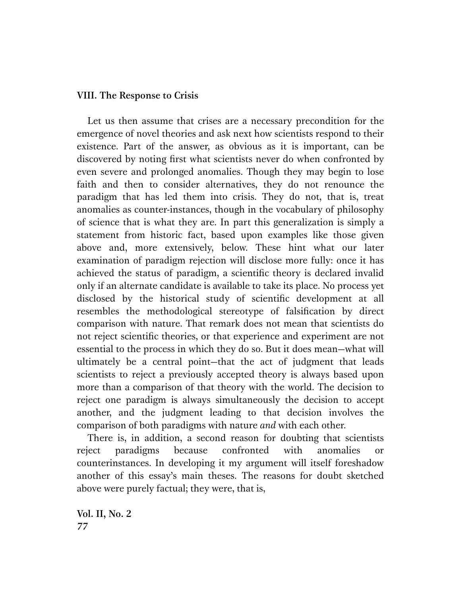### VIII. The Response to Crisis

Let us then assume that crises are a necessary precondition for the emergence of novel theories and ask next how scientists respond to their existence. Part of the answer, as obvious as it is important, can be discovered by noting first what scientists never do when confronted by even severe and prolonged anomalies. Though they may begin to lose faith and then to consider alternatives, they do not renounce the paradigm that has led them into crisis. They do not, that is, treat anomalies as counter-instances, though in the vocabulary of philosophy of science that is what they are. In part this generalization is simply a statement from historic fact, based upon examples like those given above and, more extensively, below. These hint what our later examination of paradigm rejection will disclose more fully: once it has achieved the status of paradigm, a scientific theory is declared invalid only if an alternate candidate is available to take its place. No process yet disclosed by the historical study of scientific development at all resembles the methodological stereotype of falsification by direct comparison with nature. That remark does not mean that scientists do not reject scientific theories, or that experience and experiment are not essential to the process in which they do so. But it does mean—what will ultimately be a central point—that the act of judgment that leads scientists to reject a previously accepted theory is always based upon more than a comparison of that theory with the world. The decision to reject one paradigm is always simultaneously the decision to accept another, and the judgment leading to that decision involves the comparison of both paradigms with nature *and* with each other.

There is, in addition, a second reason for doubting that scientists reject paradigms because confronted with anomalies or counterinstances. In developing it my argument will itself foreshadow another of this essay's main theses. The reasons for doubt sketched above were purely factual; they were, that is,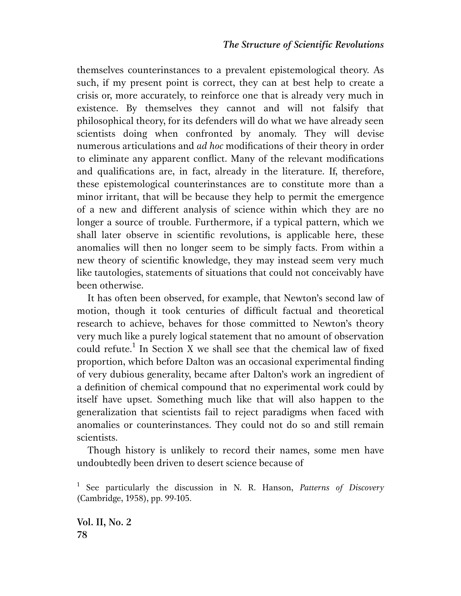themselves counterinstances to a prevalent epistemological theory. As such, if my present point is correct, they can at best help to create a crisis or, more accurately, to reinforce one that is already very much in existence. By themselves they cannot and will not falsify that philosophical theory, for its defenders will do what we have already seen scientists doing when confronted by anomaly. They will devise numerous articulations and *ad hoc* modifications of their theory in order to eliminate any apparent conflict. Many of the relevant modifications and qualifications are, in fact, already in the literature. If, therefore, these epistemological counterinstances are to constitute more than a minor irritant, that will be because they help to permit the emergence of a new and different analysis of science within which they are no longer a source of trouble. Furthermore, if a typical pattern, which we shall later observe in scientific revolutions, is applicable here, these anomalies will then no longer seem to be simply facts. From within a new theory of scientific knowledge, they may instead seem very much like tautologies, statements of situations that could not conceivably have been otherwise.

It has often been observed, for example, that Newton's second law of motion, though it took centuries of difficult factual and theoretical research to achieve, behaves for those committed to Newton's theory very much like a purely logical statement that no amount of observation could refute.<sup>1</sup> In Section X we shall see that the chemical law of fixed proportion, which before Dalton was an occasional experimental finding of very dubious generality, became after Dalton's work an ingredient of a definition of chemical compound that no experimental work could by itself have upset. Something much like that will also happen to the generalization that scientists fail to reject paradigms when faced with anomalies or counterinstances. They could not do so and still remain scientists.

Though history is unlikely to record their names, some men have undoubtedly been driven to desert science because of

<sup>1</sup> See particularly the discussion in N. R. Hanson, *Patterns of Discovery*  (Cambridge, 1958), pp. 99-105.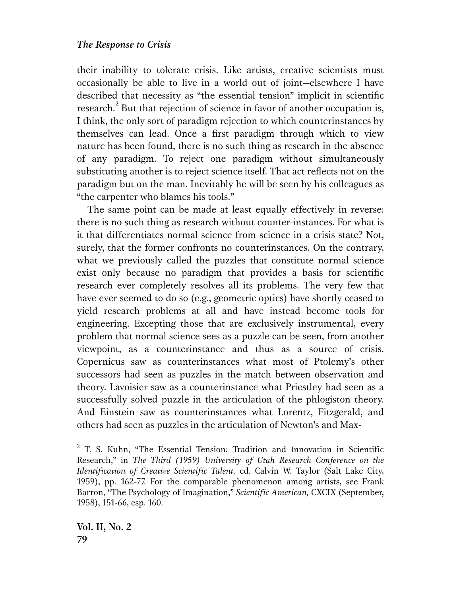# *The Response to Crisis*

their inability to tolerate crisis. Like artists, creative scientists must occasionally be able to live in a world out of joint—elsewhere I have described that necessity as "the essential tension" implicit in scientific research. $^{2}$  But that rejection of science in favor of another occupation is, I think, the only sort of paradigm rejection to which counterinstances by themselves can lead. Once a first paradigm through which to view nature has been found, there is no such thing as research in the absence of any paradigm. To reject one paradigm without simultaneously substituting another is to reject science itself. That act reflects not on the paradigm but on the man. Inevitably he will be seen by his colleagues as "the carpenter who blames his tools."

The same point can be made at least equally effectively in reverse: there is no such thing as research without counter-instances. For what is it that differentiates normal science from science in a crisis state? Not, surely, that the former confronts no counterinstances. On the contrary, what we previously called the puzzles that constitute normal science exist only because no paradigm that provides a basis for scientific research ever completely resolves all its problems. The very few that have ever seemed to do so (e.g., geometric optics) have shortly ceased to yield research problems at all and have instead become tools for engineering. Excepting those that are exclusively instrumental, every problem that normal science sees as a puzzle can be seen, from another viewpoint, as a counterinstance and thus as a source of crisis. Copernicus saw as counterinstances what most of Ptolemy's other successors had seen as puzzles in the match between observation and theory. Lavoisier saw as a counterinstance what Priestley had seen as a successfully solved puzzle in the articulation of the phlogiston theory. And Einstein saw as counterinstances what Lorentz, Fitzgerald, and others had seen as puzzles in the articulation of Newton's and Max-

<sup>2</sup> T. S. Kuhn, "The Essential Tension: Tradition and Innovation in Scientific Research," in *The Third (1959) University of Utah Research Conference on the Identification of Creative Scientific Talent,* ed. Calvin W. Taylor (Salt Lake City, 1959), pp. 162-77. For the comparable phenomenon among artists, see Frank Barron, "The Psychology of Imagination," *Scientific American,* CXCIX (September, 1958), 151-66, esp. 160.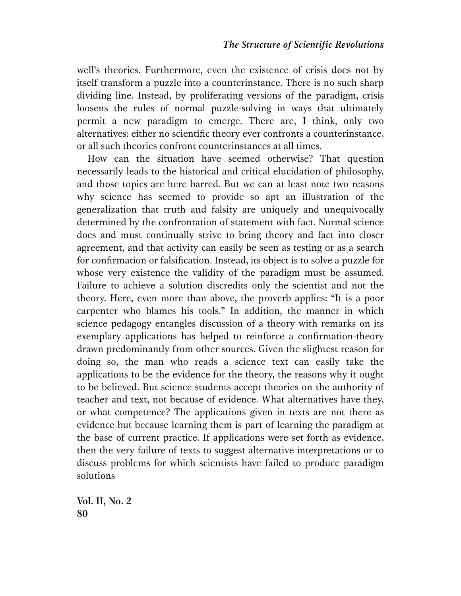well's theories. Furthermore, even the existence of crisis does not by itself transform a puzzle into a counterinstance. There is no such sharp dividing line. Instead, by proliferating versions of the paradigm, crisis loosens the rules of normal puzzle-solving in ways that ultimately permit a new paradigm to emerge. There are, I think, only two alternatives: either no scientific theory ever confronts a counterinstance, or all such theories confront counterinstances at all times.

How can the situation have seemed otherwise? That question necessarily leads to the historical and critical elucidation of philosophy, and those topics are here barred. But we can at least note two reasons why science has seemed to provide so apt an illustration of the generalization that truth and falsity are uniquely and unequivocally determined by the confrontation of statement with fact. Normal science does and must continually strive to bring theory and fact into closer agreement, and that activity can easily be seen as testing or as a search for confirmation or falsification. Instead, its object is to solve a puzzle for whose very existence the validity of the paradigm must be assumed. Failure to achieve a solution discredits only the scientist and not the theory. Here, even more than above, the proverb applies: "It is a poor carpenter who blames his tools." In addition, the manner in which science pedagogy entangles discussion of a theory with remarks on its exemplary applications has helped to reinforce a confirmation-theory drawn predominantly from other sources. Given the slightest reason for doing so, the man who reads a science text can easily take the applications to be the evidence for the theory, the reasons why it ought to be believed. But science students accept theories on the authority of teacher and text, not because of evidence. What alternatives have they, or what competence? The applications given in texts are not there as evidence but because learning them is part of learning the paradigm at the base of current practice. If applications were set forth as evidence, then the very failure of texts to suggest alternative interpretations or to discuss problems for which scientists have failed to produce paradigm solutions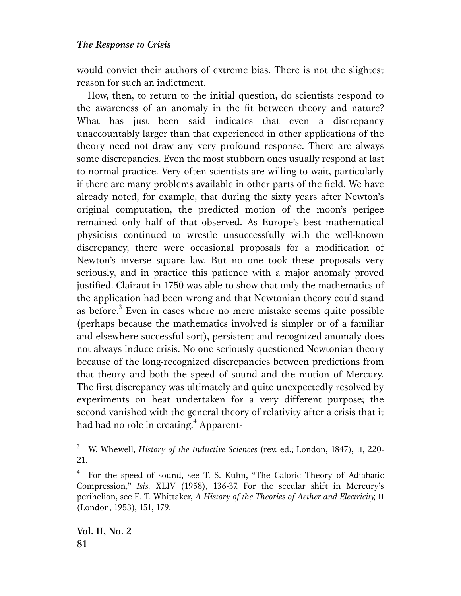would convict their authors of extreme bias. There is not the slightest reason for such an indictment.

How, then, to return to the initial question, do scientists respond to the awareness of an anomaly in the fit between theory and nature? What has just been said indicates that even a discrepancy unaccountably larger than that experienced in other applications of the theory need not draw any very profound response. There are always some discrepancies. Even the most stubborn ones usually respond at last to normal practice. Very often scientists are willing to wait, particularly if there are many problems available in other parts of the field. We have already noted, for example, that during the sixty years after Newton's original computation, the predicted motion of the moon's perigee remained only half of that observed. As Europe's best mathematical physicists continued to wrestle unsuccessfully with the well-known discrepancy, there were occasional proposals for a modification of Newton's inverse square law. But no one took these proposals very seriously, and in practice this patience with a major anomaly proved justified. Clairaut in 1750 was able to show that only the mathematics of the application had been wrong and that Newtonian theory could stand as before.<sup>3</sup> Even in cases where no mere mistake seems quite possible (perhaps because the mathematics involved is simpler or of a familiar and elsewhere successful sort), persistent and recognized anomaly does not always induce crisis. No one seriously questioned Newtonian theory because of the long-recognized discrepancies between predictions from that theory and both the speed of sound and the motion of Mercury. The first discrepancy was ultimately and quite unexpectedly resolved by experiments on heat undertaken for a very different purpose; the second vanished with the general theory of relativity after a crisis that it had had no role in creating.<sup>4</sup> Apparent-

3 W. Whewell, *History of the Inductive Sciences* (rev. ed.; London, 1847), II, 220- 21.

4 For the speed of sound, see T. S. Kuhn, "The Caloric Theory of Adiabatic Compression," *Isis,* XLIV (1958), 136-37. For the secular shift in Mercury's perihelion, see E. T. Whittaker, *A History of the Theories of Aether and Electricity,* II (London, 1953), 151, 179.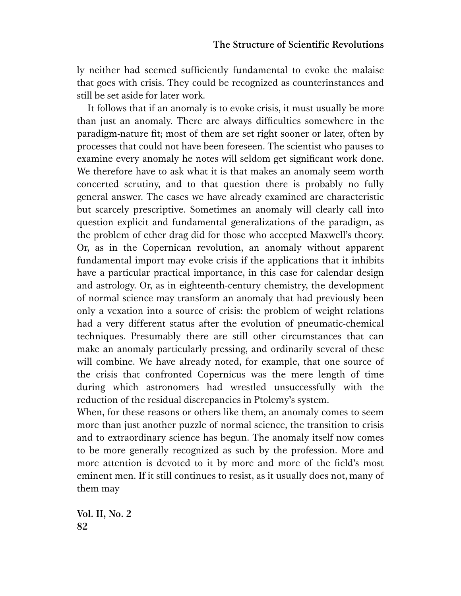ly neither had seemed sufficiently fundamental to evoke the malaise that goes with crisis. They could be recognized as counterinstances and still be set aside for later work.

It follows that if an anomaly is to evoke crisis, it must usually be more than just an anomaly. There are always difficulties somewhere in the paradigm-nature fit; most of them are set right sooner or later, often by processes that could not have been foreseen. The scientist who pauses to examine every anomaly he notes will seldom get significant work done. We therefore have to ask what it is that makes an anomaly seem worth concerted scrutiny, and to that question there is probably no fully general answer. The cases we have already examined are characteristic but scarcely prescriptive. Sometimes an anomaly will clearly call into question explicit and fundamental generalizations of the paradigm, as the problem of ether drag did for those who accepted Maxwell's theory. Or, as in the Copernican revolution, an anomaly without apparent fundamental import may evoke crisis if the applications that it inhibits have a particular practical importance, in this case for calendar design and astrology. Or, as in eighteenth-century chemistry, the development of normal science may transform an anomaly that had previously been only a vexation into a source of crisis: the problem of weight relations had a very different status after the evolution of pneumatic-chemical techniques. Presumably there are still other circumstances that can make an anomaly particularly pressing, and ordinarily several of these will combine. We have already noted, for example, that one source of the crisis that confronted Copernicus was the mere length of time during which astronomers had wrestled unsuccessfully with the reduction of the residual discrepancies in Ptolemy's system.

When, for these reasons or others like them, an anomaly comes to seem more than just another puzzle of normal science, the transition to crisis and to extraordinary science has begun. The anomaly itself now comes to be more generally recognized as such by the profession. More and more attention is devoted to it by more and more of the field's most eminent men. If it still continues to resist, as it usually does not, many of them may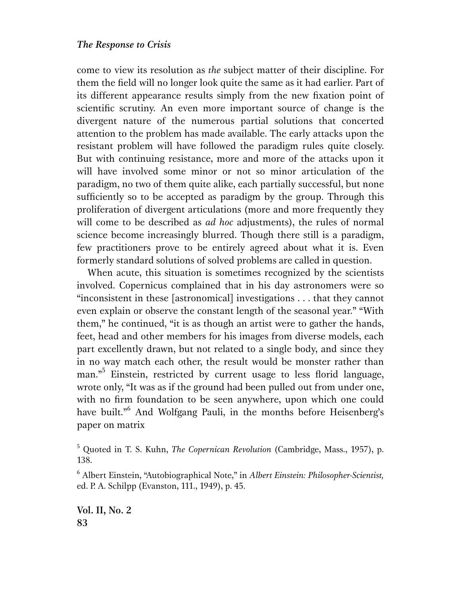## *The Response to Crisis*

come to view its resolution as *the* subject matter of their discipline. For them the field will no longer look quite the same as it had earlier. Part of its different appearance results simply from the new fixation point of scientific scrutiny. An even more important source of change is the divergent nature of the numerous partial solutions that concerted attention to the problem has made available. The early attacks upon the resistant problem will have followed the paradigm rules quite closely. But with continuing resistance, more and more of the attacks upon it will have involved some minor or not so minor articulation of the paradigm, no two of them quite alike, each partially successful, but none sufficiently so to be accepted as paradigm by the group. Through this proliferation of divergent articulations (more and more frequently they will come to be described as *ad hoc* adjustments), the rules of normal science become increasingly blurred. Though there still is a paradigm, few practitioners prove to be entirely agreed about what it is. Even formerly standard solutions of solved problems are called in question.

When acute, this situation is sometimes recognized by the scientists involved. Copernicus complained that in his day astronomers were so "inconsistent in these [astronomical] investigations . . . that they cannot even explain or observe the constant length of the seasonal year." "With them," he continued, "it is as though an artist were to gather the hands, feet, head and other members for his images from diverse models, each part excellently drawn, but not related to a single body, and since they in no way match each other, the result would be monster rather than man."<sup>5</sup> Einstein, restricted by current usage to less florid language, wrote only, "It was as if the ground had been pulled out from under one, with no firm foundation to be seen anywhere, upon which one could have built."<sup>6</sup> And Wolfgang Pauli, in the months before Heisenberg's paper on matrix

5 Quoted in T. S. Kuhn, *The Copernican Revolution* (Cambridge, Mass., 1957), p. 138.

6 Albert Einstein, "Autobiographical Note," in *Albert Einstein: Philosopher-Scientist,*  ed. P. A. Schilpp (Evanston, 111., 1949), p. 45.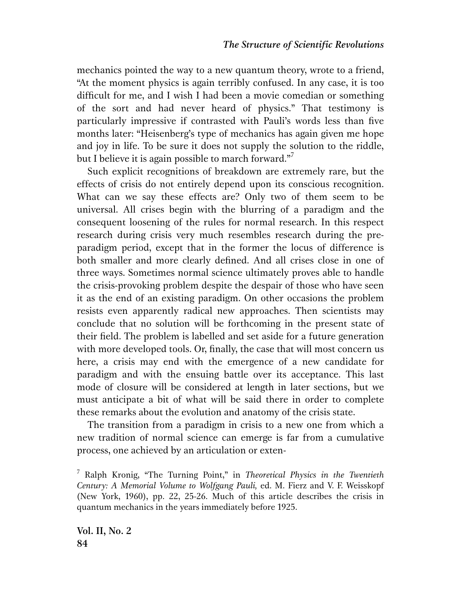mechanics pointed the way to a new quantum theory, wrote to a friend, "At the moment physics is again terribly confused. In any case, it is too difficult for me, and I wish I had been a movie comedian or something of the sort and had never heard of physics." That testimony is particularly impressive if contrasted with Pauli's words less than five months later: "Heisenberg's type of mechanics has again given me hope and joy in life. To be sure it does not supply the solution to the riddle, but I believe it is again possible to march forward. $\overline{r}$ 

Such explicit recognitions of breakdown are extremely rare, but the effects of crisis do not entirely depend upon its conscious recognition. What can we say these effects are? Only two of them seem to be universal. All crises begin with the blurring of a paradigm and the consequent loosening of the rules for normal research. In this respect research during crisis very much resembles research during the preparadigm period, except that in the former the locus of difference is both smaller and more clearly defined. And all crises close in one of three ways. Sometimes normal science ultimately proves able to handle the crisis-provoking problem despite the despair of those who have seen it as the end of an existing paradigm. On other occasions the problem resists even apparently radical new approaches. Then scientists may conclude that no solution will be forthcoming in the present state of their field. The problem is labelled and set aside for a future generation with more developed tools. Or, finally, the case that will most concern us here, a crisis may end with the emergence of a new candidate for paradigm and with the ensuing battle over its acceptance. This last mode of closure will be considered at length in later sections, but we must anticipate a bit of what will be said there in order to complete these remarks about the evolution and anatomy of the crisis state.

The transition from a paradigm in crisis to a new one from which a new tradition of normal science can emerge is far from a cumulative process, one achieved by an articulation or exten-

7 Ralph Kronig, "The Turning Point," in *Theoretical Physics in the Twentieth Century: A Memorial Volume to Wolfgang Pauli,* ed. M. Fierz and V. F. Weisskopf (New York, 1960), pp. 22, 25-26. Much of this article describes the crisis in quantum mechanics in the years immediately before 1925.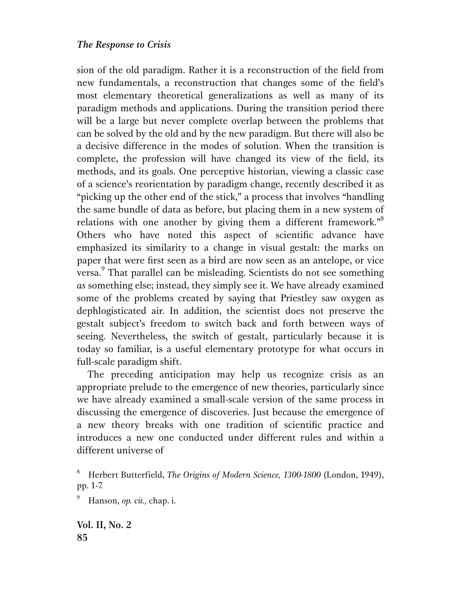# *The Response to Crisis*

sion of the old paradigm. Rather it is a reconstruction of the field from new fundamentals, a reconstruction that changes some of the field's most elementary theoretical generalizations as well as many of its paradigm methods and applications. During the transition period there will be a large but never complete overlap between the problems that can be solved by the old and by the new paradigm. But there will also be a decisive difference in the modes of solution. When the transition is complete, the profession will have changed its view of the field, its methods, and its goals. One perceptive historian, viewing a classic case of a science's reorientation by paradigm change, recently described it as "picking up the other end of the stick," a process that involves "handling the same bundle of data as before, but placing them in a new system of relations with one another by giving them a different framework.<sup>"8</sup> Others who have noted this aspect of scientific advance have emphasized its similarity to a change in visual gestalt: the marks on paper that were first seen as a bird are now seen as an antelope, or vice versa.<sup>9</sup> That parallel can be misleading. Scientists do not see something *as* something else; instead, they simply see it. We have already examined some of the problems created by saying that Priestley saw oxygen as dephlogisticated air. In addition, the scientist does not preserve the gestalt subject's freedom to switch back and forth between ways of seeing. Nevertheless, the switch of gestalt, particularly because it is today so familiar, is a useful elementary prototype for what occurs in full-scale paradigm shift.

The preceding anticipation may help us recognize crisis as an appropriate prelude to the emergence of new theories, particularly since we have already examined a small-scale version of the same process in discussing the emergence of discoveries. Just because the emergence of a new theory breaks with one tradition of scientific practice and introduces a new one conducted under different rules and within a different universe of

9 Hanson, *op. cit.,* chap. i.

<sup>8</sup> Herbert Butterfield, *The Origins of Modern Science, 1300-1800* (London, 1949), pp. 1-7.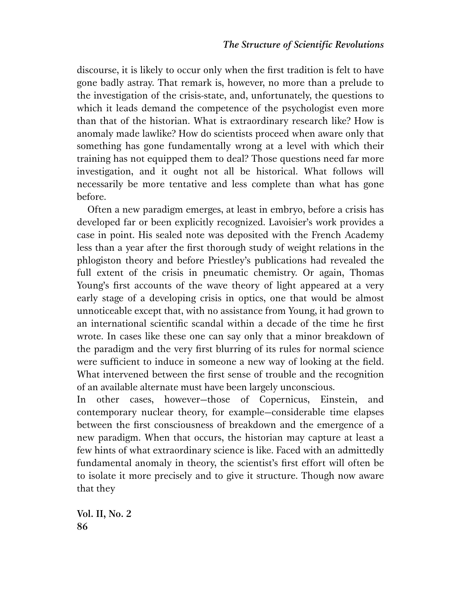discourse, it is likely to occur only when the first tradition is felt to have gone badly astray. That remark is, however, no more than a prelude to the investigation of the crisis-state, and, unfortunately, the questions to which it leads demand the competence of the psychologist even more than that of the historian. What is extraordinary research like? How is anomaly made lawlike? How do scientists proceed when aware only that something has gone fundamentally wrong at a level with which their training has not equipped them to deal? Those questions need far more investigation, and it ought not all be historical. What follows will necessarily be more tentative and less complete than what has gone before.

Often a new paradigm emerges, at least in embryo, before a crisis has developed far or been explicitly recognized. Lavoisier's work provides a case in point. His sealed note was deposited with the French Academy less than a year after the first thorough study of weight relations in the phlogiston theory and before Priestley's publications had revealed the full extent of the crisis in pneumatic chemistry. Or again, Thomas Young's first accounts of the wave theory of light appeared at a very early stage of a developing crisis in optics, one that would be almost unnoticeable except that, with no assistance from Young, it had grown to an international scientific scandal within a decade of the time he first wrote. In cases like these one can say only that a minor breakdown of the paradigm and the very first blurring of its rules for normal science were sufficient to induce in someone a new way of looking at the field. What intervened between the first sense of trouble and the recognition of an available alternate must have been largely unconscious.

In other cases, however—those of Copernicus, Einstein, and contemporary nuclear theory, for example—considerable time elapses between the first consciousness of breakdown and the emergence of a new paradigm. When that occurs, the historian may capture at least a few hints of what extraordinary science is like. Faced with an admittedly fundamental anomaly in theory, the scientist's first effort will often be to isolate it more precisely and to give it structure. Though now aware that they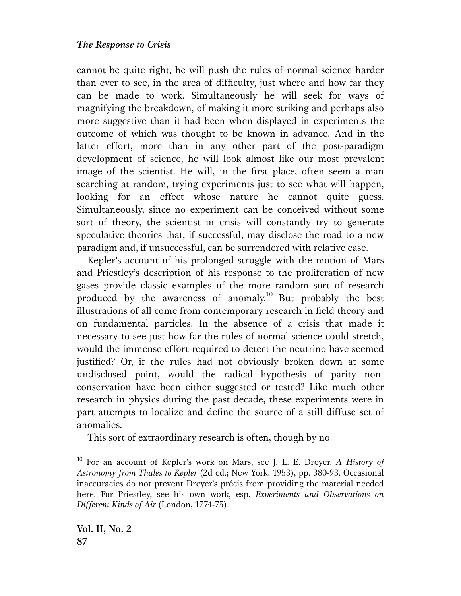cannot be quite right, he will push the rules of normal science harder than ever to see, in the area of difficulty, just where and how far they can be made to work. Simultaneously he will seek for ways of magnifying the breakdown, of making it more striking and perhaps also more suggestive than it had been when displayed in experiments the outcome of which was thought to be known in advance. And in the latter effort, more than in any other part of the post-paradigm development of science, he will look almost like our most prevalent image of the scientist. He will, in the first place, often seem a man searching at random, trying experiments just to see what will happen, looking for an effect whose nature he cannot quite guess. Simultaneously, since no experiment can be conceived without some sort of theory, the scientist in crisis will constantly try to generate speculative theories that, if successful, may disclose the road to a new paradigm and, if unsuccessful, can be surrendered with relative ease.

Kepler's account of his prolonged struggle with the motion of Mars and Priestley's description of his response to the proliferation of new gases provide classic examples of the more random sort of research produced by the awareness of anomaly.10 But probably the best illustrations of all come from contemporary research in field theory and on fundamental particles. In the absence of a crisis that made it necessary to see just how far the rules of normal science could stretch, would the immense effort required to detect the neutrino have seemed justified? Or, if the rules had not obviously broken down at some undisclosed point, would the radical hypothesis of parity nonconservation have been either suggested or tested? Like much other research in physics during the past decade, these experiments were in part attempts to localize and define the source of a still diffuse set of anomalies.

This sort of extraordinary research is often, though by no

10 For an account of Kepler's work on Mars, see J. L. E. Dreyer, *A History of Astronomy from Thales to Kepler* (2d ed.; New York, 1953), pp. 380-93. Occasional inaccuracies do not prevent Dreyer's précis from providing the material needed here. For Priestley, see his own work, esp. *Experiments and Observations on Different Kinds of Air* (London, 1774-75).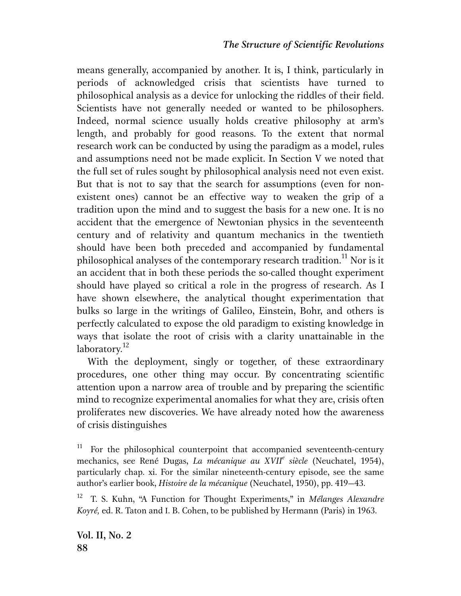means generally, accompanied by another. It is, I think, particularly in periods of acknowledged crisis that scientists have turned to philosophical analysis as a device for unlocking the riddles of their field. Scientists have not generally needed or wanted to be philosophers. Indeed, normal science usually holds creative philosophy at arm's length, and probably for good reasons. To the extent that normal research work can be conducted by using the paradigm as a model, rules and assumptions need not be made explicit. In Section V we noted that the full set of rules sought by philosophical analysis need not even exist. But that is not to say that the search for assumptions (even for nonexistent ones) cannot be an effective way to weaken the grip of a tradition upon the mind and to suggest the basis for a new one. It is no accident that the emergence of Newtonian physics in the seventeenth century and of relativity and quantum mechanics in the twentieth should have been both preceded and accompanied by fundamental philosophical analyses of the contemporary research tradition.<sup>11</sup> Nor is it an accident that in both these periods the so-called thought experiment should have played so critical a role in the progress of research. As I have shown elsewhere, the analytical thought experimentation that bulks so large in the writings of Galileo, Einstein, Bohr, and others is perfectly calculated to expose the old paradigm to existing knowledge in ways that isolate the root of crisis with a clarity unattainable in the laboratory.<sup>12</sup>

With the deployment, singly or together, of these extraordinary procedures, one other thing may occur. By concentrating scientific attention upon a narrow area of trouble and by preparing the scientific mind to recognize experimental anomalies for what they are, crisis often proliferates new discoveries. We have already noted how the awareness of crisis distinguishes

 $11$  For the philosophical counterpoint that accompanied seventeenth-century mechanics, see René Dugas, *La mécanique au XVIIe siècle* (Neuchatel, 1954), particularly chap. xi. For the similar nineteenth-century episode, see the same author's earlier book, *Histoire de la mécanique* (Neuchatel, 1950), pp. 419—43.

12 T. S. Kuhn, "A Function for Thought Experiments," in *Mélanges Alexandre Koyré,* ed. R. Taton and I. B. Cohen, to be published by Hermann (Paris) in 1963.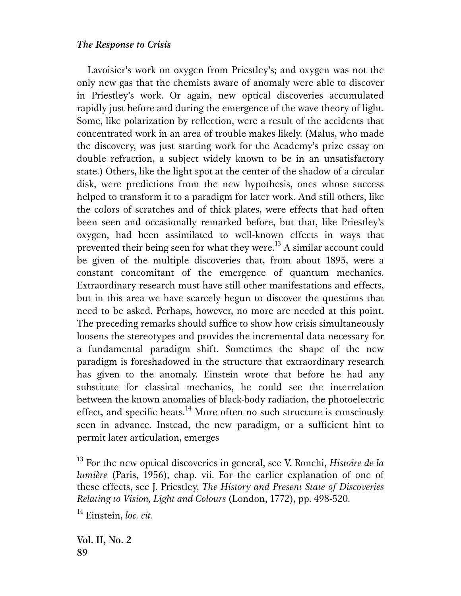## *The Response to Crisis*

Lavoisier's work on oxygen from Priestley's; and oxygen was not the only new gas that the chemists aware of anomaly were able to discover in Priestley's work. Or again, new optical discoveries accumulated rapidly just before and during the emergence of the wave theory of light. Some, like polarization by reflection, were a result of the accidents that concentrated work in an area of trouble makes likely. (Malus, who made the discovery, was just starting work for the Academy's prize essay on double refraction, a subject widely known to be in an unsatisfactory state.) Others, like the light spot at the center of the shadow of a circular disk, were predictions from the new hypothesis, ones whose success helped to transform it to a paradigm for later work. And still others, like the colors of scratches and of thick plates, were effects that had often been seen and occasionally remarked before, but that, like Priestley's oxygen, had been assimilated to well-known effects in ways that prevented their being seen for what they were.<sup>13</sup> A similar account could be given of the multiple discoveries that, from about 1895, were a constant concomitant of the emergence of quantum mechanics. Extraordinary research must have still other manifestations and effects, but in this area we have scarcely begun to discover the questions that need to be asked. Perhaps, however, no more are needed at this point. The preceding remarks should suffice to show how crisis simultaneously loosens the stereotypes and provides the incremental data necessary for a fundamental paradigm shift. Sometimes the shape of the new paradigm is foreshadowed in the structure that extraordinary research has given to the anomaly. Einstein wrote that before he had any substitute for classical mechanics, he could see the interrelation between the known anomalies of black-body radiation, the photoelectric effect, and specific heats.<sup>14</sup> More often no such structure is consciously seen in advance. Instead, the new paradigm, or a sufficient hint to permit later articulation, emerges

13 For the new optical discoveries in general, see V. Ronchi, *Histoire de la lumière* (Paris, 1956), chap. vii. For the earlier explanation of one of these effects, see J. Priestley, *The History and Present State of Discoveries Relating to Vision, Light and Colours* (London, 1772), pp. 498-520.

14 Einstein, *loc. cit.*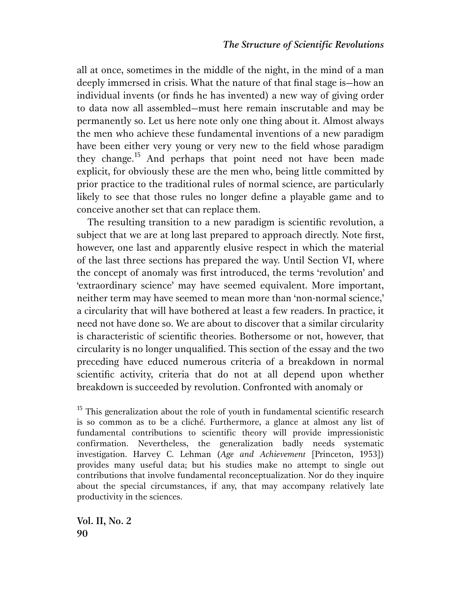all at once, sometimes in the middle of the night, in the mind of a man deeply immersed in crisis. What the nature of that final stage is—how an individual invents (or finds he has invented) a new way of giving order to data now all assembled—must here remain inscrutable and may be permanently so. Let us here note only one thing about it. Almost always the men who achieve these fundamental inventions of a new paradigm have been either very young or very new to the field whose paradigm they change.<sup>15</sup> And perhaps that point need not have been made explicit, for obviously these are the men who, being little committed by prior practice to the traditional rules of normal science, are particularly likely to see that those rules no longer define a playable game and to conceive another set that can replace them.

The resulting transition to a new paradigm is scientific revolution, a subject that we are at long last prepared to approach directly. Note first, however, one last and apparently elusive respect in which the material of the last three sections has prepared the way. Until Section VI, where the concept of anomaly was first introduced, the terms 'revolution' and 'extraordinary science' may have seemed equivalent. More important, neither term may have seemed to mean more than 'non-normal science,' a circularity that will have bothered at least a few readers. In practice, it need not have done so. We are about to discover that a similar circularity is characteristic of scientific theories. Bothersome or not, however, that circularity is no longer unqualified. This section of the essay and the two preceding have educed numerous criteria of a breakdown in normal scientific activity, criteria that do not at all depend upon whether breakdown is succeeded by revolution. Confronted with anomaly or

 $15$  This generalization about the role of youth in fundamental scientific research is so common as to be a cliché. Furthermore, a glance at almost any list of fundamental contributions to scientific theory will provide impressionistic confirmation. Nevertheless, the generalization badly needs systematic investigation. Harvey C. Lehman (*Age and Achievement* [Princeton, 1953]) provides many useful data; but his studies make no attempt to single out contributions that involve fundamental reconceptualization. Nor do they inquire about the special circumstances, if any, that may accompany relatively late productivity in the sciences.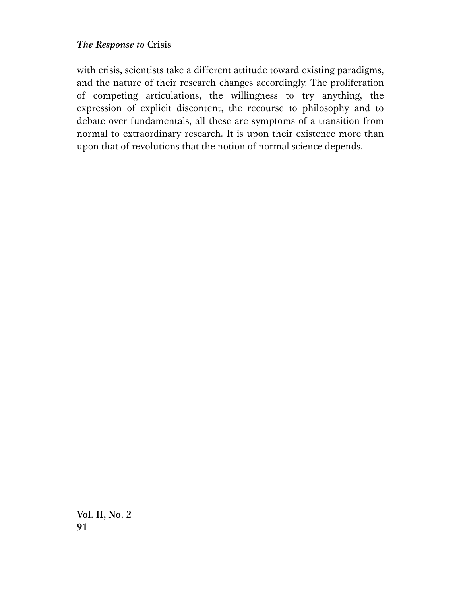# *The Response to* Crisis

with crisis, scientists take a different attitude toward existing paradigms, and the nature of their research changes accordingly. The proliferation of competing articulations, the willingness to try anything, the expression of explicit discontent, the recourse to philosophy and to debate over fundamentals, all these are symptoms of a transition from normal to extraordinary research. It is upon their existence more than upon that of revolutions that the notion of normal science depends.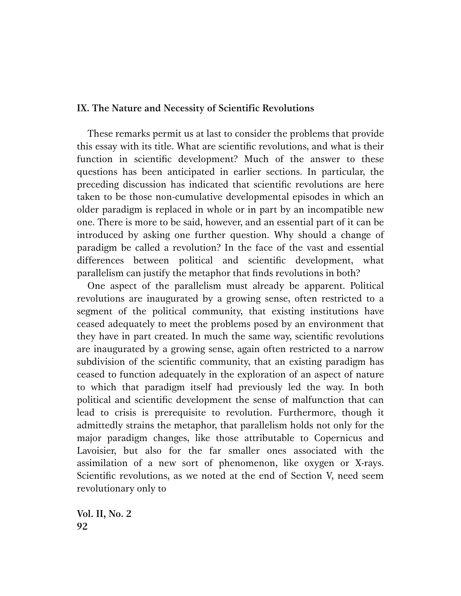### IX. The Nature and Necessity of Scientific Revolutions

These remarks permit us at last to consider the problems that provide this essay with its title. What are scientific revolutions, and what is their function in scientific development? Much of the answer to these questions has been anticipated in earlier sections. In particular, the preceding discussion has indicated that scientific revolutions are here taken to be those non-cumulative developmental episodes in which an older paradigm is replaced in whole or in part by an incompatible new one. There is more to be said, however, and an essential part of it can be introduced by asking one further question. Why should a change of paradigm be called a revolution? In the face of the vast and essential differences between political and scientific development, what parallelism can justify the metaphor that finds revolutions in both?

One aspect of the parallelism must already be apparent. Political revolutions are inaugurated by a growing sense, often restricted to a segment of the political community, that existing institutions have ceased adequately to meet the problems posed by an environment that they have in part created. In much the same way, scientific revolutions are inaugurated by a growing sense, again often restricted to a narrow subdivision of the scientific community, that an existing paradigm has ceased to function adequately in the exploration of an aspect of nature to which that paradigm itself had previously led the way. In both political and scientific development the sense of malfunction that can lead to crisis is prerequisite to revolution. Furthermore, though it admittedly strains the metaphor, that parallelism holds not only for the major paradigm changes, like those attributable to Copernicus and Lavoisier, but also for the far smaller ones associated with the assimilation of a new sort of phenomenon, like oxygen or X-rays. Scientific revolutions, as we noted at the end of Section V, need seem revolutionary only to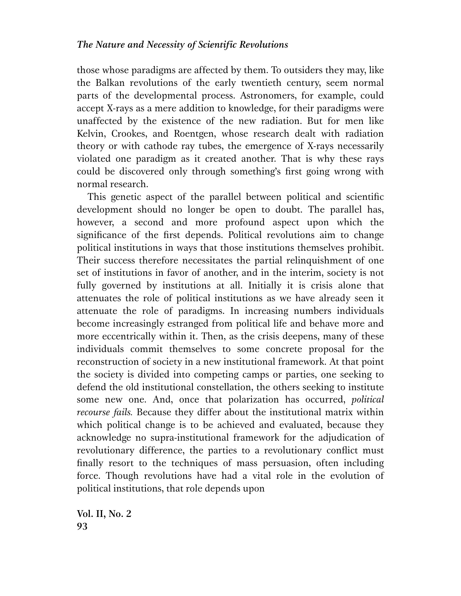those whose paradigms are affected by them. To outsiders they may, like the Balkan revolutions of the early twentieth century, seem normal parts of the developmental process. Astronomers, for example, could accept X-rays as a mere addition to knowledge, for their paradigms were unaffected by the existence of the new radiation. But for men like Kelvin, Crookes, and Roentgen, whose research dealt with radiation theory or with cathode ray tubes, the emergence of X-rays necessarily violated one paradigm as it created another. That is why these rays could be discovered only through something's first going wrong with normal research.

This genetic aspect of the parallel between political and scientific development should no longer be open to doubt. The parallel has, however, a second and more profound aspect upon which the significance of the first depends. Political revolutions aim to change political institutions in ways that those institutions themselves prohibit. Their success therefore necessitates the partial relinquishment of one set of institutions in favor of another, and in the interim, society is not fully governed by institutions at all. Initially it is crisis alone that attenuates the role of political institutions as we have already seen it attenuate the role of paradigms. In increasing numbers individuals become increasingly estranged from political life and behave more and more eccentrically within it. Then, as the crisis deepens, many of these individuals commit themselves to some concrete proposal for the reconstruction of society in a new institutional framework. At that point the society is divided into competing camps or parties, one seeking to defend the old institutional constellation, the others seeking to institute some new one. And, once that polarization has occurred, *political recourse fails.* Because they differ about the institutional matrix within which political change is to be achieved and evaluated, because they acknowledge no supra-institutional framework for the adjudication of revolutionary difference, the parties to a revolutionary conflict must finally resort to the techniques of mass persuasion, often including force. Though revolutions have had a vital role in the evolution of political institutions, that role depends upon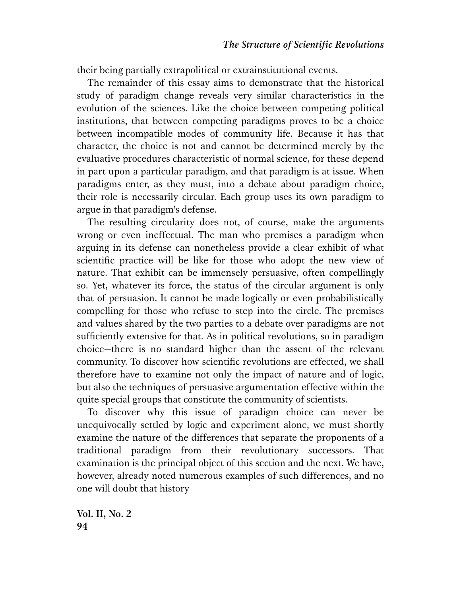their being partially extrapolitical or extrainstitutional events.

The remainder of this essay aims to demonstrate that the historical study of paradigm change reveals very similar characteristics in the evolution of the sciences. Like the choice between competing political institutions, that between competing paradigms proves to be a choice between incompatible modes of community life. Because it has that character, the choice is not and cannot be determined merely by the evaluative procedures characteristic of normal science, for these depend in part upon a particular paradigm, and that paradigm is at issue. When paradigms enter, as they must, into a debate about paradigm choice, their role is necessarily circular. Each group uses its own paradigm to argue in that paradigm's defense.

The resulting circularity does not, of course, make the arguments wrong or even ineffectual. The man who premises a paradigm when arguing in its defense can nonetheless provide a clear exhibit of what scientific practice will be like for those who adopt the new view of nature. That exhibit can be immensely persuasive, often compellingly so. Yet, whatever its force, the status of the circular argument is only that of persuasion. It cannot be made logically or even probabilistically compelling for those who refuse to step into the circle. The premises and values shared by the two parties to a debate over paradigms are not sufficiently extensive for that. As in political revolutions, so in paradigm choice—there is no standard higher than the assent of the relevant community. To discover how scientific revolutions are effected, we shall therefore have to examine not only the impact of nature and of logic, but also the techniques of persuasive argumentation effective within the quite special groups that constitute the community of scientists.

To discover why this issue of paradigm choice can never be unequivocally settled by logic and experiment alone, we must shortly examine the nature of the differences that separate the proponents of a traditional paradigm from their revolutionary successors. That examination is the principal object of this section and the next. We have, however, already noted numerous examples of such differences, and no one will doubt that history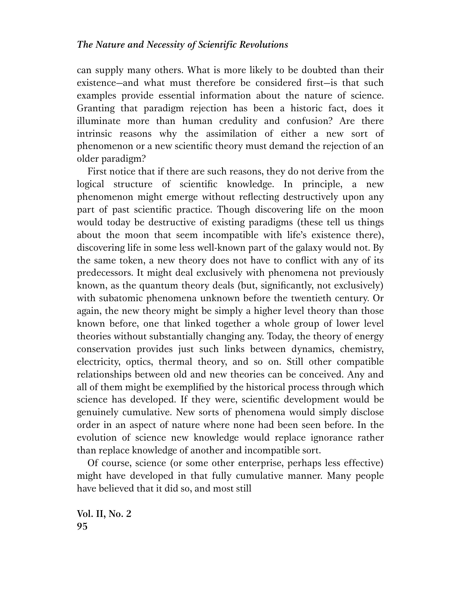can supply many others. What is more likely to be doubted than their existence—and what must therefore be considered first—is that such examples provide essential information about the nature of science. Granting that paradigm rejection has been a historic fact, does it illuminate more than human credulity and confusion? Are there intrinsic reasons why the assimilation of either a new sort of phenomenon or a new scientific theory must demand the rejection of an older paradigm?

First notice that if there are such reasons, they do not derive from the logical structure of scientific knowledge. In principle, a new phenomenon might emerge without reflecting destructively upon any part of past scientific practice. Though discovering life on the moon would today be destructive of existing paradigms (these tell us things about the moon that seem incompatible with life's existence there), discovering life in some less well-known part of the galaxy would not. By the same token, a new theory does not have to conflict with any of its predecessors. It might deal exclusively with phenomena not previously known, as the quantum theory deals (but, significantly, not exclusively) with subatomic phenomena unknown before the twentieth century. Or again, the new theory might be simply a higher level theory than those known before, one that linked together a whole group of lower level theories without substantially changing any. Today, the theory of energy conservation provides just such links between dynamics, chemistry, electricity, optics, thermal theory, and so on. Still other compatible relationships between old and new theories can be conceived. Any and all of them might be exemplified by the historical process through which science has developed. If they were, scientific development would be genuinely cumulative. New sorts of phenomena would simply disclose order in an aspect of nature where none had been seen before. In the evolution of science new knowledge would replace ignorance rather than replace knowledge of another and incompatible sort.

Of course, science (or some other enterprise, perhaps less effective) might have developed in that fully cumulative manner. Many people have believed that it did so, and most still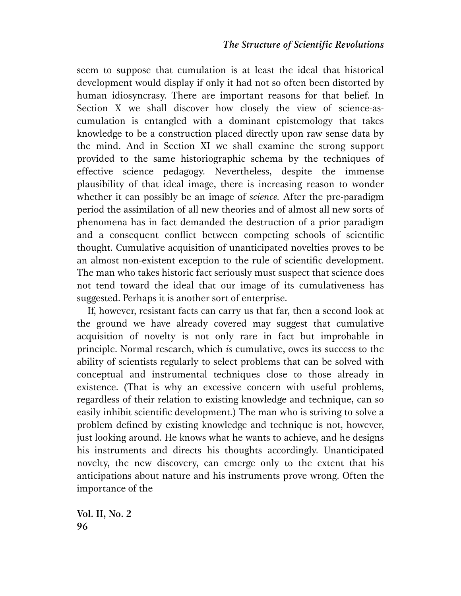seem to suppose that cumulation is at least the ideal that historical development would display if only it had not so often been distorted by human idiosyncrasy. There are important reasons for that belief. In Section X we shall discover how closely the view of science-ascumulation is entangled with a dominant epistemology that takes knowledge to be a construction placed directly upon raw sense data by the mind. And in Section XI we shall examine the strong support provided to the same historiographic schema by the techniques of effective science pedagogy. Nevertheless, despite the immense plausibility of that ideal image, there is increasing reason to wonder whether it can possibly be an image of *science.* After the pre-paradigm period the assimilation of all new theories and of almost all new sorts of phenomena has in fact demanded the destruction of a prior paradigm and a consequent conflict between competing schools of scientific thought. Cumulative acquisition of unanticipated novelties proves to be an almost non-existent exception to the rule of scientific development. The man who takes historic fact seriously must suspect that science does not tend toward the ideal that our image of its cumulativeness has suggested. Perhaps it is another sort of enterprise.

If, however, resistant facts can carry us that far, then a second look at the ground we have already covered may suggest that cumulative acquisition of novelty is not only rare in fact but improbable in principle. Normal research, which *is* cumulative, owes its success to the ability of scientists regularly to select problems that can be solved with conceptual and instrumental techniques close to those already in existence. (That is why an excessive concern with useful problems, regardless of their relation to existing knowledge and technique, can so easily inhibit scientific development.) The man who is striving to solve a problem defined by existing knowledge and technique is not, however, just looking around. He knows what he wants to achieve, and he designs his instruments and directs his thoughts accordingly. Unanticipated novelty, the new discovery, can emerge only to the extent that his anticipations about nature and his instruments prove wrong. Often the importance of the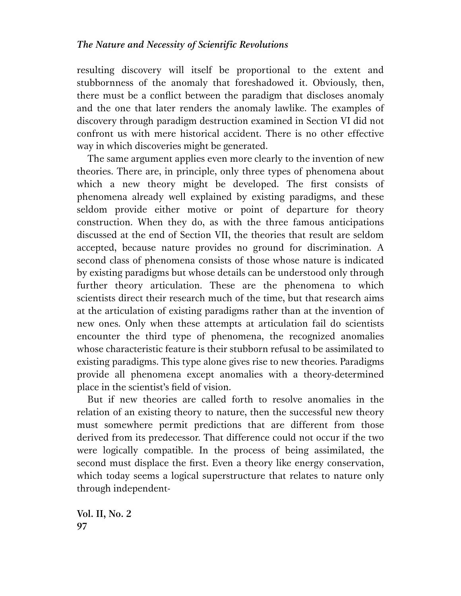resulting discovery will itself be proportional to the extent and stubbornness of the anomaly that foreshadowed it. Obviously, then, there must be a conflict between the paradigm that discloses anomaly and the one that later renders the anomaly lawlike. The examples of discovery through paradigm destruction examined in Section VI did not confront us with mere historical accident. There is no other effective way in which discoveries might be generated.

The same argument applies even more clearly to the invention of new theories. There are, in principle, only three types of phenomena about which a new theory might be developed. The first consists of phenomena already well explained by existing paradigms, and these seldom provide either motive or point of departure for theory construction. When they do, as with the three famous anticipations discussed at the end of Section VII, the theories that result are seldom accepted, because nature provides no ground for discrimination. A second class of phenomena consists of those whose nature is indicated by existing paradigms but whose details can be understood only through further theory articulation. These are the phenomena to which scientists direct their research much of the time, but that research aims at the articulation of existing paradigms rather than at the invention of new ones. Only when these attempts at articulation fail do scientists encounter the third type of phenomena, the recognized anomalies whose characteristic feature is their stubborn refusal to be assimilated to existing paradigms. This type alone gives rise to new theories. Paradigms provide all phenomena except anomalies with a theory-determined place in the scientist's field of vision.

But if new theories are called forth to resolve anomalies in the relation of an existing theory to nature, then the successful new theory must somewhere permit predictions that are different from those derived from its predecessor. That difference could not occur if the two were logically compatible. In the process of being assimilated, the second must displace the first. Even a theory like energy conservation, which today seems a logical superstructure that relates to nature only through independent-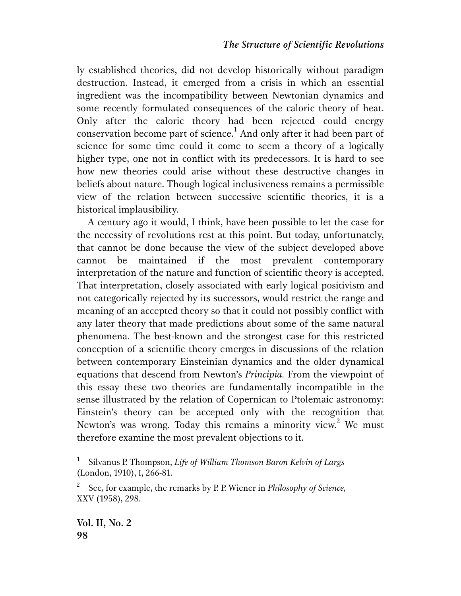ly established theories, did not develop historically without paradigm destruction. Instead, it emerged from a crisis in which an essential ingredient was the incompatibility between Newtonian dynamics and some recently formulated consequences of the caloric theory of heat. Only after the caloric theory had been rejected could energy conservation become part of science. $^1$  And only after it had been part of science for some time could it come to seem a theory of a logically higher type, one not in conflict with its predecessors. It is hard to see how new theories could arise without these destructive changes in beliefs about nature. Though logical inclusiveness remains a permissible view of the relation between successive scientific theories, it is a historical implausibility.

A century ago it would, I think, have been possible to let the case for the necessity of revolutions rest at this point. But today, unfortunately, that cannot be done because the view of the subject developed above cannot be maintained if the most prevalent contemporary interpretation of the nature and function of scientific theory is accepted. That interpretation, closely associated with early logical positivism and not categorically rejected by its successors, would restrict the range and meaning of an accepted theory so that it could not possibly conflict with any later theory that made predictions about some of the same natural phenomena. The best-known and the strongest case for this restricted conception of a scientific theory emerges in discussions of the relation between contemporary Einsteinian dynamics and the older dynamical equations that descend from Newton's *Principia.* From the viewpoint of this essay these two theories are fundamentally incompatible in the sense illustrated by the relation of Copernican to Ptolemaic astronomy: Einstein's theory can be accepted only with the recognition that Newton's was wrong. Today this remains a minority view.<sup>2</sup> We must therefore examine the most prevalent objections to it.

<sup>1</sup> Silvanus P. Thompson, *Life of William Thomson Baron Kelvin of Largs*  (London, 1910), I, 266-81.

<sup>2</sup> See, for example, the remarks by P. P. Wiener in *Philosophy of Science,*  XXV (1958), 298.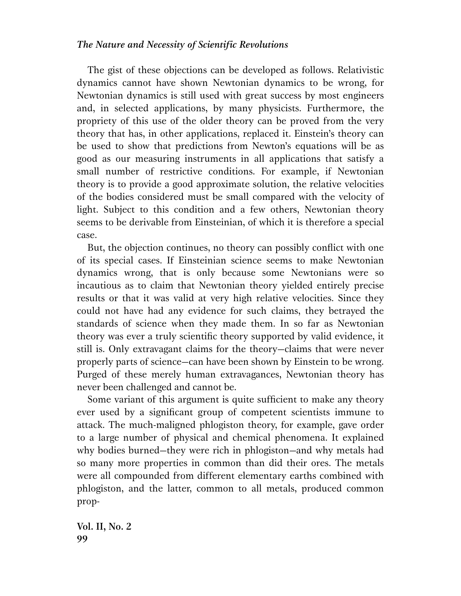### *The Nature and Necessity of Scientific Revolutions*

The gist of these objections can be developed as follows. Relativistic dynamics cannot have shown Newtonian dynamics to be wrong, for Newtonian dynamics is still used with great success by most engineers and, in selected applications, by many physicists. Furthermore, the propriety of this use of the older theory can be proved from the very theory that has, in other applications, replaced it. Einstein's theory can be used to show that predictions from Newton's equations will be as good as our measuring instruments in all applications that satisfy a small number of restrictive conditions. For example, if Newtonian theory is to provide a good approximate solution, the relative velocities of the bodies considered must be small compared with the velocity of light. Subject to this condition and a few others, Newtonian theory seems to be derivable from Einsteinian, of which it is therefore a special case.

But, the objection continues, no theory can possibly conflict with one of its special cases. If Einsteinian science seems to make Newtonian dynamics wrong, that is only because some Newtonians were so incautious as to claim that Newtonian theory yielded entirely precise results or that it was valid at very high relative velocities. Since they could not have had any evidence for such claims, they betrayed the standards of science when they made them. In so far as Newtonian theory was ever a truly scientific theory supported by valid evidence, it still is. Only extravagant claims for the theory—claims that were never properly parts of science—can have been shown by Einstein to be wrong. Purged of these merely human extravagances, Newtonian theory has never been challenged and cannot be.

Some variant of this argument is quite sufficient to make any theory ever used by a significant group of competent scientists immune to attack. The much-maligned phlogiston theory, for example, gave order to a large number of physical and chemical phenomena. It explained why bodies burned—they were rich in phlogiston—and why metals had so many more properties in common than did their ores. The metals were all compounded from different elementary earths combined with phlogiston, and the latter, common to all metals, produced common prop-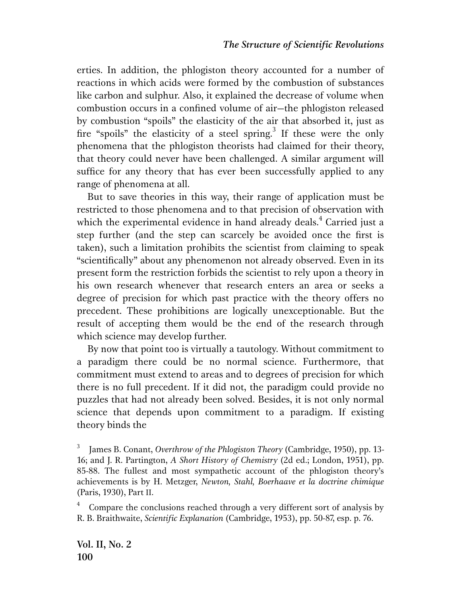erties. In addition, the phlogiston theory accounted for a number of reactions in which acids were formed by the combustion of substances like carbon and sulphur. Also, it explained the decrease of volume when combustion occurs in a confined volume of air—the phlogiston released by combustion "spoils" the elasticity of the air that absorbed it, just as fire "spoils" the elasticity of a steel spring.<sup>3</sup> If these were the only phenomena that the phlogiston theorists had claimed for their theory, that theory could never have been challenged. A similar argument will suffice for any theory that has ever been successfully applied to any range of phenomena at all.

But to save theories in this way, their range of application must be restricted to those phenomena and to that precision of observation with which the experimental evidence in hand already deals.<sup>4</sup> Carried just a step further (and the step can scarcely be avoided once the first is taken), such a limitation prohibits the scientist from claiming to speak "scientifically" about any phenomenon not already observed. Even in its present form the restriction forbids the scientist to rely upon a theory in his own research whenever that research enters an area or seeks a degree of precision for which past practice with the theory offers no precedent. These prohibitions are logically unexceptionable. But the result of accepting them would be the end of the research through which science may develop further.

By now that point too is virtually a tautology. Without commitment to a paradigm there could be no normal science. Furthermore, that commitment must extend to areas and to degrees of precision for which there is no full precedent. If it did not, the paradigm could provide no puzzles that had not already been solved. Besides, it is not only normal science that depends upon commitment to a paradigm. If existing theory binds the

4 Compare the conclusions reached through a very different sort of analysis by R. B. Braithwaite, *Scientific Explanation* (Cambridge, 1953), pp. 50-87, esp. p. 76.

<sup>3</sup> James B. Conant, *Overthrow of the Phlogiston Theory* (Cambridge, 1950), pp. 13- 16; and J. R. Partington, *A Short History of Chemistry* (2d ed.; London, 1951), pp. 85-88. The fullest and most sympathetic account of the phlogiston theory's achievements is by H. Metzger, *Newton, Stahl, Boerhaave et la doctrine chimique*  (Paris, 1930), Part II.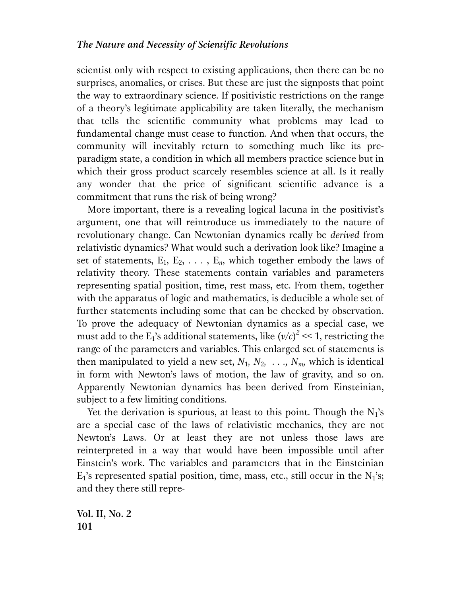scientist only with respect to existing applications, then there can be no surprises, anomalies, or crises. But these are just the signposts that point the way to extraordinary science. If positivistic restrictions on the range of a theory's legitimate applicability are taken literally, the mechanism that tells the scientific community what problems may lead to fundamental change must cease to function. And when that occurs, the community will inevitably return to something much like its preparadigm state, a condition in which all members practice science but in which their gross product scarcely resembles science at all. Is it really any wonder that the price of significant scientific advance is a commitment that runs the risk of being wrong?

More important, there is a revealing logical lacuna in the positivist's argument, one that will reintroduce us immediately to the nature of revolutionary change. Can Newtonian dynamics really be *derived* from relativistic dynamics? What would such a derivation look like? Imagine a set of statements,  $E_1, E_2, \ldots, E_n$ , which together embody the laws of relativity theory. These statements contain variables and parameters representing spatial position, time, rest mass, etc. From them, together with the apparatus of logic and mathematics, is deducible a whole set of further statements including some that can be checked by observation. To prove the adequacy of Newtonian dynamics as a special case, we must add to the  $\mathrm{E}_1$ 's additional statements, like  $\left(\mathrm{\nu/c}\right)^2<$  1, restricting the range of the parameters and variables. This enlarged set of statements is then manipulated to yield a new set,  $N_1, N_2, \ldots, N_m$ , which is identical in form with Newton's laws of motion, the law of gravity, and so on. Apparently Newtonian dynamics has been derived from Einsteinian, subject to a few limiting conditions.

Yet the derivation is spurious, at least to this point. Though the  $N_1$ 's are a special case of the laws of relativistic mechanics, they are not Newton's Laws. Or at least they are not unless those laws are reinterpreted in a way that would have been impossible until after Einstein's work. The variables and parameters that in the Einsteinian  $E_1$ 's represented spatial position, time, mass, etc., still occur in the  $N_1$ 's; and they there still repre-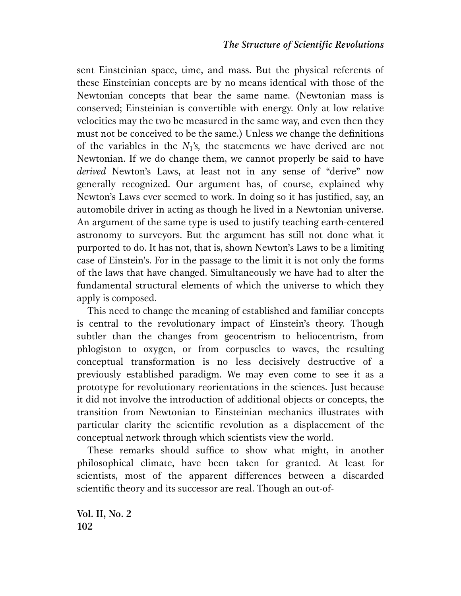sent Einsteinian space, time, and mass. But the physical referents of these Einsteinian concepts are by no means identical with those of the Newtonian concepts that bear the same name. (Newtonian mass is conserved; Einsteinian is convertible with energy. Only at low relative velocities may the two be measured in the same way, and even then they must not be conceived to be the same.) Unless we change the definitions of the variables in the *N*1*'s,* the statements we have derived are not Newtonian. If we do change them, we cannot properly be said to have *derived* Newton's Laws, at least not in any sense of "derive" now generally recognized. Our argument has, of course, explained why Newton's Laws ever seemed to work. In doing so it has justified, say, an automobile driver in acting as though he lived in a Newtonian universe. An argument of the same type is used to justify teaching earth-centered astronomy to surveyors. But the argument has still not done what it purported to do. It has not, that is, shown Newton's Laws to be a limiting case of Einstein's. For in the passage to the limit it is not only the forms of the laws that have changed. Simultaneously we have had to alter the fundamental structural elements of which the universe to which they apply is composed.

This need to change the meaning of established and familiar concepts is central to the revolutionary impact of Einstein's theory. Though subtler than the changes from geocentrism to heliocentrism, from phlogiston to oxygen, or from corpuscles to waves, the resulting conceptual transformation is no less decisively destructive of a previously established paradigm. We may even come to see it as a prototype for revolutionary reorientations in the sciences. Just because it did not involve the introduction of additional objects or concepts, the transition from Newtonian to Einsteinian mechanics illustrates with particular clarity the scientific revolution as a displacement of the conceptual network through which scientists view the world.

These remarks should suffice to show what might, in another philosophical climate, have been taken for granted. At least for scientists, most of the apparent differences between a discarded scientific theory and its successor are real. Though an out-of-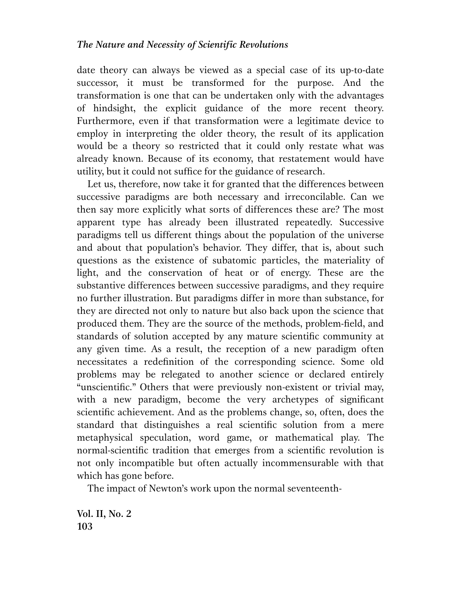date theory can always be viewed as a special case of its up-to-date successor, it must be transformed for the purpose. And the transformation is one that can be undertaken only with the advantages of hindsight, the explicit guidance of the more recent theory. Furthermore, even if that transformation were a legitimate device to employ in interpreting the older theory, the result of its application would be a theory so restricted that it could only restate what was already known. Because of its economy, that restatement would have utility, but it could not suffice for the guidance of research.

Let us, therefore, now take it for granted that the differences between successive paradigms are both necessary and irreconcilable. Can we then say more explicitly what sorts of differences these are? The most apparent type has already been illustrated repeatedly. Successive paradigms tell us different things about the population of the universe and about that population's behavior. They differ, that is, about such questions as the existence of subatomic particles, the materiality of light, and the conservation of heat or of energy. These are the substantive differences between successive paradigms, and they require no further illustration. But paradigms differ in more than substance, for they are directed not only to nature but also back upon the science that produced them. They are the source of the methods, problem-field, and standards of solution accepted by any mature scientific community at any given time. As a result, the reception of a new paradigm often necessitates a redefinition of the corresponding science. Some old problems may be relegated to another science or declared entirely "unscientific." Others that were previously non-existent or trivial may, with a new paradigm, become the very archetypes of significant scientific achievement. And as the problems change, so, often, does the standard that distinguishes a real scientific solution from a mere metaphysical speculation, word game, or mathematical play. The normal-scientific tradition that emerges from a scientific revolution is not only incompatible but often actually incommensurable with that which has gone before.

The impact of Newton's work upon the normal seventeenth-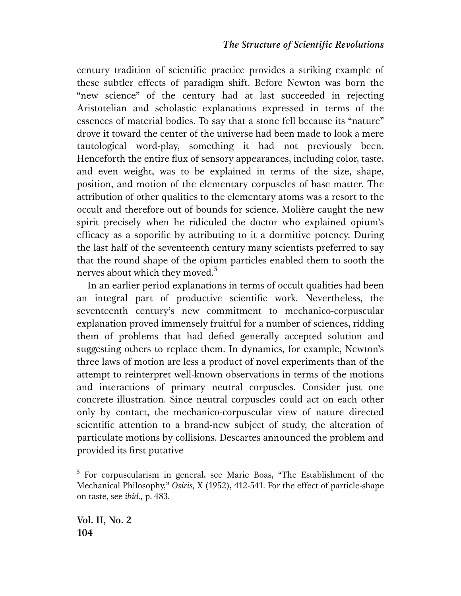century tradition of scientific practice provides a striking example of these subtler effects of paradigm shift. Before Newton was born the "new science" of the century had at last succeeded in rejecting Aristotelian and scholastic explanations expressed in terms of the essences of material bodies. To say that a stone fell because its "nature" drove it toward the center of the universe had been made to look a mere tautological word-play, something it had not previously been. Henceforth the entire flux of sensory appearances, including color, taste, and even weight, was to be explained in terms of the size, shape, position, and motion of the elementary corpuscles of base matter. The attribution of other qualities to the elementary atoms was a resort to the occult and therefore out of bounds for science. Molière caught the new spirit precisely when he ridiculed the doctor who explained opium's efficacy as a soporific by attributing to it a dormitive potency. During the last half of the seventeenth century many scientists preferred to say that the round shape of the opium particles enabled them to sooth the nerves about which they moved.<sup>5</sup>

In an earlier period explanations in terms of occult qualities had been an integral part of productive scientific work. Nevertheless, the seventeenth century's new commitment to mechanico-corpuscular explanation proved immensely fruitful for a number of sciences, ridding them of problems that had defied generally accepted solution and suggesting others to replace them. In dynamics, for example, Newton's three laws of motion are less a product of novel experiments than of the attempt to reinterpret well-known observations in terms of the motions and interactions of primary neutral corpuscles. Consider just one concrete illustration. Since neutral corpuscles could act on each other only by contact, the mechanico-corpuscular view of nature directed scientific attention to a brand-new subject of study, the alteration of particulate motions by collisions. Descartes announced the problem and provided its first putative

<sup>&</sup>lt;sup>5</sup> For corpuscularism in general, see Marie Boas, "The Establishment of the Mechanical Philosophy," *Osiris,* X (1952), 412-541. For the effect of particle-shape on taste, see *ibid.,* p. 483.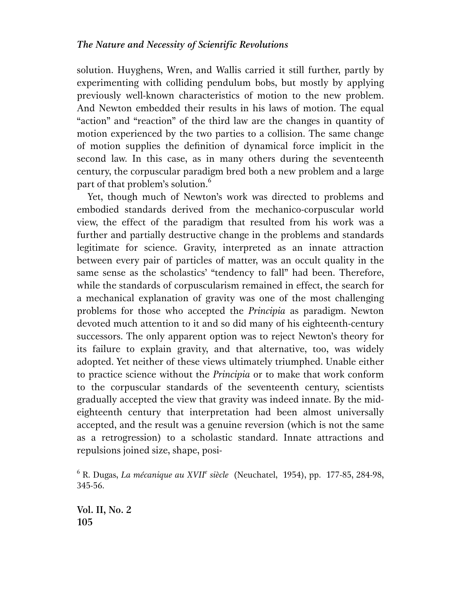### *The Nature and Necessity of Scientific Revolutions*

solution. Huyghens, Wren, and Wallis carried it still further, partly by experimenting with colliding pendulum bobs, but mostly by applying previously well-known characteristics of motion to the new problem. And Newton embedded their results in his laws of motion. The equal "action" and "reaction" of the third law are the changes in quantity of motion experienced by the two parties to a collision. The same change of motion supplies the definition of dynamical force implicit in the second law. In this case, as in many others during the seventeenth century, the corpuscular paradigm bred both a new problem and a large part of that problem's solution.<sup>6</sup>

Yet, though much of Newton's work was directed to problems and embodied standards derived from the mechanico-corpuscular world view, the effect of the paradigm that resulted from his work was a further and partially destructive change in the problems and standards legitimate for science. Gravity, interpreted as an innate attraction between every pair of particles of matter, was an occult quality in the same sense as the scholastics' "tendency to fall" had been. Therefore, while the standards of corpuscularism remained in effect, the search for a mechanical explanation of gravity was one of the most challenging problems for those who accepted the *Principia* as paradigm. Newton devoted much attention to it and so did many of his eighteenth-century successors. The only apparent option was to reject Newton's theory for its failure to explain gravity, and that alternative, too, was widely adopted. Yet neither of these views ultimately triumphed. Unable either to practice science without the *Principia* or to make that work conform to the corpuscular standards of the seventeenth century, scientists gradually accepted the view that gravity was indeed innate. By the mideighteenth century that interpretation had been almost universally accepted, and the result was a genuine reversion (which is not the same as a retrogression) to a scholastic standard. Innate attractions and repulsions joined size, shape, posi-

<sup>6</sup> R. Dugas, *La mécanique au XVII<sup>e</sup> siècle* (Neuchatel, 1954), pp. 177-85, 284-98, 345-56.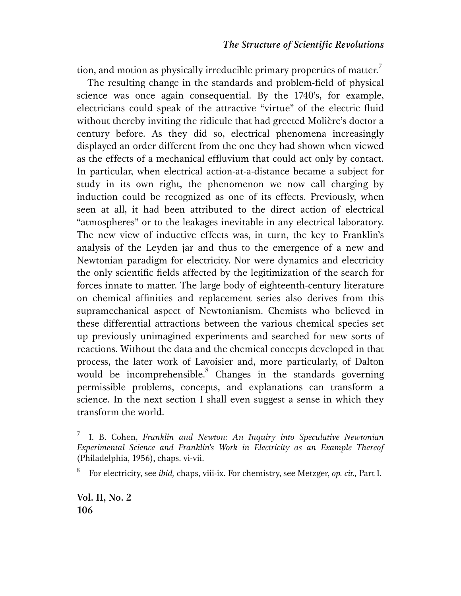tion, and motion as physically irreducible primary properties of matter.<sup>7</sup>

The resulting change in the standards and problem-field of physical science was once again consequential. By the 1740's, for example, electricians could speak of the attractive "virtue" of the electric fluid without thereby inviting the ridicule that had greeted Molière's doctor a century before. As they did so, electrical phenomena increasingly displayed an order different from the one they had shown when viewed as the effects of a mechanical effluvium that could act only by contact. In particular, when electrical action-at-a-distance became a subject for study in its own right, the phenomenon we now call charging by induction could be recognized as one of its effects. Previously, when seen at all, it had been attributed to the direct action of electrical "atmospheres" or to the leakages inevitable in any electrical laboratory. The new view of inductive effects was, in turn, the key to Franklin's analysis of the Leyden jar and thus to the emergence of a new and Newtonian paradigm for electricity. Nor were dynamics and electricity the only scientific fields affected by the legitimization of the search for forces innate to matter. The large body of eighteenth-century literature on chemical affinities and replacement series also derives from this supramechanical aspect of Newtonianism. Chemists who believed in these differential attractions between the various chemical species set up previously unimagined experiments and searched for new sorts of reactions. Without the data and the chemical concepts developed in that process, the later work of Lavoisier and, more particularly, of Dalton would be incomprehensible.<sup>8</sup> Changes in the standards governing permissible problems, concepts, and explanations can transform a science. In the next section I shall even suggest a sense in which they transform the world.

<sup>7</sup> I. B. Cohen, *Franklin and Newton: An Inquiry into Speculative Newtonian Experimental Science and Franklin's Work in Electricity as an Example Thereof* (Philadelphia, 1956), chaps. vi-vii.

<sup>8</sup> For electricity, see *ibid,* chaps, viii-ix. For chemistry, see Metzger, *op. cit.,* Part I.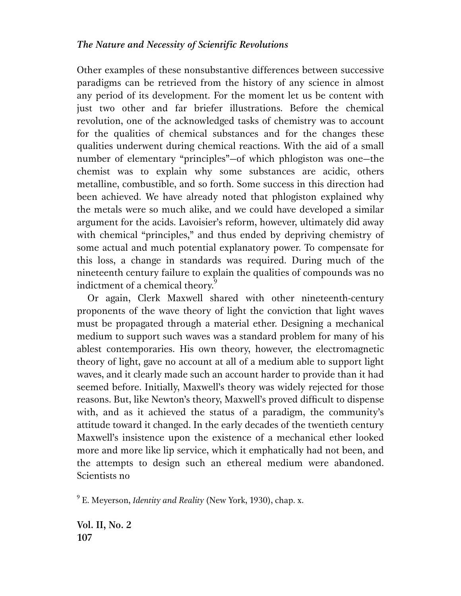Other examples of these nonsubstantive differences between successive paradigms can be retrieved from the history of any science in almost any period of its development. For the moment let us be content with just two other and far briefer illustrations. Before the chemical revolution, one of the acknowledged tasks of chemistry was to account for the qualities of chemical substances and for the changes these qualities underwent during chemical reactions. With the aid of a small number of elementary "principles"—of which phlogiston was one—the chemist was to explain why some substances are acidic, others metalline, combustible, and so forth. Some success in this direction had been achieved. We have already noted that phlogiston explained why the metals were so much alike, and we could have developed a similar argument for the acids. Lavoisier's reform, however, ultimately did away with chemical "principles," and thus ended by depriving chemistry of some actual and much potential explanatory power. To compensate for this loss, a change in standards was required. During much of the nineteenth century failure to explain the qualities of compounds was no indictment of a chemical theory.<sup>9</sup>

Or again, Clerk Maxwell shared with other nineteenth-century proponents of the wave theory of light the conviction that light waves must be propagated through a material ether. Designing a mechanical medium to support such waves was a standard problem for many of his ablest contemporaries. His own theory, however, the electromagnetic theory of light, gave no account at all of a medium able to support light waves, and it clearly made such an account harder to provide than it had seemed before. Initially, Maxwell's theory was widely rejected for those reasons. But, like Newton's theory, Maxwell's proved difficult to dispense with, and as it achieved the status of a paradigm, the community's attitude toward it changed. In the early decades of the twentieth century Maxwell's insistence upon the existence of a mechanical ether looked more and more like lip service, which it emphatically had not been, and the attempts to design such an ethereal medium were abandoned. Scientists no

9 E. Meyerson, *Identity and Reality* (New York, 1930), chap. x.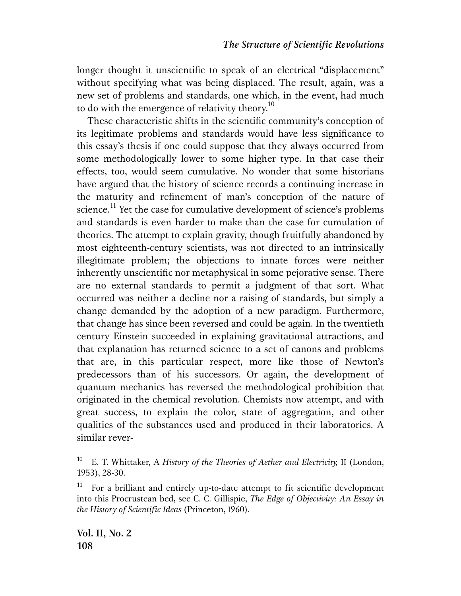longer thought it unscientific to speak of an electrical "displacement" without specifying what was being displaced. The result, again, was a new set of problems and standards, one which, in the event, had much to do with the emergence of relativity theory.<sup>10</sup>

These characteristic shifts in the scientific community's conception of its legitimate problems and standards would have less significance to this essay's thesis if one could suppose that they always occurred from some methodologically lower to some higher type. In that case their effects, too, would seem cumulative. No wonder that some historians have argued that the history of science records a continuing increase in the maturity and refinement of man's conception of the nature of science.<sup>11</sup> Yet the case for cumulative development of science's problems and standards is even harder to make than the case for cumulation of theories. The attempt to explain gravity, though fruitfully abandoned by most eighteenth-century scientists, was not directed to an intrinsically illegitimate problem; the objections to innate forces were neither inherently unscientific nor metaphysical in some pejorative sense. There are no external standards to permit a judgment of that sort. What occurred was neither a decline nor a raising of standards, but simply a change demanded by the adoption of a new paradigm. Furthermore, that change has since been reversed and could be again. In the twentieth century Einstein succeeded in explaining gravitational attractions, and that explanation has returned science to a set of canons and problems that are, in this particular respect, more like those of Newton's predecessors than of his successors. Or again, the development of quantum mechanics has reversed the methodological prohibition that originated in the chemical revolution. Chemists now attempt, and with great success, to explain the color, state of aggregation, and other qualities of the substances used and produced in their laboratories. A similar rever-

11 For a brilliant and entirely up-to-date attempt to fit scientific development into this Procrustean bed, see C. C. Gillispie, *The Edge of Objectivity: An Essay in the History of Scientific Ideas* (Princeton, I960).

<sup>10</sup> E. T. Whittaker, A *History of the Theories of Aether and Electricity,* II (London, 1953), 28-30.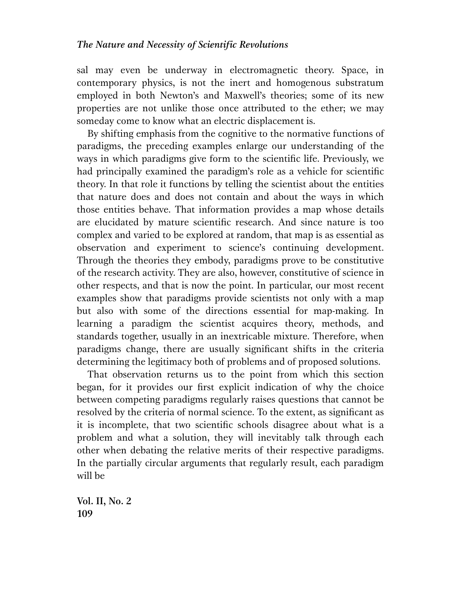sal may even be underway in electromagnetic theory. Space, in contemporary physics, is not the inert and homogenous substratum employed in both Newton's and Maxwell's theories; some of its new properties are not unlike those once attributed to the ether; we may someday come to know what an electric displacement is.

By shifting emphasis from the cognitive to the normative functions of paradigms, the preceding examples enlarge our understanding of the ways in which paradigms give form to the scientific life. Previously, we had principally examined the paradigm's role as a vehicle for scientific theory. In that role it functions by telling the scientist about the entities that nature does and does not contain and about the ways in which those entities behave. That information provides a map whose details are elucidated by mature scientific research. And since nature is too complex and varied to be explored at random, that map is as essential as observation and experiment to science's continuing development. Through the theories they embody, paradigms prove to be constitutive of the research activity. They are also, however, constitutive of science in other respects, and that is now the point. In particular, our most recent examples show that paradigms provide scientists not only with a map but also with some of the directions essential for map-making. In learning a paradigm the scientist acquires theory, methods, and standards together, usually in an inextricable mixture. Therefore, when paradigms change, there are usually significant shifts in the criteria determining the legitimacy both of problems and of proposed solutions.

That observation returns us to the point from which this section began, for it provides our first explicit indication of why the choice between competing paradigms regularly raises questions that cannot be resolved by the criteria of normal science. To the extent, as significant as it is incomplete, that two scientific schools disagree about what is a problem and what a solution, they will inevitably talk through each other when debating the relative merits of their respective paradigms. In the partially circular arguments that regularly result, each paradigm will be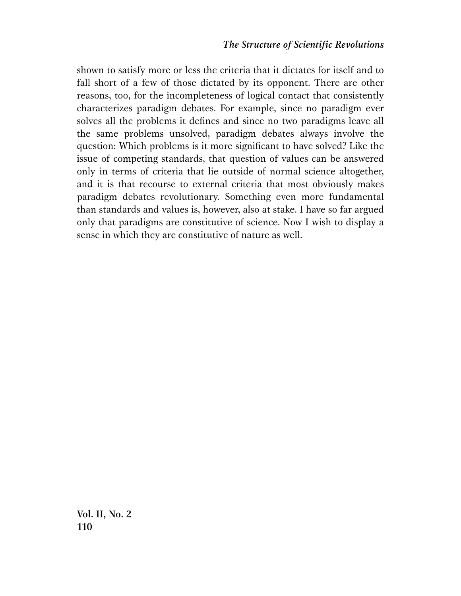shown to satisfy more or less the criteria that it dictates for itself and to fall short of a few of those dictated by its opponent. There are other reasons, too, for the incompleteness of logical contact that consistently characterizes paradigm debates. For example, since no paradigm ever solves all the problems it defines and since no two paradigms leave all the same problems unsolved, paradigm debates always involve the question: Which problems is it more significant to have solved? Like the issue of competing standards, that question of values can be answered only in terms of criteria that lie outside of normal science altogether, and it is that recourse to external criteria that most obviously makes paradigm debates revolutionary. Something even more fundamental than standards and values is, however, also at stake. I have so far argued only that paradigms are constitutive of science. Now I wish to display a sense in which they are constitutive of nature as well.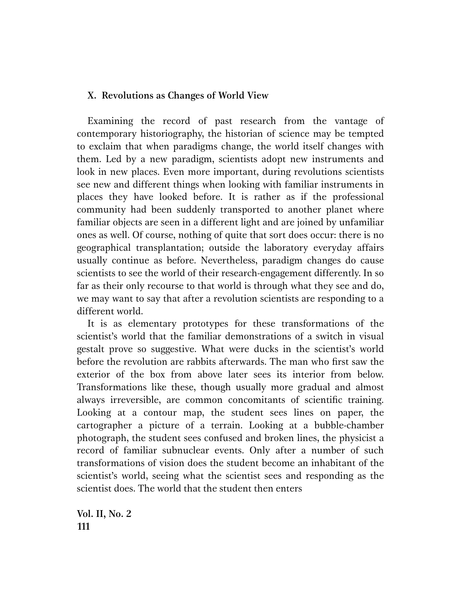### X. Revolutions as Changes of World View

Examining the record of past research from the vantage of contemporary historiography, the historian of science may be tempted to exclaim that when paradigms change, the world itself changes with them. Led by a new paradigm, scientists adopt new instruments and look in new places. Even more important, during revolutions scientists see new and different things when looking with familiar instruments in places they have looked before. It is rather as if the professional community had been suddenly transported to another planet where familiar objects are seen in a different light and are joined by unfamiliar ones as well. Of course, nothing of quite that sort does occur: there is no geographical transplantation; outside the laboratory everyday affairs usually continue as before. Nevertheless, paradigm changes do cause scientists to see the world of their research-engagement differently. In so far as their only recourse to that world is through what they see and do, we may want to say that after a revolution scientists are responding to a different world.

It is as elementary prototypes for these transformations of the scientist's world that the familiar demonstrations of a switch in visual gestalt prove so suggestive. What were ducks in the scientist's world before the revolution are rabbits afterwards. The man who first saw the exterior of the box from above later sees its interior from below. Transformations like these, though usually more gradual and almost always irreversible, are common concomitants of scientific training. Looking at a contour map, the student sees lines on paper, the cartographer a picture of a terrain. Looking at a bubble-chamber photograph, the student sees confused and broken lines, the physicist a record of familiar subnuclear events. Only after a number of such transformations of vision does the student become an inhabitant of the scientist's world, seeing what the scientist sees and responding as the scientist does. The world that the student then enters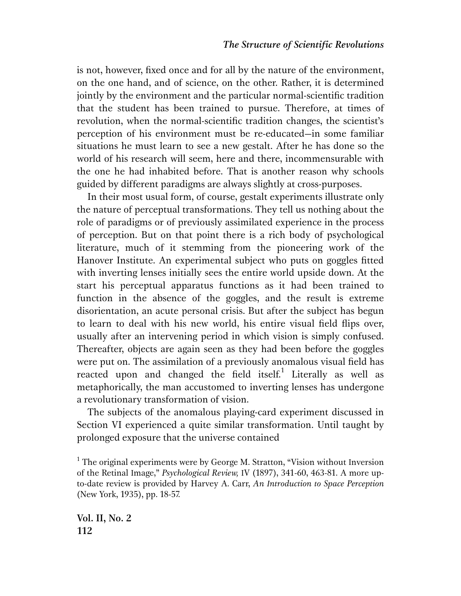is not, however, fixed once and for all by the nature of the environment, on the one hand, and of science, on the other. Rather, it is determined jointly by the environment and the particular normal-scientific tradition that the student has been trained to pursue. Therefore, at times of revolution, when the normal-scientific tradition changes, the scientist's perception of his environment must be re-educated—in some familiar situations he must learn to see a new gestalt. After he has done so the world of his research will seem, here and there, incommensurable with the one he had inhabited before. That is another reason why schools guided by different paradigms are always slightly at cross-purposes.

In their most usual form, of course, gestalt experiments illustrate only the nature of perceptual transformations. They tell us nothing about the role of paradigms or of previously assimilated experience in the process of perception. But on that point there is a rich body of psychological literature, much of it stemming from the pioneering work of the Hanover Institute. An experimental subject who puts on goggles fitted with inverting lenses initially sees the entire world upside down. At the start his perceptual apparatus functions as it had been trained to function in the absence of the goggles, and the result is extreme disorientation, an acute personal crisis. But after the subject has begun to learn to deal with his new world, his entire visual field flips over, usually after an intervening period in which vision is simply confused. Thereafter, objects are again seen as they had been before the goggles were put on. The assimilation of a previously anomalous visual field has reacted upon and changed the field itself.<sup>1</sup> Literally as well as metaphorically, the man accustomed to inverting lenses has undergone a revolutionary transformation of vision.

The subjects of the anomalous playing-card experiment discussed in Section VI experienced a quite similar transformation. Until taught by prolonged exposure that the universe contained

 $^1$  The original experiments were by George M. Stratton, "Vision without Inversion of the Retinal Image," *Psychological Review,* IV (1897), 341-60, 463-81. A more upto-date review is provided by Harvey A. Carr, *An Introduction to Space Perception*  (New York, 1935), pp. 18-57.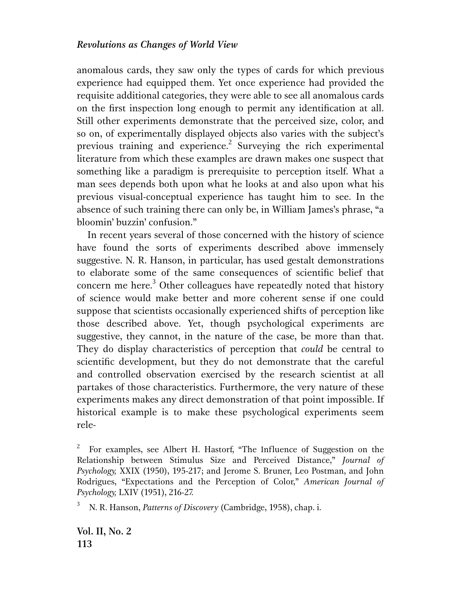# *Revolutions as Changes of World View*

anomalous cards, they saw only the types of cards for which previous experience had equipped them. Yet once experience had provided the requisite additional categories, they were able to see all anomalous cards on the first inspection long enough to permit any identification at all. Still other experiments demonstrate that the perceived size, color, and so on, of experimentally displayed objects also varies with the subject's previous training and experience.<sup>2</sup> Surveying the rich experimental literature from which these examples are drawn makes one suspect that something like a paradigm is prerequisite to perception itself. What a man sees depends both upon what he looks at and also upon what his previous visual-conceptual experience has taught him to see. In the absence of such training there can only be, in William James's phrase, "a bloomin' buzzin' confusion."

In recent years several of those concerned with the history of science have found the sorts of experiments described above immensely suggestive. N. R. Hanson, in particular, has used gestalt demonstrations to elaborate some of the same consequences of scientific belief that concern me here. $3$  Other colleagues have repeatedly noted that history of science would make better and more coherent sense if one could suppose that scientists occasionally experienced shifts of perception like those described above. Yet, though psychological experiments are suggestive, they cannot, in the nature of the case, be more than that. They do display characteristics of perception that *could* be central to scientific development, but they do not demonstrate that the careful and controlled observation exercised by the research scientist at all partakes of those characteristics. Furthermore, the very nature of these experiments makes any direct demonstration of that point impossible. If historical example is to make these psychological experiments seem rele-

<sup>2</sup> For examples, see Albert H. Hastorf, "The Influence of Suggestion on the Relationship between Stimulus Size and Perceived Distance," *Journal of Psychology,* XXIX (1950), 195-217; and Jerome S. Bruner, Leo Postman, and John Rodrigues, "Expectations and the Perception of Color," *American Journal of Psychology,* LXIV (1951), 216-27.

<sup>3</sup> N. R. Hanson, *Patterns of Discovery* (Cambridge, 1958), chap. i.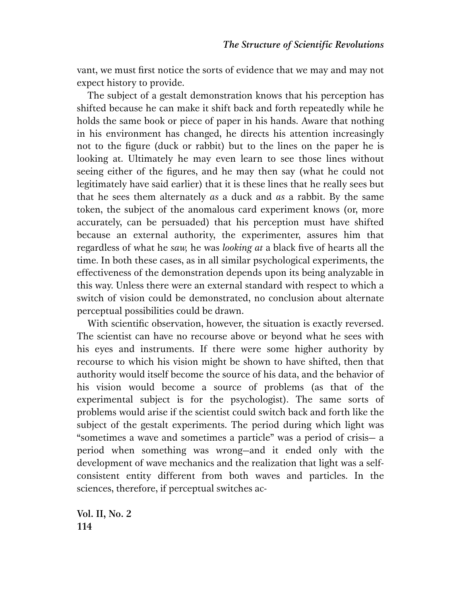vant, we must first notice the sorts of evidence that we may and may not expect history to provide.

The subject of a gestalt demonstration knows that his perception has shifted because he can make it shift back and forth repeatedly while he holds the same book or piece of paper in his hands. Aware that nothing in his environment has changed, he directs his attention increasingly not to the figure (duck or rabbit) but to the lines on the paper he is looking at. Ultimately he may even learn to see those lines without seeing either of the figures, and he may then say (what he could not legitimately have said earlier) that it is these lines that he really sees but that he sees them alternately *as* a duck and *as* a rabbit. By the same token, the subject of the anomalous card experiment knows (or, more accurately, can be persuaded) that his perception must have shifted because an external authority, the experimenter, assures him that regardless of what he *saw,* he was *looking at* a black five of hearts all the time. In both these cases, as in all similar psychological experiments, the effectiveness of the demonstration depends upon its being analyzable in this way. Unless there were an external standard with respect to which a switch of vision could be demonstrated, no conclusion about alternate perceptual possibilities could be drawn.

With scientific observation, however, the situation is exactly reversed. The scientist can have no recourse above or beyond what he sees with his eyes and instruments. If there were some higher authority by recourse to which his vision might be shown to have shifted, then that authority would itself become the source of his data, and the behavior of his vision would become a source of problems (as that of the experimental subject is for the psychologist). The same sorts of problems would arise if the scientist could switch back and forth like the subject of the gestalt experiments. The period during which light was "sometimes a wave and sometimes a particle" was a period of crisis— a period when something was wrong—and it ended only with the development of wave mechanics and the realization that light was a selfconsistent entity different from both waves and particles. In the sciences, therefore, if perceptual switches ac-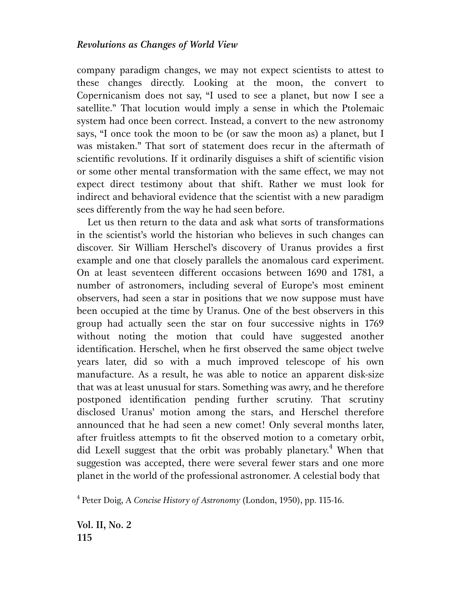company paradigm changes, we may not expect scientists to attest to these changes directly. Looking at the moon, the convert to Copernicanism does not say, "I used to see a planet, but now I see a satellite." That locution would imply a sense in which the Ptolemaic system had once been correct. Instead, a convert to the new astronomy says, "I once took the moon to be (or saw the moon as) a planet, but I was mistaken." That sort of statement does recur in the aftermath of scientific revolutions. If it ordinarily disguises a shift of scientific vision or some other mental transformation with the same effect, we may not expect direct testimony about that shift. Rather we must look for indirect and behavioral evidence that the scientist with a new paradigm sees differently from the way he had seen before.

Let us then return to the data and ask what sorts of transformations in the scientist's world the historian who believes in such changes can discover. Sir William Herschel's discovery of Uranus provides a first example and one that closely parallels the anomalous card experiment. On at least seventeen different occasions between 1690 and 1781, a number of astronomers, including several of Europe's most eminent observers, had seen a star in positions that we now suppose must have been occupied at the time by Uranus. One of the best observers in this group had actually seen the star on four successive nights in 1769 without noting the motion that could have suggested another identification. Herschel, when he first observed the same object twelve years later, did so with a much improved telescope of his own manufacture. As a result, he was able to notice an apparent disk-size that was at least unusual for stars. Something was awry, and he therefore postponed identification pending further scrutiny. That scrutiny disclosed Uranus' motion among the stars, and Herschel therefore announced that he had seen a new comet! Only several months later, after fruitless attempts to fit the observed motion to a cometary orbit, did Lexell suggest that the orbit was probably planetary.<sup>4</sup> When that suggestion was accepted, there were several fewer stars and one more planet in the world of the professional astronomer. A celestial body that

4 Peter Doig, A *Concise History of Astronomy* (London, 1950), pp. 115-16.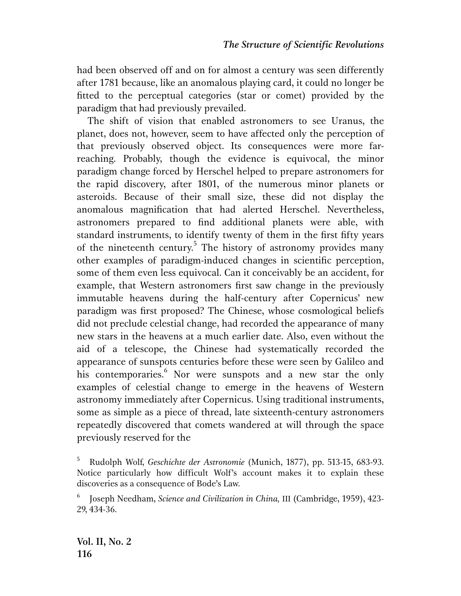had been observed off and on for almost a century was seen differently after 1781 because, like an anomalous playing card, it could no longer be fitted to the perceptual categories (star or comet) provided by the paradigm that had previously prevailed.

The shift of vision that enabled astronomers to see Uranus, the planet, does not, however, seem to have affected only the perception of that previously observed object. Its consequences were more farreaching. Probably, though the evidence is equivocal, the minor paradigm change forced by Herschel helped to prepare astronomers for the rapid discovery, after 1801, of the numerous minor planets or asteroids. Because of their small size, these did not display the anomalous magnification that had alerted Herschel. Nevertheless, astronomers prepared to find additional planets were able, with standard instruments, to identify twenty of them in the first fifty years of the nineteenth century.<sup>5</sup> The history of astronomy provides many other examples of paradigm-induced changes in scientific perception, some of them even less equivocal. Can it conceivably be an accident, for example, that Western astronomers first saw change in the previously immutable heavens during the half-century after Copernicus' new paradigm was first proposed? The Chinese, whose cosmological beliefs did not preclude celestial change, had recorded the appearance of many new stars in the heavens at a much earlier date. Also, even without the aid of a telescope, the Chinese had systematically recorded the appearance of sunspots centuries before these were seen by Galileo and his contemporaries. Nor were sunspots and a new star the only examples of celestial change to emerge in the heavens of Western astronomy immediately after Copernicus. Using traditional instruments, some as simple as a piece of thread, late sixteenth-century astronomers repeatedly discovered that comets wandered at will through the space previously reserved for the

<sup>5</sup> Rudolph Wolf, *Geschichte der Astronomie* (Munich, 1877), pp. 513-15, 683-93. Notice particularly how difficult Wolf's account makes it to explain these discoveries as a consequence of Bode's Law.

<sup>6</sup> Joseph Needham, *Science and Civilization in China,* III (Cambridge, 1959), 423- 29, 434-36.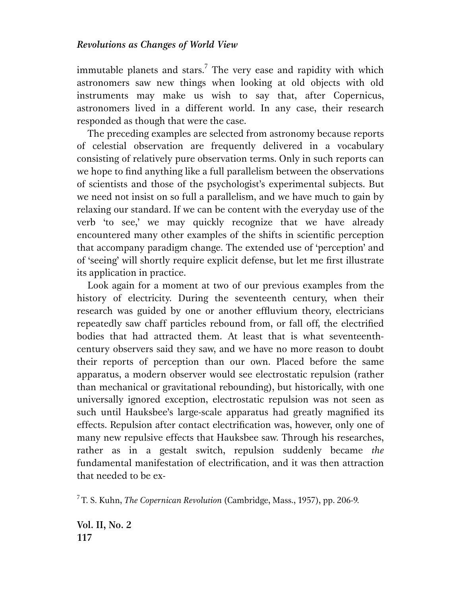immutable planets and stars.<sup>7</sup> The very ease and rapidity with which astronomers saw new things when looking at old objects with old instruments may make us wish to say that, after Copernicus, astronomers lived in a different world. In any case, their research responded as though that were the case.

The preceding examples are selected from astronomy because reports of celestial observation are frequently delivered in a vocabulary consisting of relatively pure observation terms. Only in such reports can we hope to find anything like a full parallelism between the observations of scientists and those of the psychologist's experimental subjects. But we need not insist on so full a parallelism, and we have much to gain by relaxing our standard. If we can be content with the everyday use of the verb 'to see,' we may quickly recognize that we have already encountered many other examples of the shifts in scientific perception that accompany paradigm change. The extended use of 'perception' and of 'seeing' will shortly require explicit defense, but let me first illustrate its application in practice.

Look again for a moment at two of our previous examples from the history of electricity. During the seventeenth century, when their research was guided by one or another effluvium theory, electricians repeatedly saw chaff particles rebound from, or fall off, the electrified bodies that had attracted them. At least that is what seventeenthcentury observers said they saw, and we have no more reason to doubt their reports of perception than our own. Placed before the same apparatus, a modern observer would see electrostatic repulsion (rather than mechanical or gravitational rebounding), but historically, with one universally ignored exception, electrostatic repulsion was not seen as such until Hauksbee's large-scale apparatus had greatly magnified its effects. Repulsion after contact electrification was, however, only one of many new repulsive effects that Hauksbee saw. Through his researches, rather as in a gestalt switch, repulsion suddenly became *the*  fundamental manifestation of electrification, and it was then attraction that needed to be ex-

7 T. S. Kuhn, *The Copernican Revolution* (Cambridge, Mass., 1957), pp. 206-9.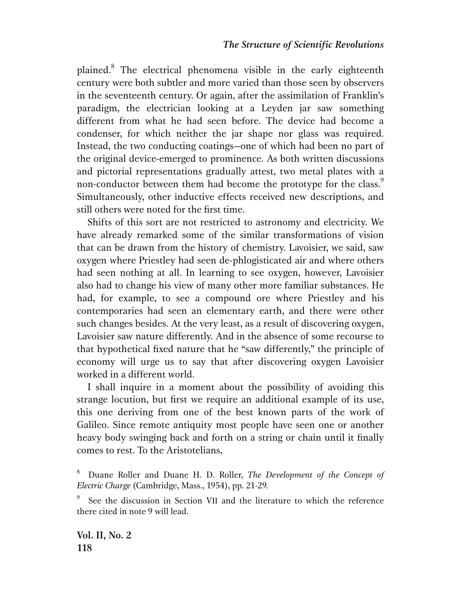plained.<sup>8</sup> The electrical phenomena visible in the early eighteenth century were both subtler and more varied than those seen by observers in the seventeenth century. Or again, after the assimilation of Franklin's paradigm, the electrician looking at a Leyden jar saw something different from what he had seen before. The device had become a condenser, for which neither the jar shape nor glass was required. Instead, the two conducting coatings—one of which had been no part of the original device-emerged to prominence. As both written discussions and pictorial representations gradually attest, two metal plates with a non-conductor between them had become the prototype for the class.<sup>9</sup> Simultaneously, other inductive effects received new descriptions, and still others were noted for the first time.

Shifts of this sort are not restricted to astronomy and electricity. We have already remarked some of the similar transformations of vision that can be drawn from the history of chemistry. Lavoisier, we said, saw oxygen where Priestley had seen de-phlogisticated air and where others had seen nothing at all. In learning to see oxygen, however, Lavoisier also had to change his view of many other more familiar substances. He had, for example, to see a compound ore where Priestley and his contemporaries had seen an elementary earth, and there were other such changes besides. At the very least, as a result of discovering oxygen, Lavoisier saw nature differently. And in the absence of some recourse to that hypothetical fixed nature that he "saw differently," the principle of economy will urge us to say that after discovering oxygen Lavoisier worked in a different world.

I shall inquire in a moment about the possibility of avoiding this strange locution, but first we require an additional example of its use, this one deriving from one of the best known parts of the work of Galileo. Since remote antiquity most people have seen one or another heavy body swinging back and forth on a string or chain until it finally comes to rest. To the Aristotelians,

<sup>8</sup> Duane Roller and Duane H. D. Roller, *The Development of the Concept of Electric Charge* (Cambridge, Mass., 1954), pp. 21-29.

<sup>9</sup> See the discussion in Section VII and the literature to which the reference there cited in note 9 will lead.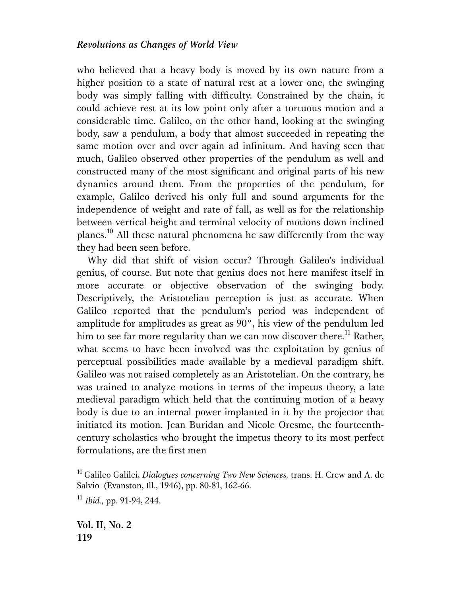who believed that a heavy body is moved by its own nature from a higher position to a state of natural rest at a lower one, the swinging body was simply falling with difficulty. Constrained by the chain, it could achieve rest at its low point only after a tortuous motion and a considerable time. Galileo, on the other hand, looking at the swinging body, saw a pendulum, a body that almost succeeded in repeating the same motion over and over again ad infinitum. And having seen that much, Galileo observed other properties of the pendulum as well and constructed many of the most significant and original parts of his new dynamics around them. From the properties of the pendulum, for example, Galileo derived his only full and sound arguments for the independence of weight and rate of fall, as well as for the relationship between vertical height and terminal velocity of motions down inclined planes.<sup>10</sup> All these natural phenomena he saw differently from the way they had been seen before.

Why did that shift of vision occur? Through Galileo's individual genius, of course. But note that genius does not here manifest itself in more accurate or objective observation of the swinging body. Descriptively, the Aristotelian perception is just as accurate. When Galileo reported that the pendulum's period was independent of amplitude for amplitudes as great as 90°, his view of the pendulum led him to see far more regularity than we can now discover there.<sup>11</sup> Rather, what seems to have been involved was the exploitation by genius of perceptual possibilities made available by a medieval paradigm shift. Galileo was not raised completely as an Aristotelian. On the contrary, he was trained to analyze motions in terms of the impetus theory, a late medieval paradigm which held that the continuing motion of a heavy body is due to an internal power implanted in it by the projector that initiated its motion. Jean Buridan and Nicole Oresme, the fourteenthcentury scholastics who brought the impetus theory to its most perfect formulations, are the first men

<sup>11</sup>*Ibid.,* pp. 91-94, 244.

<sup>10</sup> Galileo Galilei, *Dialogues concerning Two New Sciences,* trans. H. Crew and A. de Salvio (Evanston, Ill., 1946), pp. 80-81, 162-66.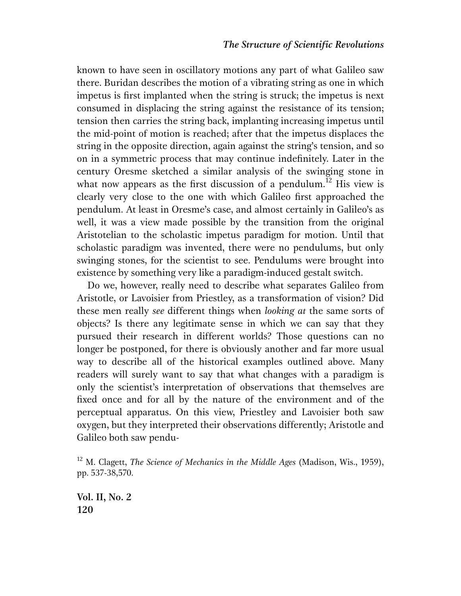known to have seen in oscillatory motions any part of what Galileo saw there. Buridan describes the motion of a vibrating string as one in which impetus is first implanted when the string is struck; the impetus is next consumed in displacing the string against the resistance of its tension; tension then carries the string back, implanting increasing impetus until the mid-point of motion is reached; after that the impetus displaces the string in the opposite direction, again against the string's tension, and so on in a symmetric process that may continue indefinitely. Later in the century Oresme sketched a similar analysis of the swinging stone in what now appears as the first discussion of a pendulum.<sup>12</sup> His view is clearly very close to the one with which Galileo first approached the pendulum. At least in Oresme's case, and almost certainly in Galileo's as well, it was a view made possible by the transition from the original Aristotelian to the scholastic impetus paradigm for motion. Until that scholastic paradigm was invented, there were no pendulums, but only swinging stones, for the scientist to see. Pendulums were brought into existence by something very like a paradigm-induced gestalt switch.

Do we, however, really need to describe what separates Galileo from Aristotle, or Lavoisier from Priestley, as a transformation of vision? Did these men really *see* different things when *looking at* the same sorts of objects? Is there any legitimate sense in which we can say that they pursued their research in different worlds? Those questions can no longer be postponed, for there is obviously another and far more usual way to describe all of the historical examples outlined above. Many readers will surely want to say that what changes with a paradigm is only the scientist's interpretation of observations that themselves are fixed once and for all by the nature of the environment and of the perceptual apparatus. On this view, Priestley and Lavoisier both saw oxygen, but they interpreted their observations differently; Aristotle and Galileo both saw pendu-

12 M. Clagett, *The Science of Mechanics in the Middle Ages* (Madison, Wis., 1959), pp. 537-38,570.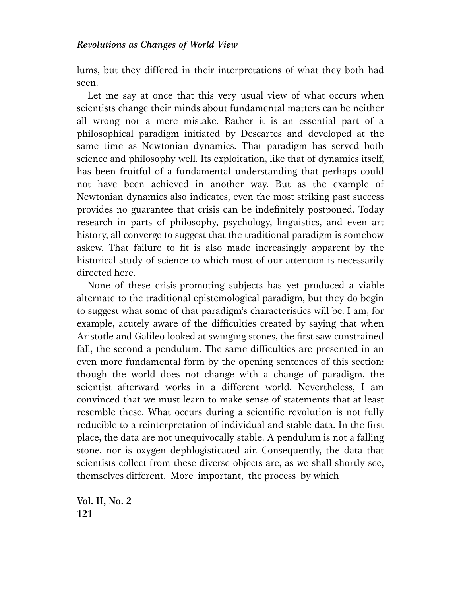## *Revolutions as Changes of World View*

lums, but they differed in their interpretations of what they both had seen.

Let me say at once that this very usual view of what occurs when scientists change their minds about fundamental matters can be neither all wrong nor a mere mistake. Rather it is an essential part of a philosophical paradigm initiated by Descartes and developed at the same time as Newtonian dynamics. That paradigm has served both science and philosophy well. Its exploitation, like that of dynamics itself, has been fruitful of a fundamental understanding that perhaps could not have been achieved in another way. But as the example of Newtonian dynamics also indicates, even the most striking past success provides no guarantee that crisis can be indefinitely postponed. Today research in parts of philosophy, psychology, linguistics, and even art history, all converge to suggest that the traditional paradigm is somehow askew. That failure to fit is also made increasingly apparent by the historical study of science to which most of our attention is necessarily directed here.

None of these crisis-promoting subjects has yet produced a viable alternate to the traditional epistemological paradigm, but they do begin to suggest what some of that paradigm's characteristics will be. I am, for example, acutely aware of the difficulties created by saying that when Aristotle and Galileo looked at swinging stones, the first saw constrained fall, the second a pendulum. The same difficulties are presented in an even more fundamental form by the opening sentences of this section: though the world does not change with a change of paradigm, the scientist afterward works in a different world. Nevertheless, I am convinced that we must learn to make sense of statements that at least resemble these. What occurs during a scientific revolution is not fully reducible to a reinterpretation of individual and stable data. In the first place, the data are not unequivocally stable. A pendulum is not a falling stone, nor is oxygen dephlogisticated air. Consequently, the data that scientists collect from these diverse objects are, as we shall shortly see, themselves different. More important, the process by which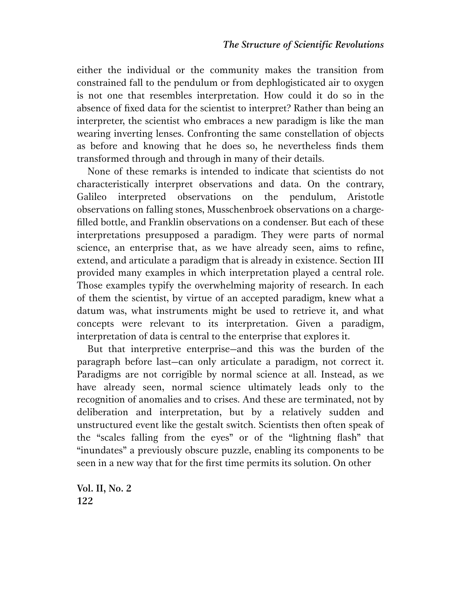either the individual or the community makes the transition from constrained fall to the pendulum or from dephlogisticated air to oxygen is not one that resembles interpretation. How could it do so in the absence of fixed data for the scientist to interpret? Rather than being an interpreter, the scientist who embraces a new paradigm is like the man wearing inverting lenses. Confronting the same constellation of objects as before and knowing that he does so, he nevertheless finds them transformed through and through in many of their details.

None of these remarks is intended to indicate that scientists do not characteristically interpret observations and data. On the contrary, Galileo interpreted observations on the pendulum, Aristotle observations on falling stones, Musschenbroek observations on a chargefilled bottle, and Franklin observations on a condenser. But each of these interpretations presupposed a paradigm. They were parts of normal science, an enterprise that, as we have already seen, aims to refine, extend, and articulate a paradigm that is already in existence. Section III provided many examples in which interpretation played a central role. Those examples typify the overwhelming majority of research. In each of them the scientist, by virtue of an accepted paradigm, knew what a datum was, what instruments might be used to retrieve it, and what concepts were relevant to its interpretation. Given a paradigm, interpretation of data is central to the enterprise that explores it.

But that interpretive enterprise—and this was the burden of the paragraph before last—can only articulate a paradigm, not correct it. Paradigms are not corrigible by normal science at all. Instead, as we have already seen, normal science ultimately leads only to the recognition of anomalies and to crises. And these are terminated, not by deliberation and interpretation, but by a relatively sudden and unstructured event like the gestalt switch. Scientists then often speak of the "scales falling from the eyes" or of the "lightning flash" that "inundates" a previously obscure puzzle, enabling its components to be seen in a new way that for the first time permits its solution. On other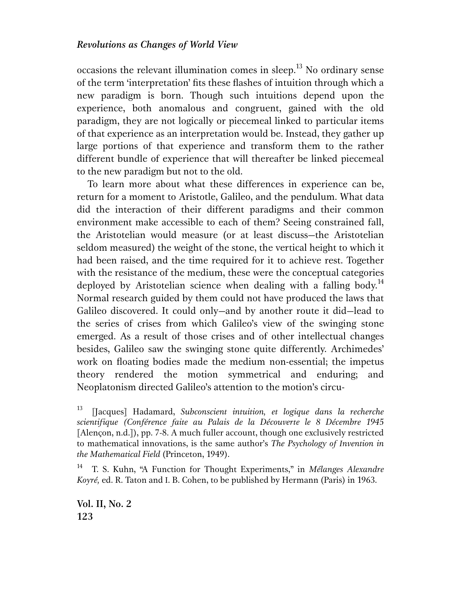occasions the relevant illumination comes in sleep.<sup>13</sup> No ordinary sense of the term 'interpretation' fits these flashes of intuition through which a new paradigm is born. Though such intuitions depend upon the experience, both anomalous and congruent, gained with the old paradigm, they are not logically or piecemeal linked to particular items of that experience as an interpretation would be. Instead, they gather up large portions of that experience and transform them to the rather different bundle of experience that will thereafter be linked piecemeal to the new paradigm but not to the old.

To learn more about what these differences in experience can be, return for a moment to Aristotle, Galileo, and the pendulum. What data did the interaction of their different paradigms and their common environment make accessible to each of them? Seeing constrained fall, the Aristotelian would measure (or at least discuss—the Aristotelian seldom measured) the weight of the stone, the vertical height to which it had been raised, and the time required for it to achieve rest. Together with the resistance of the medium, these were the conceptual categories deployed by Aristotelian science when dealing with a falling body.<sup>14</sup> Normal research guided by them could not have produced the laws that Galileo discovered. It could only—and by another route it did—lead to the series of crises from which Galileo's view of the swinging stone emerged. As a result of those crises and of other intellectual changes besides, Galileo saw the swinging stone quite differently. Archimedes' work on floating bodies made the medium non-essential; the impetus theory rendered the motion symmetrical and enduring; and Neoplatonism directed Galileo's attention to the motion's circu-

13 [Jacques] Hadamard, *Subconscient intuition, et logique dans la recherche scientifique (Conférence faite au Palais de la Découverte le 8 Décembre 1945*  [Alençon, n.d.]), pp. 7-8. A much fuller account, though one exclusively restricted to mathematical innovations, is the same author's *The Psychology of Invention in the Mathematical Field* (Princeton, 1949).

14 T. S. Kuhn, "A Function for Thought Experiments," in *Mélanges Alexandre Koyré,* ed. R. Taton and I. B. Cohen, to be published by Hermann (Paris) in 1963.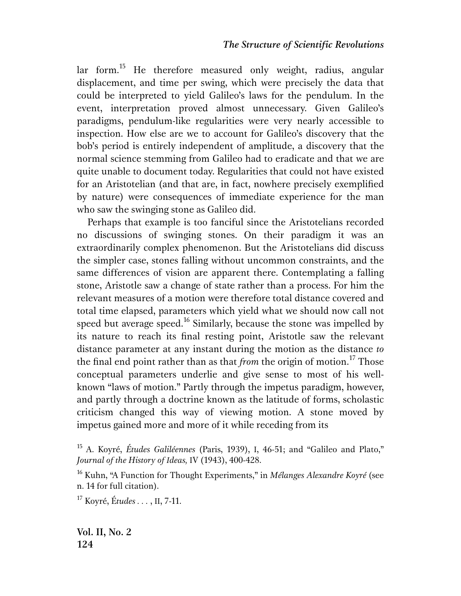lar form.<sup>15</sup> He therefore measured only weight, radius, angular displacement, and time per swing, which were precisely the data that could be interpreted to yield Galileo's laws for the pendulum. In the event, interpretation proved almost unnecessary. Given Galileo's paradigms, pendulum-like regularities were very nearly accessible to inspection. How else are we to account for Galileo's discovery that the bob's period is entirely independent of amplitude, a discovery that the normal science stemming from Galileo had to eradicate and that we are quite unable to document today. Regularities that could not have existed for an Aristotelian (and that are, in fact, nowhere precisely exemplified by nature) were consequences of immediate experience for the man who saw the swinging stone as Galileo did.

Perhaps that example is too fanciful since the Aristotelians recorded no discussions of swinging stones. On their paradigm it was an extraordinarily complex phenomenon. But the Aristotelians did discuss the simpler case, stones falling without uncommon constraints, and the same differences of vision are apparent there. Contemplating a falling stone, Aristotle saw a change of state rather than a process. For him the relevant measures of a motion were therefore total distance covered and total time elapsed, parameters which yield what we should now call not speed but average speed.<sup>16</sup> Similarly, because the stone was impelled by its nature to reach its final resting point, Aristotle saw the relevant distance parameter at any instant during the motion as the distance *to*  the final end point rather than as that *from* the origin of motion.<sup>17</sup> Those conceptual parameters underlie and give sense to most of his wellknown "laws of motion." Partly through the impetus paradigm, however, and partly through a doctrine known as the latitude of forms, scholastic criticism changed this way of viewing motion. A stone moved by impetus gained more and more of it while receding from its

16 Kuhn, "A Function for Thought Experiments," in *Mélanges Alexandre Koyré* (see n. 14 for full citation).

17 Koyré, É*tudes . . .* , II, 7-11.

<sup>15</sup> A. Koyré, *Études Galiléennes* (Paris, 1939), I, 46-51; and "Galileo and Plato," *Journal of the History of Ideas,* IV (1943), 400-428.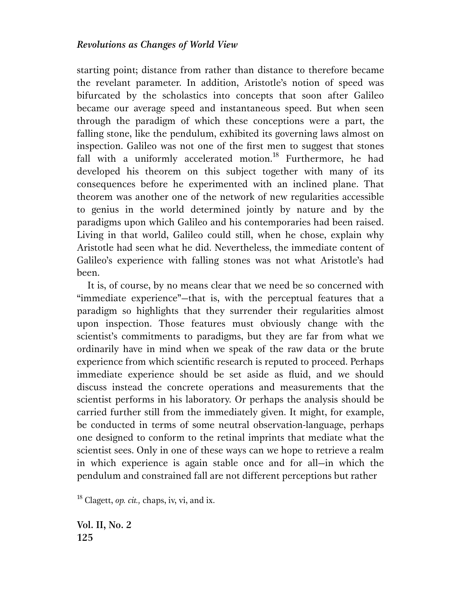starting point; distance from rather than distance to therefore became the revelant parameter. In addition, Aristotle's notion of speed was bifurcated by the scholastics into concepts that soon after Galileo became our average speed and instantaneous speed. But when seen through the paradigm of which these conceptions were a part, the falling stone, like the pendulum, exhibited its governing laws almost on inspection. Galileo was not one of the first men to suggest that stones fall with a uniformly accelerated motion.<sup>18</sup> Furthermore, he had developed his theorem on this subject together with many of its consequences before he experimented with an inclined plane. That theorem was another one of the network of new regularities accessible to genius in the world determined jointly by nature and by the paradigms upon which Galileo and his contemporaries had been raised. Living in that world, Galileo could still, when he chose, explain why Aristotle had seen what he did. Nevertheless, the immediate content of Galileo's experience with falling stones was not what Aristotle's had been.

It is, of course, by no means clear that we need be so concerned with "immediate experience"—that is, with the perceptual features that a paradigm so highlights that they surrender their regularities almost upon inspection. Those features must obviously change with the scientist's commitments to paradigms, but they are far from what we ordinarily have in mind when we speak of the raw data or the brute experience from which scientific research is reputed to proceed. Perhaps immediate experience should be set aside as fluid, and we should discuss instead the concrete operations and measurements that the scientist performs in his laboratory. Or perhaps the analysis should be carried further still from the immediately given. It might, for example, be conducted in terms of some neutral observation-language, perhaps one designed to conform to the retinal imprints that mediate what the scientist sees. Only in one of these ways can we hope to retrieve a realm in which experience is again stable once and for all—in which the pendulum and constrained fall are not different perceptions but rather

18 Clagett, *op. cit.,* chaps, iv, vi, and ix.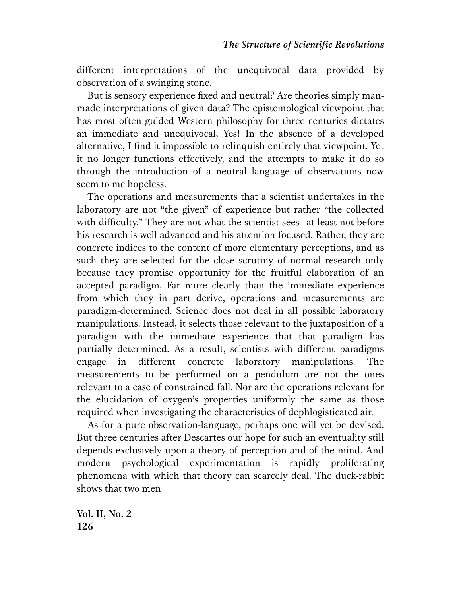different interpretations of the unequivocal data provided by observation of a swinging stone.

But is sensory experience fixed and neutral? Are theories simply manmade interpretations of given data? The epistemological viewpoint that has most often guided Western philosophy for three centuries dictates an immediate and unequivocal, Yes! In the absence of a developed alternative, I find it impossible to relinquish entirely that viewpoint. Yet it no longer functions effectively, and the attempts to make it do so through the introduction of a neutral language of observations now seem to me hopeless.

The operations and measurements that a scientist undertakes in the laboratory are not "the given" of experience but rather "the collected with difficulty." They are not what the scientist sees—at least not before his research is well advanced and his attention focused. Rather, they are concrete indices to the content of more elementary perceptions, and as such they are selected for the close scrutiny of normal research only because they promise opportunity for the fruitful elaboration of an accepted paradigm. Far more clearly than the immediate experience from which they in part derive, operations and measurements are paradigm-determined. Science does not deal in all possible laboratory manipulations. Instead, it selects those relevant to the juxtaposition of a paradigm with the immediate experience that that paradigm has partially determined. As a result, scientists with different paradigms engage in different concrete laboratory manipulations. The measurements to be performed on a pendulum are not the ones relevant to a case of constrained fall. Nor are the operations relevant for the elucidation of oxygen's properties uniformly the same as those required when investigating the characteristics of dephlogisticated air.

As for a pure observation-language, perhaps one will yet be devised. But three centuries after Descartes our hope for such an eventuality still depends exclusively upon a theory of perception and of the mind. And modern psychological experimentation is rapidly proliferating phenomena with which that theory can scarcely deal. The duck-rabbit shows that two men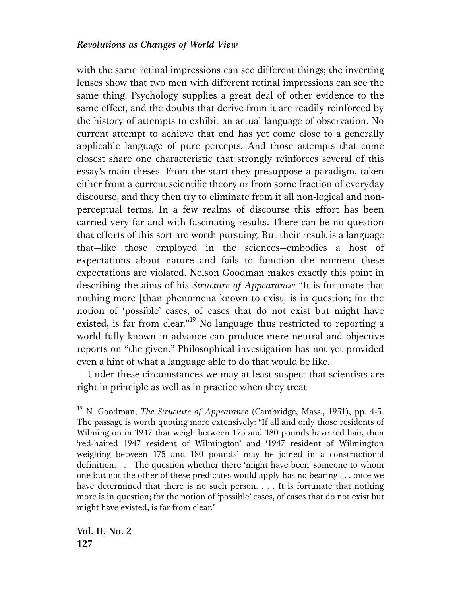### *Revolutions as Changes of World View*

with the same retinal impressions can see different things; the inverting lenses show that two men with different retinal impressions can see the same thing. Psychology supplies a great deal of other evidence to the same effect, and the doubts that derive from it are readily reinforced by the history of attempts to exhibit an actual language of observation. No current attempt to achieve that end has yet come close to a generally applicable language of pure percepts. And those attempts that come closest share one characteristic that strongly reinforces several of this essay's main theses. From the start they presuppose a paradigm, taken either from a current scientific theory or from some fraction of everyday discourse, and they then try to eliminate from it all non-logical and nonperceptual terms. In a few realms of discourse this effort has been carried very far and with fascinating results. There can be no question that efforts of this sort are worth pursuing. But their result is a language that—like those employed in the sciences—embodies a host of expectations about nature and fails to function the moment these expectations are violated. Nelson Goodman makes exactly this point in describing the aims of his *Structure of Appearance:* "It is fortunate that nothing more [than phenomena known to exist] is in question; for the notion of 'possible' cases, of cases that do not exist but might have existed, is far from clear.<sup>"19</sup> No language thus restricted to reporting a world fully known in advance can produce mere neutral and objective reports on "the given." Philosophical investigation has not yet provided even a hint of what a language able to do that would be like.

Under these circumstances we may at least suspect that scientists are right in principle as well as in practice when they treat

<sup>19</sup> N. Goodman, *The Structure of Appearance* (Cambridge, Mass., 1951), pp. 4-5. The passage is worth quoting more extensively: "If all and only those residents of Wilmington in 1947 that weigh between 175 and 180 pounds have red hair, then 'red-haired 1947 resident of Wilmington' and '1947 resident of Wilmington weighing between 175 and 180 pounds' may be joined in a constructional definition. . . . The question whether there 'might have been' someone to whom one but not the other of these predicates would apply has no bearing . . . once we have determined that there is no such person. . . . It is fortunate that nothing more is in question; for the notion of 'possible' cases, of cases that do not exist but might have existed, is far from clear."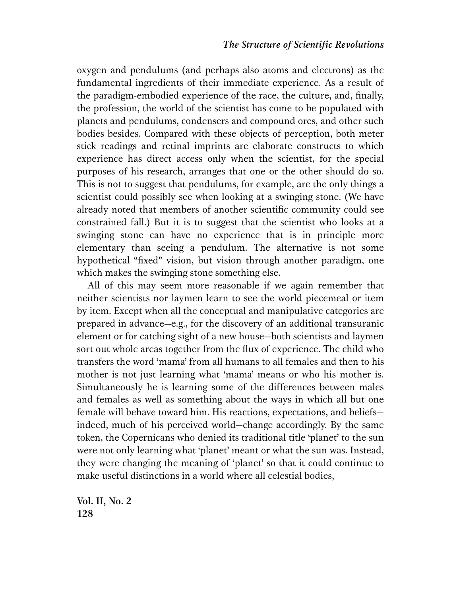oxygen and pendulums (and perhaps also atoms and electrons) as the fundamental ingredients of their immediate experience. As a result of the paradigm-embodied experience of the race, the culture, and, finally, the profession, the world of the scientist has come to be populated with planets and pendulums, condensers and compound ores, and other such bodies besides. Compared with these objects of perception, both meter stick readings and retinal imprints are elaborate constructs to which experience has direct access only when the scientist, for the special purposes of his research, arranges that one or the other should do so. This is not to suggest that pendulums, for example, are the only things a scientist could possibly see when looking at a swinging stone. (We have already noted that members of another scientific community could see constrained fall.) But it is to suggest that the scientist who looks at a swinging stone can have no experience that is in principle more elementary than seeing a pendulum. The alternative is not some hypothetical "fixed" vision, but vision through another paradigm, one which makes the swinging stone something else.

All of this may seem more reasonable if we again remember that neither scientists nor laymen learn to see the world piecemeal or item by item. Except when all the conceptual and manipulative categories are prepared in advance—e.g., for the discovery of an additional transuranic element or for catching sight of a new house—both scientists and laymen sort out whole areas together from the flux of experience. The child who transfers the word 'mama' from all humans to all females and then to his mother is not just learning what 'mama' means or who his mother is. Simultaneously he is learning some of the differences between males and females as well as something about the ways in which all but one female will behave toward him. His reactions, expectations, and beliefs indeed, much of his perceived world—change accordingly. By the same token, the Copernicans who denied its traditional title 'planet' to the sun were not only learning what 'planet' meant or what the sun was. Instead, they were changing the meaning of 'planet' so that it could continue to make useful distinctions in a world where all celestial bodies,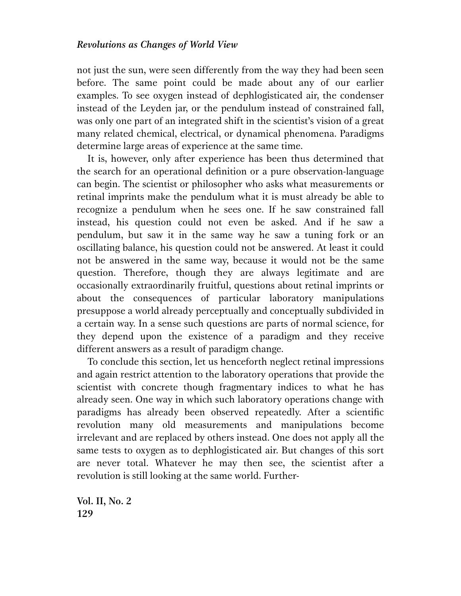# *Revolutions as Changes of World View*

not just the sun, were seen differently from the way they had been seen before. The same point could be made about any of our earlier examples. To see oxygen instead of dephlogisticated air, the condenser instead of the Leyden jar, or the pendulum instead of constrained fall, was only one part of an integrated shift in the scientist's vision of a great many related chemical, electrical, or dynamical phenomena. Paradigms determine large areas of experience at the same time.

It is, however, only after experience has been thus determined that the search for an operational definition or a pure observation-language can begin. The scientist or philosopher who asks what measurements or retinal imprints make the pendulum what it is must already be able to recognize a pendulum when he sees one. If he saw constrained fall instead, his question could not even be asked. And if he saw a pendulum, but saw it in the same way he saw a tuning fork or an oscillating balance, his question could not be answered. At least it could not be answered in the same way, because it would not be the same question. Therefore, though they are always legitimate and are occasionally extraordinarily fruitful, questions about retinal imprints or about the consequences of particular laboratory manipulations presuppose a world already perceptually and conceptually subdivided in a certain way. In a sense such questions are parts of normal science, for they depend upon the existence of a paradigm and they receive different answers as a result of paradigm change.

To conclude this section, let us henceforth neglect retinal impressions and again restrict attention to the laboratory operations that provide the scientist with concrete though fragmentary indices to what he has already seen. One way in which such laboratory operations change with paradigms has already been observed repeatedly. After a scientific revolution many old measurements and manipulations become irrelevant and are replaced by others instead. One does not apply all the same tests to oxygen as to dephlogisticated air. But changes of this sort are never total. Whatever he may then see, the scientist after a revolution is still looking at the same world. Further-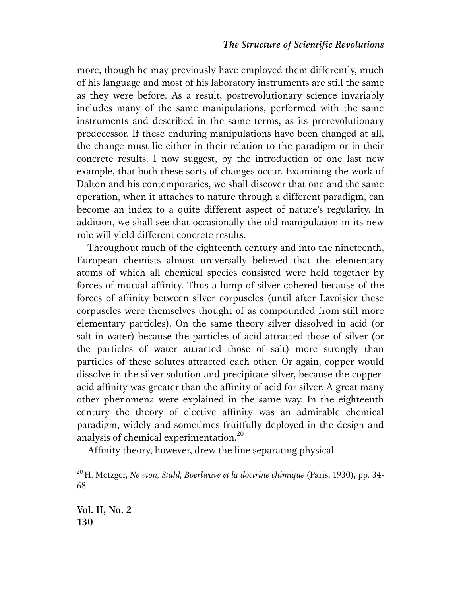more, though he may previously have employed them differently, much of his language and most of his laboratory instruments are still the same as they were before. As a result, postrevolutionary science invariably includes many of the same manipulations, performed with the same instruments and described in the same terms, as its prerevolutionary predecessor. If these enduring manipulations have been changed at all, the change must lie either in their relation to the paradigm or in their concrete results. I now suggest, by the introduction of one last new example, that both these sorts of changes occur. Examining the work of Dalton and his contemporaries, we shall discover that one and the same operation, when it attaches to nature through a different paradigm, can become an index to a quite different aspect of nature's regularity. In addition, we shall see that occasionally the old manipulation in its new role will yield different concrete results.

Throughout much of the eighteenth century and into the nineteenth, European chemists almost universally believed that the elementary atoms of which all chemical species consisted were held together by forces of mutual affinity. Thus a lump of silver cohered because of the forces of affinity between silver corpuscles (until after Lavoisier these corpuscles were themselves thought of as compounded from still more elementary particles). On the same theory silver dissolved in acid (or salt in water) because the particles of acid attracted those of silver (or the particles of water attracted those of salt) more strongly than particles of these solutes attracted each other. Or again, copper would dissolve in the silver solution and precipitate silver, because the copperacid affinity was greater than the affinity of acid for silver. A great many other phenomena were explained in the same way. In the eighteenth century the theory of elective affinity was an admirable chemical paradigm, widely and sometimes fruitfully deployed in the design and analysis of chemical experimentation.20

Affinity theory, however, drew the line separating physical

<sup>20</sup> H. Metzger, *Newton, Stahl, Boerlwave et la doctrine chimique* (Paris, 1930), pp. 34-68.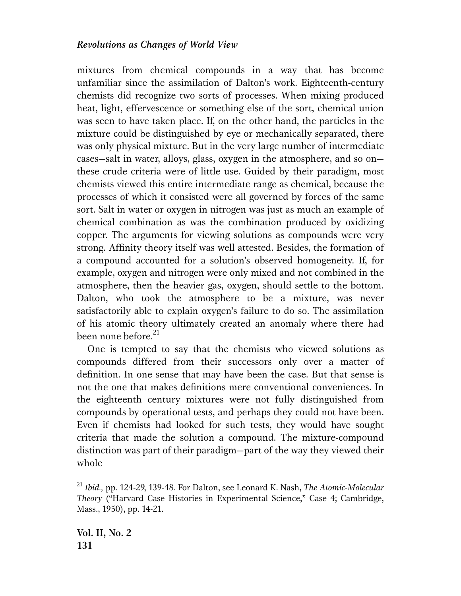## *Revolutions as Changes of World View*

mixtures from chemical compounds in a way that has become unfamiliar since the assimilation of Dalton's work. Eighteenth-century chemists did recognize two sorts of processes. When mixing produced heat, light, effervescence or something else of the sort, chemical union was seen to have taken place. If, on the other hand, the particles in the mixture could be distinguished by eye or mechanically separated, there was only physical mixture. But in the very large number of intermediate cases—salt in water, alloys, glass, oxygen in the atmosphere, and so on these crude criteria were of little use. Guided by their paradigm, most chemists viewed this entire intermediate range as chemical, because the processes of which it consisted were all governed by forces of the same sort. Salt in water or oxygen in nitrogen was just as much an example of chemical combination as was the combination produced by oxidizing copper. The arguments for viewing solutions as compounds were very strong. Affinity theory itself was well attested. Besides, the formation of a compound accounted for a solution's observed homogeneity. If, for example, oxygen and nitrogen were only mixed and not combined in the atmosphere, then the heavier gas, oxygen, should settle to the bottom. Dalton, who took the atmosphere to be a mixture, was never satisfactorily able to explain oxygen's failure to do so. The assimilation of his atomic theory ultimately created an anomaly where there had been none before.<sup>21</sup>

One is tempted to say that the chemists who viewed solutions as compounds differed from their successors only over a matter of definition. In one sense that may have been the case. But that sense is not the one that makes definitions mere conventional conveniences. In the eighteenth century mixtures were not fully distinguished from compounds by operational tests, and perhaps they could not have been. Even if chemists had looked for such tests, they would have sought criteria that made the solution a compound. The mixture-compound distinction was part of their paradigm—part of the way they viewed their whole

<sup>21</sup> *Ibid.,* pp. 124-29, 139-48. For Dalton, see Leonard K. Nash, *The Atomic-Molecular Theory* ("Harvard Case Histories in Experimental Science," Case 4; Cambridge, Mass., 1950), pp. 14-21.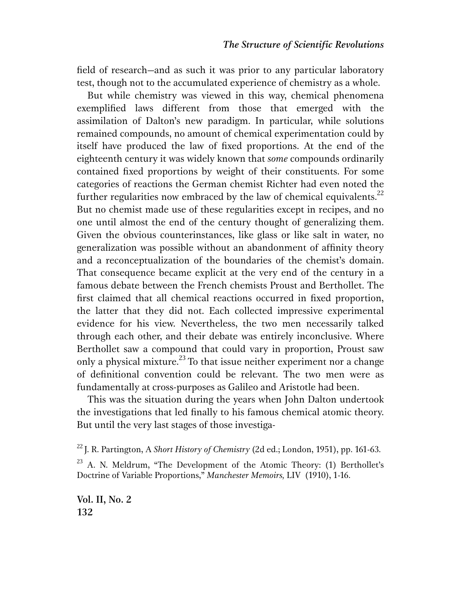field of research—and as such it was prior to any particular laboratory test, though not to the accumulated experience of chemistry as a whole.

But while chemistry was viewed in this way, chemical phenomena exemplified laws different from those that emerged with the assimilation of Dalton's new paradigm. In particular, while solutions remained compounds, no amount of chemical experimentation could by itself have produced the law of fixed proportions. At the end of the eighteenth century it was widely known that *some* compounds ordinarily contained fixed proportions by weight of their constituents. For some categories of reactions the German chemist Richter had even noted the further regularities now embraced by the law of chemical equivalents.<sup>22</sup> But no chemist made use of these regularities except in recipes, and no one until almost the end of the century thought of generalizing them. Given the obvious counterinstances, like glass or like salt in water, no generalization was possible without an abandonment of affinity theory and a reconceptualization of the boundaries of the chemist's domain. That consequence became explicit at the very end of the century in a famous debate between the French chemists Proust and Berthollet. The first claimed that all chemical reactions occurred in fixed proportion, the latter that they did not. Each collected impressive experimental evidence for his view. Nevertheless, the two men necessarily talked through each other, and their debate was entirely inconclusive. Where Berthollet saw a compound that could vary in proportion, Proust saw only a physical mixture.<sup>23</sup> To that issue neither experiment nor a change of definitional convention could be relevant. The two men were as fundamentally at cross-purposes as Galileo and Aristotle had been.

This was the situation during the years when John Dalton undertook the investigations that led finally to his famous chemical atomic theory. But until the very last stages of those investiga-

22 J. R. Partington, A *Short History of Chemistry* (2d ed.; London, 1951), pp. 161-63. <sup>23</sup> A. N. Meldrum, "The Development of the Atomic Theory: (1) Berthollet's Doctrine of Variable Proportions," *Manchester Memoirs,* LIV (1910), 1-16.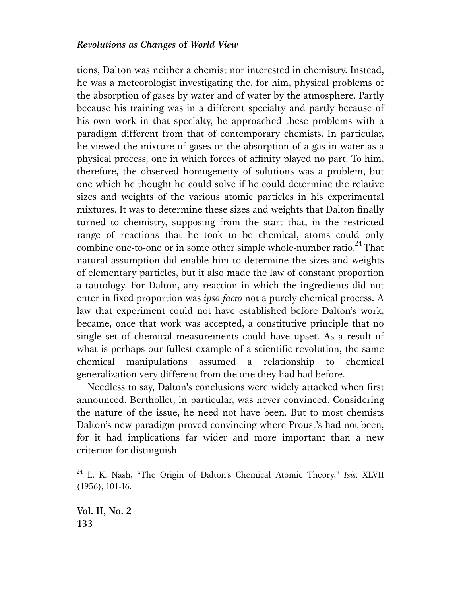## *Revolutions as Changes* of *World View*

tions, Dalton was neither a chemist nor interested in chemistry. Instead, he was a meteorologist investigating the, for him, physical problems of the absorption of gases by water and of water by the atmosphere. Partly because his training was in a different specialty and partly because of his own work in that specialty, he approached these problems with a paradigm different from that of contemporary chemists. In particular, he viewed the mixture of gases or the absorption of a gas in water as a physical process, one in which forces of affinity played no part. To him, therefore, the observed homogeneity of solutions was a problem, but one which he thought he could solve if he could determine the relative sizes and weights of the various atomic particles in his experimental mixtures. It was to determine these sizes and weights that Dalton finally turned to chemistry, supposing from the start that, in the restricted range of reactions that he took to be chemical, atoms could only combine one-to-one or in some other simple whole-number ratio. $^{24}$  That natural assumption did enable him to determine the sizes and weights of elementary particles, but it also made the law of constant proportion a tautology. For Dalton, any reaction in which the ingredients did not enter in fixed proportion was *ipso facto* not a purely chemical process. A law that experiment could not have established before Dalton's work, became, once that work was accepted, a constitutive principle that no single set of chemical measurements could have upset. As a result of what is perhaps our fullest example of a scientific revolution, the same chemical manipulations assumed a relationship to chemical generalization very different from the one they had had before.

Needless to say, Dalton's conclusions were widely attacked when first announced. Berthollet, in particular, was never convinced. Considering the nature of the issue, he need not have been. But to most chemists Dalton's new paradigm proved convincing where Proust's had not been, for it had implications far wider and more important than a new criterion for distinguish-

24 L. K. Nash, "The Origin of Dalton's Chemical Atomic Theory," *Isis,* XLVII (1956), 101-16.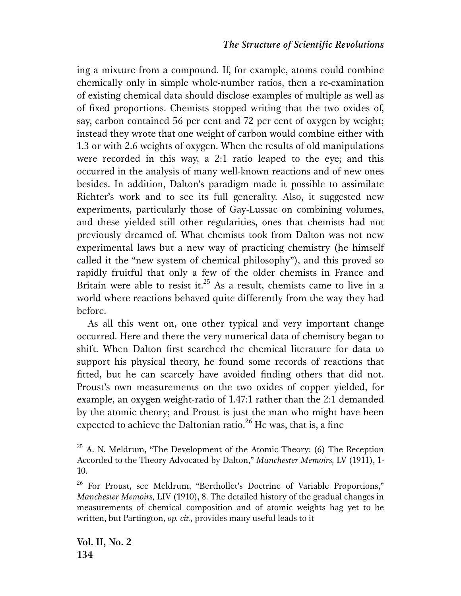ing a mixture from a compound. If, for example, atoms could combine chemically only in simple whole-number ratios, then a re-examination of existing chemical data should disclose examples of multiple as well as of fixed proportions. Chemists stopped writing that the two oxides of, say, carbon contained 56 per cent and 72 per cent of oxygen by weight; instead they wrote that one weight of carbon would combine either with 1.3 or with 2.6 weights of oxygen. When the results of old manipulations were recorded in this way, a 2:1 ratio leaped to the eye; and this occurred in the analysis of many well-known reactions and of new ones besides. In addition, Dalton's paradigm made it possible to assimilate Richter's work and to see its full generality. Also, it suggested new experiments, particularly those of Gay-Lussac on combining volumes, and these yielded still other regularities, ones that chemists had not previously dreamed of. What chemists took from Dalton was not new experimental laws but a new way of practicing chemistry (he himself called it the "new system of chemical philosophy"), and this proved so rapidly fruitful that only a few of the older chemists in France and Britain were able to resist it.<sup>25</sup> As a result, chemists came to live in a world where reactions behaved quite differently from the way they had before.

As all this went on, one other typical and very important change occurred. Here and there the very numerical data of chemistry began to shift. When Dalton first searched the chemical literature for data to support his physical theory, he found some records of reactions that fitted, but he can scarcely have avoided finding others that did not. Proust's own measurements on the two oxides of copper yielded, for example, an oxygen weight-ratio of 1.47:1 rather than the 2:1 demanded by the atomic theory; and Proust is just the man who might have been expected to achieve the Daltonian ratio.<sup>26</sup> He was, that is, a fine

 $25$  A. N. Meldrum, "The Development of the Atomic Theory: (6) The Reception Accorded to the Theory Advocated by Dalton," *Manchester Memoirs,* LV (1911), 1- 10.

 $26$  For Proust, see Meldrum, "Berthollet's Doctrine of Variable Proportions," *Manchester Memoirs,* LIV (1910), 8. The detailed history of the gradual changes in measurements of chemical composition and of atomic weights hag yet to be written, but Partington, *op. cit.,* provides many useful leads to it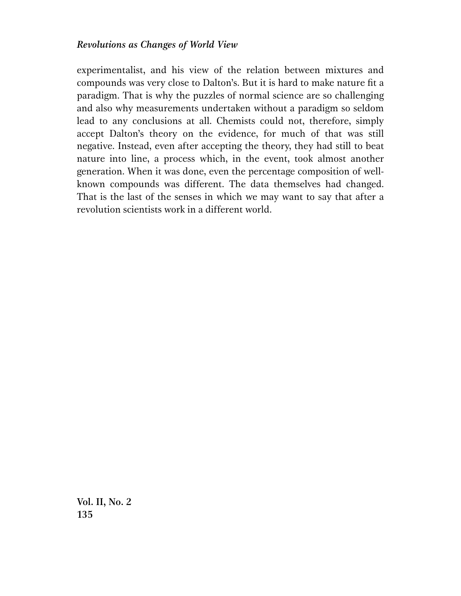# *Revolutions as Changes of World View*

experimentalist, and his view of the relation between mixtures and compounds was very close to Dalton's. But it is hard to make nature fit a paradigm. That is why the puzzles of normal science are so challenging and also why measurements undertaken without a paradigm so seldom lead to any conclusions at all. Chemists could not, therefore, simply accept Dalton's theory on the evidence, for much of that was still negative. Instead, even after accepting the theory, they had still to beat nature into line, a process which, in the event, took almost another generation. When it was done, even the percentage composition of wellknown compounds was different. The data themselves had changed. That is the last of the senses in which we may want to say that after a revolution scientists work in a different world.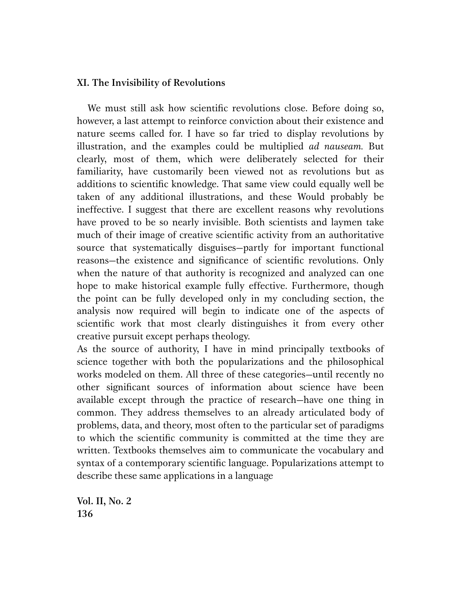## XI. The Invisibility of Revolutions

We must still ask how scientific revolutions close. Before doing so, however, a last attempt to reinforce conviction about their existence and nature seems called for. I have so far tried to display revolutions by illustration, and the examples could be multiplied *ad nauseam.* But clearly, most of them, which were deliberately selected for their familiarity, have customarily been viewed not as revolutions but as additions to scientific knowledge. That same view could equally well be taken of any additional illustrations, and these Would probably be ineffective. I suggest that there are excellent reasons why revolutions have proved to be so nearly invisible. Both scientists and laymen take much of their image of creative scientific activity from an authoritative source that systematically disguises—partly for important functional reasons—the existence and significance of scientific revolutions. Only when the nature of that authority is recognized and analyzed can one hope to make historical example fully effective. Furthermore, though the point can be fully developed only in my concluding section, the analysis now required will begin to indicate one of the aspects of scientific work that most clearly distinguishes it from every other creative pursuit except perhaps theology.

As the source of authority, I have in mind principally textbooks of science together with both the popularizations and the philosophical works modeled on them. All three of these categories—until recently no other significant sources of information about science have been available except through the practice of research—have one thing in common. They address themselves to an already articulated body of problems, data, and theory, most often to the particular set of paradigms to which the scientific community is committed at the time they are written. Textbooks themselves aim to communicate the vocabulary and syntax of a contemporary scientific language. Popularizations attempt to describe these same applications in a language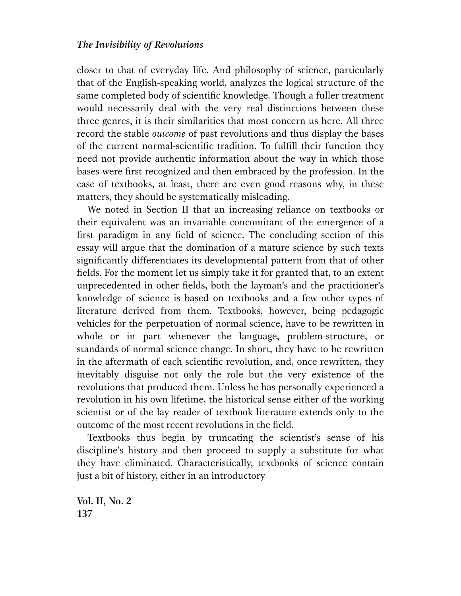## *The Invisibility of Revolutions*

closer to that of everyday life. And philosophy of science, particularly that of the English-speaking world, analyzes the logical structure of the same completed body of scientific knowledge. Though a fuller treatment would necessarily deal with the very real distinctions between these three genres, it is their similarities that most concern us here. All three record the stable *outcome* of past revolutions and thus display the bases of the current normal-scientific tradition. To fulfill their function they need not provide authentic information about the way in which those bases were first recognized and then embraced by the profession. In the case of textbooks, at least, there are even good reasons why, in these matters, they should be systematically misleading.

We noted in Section II that an increasing reliance on textbooks or their equivalent was an invariable concomitant of the emergence of a first paradigm in any field of science. The concluding section of this essay will argue that the domination of a mature science by such texts significantly differentiates its developmental pattern from that of other fields. For the moment let us simply take it for granted that, to an extent unprecedented in other fields, both the layman's and the practitioner's knowledge of science is based on textbooks and a few other types of literature derived from them. Textbooks, however, being pedagogic vehicles for the perpetuation of normal science, have to be rewritten in whole or in part whenever the language, problem-structure, or standards of normal science change. In short, they have to be rewritten in the aftermath of each scientific revolution, and, once rewritten, they inevitably disguise not only the role but the very existence of the revolutions that produced them. Unless he has personally experienced a revolution in his own lifetime, the historical sense either of the working scientist or of the lay reader of textbook literature extends only to the outcome of the most recent revolutions in the field.

Textbooks thus begin by truncating the scientist's sense of his discipline's history and then proceed to supply a substitute for what they have eliminated. Characteristically, textbooks of science contain just a bit of history, either in an introductory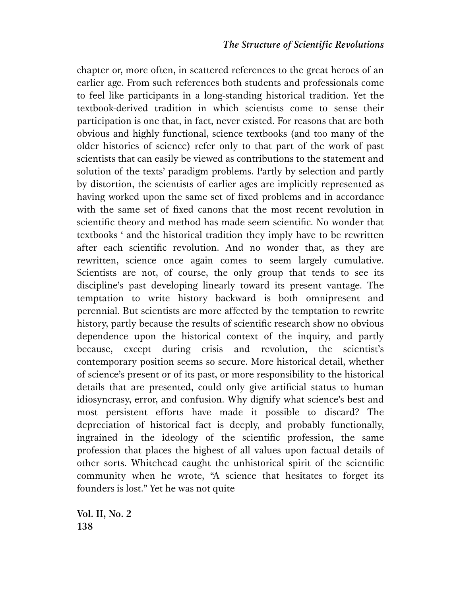chapter or, more often, in scattered references to the great heroes of an earlier age. From such references both students and professionals come to feel like participants in a long-standing historical tradition. Yet the textbook-derived tradition in which scientists come to sense their participation is one that, in fact, never existed. For reasons that are both obvious and highly functional, science textbooks (and too many of the older histories of science) refer only to that part of the work of past scientists that can easily be viewed as contributions to the statement and solution of the texts' paradigm problems. Partly by selection and partly by distortion, the scientists of earlier ages are implicitly represented as having worked upon the same set of fixed problems and in accordance with the same set of fixed canons that the most recent revolution in scientific theory and method has made seem scientific. No wonder that textbooks ' and the historical tradition they imply have to be rewritten after each scientific revolution. And no wonder that, as they are rewritten, science once again comes to seem largely cumulative. Scientists are not, of course, the only group that tends to see its discipline's past developing linearly toward its present vantage. The temptation to write history backward is both omnipresent and perennial. But scientists are more affected by the temptation to rewrite history, partly because the results of scientific research show no obvious dependence upon the historical context of the inquiry, and partly because, except during crisis and revolution, the scientist's contemporary position seems so secure. More historical detail, whether of science's present or of its past, or more responsibility to the historical details that are presented, could only give artificial status to human idiosyncrasy, error, and confusion. Why dignify what science's best and most persistent efforts have made it possible to discard? The depreciation of historical fact is deeply, and probably functionally, ingrained in the ideology of the scientific profession, the same profession that places the highest of all values upon factual details of other sorts. Whitehead caught the unhistorical spirit of the scientific community when he wrote, "A science that hesitates to forget its founders is lost." Yet he was not quite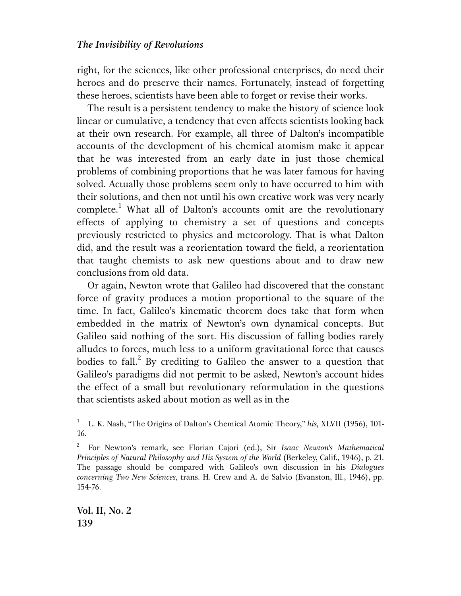right, for the sciences, like other professional enterprises, do need their heroes and do preserve their names. Fortunately, instead of forgetting these heroes, scientists have been able to forget or revise their works.

The result is a persistent tendency to make the history of science look linear or cumulative, a tendency that even affects scientists looking back at their own research. For example, all three of Dalton's incompatible accounts of the development of his chemical atomism make it appear that he was interested from an early date in just those chemical problems of combining proportions that he was later famous for having solved. Actually those problems seem only to have occurred to him with their solutions, and then not until his own creative work was very nearly complete.<sup>1</sup> What all of Dalton's accounts omit are the revolutionary effects of applying to chemistry a set of questions and concepts previously restricted to physics and meteorology. That is what Dalton did, and the result was a reorientation toward the field, a reorientation that taught chemists to ask new questions about and to draw new conclusions from old data.

Or again, Newton wrote that Galileo had discovered that the constant force of gravity produces a motion proportional to the square of the time. In fact, Galileo's kinematic theorem does take that form when embedded in the matrix of Newton's own dynamical concepts. But Galileo said nothing of the sort. His discussion of falling bodies rarely alludes to forces, much less to a uniform gravitational force that causes bodies to fall.<sup>2</sup> By crediting to Galileo the answer to a question that Galileo's paradigms did not permit to be asked, Newton's account hides the effect of a small but revolutionary reformulation in the questions that scientists asked about motion as well as in the

2 For Newton's remark, see Florian Cajori (ed.), Sir *Isaac Newton's Mathematical Principles of Natural Philosophy and His System of the World* (Berkeley, Calif., 1946), p. 21. The passage should be compared with Galileo's own discussion in his *Dialogues concerning Two New Sciences,* trans. H. Crew and A. de Salvio (Evanston, Ill., 1946), pp. 154-76.

<sup>1</sup> L. K. Nash, "The Origins of Dalton's Chemical Atomic Theory," *his,* XLVII (1956), 101- 16.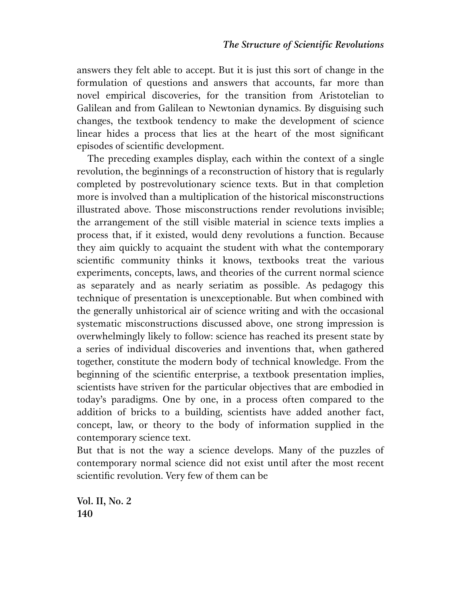answers they felt able to accept. But it is just this sort of change in the formulation of questions and answers that accounts, far more than novel empirical discoveries, for the transition from Aristotelian to Galilean and from Galilean to Newtonian dynamics. By disguising such changes, the textbook tendency to make the development of science linear hides a process that lies at the heart of the most significant episodes of scientific development.

The preceding examples display, each within the context of a single revolution, the beginnings of a reconstruction of history that is regularly completed by postrevolutionary science texts. But in that completion more is involved than a multiplication of the historical misconstructions illustrated above. Those misconstructions render revolutions invisible; the arrangement of the still visible material in science texts implies a process that, if it existed, would deny revolutions a function. Because they aim quickly to acquaint the student with what the contemporary scientific community thinks it knows, textbooks treat the various experiments, concepts, laws, and theories of the current normal science as separately and as nearly seriatim as possible. As pedagogy this technique of presentation is unexceptionable. But when combined with the generally unhistorical air of science writing and with the occasional systematic misconstructions discussed above, one strong impression is overwhelmingly likely to follow: science has reached its present state by a series of individual discoveries and inventions that, when gathered together, constitute the modern body of technical knowledge. From the beginning of the scientific enterprise, a textbook presentation implies, scientists have striven for the particular objectives that are embodied in today's paradigms. One by one, in a process often compared to the addition of bricks to a building, scientists have added another fact, concept, law, or theory to the body of information supplied in the contemporary science text.

But that is not the way a science develops. Many of the puzzles of contemporary normal science did not exist until after the most recent scientific revolution. Very few of them can be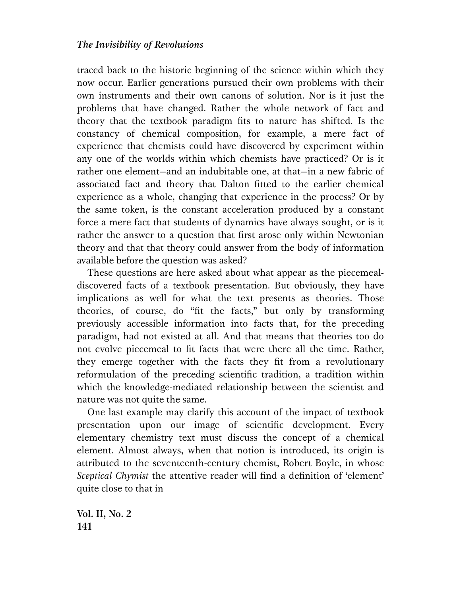traced back to the historic beginning of the science within which they now occur. Earlier generations pursued their own problems with their own instruments and their own canons of solution. Nor is it just the problems that have changed. Rather the whole network of fact and theory that the textbook paradigm fits to nature has shifted. Is the constancy of chemical composition, for example, a mere fact of experience that chemists could have discovered by experiment within any one of the worlds within which chemists have practiced? Or is it rather one element—and an indubitable one, at that—in a new fabric of associated fact and theory that Dalton fitted to the earlier chemical experience as a whole, changing that experience in the process? Or by the same token, is the constant acceleration produced by a constant force a mere fact that students of dynamics have always sought, or is it rather the answer to a question that first arose only within Newtonian theory and that that theory could answer from the body of information available before the question was asked?

These questions are here asked about what appear as the piecemealdiscovered facts of a textbook presentation. But obviously, they have implications as well for what the text presents as theories. Those theories, of course, do "fit the facts," but only by transforming previously accessible information into facts that, for the preceding paradigm, had not existed at all. And that means that theories too do not evolve piecemeal to fit facts that were there all the time. Rather, they emerge together with the facts they fit from a revolutionary reformulation of the preceding scientific tradition, a tradition within which the knowledge-mediated relationship between the scientist and nature was not quite the same.

One last example may clarify this account of the impact of textbook presentation upon our image of scientific development. Every elementary chemistry text must discuss the concept of a chemical element. Almost always, when that notion is introduced, its origin is attributed to the seventeenth-century chemist, Robert Boyle, in whose *Sceptical Chymist* the attentive reader will find a definition of 'element' quite close to that in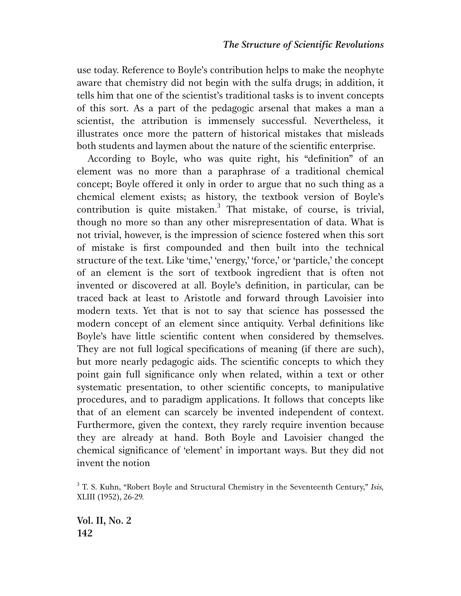use today. Reference to Boyle's contribution helps to make the neophyte aware that chemistry did not begin with the sulfa drugs; in addition, it tells him that one of the scientist's traditional tasks is to invent concepts of this sort. As a part of the pedagogic arsenal that makes a man a scientist, the attribution is immensely successful. Nevertheless, it illustrates once more the pattern of historical mistakes that misleads both students and laymen about the nature of the scientific enterprise.

According to Boyle, who was quite right, his "definition" of an element was no more than a paraphrase of a traditional chemical concept; Boyle offered it only in order to argue that no such thing as a chemical element exists; as history, the textbook version of Boyle's contribution is quite mistaken. $3$  That mistake, of course, is trivial, though no more so than any other misrepresentation of data. What is not trivial, however, is the impression of science fostered when this sort of mistake is first compounded and then built into the technical structure of the text. Like 'time,' 'energy,' 'force,' or 'particle,' the concept of an element is the sort of textbook ingredient that is often not invented or discovered at all. Boyle's definition, in particular, can be traced back at least to Aristotle and forward through Lavoisier into modern texts. Yet that is not to say that science has possessed the modern concept of an element since antiquity. Verbal definitions like Boyle's have little scientific content when considered by themselves. They are not full logical specifications of meaning (if there are such), but more nearly pedagogic aids. The scientific concepts to which they point gain full significance only when related, within a text or other systematic presentation, to other scientific concepts, to manipulative procedures, and to paradigm applications. It follows that concepts like that of an element can scarcely be invented independent of context. Furthermore, given the context, they rarely require invention because they are already at hand. Both Boyle and Lavoisier changed the chemical significance of 'element' in important ways. But they did not invent the notion

<sup>3</sup> T. S. Kuhn, "Robert Boyle and Structural Chemistry in the Seventeenth Century," *Isis,*  XLIII (1952), 26-29.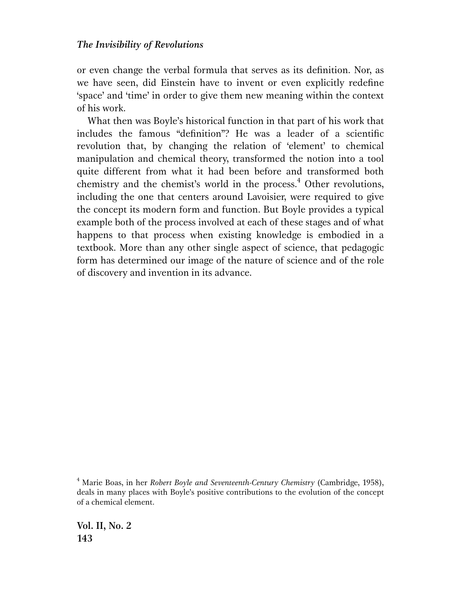or even change the verbal formula that serves as its definition. Nor, as we have seen, did Einstein have to invent or even explicitly redefine 'space' and 'time' in order to give them new meaning within the context of his work.

What then was Boyle's historical function in that part of his work that includes the famous "definition"? He was a leader of a scientific revolution that, by changing the relation of 'element' to chemical manipulation and chemical theory, transformed the notion into a tool quite different from what it had been before and transformed both chemistry and the chemist's world in the process.<sup>4</sup> Other revolutions, including the one that centers around Lavoisier, were required to give the concept its modern form and function. But Boyle provides a typical example both of the process involved at each of these stages and of what happens to that process when existing knowledge is embodied in a textbook. More than any other single aspect of science, that pedagogic form has determined our image of the nature of science and of the role of discovery and invention in its advance.

<sup>&</sup>lt;sup>4</sup> Marie Boas, in her *Robert Boyle and Seventeenth-Century Chemistry (Cambridge, 1958),* deals in many places with Boyle's positive contributions to the evolution of the concept of a chemical element.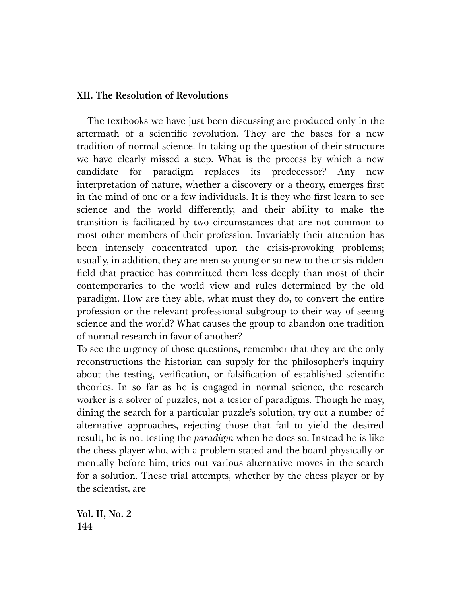### XII. The Resolution of Revolutions

The textbooks we have just been discussing are produced only in the aftermath of a scientific revolution. They are the bases for a new tradition of normal science. In taking up the question of their structure we have clearly missed a step. What is the process by which a new candidate for paradigm replaces its predecessor? Any new interpretation of nature, whether a discovery or a theory, emerges first in the mind of one or a few individuals. It is they who first learn to see science and the world differently, and their ability to make the transition is facilitated by two circumstances that are not common to most other members of their profession. Invariably their attention has been intensely concentrated upon the crisis-provoking problems; usually, in addition, they are men so young or so new to the crisis-ridden field that practice has committed them less deeply than most of their contemporaries to the world view and rules determined by the old paradigm. How are they able, what must they do, to convert the entire profession or the relevant professional subgroup to their way of seeing science and the world? What causes the group to abandon one tradition of normal research in favor of another?

To see the urgency of those questions, remember that they are the only reconstructions the historian can supply for the philosopher's inquiry about the testing, verification, or falsification of established scientific theories. In so far as he is engaged in normal science, the research worker is a solver of puzzles, not a tester of paradigms. Though he may, dining the search for a particular puzzle's solution, try out a number of alternative approaches, rejecting those that fail to yield the desired result, he is not testing the *paradigm* when he does so. Instead he is like the chess player who, with a problem stated and the board physically or mentally before him, tries out various alternative moves in the search for a solution. These trial attempts, whether by the chess player or by the scientist, are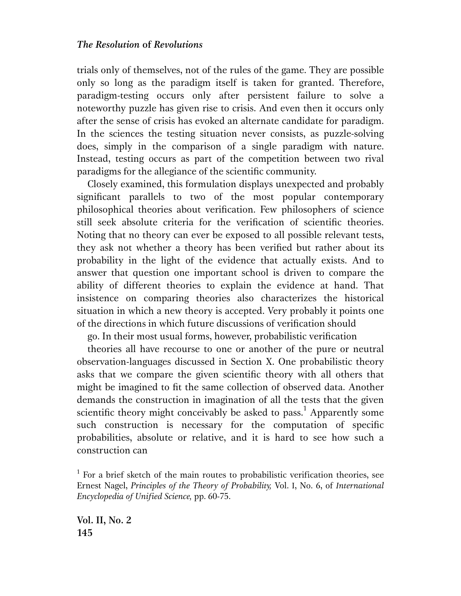trials only of themselves, not of the rules of the game. They are possible only so long as the paradigm itself is taken for granted. Therefore, paradigm-testing occurs only after persistent failure to solve a noteworthy puzzle has given rise to crisis. And even then it occurs only after the sense of crisis has evoked an alternate candidate for paradigm. In the sciences the testing situation never consists, as puzzle-solving does, simply in the comparison of a single paradigm with nature. Instead, testing occurs as part of the competition between two rival paradigms for the allegiance of the scientific community.

Closely examined, this formulation displays unexpected and probably significant parallels to two of the most popular contemporary philosophical theories about verification. Few philosophers of science still seek absolute criteria for the verification of scientific theories. Noting that no theory can ever be exposed to all possible relevant tests, they ask not whether a theory has been verified but rather about its probability in the light of the evidence that actually exists. And to answer that question one important school is driven to compare the ability of different theories to explain the evidence at hand. That insistence on comparing theories also characterizes the historical situation in which a new theory is accepted. Very probably it points one of the directions in which future discussions of verification should

go. In their most usual forms, however, probabilistic verification

theories all have recourse to one or another of the pure or neutral observation-languages discussed in Section X. One probabilistic theory asks that we compare the given scientific theory with all others that might be imagined to fit the same collection of observed data. Another demands the construction in imagination of all the tests that the given scientific theory might conceivably be asked to pass.<sup>1</sup> Apparently some such construction is necessary for the computation of specific probabilities, absolute or relative, and it is hard to see how such a construction can

<sup>1</sup> For a brief sketch of the main routes to probabilistic verification theories, see Ernest Nagel, *Principles of the Theory of Probability,* Vol. I, No. 6, of *International Encyclopedia of Unified Science,* pp. 60-75.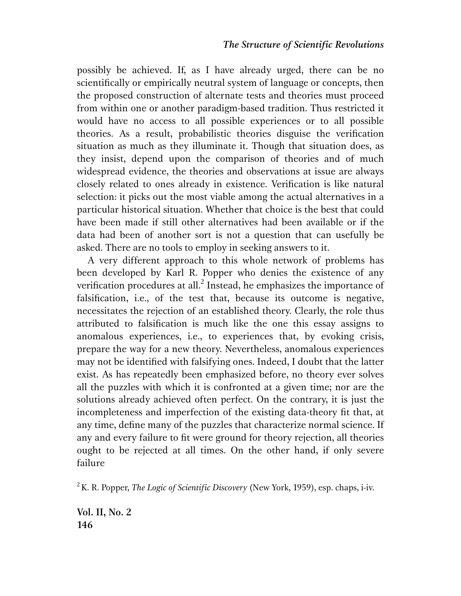possibly be achieved. If, as I have already urged, there can be no scientifically or empirically neutral system of language or concepts, then the proposed construction of alternate tests and theories must proceed from within one or another paradigm-based tradition. Thus restricted it would have no access to all possible experiences or to all possible theories. As a result, probabilistic theories disguise the verification situation as much as they illuminate it. Though that situation does, as they insist, depend upon the comparison of theories and of much widespread evidence, the theories and observations at issue are always closely related to ones already in existence. Verification is like natural selection: it picks out the most viable among the actual alternatives in a particular historical situation. Whether that choice is the best that could have been made if still other alternatives had been available or if the data had been of another sort is not a question that can usefully be asked. There are no tools to employ in seeking answers to it.

A very different approach to this whole network of problems has been developed by Karl R. Popper who denies the existence of any verification procedures at all. $^2$  Instead, he emphasizes the importance of falsification, i.e., of the test that, because its outcome is negative, necessitates the rejection of an established theory. Clearly, the role thus attributed to falsification is much like the one this essay assigns to anomalous experiences, i.e., to experiences that, by evoking crisis, prepare the way for a new theory. Nevertheless, anomalous experiences may not be identified with falsifying ones. Indeed, I doubt that the latter exist. As has repeatedly been emphasized before, no theory ever solves all the puzzles with which it is confronted at a given time; nor are the solutions already achieved often perfect. On the contrary, it is just the incompleteness and imperfection of the existing data-theory fit that, at any time, define many of the puzzles that characterize normal science. If any and every failure to fit were ground for theory rejection, all theories ought to be rejected at all times. On the other hand, if only severe failure

2 K. R. Popper, *The Logic of Scientific Discovery* (New York, 1959), esp. chaps, i-iv.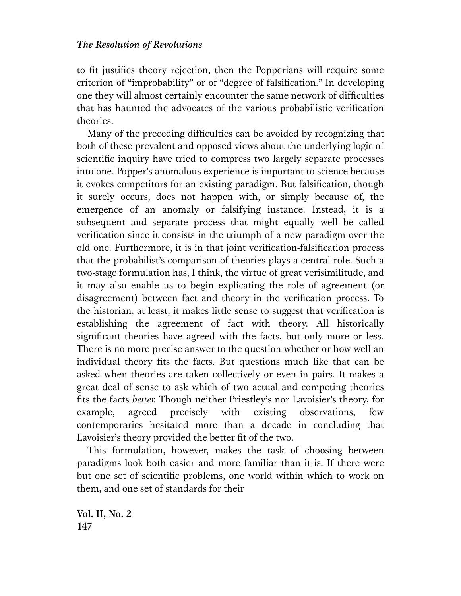## *The Resolution of Revolutions*

to fit justifies theory rejection, then the Popperians will require some criterion of "improbability" or of "degree of falsification." In developing one they will almost certainly encounter the same network of difficulties that has haunted the advocates of the various probabilistic verification theories.

Many of the preceding difficulties can be avoided by recognizing that both of these prevalent and opposed views about the underlying logic of scientific inquiry have tried to compress two largely separate processes into one. Popper's anomalous experience is important to science because it evokes competitors for an existing paradigm. But falsification, though it surely occurs, does not happen with, or simply because of, the emergence of an anomaly or falsifying instance. Instead, it is a subsequent and separate process that might equally well be called verification since it consists in the triumph of a new paradigm over the old one. Furthermore, it is in that joint verification-falsification process that the probabilist's comparison of theories plays a central role. Such a two-stage formulation has, I think, the virtue of great verisimilitude, and it may also enable us to begin explicating the role of agreement (or disagreement) between fact and theory in the verification process. To the historian, at least, it makes little sense to suggest that verification is establishing the agreement of fact with theory. All historically significant theories have agreed with the facts, but only more or less. There is no more precise answer to the question whether or how well an individual theory fits the facts. But questions much like that can be asked when theories are taken collectively or even in pairs. It makes a great deal of sense to ask which of two actual and competing theories fits the facts *better.* Though neither Priestley's nor Lavoisier's theory, for example, agreed precisely with existing observations, few contemporaries hesitated more than a decade in concluding that Lavoisier's theory provided the better fit of the two.

This formulation, however, makes the task of choosing between paradigms look both easier and more familiar than it is. If there were but one set of scientific problems, one world within which to work on them, and one set of standards for their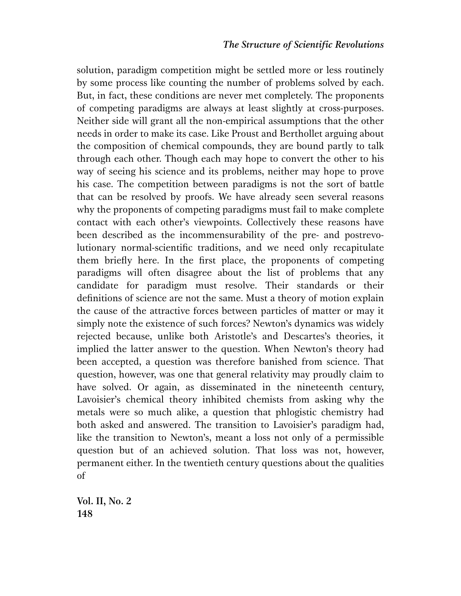solution, paradigm competition might be settled more or less routinely by some process like counting the number of problems solved by each. But, in fact, these conditions are never met completely. The proponents of competing paradigms are always at least slightly at cross-purposes. Neither side will grant all the non-empirical assumptions that the other needs in order to make its case. Like Proust and Berthollet arguing about the composition of chemical compounds, they are bound partly to talk through each other. Though each may hope to convert the other to his way of seeing his science and its problems, neither may hope to prove his case. The competition between paradigms is not the sort of battle that can be resolved by proofs. We have already seen several reasons why the proponents of competing paradigms must fail to make complete contact with each other's viewpoints. Collectively these reasons have been described as the incommensurability of the pre- and postrevolutionary normal-scientific traditions, and we need only recapitulate them briefly here. In the first place, the proponents of competing paradigms will often disagree about the list of problems that any candidate for paradigm must resolve. Their standards or their definitions of science are not the same. Must a theory of motion explain the cause of the attractive forces between particles of matter or may it simply note the existence of such forces? Newton's dynamics was widely rejected because, unlike both Aristotle's and Descartes's theories, it implied the latter answer to the question. When Newton's theory had been accepted, a question was therefore banished from science. That question, however, was one that general relativity may proudly claim to have solved. Or again, as disseminated in the nineteenth century, Lavoisier's chemical theory inhibited chemists from asking why the metals were so much alike, a question that phlogistic chemistry had both asked and answered. The transition to Lavoisier's paradigm had, like the transition to Newton's, meant a loss not only of a permissible question but of an achieved solution. That loss was not, however, permanent either. In the twentieth century questions about the qualities of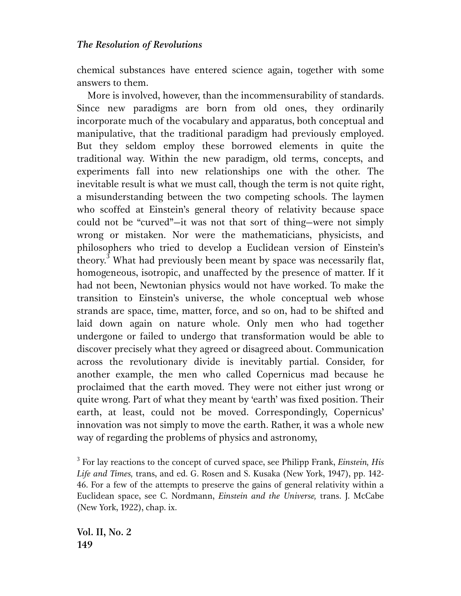# *The Resolution of Revolutions*

chemical substances have entered science again, together with some answers to them.

More is involved, however, than the incommensurability of standards. Since new paradigms are born from old ones, they ordinarily incorporate much of the vocabulary and apparatus, both conceptual and manipulative, that the traditional paradigm had previously employed. But they seldom employ these borrowed elements in quite the traditional way. Within the new paradigm, old terms, concepts, and experiments fall into new relationships one with the other. The inevitable result is what we must call, though the term is not quite right, a misunderstanding between the two competing schools. The laymen who scoffed at Einstein's general theory of relativity because space could not be "curved"—it was not that sort of thing—were not simply wrong or mistaken. Nor were the mathematicians, physicists, and philosophers who tried to develop a Euclidean version of Einstein's theory. $^3$  What had previously been meant by space was necessarily flat, homogeneous, isotropic, and unaffected by the presence of matter. If it had not been, Newtonian physics would not have worked. To make the transition to Einstein's universe, the whole conceptual web whose strands are space, time, matter, force, and so on, had to be shifted and laid down again on nature whole. Only men who had together undergone or failed to undergo that transformation would be able to discover precisely what they agreed or disagreed about. Communication across the revolutionary divide is inevitably partial. Consider, for another example, the men who called Copernicus mad because he proclaimed that the earth moved. They were not either just wrong or quite wrong. Part of what they meant by 'earth' was fixed position. Their earth, at least, could not be moved. Correspondingly, Copernicus' innovation was not simply to move the earth. Rather, it was a whole new way of regarding the problems of physics and astronomy,

3 For lay reactions to the concept of curved space, see Philipp Frank, *Einstein, His Life and Times,* trans, and ed. G. Rosen and S. Kusaka (New York, 1947), pp. 142- 46. For a few of the attempts to preserve the gains of general relativity within a Euclidean space, see C. Nordmann, *Einstein and the Universe,* trans. J. McCabe (New York, 1922), chap. ix.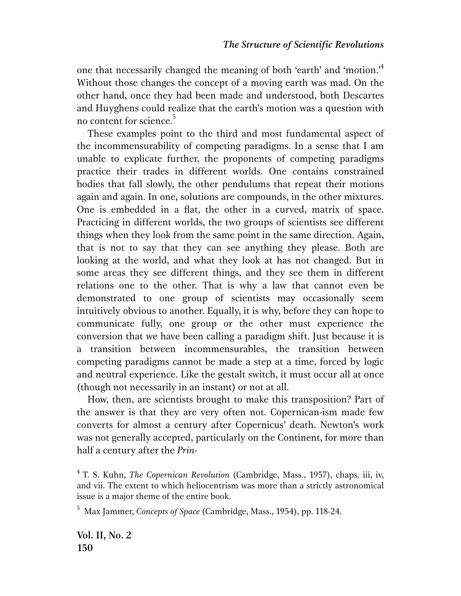one that necessarily changed the meaning of both 'earth' and 'motion.'<sup>4</sup> Without those changes the concept of a moving earth was mad. On the other hand, once they had been made and understood, both Descartes and Huyghens could realize that the earth's motion was a question with no content for science.<sup>5</sup>

These examples point to the third and most fundamental aspect of the incommensurability of competing paradigms. In a sense that I am unable to explicate further, the proponents of competing paradigms practice their trades in different worlds. One contains constrained bodies that fall slowly, the other pendulums that repeat their motions again and again. In one, solutions are compounds, in the other mixtures. One is embedded in a flat, the other in a curved, matrix of space. Practicing in different worlds, the two groups of scientists see different things when they look from the same point in the same direction. Again, that is not to say that they can see anything they please. Both are looking at the world, and what they look at has not changed. But in some areas they see different things, and they see them in different relations one to the other. That is why a law that cannot even be demonstrated to one group of scientists may occasionally seem intuitively obvious to another. Equally, it is why, before they can hope to communicate fully, one group or the other must experience the conversion that we have been calling a paradigm shift. Just because it is a transition between incommensurables, the transition between competing paradigms cannot be made a step at a time, forced by logic and neutral experience. Like the gestalt switch, it must occur all at once (though not necessarily in an instant) or not at all.

How, then, are scientists brought to make this transposition? Part of the answer is that they are very often not. Copernican-ism made few converts for almost a century after Copernicus' death. Newton's work was not generally accepted, particularly on the Continent, for more than half a century after the *Prin-*

<sup>&</sup>lt;sup>4</sup> T. S. Kuhn, *The Copernican Revolution* (Cambridge, Mass., 1957), chaps. iii, iv, and vii. The extent to which heliocentrism was more than a strictly astronomical issue is a major theme of the entire book.

<sup>5</sup> Max Jammer, *Concepts of Space* (Cambridge, Mass., 1954), pp. 118-24.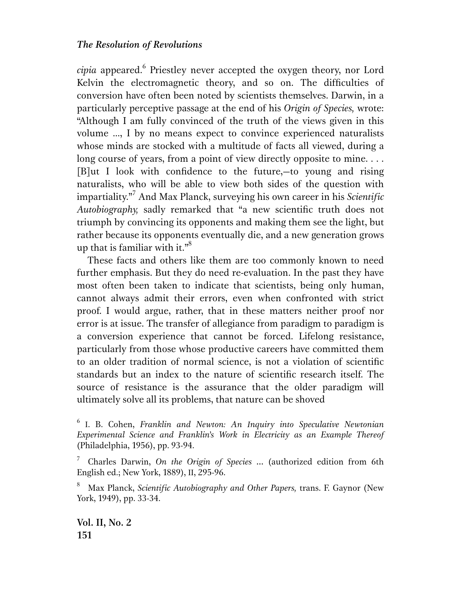# *The Resolution of Revolutions*

*cipia* appeared.<sup>6</sup> Priestley never accepted the oxygen theory, nor Lord Kelvin the electromagnetic theory, and so on. The difficulties of conversion have often been noted by scientists themselves. Darwin, in a particularly perceptive passage at the end of his *Origin of Species,* wrote: "Although I am fully convinced of the truth of the views given in this volume …, I by no means expect to convince experienced naturalists whose minds are stocked with a multitude of facts all viewed, during a long course of years, from a point of view directly opposite to mine.... [B]ut I look with confidence to the future,—to young and rising naturalists, who will be able to view both sides of the question with impartiality."<sup>7</sup> And Max Planck, surveying his own career in his *Scientific Autobiography,* sadly remarked that "a new scientific truth does not triumph by convincing its opponents and making them see the light, but rather because its opponents eventually die, and a new generation grows up that is familiar with it. $"$ <sup>8</sup>

These facts and others like them are too commonly known to need further emphasis. But they do need re-evaluation. In the past they have most often been taken to indicate that scientists, being only human, cannot always admit their errors, even when confronted with strict proof. I would argue, rather, that in these matters neither proof nor error is at issue. The transfer of allegiance from paradigm to paradigm is a conversion experience that cannot be forced. Lifelong resistance, particularly from those whose productive careers have committed them to an older tradition of normal science, is not a violation of scientific standards but an index to the nature of scientific research itself. The source of resistance is the assurance that the older paradigm will ultimately solve all its problems, that nature can be shoved

<sup>6</sup> I. B. Cohen, *Franklin and Newton: An Inquiry into Speculative Newtonian Experimental Science and Franklin's Work in Electricity as an Example Thereof* (Philadelphia, 1956), pp. 93-94.

<sup>7</sup> Charles Darwin, *On the Origin of Species* … (authorized edition from 6th English ed.; New York, 1889), II, 295-96.

<sup>8</sup> Max Planck, *Scientific Autobiography and Other Papers,* trans. F. Gaynor (New York, 1949), pp. 33-34.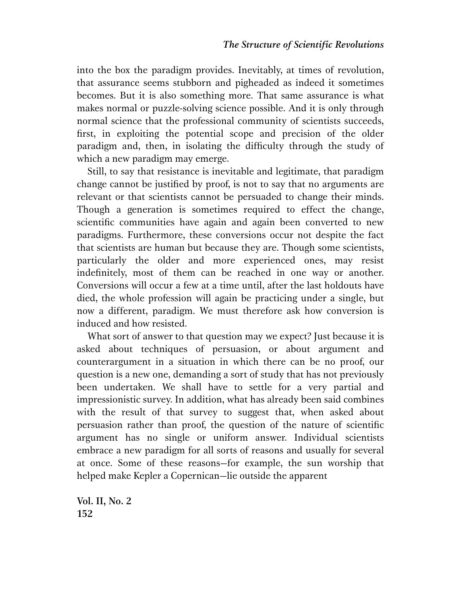into the box the paradigm provides. Inevitably, at times of revolution, that assurance seems stubborn and pigheaded as indeed it sometimes becomes. But it is also something more. That same assurance is what makes normal or puzzle-solving science possible. And it is only through normal science that the professional community of scientists succeeds, first, in exploiting the potential scope and precision of the older paradigm and, then, in isolating the difficulty through the study of which a new paradigm may emerge.

Still, to say that resistance is inevitable and legitimate, that paradigm change cannot be justified by proof, is not to say that no arguments are relevant or that scientists cannot be persuaded to change their minds. Though a generation is sometimes required to effect the change, scientific communities have again and again been converted to new paradigms. Furthermore, these conversions occur not despite the fact that scientists are human but because they are. Though some scientists, particularly the older and more experienced ones, may resist indefinitely, most of them can be reached in one way or another. Conversions will occur a few at a time until, after the last holdouts have died, the whole profession will again be practicing under a single, but now a different, paradigm. We must therefore ask how conversion is induced and how resisted.

What sort of answer to that question may we expect? Just because it is asked about techniques of persuasion, or about argument and counterargument in a situation in which there can be no proof, our question is a new one, demanding a sort of study that has not previously been undertaken. We shall have to settle for a very partial and impressionistic survey. In addition, what has already been said combines with the result of that survey to suggest that, when asked about persuasion rather than proof, the question of the nature of scientific argument has no single or uniform answer. Individual scientists embrace a new paradigm for all sorts of reasons and usually for several at once. Some of these reasons—for example, the sun worship that helped make Kepler a Copernican—lie outside the apparent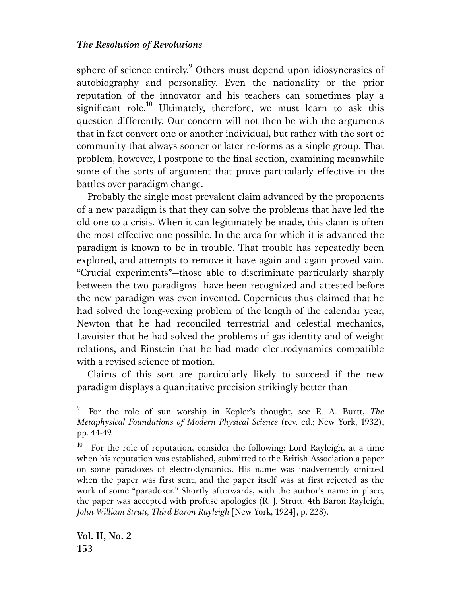sphere of science entirely.<sup>9</sup> Others must depend upon idiosyncrasies of autobiography and personality. Even the nationality or the prior reputation of the innovator and his teachers can sometimes play a significant role.<sup>10</sup> Ultimately, therefore, we must learn to ask this question differently. Our concern will not then be with the arguments that in fact convert one or another individual, but rather with the sort of community that always sooner or later re-forms as a single group. That problem, however, I postpone to the final section, examining meanwhile some of the sorts of argument that prove particularly effective in the battles over paradigm change.

Probably the single most prevalent claim advanced by the proponents of a new paradigm is that they can solve the problems that have led the old one to a crisis. When it can legitimately be made, this claim is often the most effective one possible. In the area for which it is advanced the paradigm is known to be in trouble. That trouble has repeatedly been explored, and attempts to remove it have again and again proved vain. "Crucial experiments"—those able to discriminate particularly sharply between the two paradigms—have been recognized and attested before the new paradigm was even invented. Copernicus thus claimed that he had solved the long-vexing problem of the length of the calendar year, Newton that he had reconciled terrestrial and celestial mechanics, Lavoisier that he had solved the problems of gas-identity and of weight relations, and Einstein that he had made electrodynamics compatible with a revised science of motion.

Claims of this sort are particularly likely to succeed if the new paradigm displays a quantitative precision strikingly better than

<sup>9</sup> For the role of sun worship in Kepler's thought, see E. A. Burtt, *The Metaphysical Foundations of Modern Physical Science* (rev. ed.; New York, 1932), pp. 44-49.

<sup>10</sup> For the role of reputation, consider the following: Lord Rayleigh, at a time when his reputation was established, submitted to the British Association a paper on some paradoxes of electrodynamics. His name was inadvertently omitted when the paper was first sent, and the paper itself was at first rejected as the work of some "paradoxer." Shortly afterwards, with the author's name in place, the paper was accepted with profuse apologies (R. J. Strutt, 4th Baron Rayleigh, *John William Strutt, Third Baron Rayleigh* [New York, 1924], p. 228).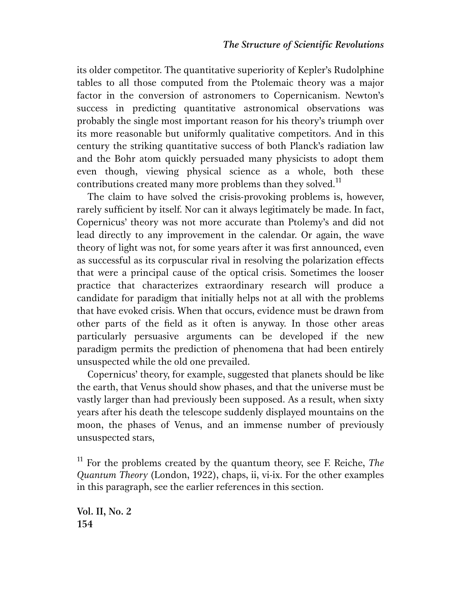its older competitor. The quantitative superiority of Kepler's Rudolphine tables to all those computed from the Ptolemaic theory was a major factor in the conversion of astronomers to Copernicanism. Newton's success in predicting quantitative astronomical observations was probably the single most important reason for his theory's triumph over its more reasonable but uniformly qualitative competitors. And in this century the striking quantitative success of both Planck's radiation law and the Bohr atom quickly persuaded many physicists to adopt them even though, viewing physical science as a whole, both these contributions created many more problems than they solved.<sup>11</sup>

The claim to have solved the crisis-provoking problems is, however, rarely sufficient by itself. Nor can it always legitimately be made. In fact, Copernicus' theory was not more accurate than Ptolemy's and did not lead directly to any improvement in the calendar. Or again, the wave theory of light was not, for some years after it was first announced, even as successful as its corpuscular rival in resolving the polarization effects that were a principal cause of the optical crisis. Sometimes the looser practice that characterizes extraordinary research will produce a candidate for paradigm that initially helps not at all with the problems that have evoked crisis. When that occurs, evidence must be drawn from other parts of the field as it often is anyway. In those other areas particularly persuasive arguments can be developed if the new paradigm permits the prediction of phenomena that had been entirely unsuspected while the old one prevailed.

Copernicus' theory, for example, suggested that planets should be like the earth, that Venus should show phases, and that the universe must be vastly larger than had previously been supposed. As a result, when sixty years after his death the telescope suddenly displayed mountains on the moon, the phases of Venus, and an immense number of previously unsuspected stars,

11 For the problems created by the quantum theory, see F. Reiche, *The Quantum Theory* (London, 1922), chaps, ii, vi-ix. For the other examples in this paragraph, see the earlier references in this section.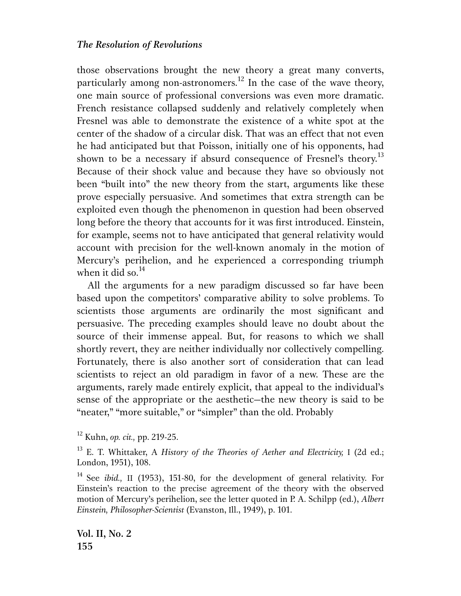## *The Resolution of Revolutions*

those observations brought the new theory a great many converts, particularly among non-astronomers.<sup>12</sup> In the case of the wave theory, one main source of professional conversions was even more dramatic. French resistance collapsed suddenly and relatively completely when Fresnel was able to demonstrate the existence of a white spot at the center of the shadow of a circular disk. That was an effect that not even he had anticipated but that Poisson, initially one of his opponents, had shown to be a necessary if absurd consequence of Fresnel's theory.<sup>13</sup> Because of their shock value and because they have so obviously not been "built into" the new theory from the start, arguments like these prove especially persuasive. And sometimes that extra strength can be exploited even though the phenomenon in question had been observed long before the theory that accounts for it was first introduced. Einstein, for example, seems not to have anticipated that general relativity would account with precision for the well-known anomaly in the motion of Mercury's perihelion, and he experienced a corresponding triumph when it did so. $^{14}$ 

All the arguments for a new paradigm discussed so far have been based upon the competitors' comparative ability to solve problems. To scientists those arguments are ordinarily the most significant and persuasive. The preceding examples should leave no doubt about the source of their immense appeal. But, for reasons to which we shall shortly revert, they are neither individually nor collectively compelling. Fortunately, there is also another sort of consideration that can lead scientists to reject an old paradigm in favor of a new. These are the arguments, rarely made entirely explicit, that appeal to the individual's sense of the appropriate or the aesthetic—the new theory is said to be "neater," "more suitable," or "simpler" than the old. Probably

12 Kuhn, *op. cit.,* pp. 219-25.

13 E. T. Whittaker, A *History of the Theories of Aether and Electricity,* I (2d ed.; London, 1951), 108.

14 See *ibid.,* II (1953), 151-80, for the development of general relativity. For Einstein's reaction to the precise agreement of the theory with the observed motion of Mercury's perihelion, see the letter quoted in P. A. Schilpp (ed.), *Albert Einstein, Philosopher-Scientist* (Evanston, Ill., 1949), p. 101.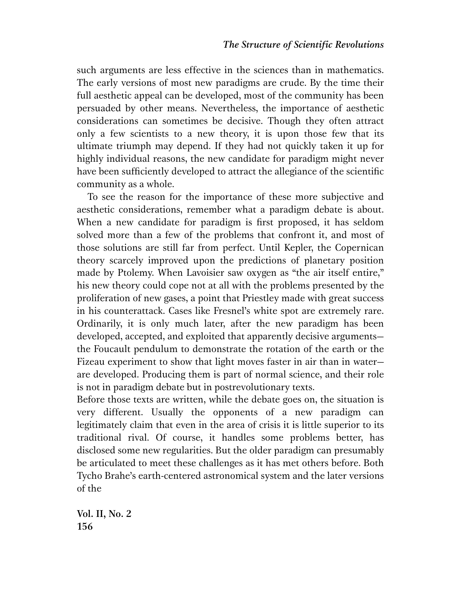such arguments are less effective in the sciences than in mathematics. The early versions of most new paradigms are crude. By the time their full aesthetic appeal can be developed, most of the community has been persuaded by other means. Nevertheless, the importance of aesthetic considerations can sometimes be decisive. Though they often attract only a few scientists to a new theory, it is upon those few that its ultimate triumph may depend. If they had not quickly taken it up for highly individual reasons, the new candidate for paradigm might never have been sufficiently developed to attract the allegiance of the scientific community as a whole.

To see the reason for the importance of these more subjective and aesthetic considerations, remember what a paradigm debate is about. When a new candidate for paradigm is first proposed, it has seldom solved more than a few of the problems that confront it, and most of those solutions are still far from perfect. Until Kepler, the Copernican theory scarcely improved upon the predictions of planetary position made by Ptolemy. When Lavoisier saw oxygen as "the air itself entire," his new theory could cope not at all with the problems presented by the proliferation of new gases, a point that Priestley made with great success in his counterattack. Cases like Fresnel's white spot are extremely rare. Ordinarily, it is only much later, after the new paradigm has been developed, accepted, and exploited that apparently decisive arguments the Foucault pendulum to demonstrate the rotation of the earth or the Fizeau experiment to show that light moves faster in air than in water are developed. Producing them is part of normal science, and their role is not in paradigm debate but in postrevolutionary texts.

Before those texts are written, while the debate goes on, the situation is very different. Usually the opponents of a new paradigm can legitimately claim that even in the area of crisis it is little superior to its traditional rival. Of course, it handles some problems better, has disclosed some new regularities. But the older paradigm can presumably be articulated to meet these challenges as it has met others before. Both Tycho Brahe's earth-centered astronomical system and the later versions of the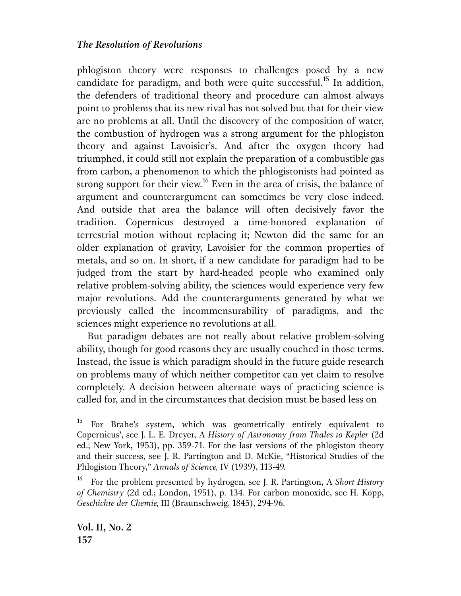# *The Resolution of Revolutions*

phlogiston theory were responses to challenges posed by a new candidate for paradigm, and both were quite successful.<sup>15</sup> In addition, the defenders of traditional theory and procedure can almost always point to problems that its new rival has not solved but that for their view are no problems at all. Until the discovery of the composition of water, the combustion of hydrogen was a strong argument for the phlogiston theory and against Lavoisier's. And after the oxygen theory had triumphed, it could still not explain the preparation of a combustible gas from carbon, a phenomenon to which the phlogistonists had pointed as strong support for their view.<sup>16</sup> Even in the area of crisis, the balance of argument and counterargument can sometimes be very close indeed. And outside that area the balance will often decisively favor the tradition. Copernicus destroyed a time-honored explanation of terrestrial motion without replacing it; Newton did the same for an older explanation of gravity, Lavoisier for the common properties of metals, and so on. In short, if a new candidate for paradigm had to be judged from the start by hard-headed people who examined only relative problem-solving ability, the sciences would experience very few major revolutions. Add the counterarguments generated by what we previously called the incommensurability of paradigms, and the sciences might experience no revolutions at all.

But paradigm debates are not really about relative problem-solving ability, though for good reasons they are usually couched in those terms. Instead, the issue is which paradigm should in the future guide research on problems many of which neither competitor can yet claim to resolve completely. A decision between alternate ways of practicing science is called for, and in the circumstances that decision must be based less on

16 For the problem presented by hydrogen, see J. R. Partington, A *Short History of Chemistry* (2d ed.; London, 1951), p. 134. For carbon monoxide, see H. Kopp, *Geschichte der Chemie,* III (Braunschweig, 1845), 294-96.

 $15$  For Brahe's system, which was geometrically entirely equivalent to Copernicus', see J. L. E. Dreyer, A *History of Astronomy from Thales to Kepler* (2d ed.; New York, 1953), pp. 359-71. For the last versions of the phlogiston theory and their success, see J. R. Partington and D. McKie, "Historical Studies of the Phlogiston Theory," *Annals of Science,* IV (1939), 113-49.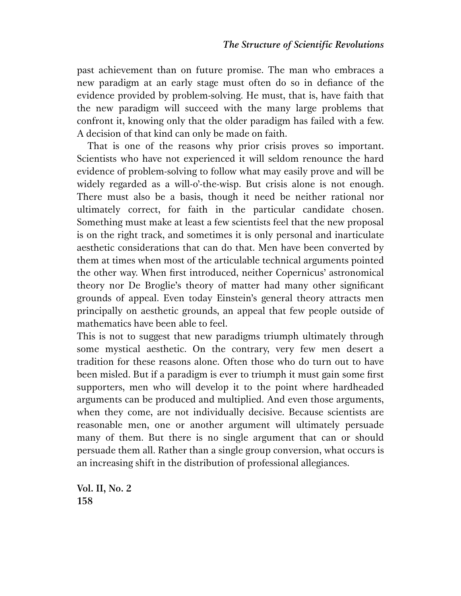past achievement than on future promise. The man who embraces a new paradigm at an early stage must often do so in defiance of the evidence provided by problem-solving. He must, that is, have faith that the new paradigm will succeed with the many large problems that confront it, knowing only that the older paradigm has failed with a few. A decision of that kind can only be made on faith.

That is one of the reasons why prior crisis proves so important. Scientists who have not experienced it will seldom renounce the hard evidence of problem-solving to follow what may easily prove and will be widely regarded as a will-o'-the-wisp. But crisis alone is not enough. There must also be a basis, though it need be neither rational nor ultimately correct, for faith in the particular candidate chosen. Something must make at least a few scientists feel that the new proposal is on the right track, and sometimes it is only personal and inarticulate aesthetic considerations that can do that. Men have been converted by them at times when most of the articulable technical arguments pointed the other way. When first introduced, neither Copernicus' astronomical theory nor De Broglie's theory of matter had many other significant grounds of appeal. Even today Einstein's general theory attracts men principally on aesthetic grounds, an appeal that few people outside of mathematics have been able to feel.

This is not to suggest that new paradigms triumph ultimately through some mystical aesthetic. On the contrary, very few men desert a tradition for these reasons alone. Often those who do turn out to have been misled. But if a paradigm is ever to triumph it must gain some first supporters, men who will develop it to the point where hardheaded arguments can be produced and multiplied. And even those arguments, when they come, are not individually decisive. Because scientists are reasonable men, one or another argument will ultimately persuade many of them. But there is no single argument that can or should persuade them all. Rather than a single group conversion, what occurs is an increasing shift in the distribution of professional allegiances.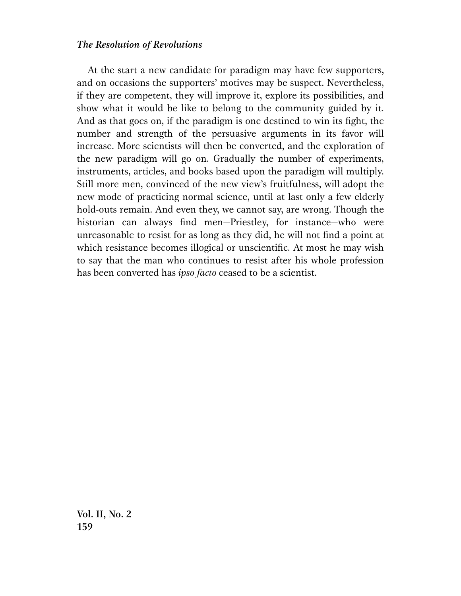#### *The Resolution of Revolutions*

At the start a new candidate for paradigm may have few supporters, and on occasions the supporters' motives may be suspect. Nevertheless, if they are competent, they will improve it, explore its possibilities, and show what it would be like to belong to the community guided by it. And as that goes on, if the paradigm is one destined to win its fight, the number and strength of the persuasive arguments in its favor will increase. More scientists will then be converted, and the exploration of the new paradigm will go on. Gradually the number of experiments, instruments, articles, and books based upon the paradigm will multiply. Still more men, convinced of the new view's fruitfulness, will adopt the new mode of practicing normal science, until at last only a few elderly hold-outs remain. And even they, we cannot say, are wrong. Though the historian can always find men—Priestley, for instance—who were unreasonable to resist for as long as they did, he will not find a point at which resistance becomes illogical or unscientific. At most he may wish to say that the man who continues to resist after his whole profession has been converted has *ipso facto* ceased to be a scientist.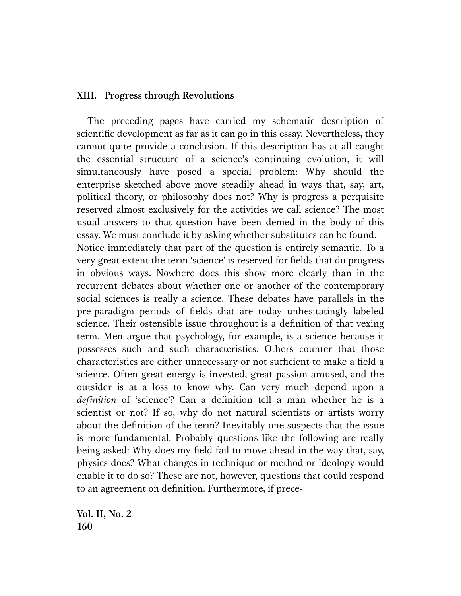### XIII. Progress through Revolutions

The preceding pages have carried my schematic description of scientific development as far as it can go in this essay. Nevertheless, they cannot quite provide a conclusion. If this description has at all caught the essential structure of a science's continuing evolution, it will simultaneously have posed a special problem: Why should the enterprise sketched above move steadily ahead in ways that, say, art, political theory, or philosophy does not? Why is progress a perquisite reserved almost exclusively for the activities we call science? The most usual answers to that question have been denied in the body of this essay. We must conclude it by asking whether substitutes can be found. Notice immediately that part of the question is entirely semantic. To a very great extent the term 'science' is reserved for fields that do progress in obvious ways. Nowhere does this show more clearly than in the recurrent debates about whether one or another of the contemporary social sciences is really a science. These debates have parallels in the pre-paradigm periods of fields that are today unhesitatingly labeled science. Their ostensible issue throughout is a definition of that vexing term. Men argue that psychology, for example, is a science because it possesses such and such characteristics. Others counter that those characteristics are either unnecessary or not sufficient to make a field a science. Often great energy is invested, great passion aroused, and the outsider is at a loss to know why. Can very much depend upon a *definition* of 'science'? Can a definition tell a man whether he is a scientist or not? If so, why do not natural scientists or artists worry about the definition of the term? Inevitably one suspects that the issue is more fundamental. Probably questions like the following are really being asked: Why does my field fail to move ahead in the way that, say, physics does? What changes in technique or method or ideology would enable it to do so? These are not, however, questions that could respond to an agreement on definition. Furthermore, if prece-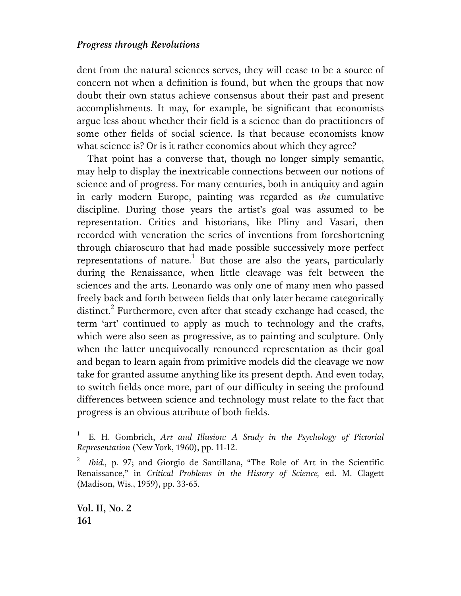## *Progress through Revolutions*

dent from the natural sciences serves, they will cease to be a source of concern not when a definition is found, but when the groups that now doubt their own status achieve consensus about their past and present accomplishments. It may, for example, be significant that economists argue less about whether their field is a science than do practitioners of some other fields of social science. Is that because economists know what science is? Or is it rather economics about which they agree?

That point has a converse that, though no longer simply semantic, may help to display the inextricable connections between our notions of science and of progress. For many centuries, both in antiquity and again in early modern Europe, painting was regarded as *the* cumulative discipline. During those years the artist's goal was assumed to be representation. Critics and historians, like Pliny and Vasari, then recorded with veneration the series of inventions from foreshortening through chiaroscuro that had made possible successively more perfect representations of nature. $^1$  But those are also the years, particularly during the Renaissance, when little cleavage was felt between the sciences and the arts. Leonardo was only one of many men who passed freely back and forth between fields that only later became categorically distinct.<sup>2</sup> Furthermore, even after that steady exchange had ceased, the term 'art' continued to apply as much to technology and the crafts, which were also seen as progressive, as to painting and sculpture. Only when the latter unequivocally renounced representation as their goal and began to learn again from primitive models did the cleavage we now take for granted assume anything like its present depth. And even today, to switch fields once more, part of our difficulty in seeing the profound differences between science and technology must relate to the fact that progress is an obvious attribute of both fields.

<sup>1</sup> E. H. Gombrich, *Art and Illusion: A Study in the Psychology of Pictorial Representation* (New York, 1960), pp. 11-12.

Ibid., p. 97; and Giorgio de Santillana, "The Role of Art in the Scientific Renaissance," in *Critical Problems in the History of Science,* ed. M. Clagett (Madison, Wis., 1959), pp. 33-65.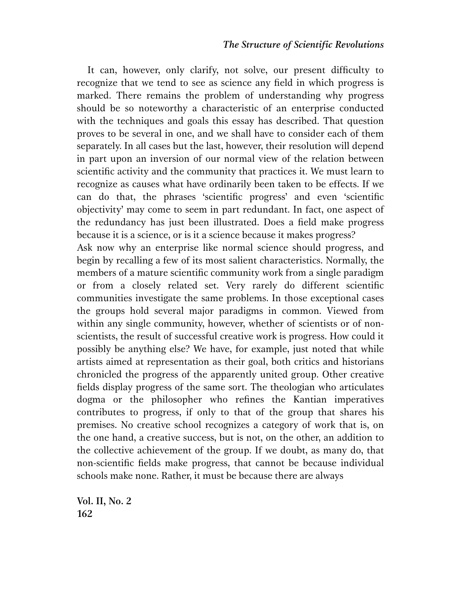It can, however, only clarify, not solve, our present difficulty to recognize that we tend to see as science any field in which progress is marked. There remains the problem of understanding why progress should be so noteworthy a characteristic of an enterprise conducted with the techniques and goals this essay has described. That question proves to be several in one, and we shall have to consider each of them separately. In all cases but the last, however, their resolution will depend in part upon an inversion of our normal view of the relation between scientific activity and the community that practices it. We must learn to recognize as causes what have ordinarily been taken to be effects. If we can do that, the phrases 'scientific progress' and even 'scientific objectivity' may come to seem in part redundant. In fact, one aspect of the redundancy has just been illustrated. Does a field make progress because it is a science, or is it a science because it makes progress?

Ask now why an enterprise like normal science should progress, and begin by recalling a few of its most salient characteristics. Normally, the members of a mature scientific community work from a single paradigm or from a closely related set. Very rarely do different scientific communities investigate the same problems. In those exceptional cases the groups hold several major paradigms in common. Viewed from within any single community, however, whether of scientists or of nonscientists, the result of successful creative work is progress. How could it possibly be anything else? We have, for example, just noted that while artists aimed at representation as their goal, both critics and historians chronicled the progress of the apparently united group. Other creative fields display progress of the same sort. The theologian who articulates dogma or the philosopher who refines the Kantian imperatives contributes to progress, if only to that of the group that shares his premises. No creative school recognizes a category of work that is, on the one hand, a creative success, but is not, on the other, an addition to the collective achievement of the group. If we doubt, as many do, that non-scientific fields make progress, that cannot be because individual schools make none. Rather, it must be because there are always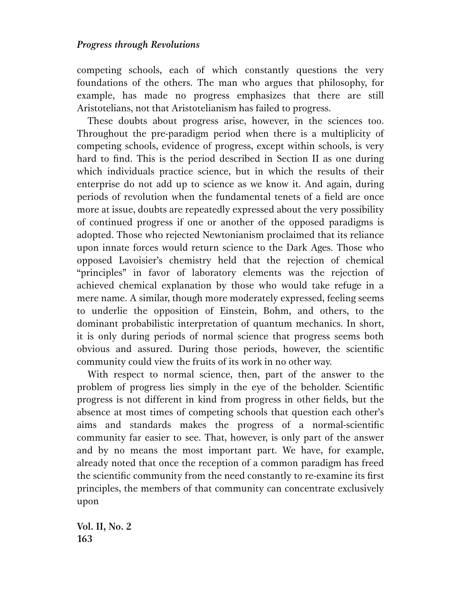competing schools, each of which constantly questions the very foundations of the others. The man who argues that philosophy, for example, has made no progress emphasizes that there are still Aristotelians, not that Aristotelianism has failed to progress.

These doubts about progress arise, however, in the sciences too. Throughout the pre-paradigm period when there is a multiplicity of competing schools, evidence of progress, except within schools, is very hard to find. This is the period described in Section II as one during which individuals practice science, but in which the results of their enterprise do not add up to science as we know it. And again, during periods of revolution when the fundamental tenets of a field are once more at issue, doubts are repeatedly expressed about the very possibility of continued progress if one or another of the opposed paradigms is adopted. Those who rejected Newtonianism proclaimed that its reliance upon innate forces would return science to the Dark Ages. Those who opposed Lavoisier's chemistry held that the rejection of chemical "principles" in favor of laboratory elements was the rejection of achieved chemical explanation by those who would take refuge in a mere name. A similar, though more moderately expressed, feeling seems to underlie the opposition of Einstein, Bohm, and others, to the dominant probabilistic interpretation of quantum mechanics. In short, it is only during periods of normal science that progress seems both obvious and assured. During those periods, however, the scientific community could view the fruits of its work in no other way.

With respect to normal science, then, part of the answer to the problem of progress lies simply in the eye of the beholder. Scientific progress is not different in kind from progress in other fields, but the absence at most times of competing schools that question each other's aims and standards makes the progress of a normal-scientific community far easier to see. That, however, is only part of the answer and by no means the most important part. We have, for example, already noted that once the reception of a common paradigm has freed the scientific community from the need constantly to re-examine its first principles, the members of that community can concentrate exclusively upon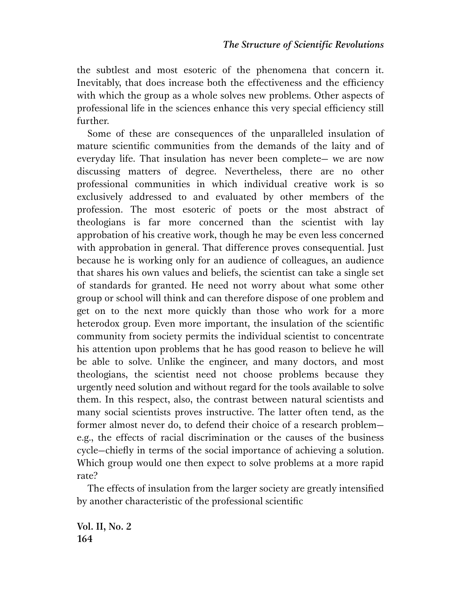the subtlest and most esoteric of the phenomena that concern it. Inevitably, that does increase both the effectiveness and the efficiency with which the group as a whole solves new problems. Other aspects of professional life in the sciences enhance this very special efficiency still further.

Some of these are consequences of the unparalleled insulation of mature scientific communities from the demands of the laity and of everyday life. That insulation has never been complete— we are now discussing matters of degree. Nevertheless, there are no other professional communities in which individual creative work is so exclusively addressed to and evaluated by other members of the profession. The most esoteric of poets or the most abstract of theologians is far more concerned than the scientist with lay approbation of his creative work, though he may be even less concerned with approbation in general. That difference proves consequential. Just because he is working only for an audience of colleagues, an audience that shares his own values and beliefs, the scientist can take a single set of standards for granted. He need not worry about what some other group or school will think and can therefore dispose of one problem and get on to the next more quickly than those who work for a more heterodox group. Even more important, the insulation of the scientific community from society permits the individual scientist to concentrate his attention upon problems that he has good reason to believe he will be able to solve. Unlike the engineer, and many doctors, and most theologians, the scientist need not choose problems because they urgently need solution and without regard for the tools available to solve them. In this respect, also, the contrast between natural scientists and many social scientists proves instructive. The latter often tend, as the former almost never do, to defend their choice of a research problem e.g., the effects of racial discrimination or the causes of the business cycle—chiefly in terms of the social importance of achieving a solution. Which group would one then expect to solve problems at a more rapid rate?

The effects of insulation from the larger society are greatly intensified by another characteristic of the professional scientific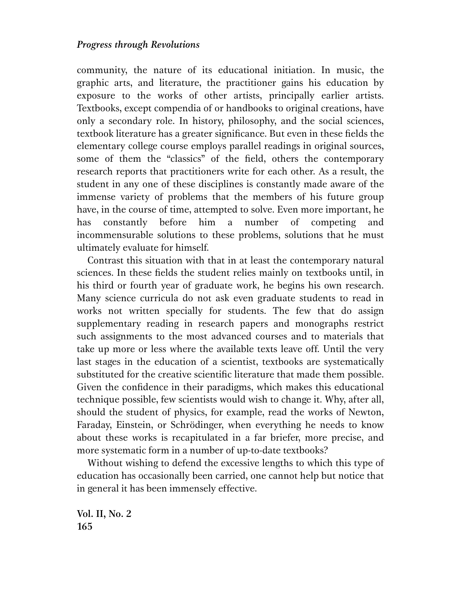community, the nature of its educational initiation. In music, the graphic arts, and literature, the practitioner gains his education by exposure to the works of other artists, principally earlier artists. Textbooks, except compendia of or handbooks to original creations, have only a secondary role. In history, philosophy, and the social sciences, textbook literature has a greater significance. But even in these fields the elementary college course employs parallel readings in original sources, some of them the "classics" of the field, others the contemporary research reports that practitioners write for each other. As a result, the student in any one of these disciplines is constantly made aware of the immense variety of problems that the members of his future group have, in the course of time, attempted to solve. Even more important, he has constantly before him a number of competing and incommensurable solutions to these problems, solutions that he must ultimately evaluate for himself.

Contrast this situation with that in at least the contemporary natural sciences. In these fields the student relies mainly on textbooks until, in his third or fourth year of graduate work, he begins his own research. Many science curricula do not ask even graduate students to read in works not written specially for students. The few that do assign supplementary reading in research papers and monographs restrict such assignments to the most advanced courses and to materials that take up more or less where the available texts leave off. Until the very last stages in the education of a scientist, textbooks are systematically substituted for the creative scientific literature that made them possible. Given the confidence in their paradigms, which makes this educational technique possible, few scientists would wish to change it. Why, after all, should the student of physics, for example, read the works of Newton, Faraday, Einstein, or Schrödinger, when everything he needs to know about these works is recapitulated in a far briefer, more precise, and more systematic form in a number of up-to-date textbooks?

Without wishing to defend the excessive lengths to which this type of education has occasionally been carried, one cannot help but notice that in general it has been immensely effective.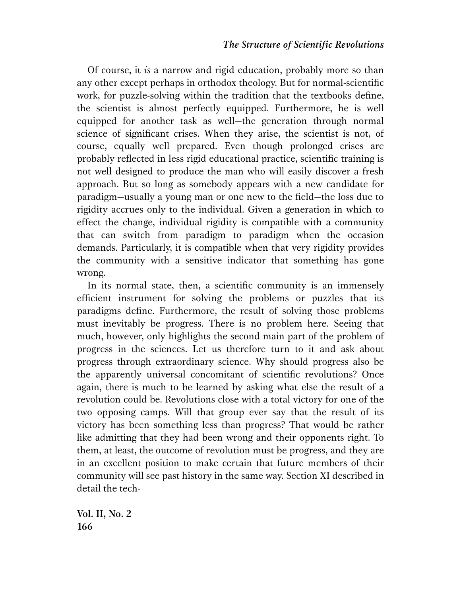Of course, it *is* a narrow and rigid education, probably more so than any other except perhaps in orthodox theology. But for normal-scientific work, for puzzle-solving within the tradition that the textbooks define, the scientist is almost perfectly equipped. Furthermore, he is well equipped for another task as well—the generation through normal science of significant crises. When they arise, the scientist is not, of course, equally well prepared. Even though prolonged crises are probably reflected in less rigid educational practice, scientific training is not well designed to produce the man who will easily discover a fresh approach. But so long as somebody appears with a new candidate for paradigm—usually a young man or one new to the field—the loss due to rigidity accrues only to the individual. Given a generation in which to effect the change, individual rigidity is compatible with a community that can switch from paradigm to paradigm when the occasion demands. Particularly, it is compatible when that very rigidity provides the community with a sensitive indicator that something has gone wrong.

In its normal state, then, a scientific community is an immensely efficient instrument for solving the problems or puzzles that its paradigms define. Furthermore, the result of solving those problems must inevitably be progress. There is no problem here. Seeing that much, however, only highlights the second main part of the problem of progress in the sciences. Let us therefore turn to it and ask about progress through extraordinary science. Why should progress also be the apparently universal concomitant of scientific revolutions? Once again, there is much to be learned by asking what else the result of a revolution could be. Revolutions close with a total victory for one of the two opposing camps. Will that group ever say that the result of its victory has been something less than progress? That would be rather like admitting that they had been wrong and their opponents right. To them, at least, the outcome of revolution must be progress, and they are in an excellent position to make certain that future members of their community will see past history in the same way. Section XI described in detail the tech-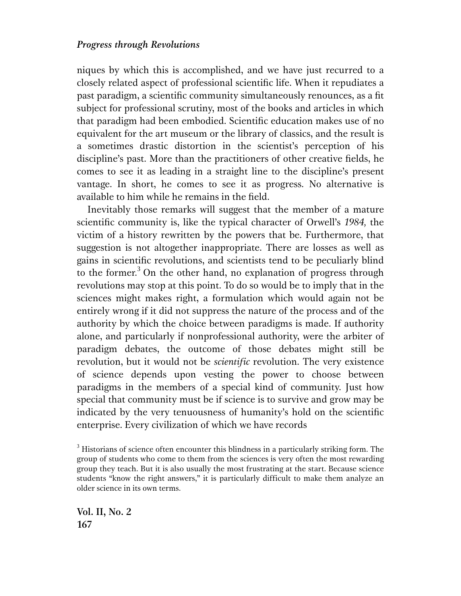## *Progress through Revolutions*

niques by which this is accomplished, and we have just recurred to a closely related aspect of professional scientific life. When it repudiates a past paradigm, a scientific community simultaneously renounces, as a fit subject for professional scrutiny, most of the books and articles in which that paradigm had been embodied. Scientific education makes use of no equivalent for the art museum or the library of classics, and the result is a sometimes drastic distortion in the scientist's perception of his discipline's past. More than the practitioners of other creative fields, he comes to see it as leading in a straight line to the discipline's present vantage. In short, he comes to see it as progress. No alternative is available to him while he remains in the field.

Inevitably those remarks will suggest that the member of a mature scientific community is, like the typical character of Orwell's *1984,* the victim of a history rewritten by the powers that be. Furthermore, that suggestion is not altogether inappropriate. There are losses as well as gains in scientific revolutions, and scientists tend to be peculiarly blind to the former.<sup>3</sup> On the other hand, no explanation of progress through revolutions may stop at this point. To do so would be to imply that in the sciences might makes right, a formulation which would again not be entirely wrong if it did not suppress the nature of the process and of the authority by which the choice between paradigms is made. If authority alone, and particularly if nonprofessional authority, were the arbiter of paradigm debates, the outcome of those debates might still be revolution, but it would not be *scientific* revolution. The very existence of science depends upon vesting the power to choose between paradigms in the members of a special kind of community. Just how special that community must be if science is to survive and grow may be indicated by the very tenuousness of humanity's hold on the scientific enterprise. Every civilization of which we have records

 $3$  Historians of science often encounter this blindness in a particularly striking form. The group of students who come to them from the sciences is very often the most rewarding group they teach. But it is also usually the most frustrating at the start. Because science students "know the right answers," it is particularly difficult to make them analyze an older science in its own terms.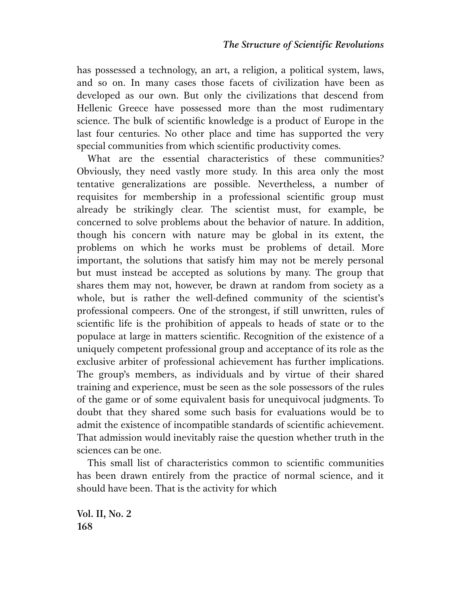has possessed a technology, an art, a religion, a political system, laws, and so on. In many cases those facets of civilization have been as developed as our own. But only the civilizations that descend from Hellenic Greece have possessed more than the most rudimentary science. The bulk of scientific knowledge is a product of Europe in the last four centuries. No other place and time has supported the very special communities from which scientific productivity comes.

What are the essential characteristics of these communities? Obviously, they need vastly more study. In this area only the most tentative generalizations are possible. Nevertheless, a number of requisites for membership in a professional scientific group must already be strikingly clear. The scientist must, for example, be concerned to solve problems about the behavior of nature. In addition, though his concern with nature may be global in its extent, the problems on which he works must be problems of detail. More important, the solutions that satisfy him may not be merely personal but must instead be accepted as solutions by many. The group that shares them may not, however, be drawn at random from society as a whole, but is rather the well-defined community of the scientist's professional compeers. One of the strongest, if still unwritten, rules of scientific life is the prohibition of appeals to heads of state or to the populace at large in matters scientific. Recognition of the existence of a uniquely competent professional group and acceptance of its role as the exclusive arbiter of professional achievement has further implications. The group's members, as individuals and by virtue of their shared training and experience, must be seen as the sole possessors of the rules of the game or of some equivalent basis for unequivocal judgments. To doubt that they shared some such basis for evaluations would be to admit the existence of incompatible standards of scientific achievement. That admission would inevitably raise the question whether truth in the sciences can be one.

This small list of characteristics common to scientific communities has been drawn entirely from the practice of normal science, and it should have been. That is the activity for which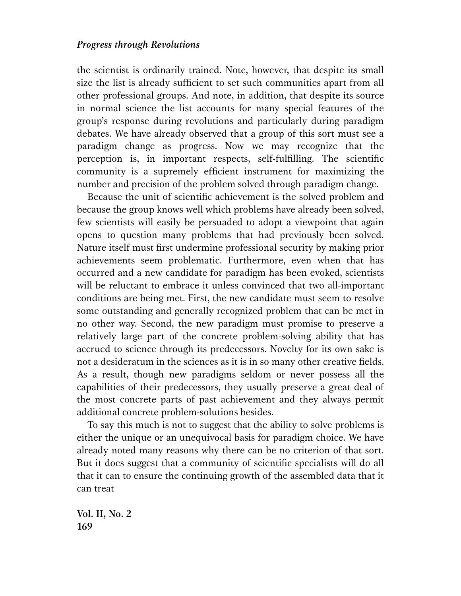### *Progress through Revolutions*

the scientist is ordinarily trained. Note, however, that despite its small size the list is already sufficient to set such communities apart from all other professional groups. And note, in addition, that despite its source in normal science the list accounts for many special features of the group's response during revolutions and particularly during paradigm debates. We have already observed that a group of this sort must see a paradigm change as progress. Now we may recognize that the perception is, in important respects, self-fulfilling. The scientific community is a supremely efficient instrument for maximizing the number and precision of the problem solved through paradigm change.

Because the unit of scientific achievement is the solved problem and because the group knows well which problems have already been solved, few scientists will easily be persuaded to adopt a viewpoint that again opens to question many problems that had previously been solved. Nature itself must first undermine professional security by making prior achievements seem problematic. Furthermore, even when that has occurred and a new candidate for paradigm has been evoked, scientists will be reluctant to embrace it unless convinced that two all-important conditions are being met. First, the new candidate must seem to resolve some outstanding and generally recognized problem that can be met in no other way. Second, the new paradigm must promise to preserve a relatively large part of the concrete problem-solving ability that has accrued to science through its predecessors. Novelty for its own sake is not a desideratum in the sciences as it is in so many other creative fields. As a result, though new paradigms seldom or never possess all the capabilities of their predecessors, they usually preserve a great deal of the most concrete parts of past achievement and they always permit additional concrete problem-solutions besides.

To say this much is not to suggest that the ability to solve problems is either the unique or an unequivocal basis for paradigm choice. We have already noted many reasons why there can be no criterion of that sort. But it does suggest that a community of scientific specialists will do all that it can to ensure the continuing growth of the assembled data that it can treat

Vol. II, No. 2 169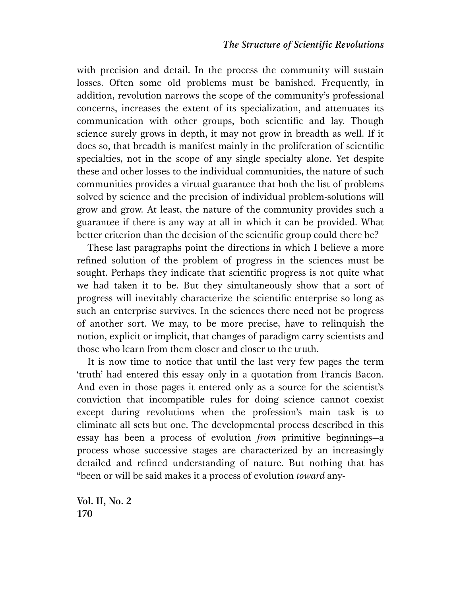with precision and detail. In the process the community will sustain losses. Often some old problems must be banished. Frequently, in addition, revolution narrows the scope of the community's professional concerns, increases the extent of its specialization, and attenuates its communication with other groups, both scientific and lay. Though science surely grows in depth, it may not grow in breadth as well. If it does so, that breadth is manifest mainly in the proliferation of scientific specialties, not in the scope of any single specialty alone. Yet despite these and other losses to the individual communities, the nature of such communities provides a virtual guarantee that both the list of problems solved by science and the precision of individual problem-solutions will grow and grow. At least, the nature of the community provides such a guarantee if there is any way at all in which it can be provided. What better criterion than the decision of the scientific group could there be?

These last paragraphs point the directions in which I believe a more refined solution of the problem of progress in the sciences must be sought. Perhaps they indicate that scientific progress is not quite what we had taken it to be. But they simultaneously show that a sort of progress will inevitably characterize the scientific enterprise so long as such an enterprise survives. In the sciences there need not be progress of another sort. We may, to be more precise, have to relinquish the notion, explicit or implicit, that changes of paradigm carry scientists and those who learn from them closer and closer to the truth.

It is now time to notice that until the last very few pages the term 'truth' had entered this essay only in a quotation from Francis Bacon. And even in those pages it entered only as a source for the scientist's conviction that incompatible rules for doing science cannot coexist except during revolutions when the profession's main task is to eliminate all sets but one. The developmental process described in this essay has been a process of evolution *from* primitive beginnings—a process whose successive stages are characterized by an increasingly detailed and refined understanding of nature. But nothing that has "been or will be said makes it a process of evolution *toward* any-

Vol. II, No. 2 170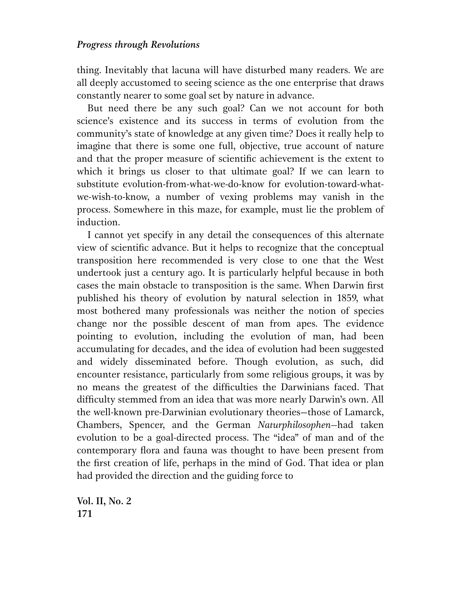## *Progress through Revolutions*

thing. Inevitably that lacuna will have disturbed many readers. We are all deeply accustomed to seeing science as the one enterprise that draws constantly nearer to some goal set by nature in advance.

But need there be any such goal? Can we not account for both science's existence and its success in terms of evolution from the community's state of knowledge at any given time? Does it really help to imagine that there is some one full, objective, true account of nature and that the proper measure of scientific achievement is the extent to which it brings us closer to that ultimate goal? If we can learn to substitute evolution-from-what-we-do-know for evolution-toward-whatwe-wish-to-know, a number of vexing problems may vanish in the process. Somewhere in this maze, for example, must lie the problem of induction.

I cannot yet specify in any detail the consequences of this alternate view of scientific advance. But it helps to recognize that the conceptual transposition here recommended is very close to one that the West undertook just a century ago. It is particularly helpful because in both cases the main obstacle to transposition is the same. When Darwin first published his theory of evolution by natural selection in 1859, what most bothered many professionals was neither the notion of species change nor the possible descent of man from apes. The evidence pointing to evolution, including the evolution of man, had been accumulating for decades, and the idea of evolution had been suggested and widely disseminated before. Though evolution, as such, did encounter resistance, particularly from some religious groups, it was by no means the greatest of the difficulties the Darwinians faced. That difficulty stemmed from an idea that was more nearly Darwin's own. All the well-known pre-Darwinian evolutionary theories—those of Lamarck, Chambers, Spencer, and the German *Naturphilosophen—*had taken evolution to be a goal-directed process. The "idea" of man and of the contemporary flora and fauna was thought to have been present from the first creation of life, perhaps in the mind of God. That idea or plan had provided the direction and the guiding force to

Vol. II, No. 2 171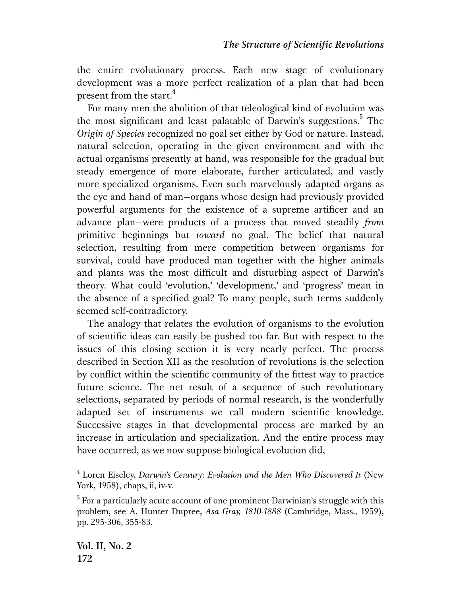the entire evolutionary process. Each new stage of evolutionary development was a more perfect realization of a plan that had been present from the start.<sup>4</sup>

For many men the abolition of that teleological kind of evolution was the most significant and least palatable of Darwin's suggestions.<sup>5</sup> The *Origin of Species* recognized no goal set either by God or nature. Instead, natural selection, operating in the given environment and with the actual organisms presently at hand, was responsible for the gradual but steady emergence of more elaborate, further articulated, and vastly more specialized organisms. Even such marvelously adapted organs as the eye and hand of man—organs whose design had previously provided powerful arguments for the existence of a supreme artificer and an advance plan—were products of a process that moved steadily *from*  primitive beginnings but *toward* no goal. The belief that natural selection, resulting from mere competition between organisms for survival, could have produced man together with the higher animals and plants was the most difficult and disturbing aspect of Darwin's theory. What could 'evolution,' 'development,' and 'progress' mean in the absence of a specified goal? To many people, such terms suddenly seemed self-contradictory.

The analogy that relates the evolution of organisms to the evolution of scientific ideas can easily be pushed too far. But with respect to the issues of this closing section it is very nearly perfect. The process described in Section XII as the resolution of revolutions is the selection by conflict within the scientific community of the fittest way to practice future science. The net result of a sequence of such revolutionary selections, separated by periods of normal research, is the wonderfully adapted set of instruments we call modern scientific knowledge. Successive stages in that developmental process are marked by an increase in articulation and specialization. And the entire process may have occurred, as we now suppose biological evolution did,

Vol. II, No. 2 172

<sup>&</sup>lt;sup>4</sup> Loren Eiseley, *Darwin's Century: Evolution and the Men Who Discovered It (New* York, 1958), chaps, ii, iv-v.

 $<sup>5</sup>$  For a particularly acute account of one prominent Darwinian's struggle with this</sup> problem, see A. Hunter Dupree, *Asa Gray, 1810-1888* (Cambridge, Mass., 1959), pp. 295-306, 355-83.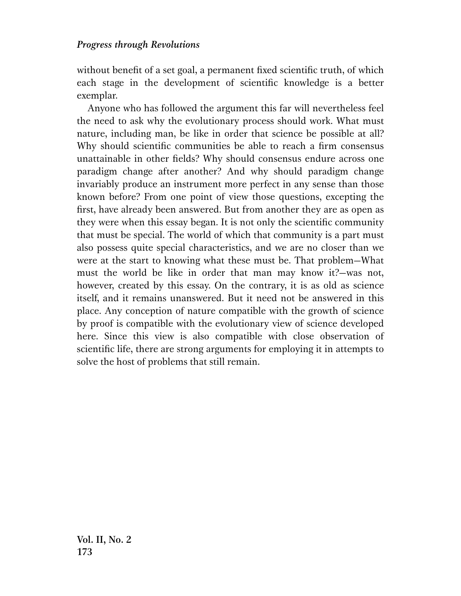# *Progress through Revolutions*

without benefit of a set goal, a permanent fixed scientific truth, of which each stage in the development of scientific knowledge is a better exemplar.

Anyone who has followed the argument this far will nevertheless feel the need to ask why the evolutionary process should work. What must nature, including man, be like in order that science be possible at all? Why should scientific communities be able to reach a firm consensus unattainable in other fields? Why should consensus endure across one paradigm change after another? And why should paradigm change invariably produce an instrument more perfect in any sense than those known before? From one point of view those questions, excepting the first, have already been answered. But from another they are as open as they were when this essay began. It is not only the scientific community that must be special. The world of which that community is a part must also possess quite special characteristics, and we are no closer than we were at the start to knowing what these must be. That problem—What must the world be like in order that man may know it?—was not, however, created by this essay. On the contrary, it is as old as science itself, and it remains unanswered. But it need not be answered in this place. Any conception of nature compatible with the growth of science by proof is compatible with the evolutionary view of science developed here. Since this view is also compatible with close observation of scientific life, there are strong arguments for employing it in attempts to solve the host of problems that still remain.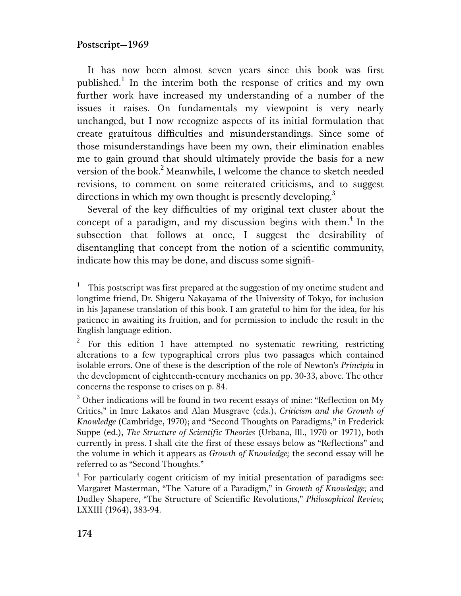It has now been almost seven years since this book was first published.<sup>1</sup> In the interim both the response of critics and my own further work have increased my understanding of a number of the issues it raises. On fundamentals my viewpoint is very nearly unchanged, but I now recognize aspects of its initial formulation that create gratuitous difficulties and misunderstandings. Since some of those misunderstandings have been my own, their elimination enables me to gain ground that should ultimately provide the basis for a new version of the book.<sup>2</sup> Meanwhile, I welcome the chance to sketch needed revisions, to comment on some reiterated criticisms, and to suggest directions in which my own thought is presently developing.<sup>3</sup>

Several of the key difficulties of my original text cluster about the concept of a paradigm, and my discussion begins with them.<sup>4</sup> In the subsection that follows at once, I suggest the desirability of disentangling that concept from the notion of a scientific community, indicate how this may be done, and discuss some signifi-

<sup>1</sup> This postscript was first prepared at the suggestion of my onetime student and longtime friend, Dr. Shigeru Nakayama of the University of Tokyo, for inclusion in his Japanese translation of this book. I am grateful to him for the idea, for his patience in awaiting its fruition, and for permission to include the result in the English language edition.

<sup>2</sup> For this edition I have attempted no systematic rewriting, restricting alterations to a few typographical errors plus two passages which contained isolable errors. One of these is the description of the role of Newton's *Principia* in the development of eighteenth-century mechanics on pp. 30-33, above. The other concerns the response to crises on p. 84.

 $3$  Other indications will be found in two recent essays of mine: "Reflection on My Critics," in Imre Lakatos and Alan Musgrave (eds.), *Criticism and the Growth of Knowledge* (Cambridge, 1970); and "Second Thoughts on Paradigms," in Frederick Suppe (ed.), *The Structure of Scientific Theories* (Urbana, Ill., 1970 or 1971), both currently in press. I shall cite the first of these essays below as "Reflections" and the volume in which it appears as *Growth of Knowledge;* the second essay will be referred to as "Second Thoughts."

<sup>&</sup>lt;sup>4</sup> For particularly cogent criticism of my initial presentation of paradigms see: Margaret Masterman, "The Nature of a Paradigm," in *Growth of Knowledge;* and Dudley Shapere, "The Structure of Scientific Revolutions," *Philosophical Review,*  LXXIII (1964), 383-94.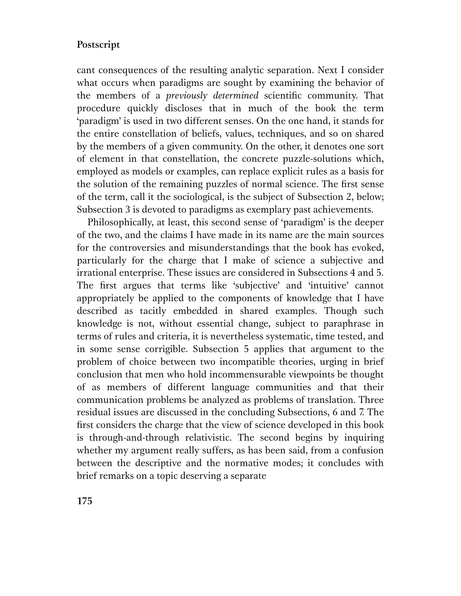cant consequences of the resulting analytic separation. Next I consider what occurs when paradigms are sought by examining the behavior of the members of a *previously determined* scientific community. That procedure quickly discloses that in much of the book the term 'paradigm' is used in two different senses. On the one hand, it stands for the entire constellation of beliefs, values, techniques, and so on shared by the members of a given community. On the other, it denotes one sort of element in that constellation, the concrete puzzle-solutions which, employed as models or examples, can replace explicit rules as a basis for the solution of the remaining puzzles of normal science. The first sense of the term, call it the sociological, is the subject of Subsection 2, below; Subsection 3 is devoted to paradigms as exemplary past achievements.

Philosophically, at least, this second sense of 'paradigm' is the deeper of the two, and the claims I have made in its name are the main sources for the controversies and misunderstandings that the book has evoked, particularly for the charge that I make of science a subjective and irrational enterprise. These issues are considered in Subsections 4 and 5. The first argues that terms like 'subjective' and 'intuitive' cannot appropriately be applied to the components of knowledge that I have described as tacitly embedded in shared examples. Though such knowledge is not, without essential change, subject to paraphrase in terms of rules and criteria, it is nevertheless systematic, time tested, and in some sense corrigible. Subsection 5 applies that argument to the problem of choice between two incompatible theories, urging in brief conclusion that men who hold incommensurable viewpoints be thought of as members of different language communities and that their communication problems be analyzed as problems of translation. Three residual issues are discussed in the concluding Subsections, 6 and 7. The first considers the charge that the view of science developed in this book is through-and-through relativistic. The second begins by inquiring whether my argument really suffers, as has been said, from a confusion between the descriptive and the normative modes; it concludes with brief remarks on a topic deserving a separate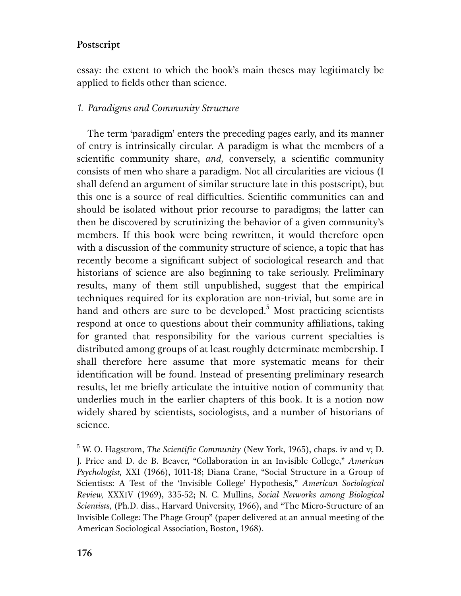essay: the extent to which the book's main theses may legitimately be applied to fields other than science.

# *1. Paradigms and Community Structure*

The term 'paradigm' enters the preceding pages early, and its manner of entry is intrinsically circular. A paradigm is what the members of a scientific community share, *and,* conversely, a scientific community consists of men who share a paradigm. Not all circularities are vicious (I shall defend an argument of similar structure late in this postscript), but this one is a source of real difficulties. Scientific communities can and should be isolated without prior recourse to paradigms; the latter can then be discovered by scrutinizing the behavior of a given community's members. If this book were being rewritten, it would therefore open with a discussion of the community structure of science, a topic that has recently become a significant subject of sociological research and that historians of science are also beginning to take seriously. Preliminary results, many of them still unpublished, suggest that the empirical techniques required for its exploration are non-trivial, but some are in hand and others are sure to be developed.<sup>5</sup> Most practicing scientists respond at once to questions about their community affiliations, taking for granted that responsibility for the various current specialties is distributed among groups of at least roughly determinate membership. I shall therefore here assume that more systematic means for their identification will be found. Instead of presenting preliminary research results, let me briefly articulate the intuitive notion of community that underlies much in the earlier chapters of this book. It is a notion now widely shared by scientists, sociologists, and a number of historians of science.

5 W. O. Hagstrom, *The Scientific Community* (New York, 1965), chaps. iv and v; D. J. Price and D. de B. Beaver, "Collaboration in an Invisible College," *American Psychologist,* XXI (1966), 1011-18; Diana Crane, "Social Structure in a Group of Scientists: A Test of the 'Invisible College' Hypothesis," *American Sociological Review,* XXXIV (1969), 335-52; N. C. Mullins, *Social Networks among Biological Scientists,* (Ph.D. diss., Harvard University, 1966), and "The Micro-Structure of an Invisible College: The Phage Group" (paper delivered at an annual meeting of the American Sociological Association, Boston, 1968).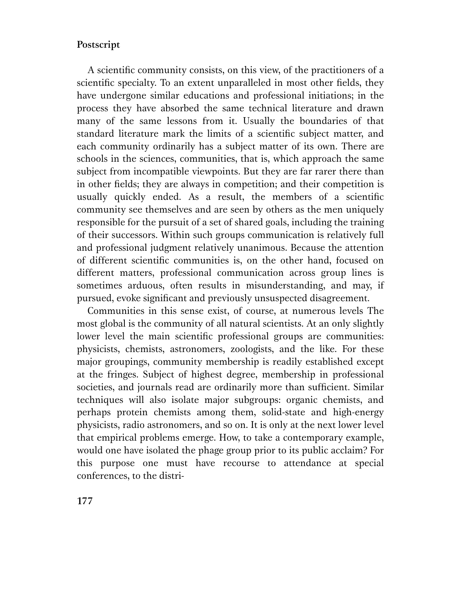A scientific community consists, on this view, of the practitioners of a scientific specialty. To an extent unparalleled in most other fields, they have undergone similar educations and professional initiations; in the process they have absorbed the same technical literature and drawn many of the same lessons from it. Usually the boundaries of that standard literature mark the limits of a scientific subject matter, and each community ordinarily has a subject matter of its own. There are schools in the sciences, communities, that is, which approach the same subject from incompatible viewpoints. But they are far rarer there than in other fields; they are always in competition; and their competition is usually quickly ended. As a result, the members of a scientific community see themselves and are seen by others as the men uniquely responsible for the pursuit of a set of shared goals, including the training of their successors. Within such groups communication is relatively full and professional judgment relatively unanimous. Because the attention of different scientific communities is, on the other hand, focused on different matters, professional communication across group lines is sometimes arduous, often results in misunderstanding, and may, if pursued, evoke significant and previously unsuspected disagreement.

Communities in this sense exist, of course, at numerous levels The most global is the community of all natural scientists. At an only slightly lower level the main scientific professional groups are communities: physicists, chemists, astronomers, zoologists, and the like. For these major groupings, community membership is readily established except at the fringes. Subject of highest degree, membership in professional societies, and journals read are ordinarily more than sufficient. Similar techniques will also isolate major subgroups: organic chemists, and perhaps protein chemists among them, solid-state and high-energy physicists, radio astronomers, and so on. It is only at the next lower level that empirical problems emerge. How, to take a contemporary example, would one have isolated the phage group prior to its public acclaim? For this purpose one must have recourse to attendance at special conferences, to the distri-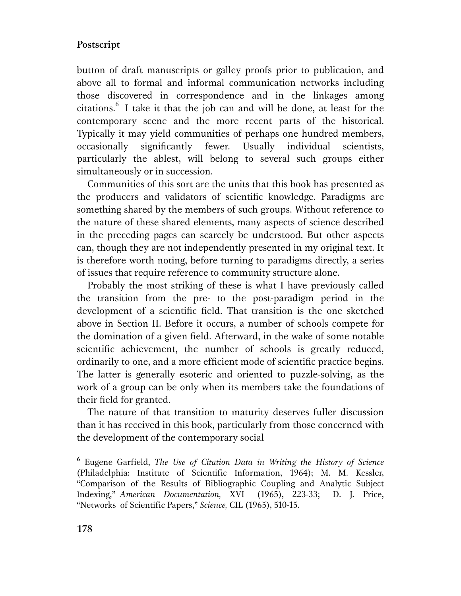button of draft manuscripts or galley proofs prior to publication, and above all to formal and informal communication networks including those discovered in correspondence and in the linkages among citations.6 I take it that the job can and will be done, at least for the contemporary scene and the more recent parts of the historical. Typically it may yield communities of perhaps one hundred members, occasionally significantly fewer. Usually individual scientists, particularly the ablest, will belong to several such groups either simultaneously or in succession.

Communities of this sort are the units that this book has presented as the producers and validators of scientific knowledge. Paradigms are something shared by the members of such groups. Without reference to the nature of these shared elements, many aspects of science described in the preceding pages can scarcely be understood. But other aspects can, though they are not independently presented in my original text. It is therefore worth noting, before turning to paradigms directly, a series of issues that require reference to community structure alone.

Probably the most striking of these is what I have previously called the transition from the pre- to the post-paradigm period in the development of a scientific field. That transition is the one sketched above in Section II. Before it occurs, a number of schools compete for the domination of a given field. Afterward, in the wake of some notable scientific achievement, the number of schools is greatly reduced, ordinarily to one, and a more efficient mode of scientific practice begins. The latter is generally esoteric and oriented to puzzle-solving, as the work of a group can be only when its members take the foundations of their field for granted.

The nature of that transition to maturity deserves fuller discussion than it has received in this book, particularly from those concerned with the development of the contemporary social

<sup>6</sup> Eugene Garfield, *The Use of Citation Data in Writing the History of Science*  (Philadelphia: Institute of Scientific Information, 1964); M. M. Kessler, "Comparison of the Results of Bibliographic Coupling and Analytic Subject Indexing," *American Documentation,* XVI (1965), 223-33; D. J. Price, "Networks of Scientific Papers," *Science,* CIL (1965), 510-15.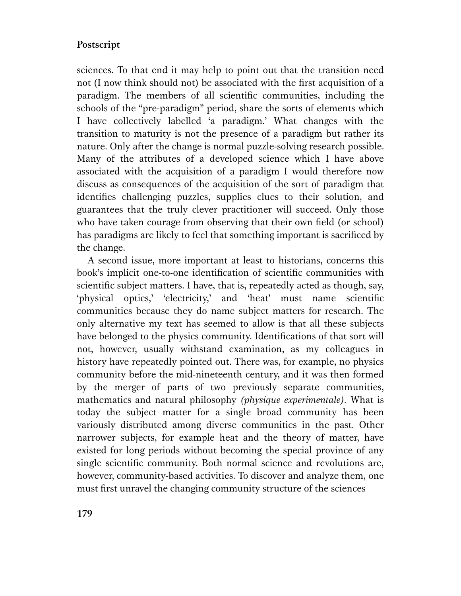sciences. To that end it may help to point out that the transition need not (I now think should not) be associated with the first acquisition of a paradigm. The members of all scientific communities, including the schools of the "pre-paradigm" period, share the sorts of elements which I have collectively labelled 'a paradigm.' What changes with the transition to maturity is not the presence of a paradigm but rather its nature. Only after the change is normal puzzle-solving research possible. Many of the attributes of a developed science which I have above associated with the acquisition of a paradigm I would therefore now discuss as consequences of the acquisition of the sort of paradigm that identifies challenging puzzles, supplies clues to their solution, and guarantees that the truly clever practitioner will succeed. Only those who have taken courage from observing that their own field (or school) has paradigms are likely to feel that something important is sacrificed by the change.

A second issue, more important at least to historians, concerns this book's implicit one-to-one identification of scientific communities with scientific subject matters. I have, that is, repeatedly acted as though, say, 'physical optics,' 'electricity,' and 'heat' must name scientific communities because they do name subject matters for research. The only alternative my text has seemed to allow is that all these subjects have belonged to the physics community. Identifications of that sort will not, however, usually withstand examination, as my colleagues in history have repeatedly pointed out. There was, for example, no physics community before the mid-nineteenth century, and it was then formed by the merger of parts of two previously separate communities, mathematics and natural philosophy *(physique experimentale).* What is today the subject matter for a single broad community has been variously distributed among diverse communities in the past. Other narrower subjects, for example heat and the theory of matter, have existed for long periods without becoming the special province of any single scientific community. Both normal science and revolutions are, however, community-based activities. To discover and analyze them, one must first unravel the changing community structure of the sciences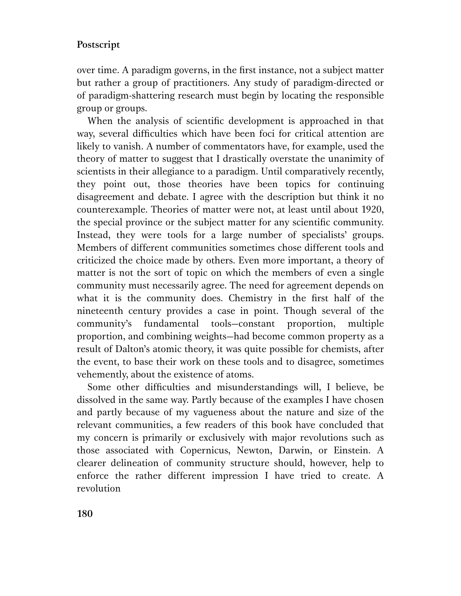over time. A paradigm governs, in the first instance, not a subject matter but rather a group of practitioners. Any study of paradigm-directed or of paradigm-shattering research must begin by locating the responsible group or groups.

When the analysis of scientific development is approached in that way, several difficulties which have been foci for critical attention are likely to vanish. A number of commentators have, for example, used the theory of matter to suggest that I drastically overstate the unanimity of scientists in their allegiance to a paradigm. Until comparatively recently, they point out, those theories have been topics for continuing disagreement and debate. I agree with the description but think it no counterexample. Theories of matter were not, at least until about 1920, the special province or the subject matter for any scientific community. Instead, they were tools for a large number of specialists' groups. Members of different communities sometimes chose different tools and criticized the choice made by others. Even more important, a theory of matter is not the sort of topic on which the members of even a single community must necessarily agree. The need for agreement depends on what it is the community does. Chemistry in the first half of the nineteenth century provides a case in point. Though several of the community's fundamental tools—constant proportion, multiple proportion, and combining weights—had become common property as a result of Dalton's atomic theory, it was quite possible for chemists, after the event, to base their work on these tools and to disagree, sometimes vehemently, about the existence of atoms.

Some other difficulties and misunderstandings will, I believe, be dissolved in the same way. Partly because of the examples I have chosen and partly because of my vagueness about the nature and size of the relevant communities, a few readers of this book have concluded that my concern is primarily or exclusively with major revolutions such as those associated with Copernicus, Newton, Darwin, or Einstein. A clearer delineation of community structure should, however, help to enforce the rather different impression I have tried to create. A revolution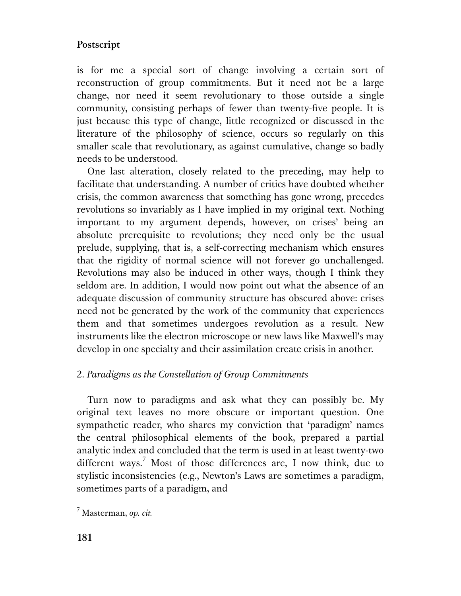is for me a special sort of change involving a certain sort of reconstruction of group commitments. But it need not be a large change, nor need it seem revolutionary to those outside a single community, consisting perhaps of fewer than twenty-five people. It is just because this type of change, little recognized or discussed in the literature of the philosophy of science, occurs so regularly on this smaller scale that revolutionary, as against cumulative, change so badly needs to be understood.

One last alteration, closely related to the preceding, may help to facilitate that understanding. A number of critics have doubted whether crisis, the common awareness that something has gone wrong, precedes revolutions so invariably as I have implied in my original text. Nothing important to my argument depends, however, on crises' being an absolute prerequisite to revolutions; they need only be the usual prelude, supplying, that is, a self-correcting mechanism which ensures that the rigidity of normal science will not forever go unchallenged. Revolutions may also be induced in other ways, though I think they seldom are. In addition, I would now point out what the absence of an adequate discussion of community structure has obscured above: crises need not be generated by the work of the community that experiences them and that sometimes undergoes revolution as a result. New instruments like the electron microscope or new laws like Maxwell's may develop in one specialty and their assimilation create crisis in another.

# 2. *Paradigms as the Constellation of Group Commitments*

Turn now to paradigms and ask what they can possibly be. My original text leaves no more obscure or important question. One sympathetic reader, who shares my conviction that 'paradigm' names the central philosophical elements of the book, prepared a partial analytic index and concluded that the term is used in at least twenty-two different ways.<sup>7</sup> Most of those differences are, I now think, due to stylistic inconsistencies (e.g., Newton's Laws are sometimes a paradigm, sometimes parts of a paradigm, and

<sup>7</sup> Masterman, *op. cit.*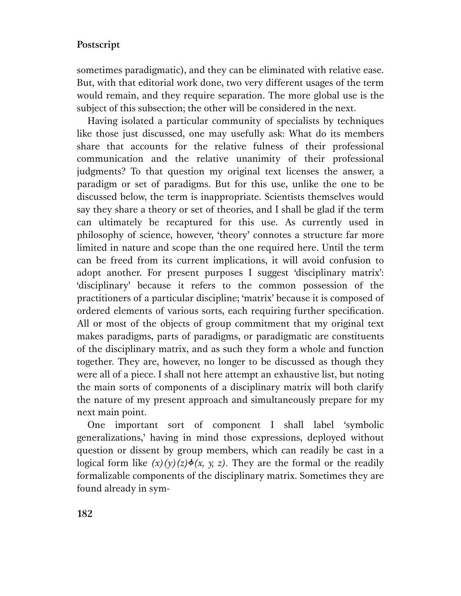sometimes paradigmatic), and they can be eliminated with relative ease. But, with that editorial work done, two very different usages of the term would remain, and they require separation. The more global use is the subject of this subsection; the other will be considered in the next.

Having isolated a particular community of specialists by techniques like those just discussed, one may usefully ask: What do its members share that accounts for the relative fulness of their professional communication and the relative unanimity of their professional judgments? To that question my original text licenses the answer, a paradigm or set of paradigms. But for this use, unlike the one to be discussed below, the term is inappropriate. Scientists themselves would say they share a theory or set of theories, and I shall be glad if the term can ultimately be recaptured for this use. As currently used in philosophy of science, however, 'theory' connotes a structure far more limited in nature and scope than the one required here. Until the term can be freed from its current implications, it will avoid confusion to adopt another. For present purposes I suggest 'disciplinary matrix': 'disciplinary' because it refers to the common possession of the practitioners of a particular discipline; 'matrix' because it is composed of ordered elements of various sorts, each requiring further specification. All or most of the objects of group commitment that my original text makes paradigms, parts of paradigms, or paradigmatic are constituents of the disciplinary matrix, and as such they form a whole and function together. They are, however, no longer to be discussed as though they were all of a piece. I shall not here attempt an exhaustive list, but noting the main sorts of components of a disciplinary matrix will both clarify the nature of my present approach and simultaneously prepare for my next main point.

One important sort of component I shall label 'symbolic generalizations,' having in mind those expressions, deployed without question or dissent by group members, which can readily be cast in a logical form like  $(x)(y)(z)\phi(x, y, z)$ . They are the formal or the readily formalizable components of the disciplinary matrix. Sometimes they are found already in sym-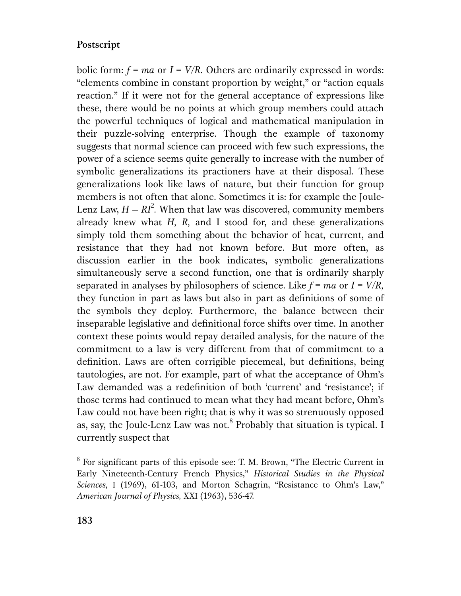bolic form:  $f = ma$  or  $I = V/R$ . Others are ordinarily expressed in words: "elements combine in constant proportion by weight," or "action equals reaction." If it were not for the general acceptance of expressions like these, there would be no points at which group members could attach the powerful techniques of logical and mathematical manipulation in their puzzle-solving enterprise. Though the example of taxonomy suggests that normal science can proceed with few such expressions, the power of a science seems quite generally to increase with the number of symbolic generalizations its practioners have at their disposal. These generalizations look like laws of nature, but their function for group members is not often that alone. Sometimes it is: for example the Joule-Lenz Law,  $H - RI^2$ . When that law was discovered, community members already knew what *H, R,* and I stood for, and these generalizations simply told them something about the behavior of heat, current, and resistance that they had not known before. But more often, as discussion earlier in the book indicates, symbolic generalizations simultaneously serve a second function, one that is ordinarily sharply separated in analyses by philosophers of science. Like *f* = *ma* or *I = V/R,*  they function in part as laws but also in part as definitions of some of the symbols they deploy. Furthermore, the balance between their inseparable legislative and definitional force shifts over time. In another context these points would repay detailed analysis, for the nature of the commitment to a law is very different from that of commitment to a definition. Laws are often corrigible piecemeal, but definitions, being tautologies, are not. For example, part of what the acceptance of Ohm's Law demanded was a redefinition of both 'current' and 'resistance'; if those terms had continued to mean what they had meant before, Ohm's Law could not have been right; that is why it was so strenuously opposed as, say, the Joule-Lenz Law was not.<sup>8</sup> Probably that situation is typical. I currently suspect that

<sup>&</sup>lt;sup>8</sup> For significant parts of this episode see: T. M. Brown, "The Electric Current in Early Nineteenth-Century French Physics," *Historical Studies in the Physical Sciences,* I (1969), 61-103, and Morton Schagrin, "Resistance to Ohm's Law," *American Journal of Physics,* XXI (1963), 536-47.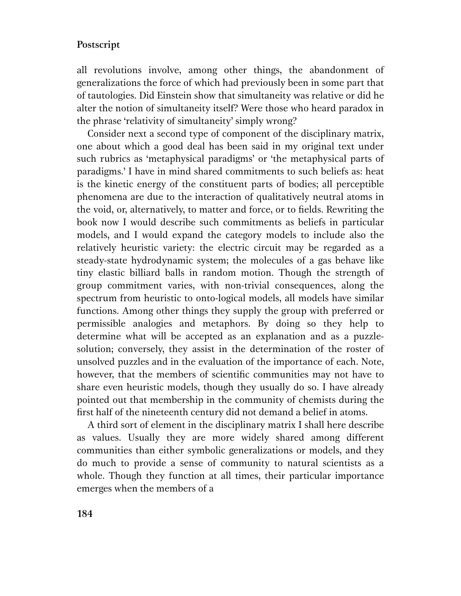all revolutions involve, among other things, the abandonment of generalizations the force of which had previously been in some part that of tautologies. Did Einstein show that simultaneity was relative or did he alter the notion of simultaneity itself? Were those who heard paradox in the phrase 'relativity of simultaneity' simply wrong?

Consider next a second type of component of the disciplinary matrix, one about which a good deal has been said in my original text under such rubrics as 'metaphysical paradigms' or 'the metaphysical parts of paradigms.' I have in mind shared commitments to such beliefs as: heat is the kinetic energy of the constituent parts of bodies; all perceptible phenomena are due to the interaction of qualitatively neutral atoms in the void, or, alternatively, to matter and force, or to fields. Rewriting the book now I would describe such commitments as beliefs in particular models, and I would expand the category models to include also the relatively heuristic variety: the electric circuit may be regarded as a steady-state hydrodynamic system; the molecules of a gas behave like tiny elastic billiard balls in random motion. Though the strength of group commitment varies, with non-trivial consequences, along the spectrum from heuristic to onto-logical models, all models have similar functions. Among other things they supply the group with preferred or permissible analogies and metaphors. By doing so they help to determine what will be accepted as an explanation and as a puzzlesolution; conversely, they assist in the determination of the roster of unsolved puzzles and in the evaluation of the importance of each. Note, however, that the members of scientific communities may not have to share even heuristic models, though they usually do so. I have already pointed out that membership in the community of chemists during the first half of the nineteenth century did not demand a belief in atoms.

A third sort of element in the disciplinary matrix I shall here describe as values. Usually they are more widely shared among different communities than either symbolic generalizations or models, and they do much to provide a sense of community to natural scientists as a whole. Though they function at all times, their particular importance emerges when the members of a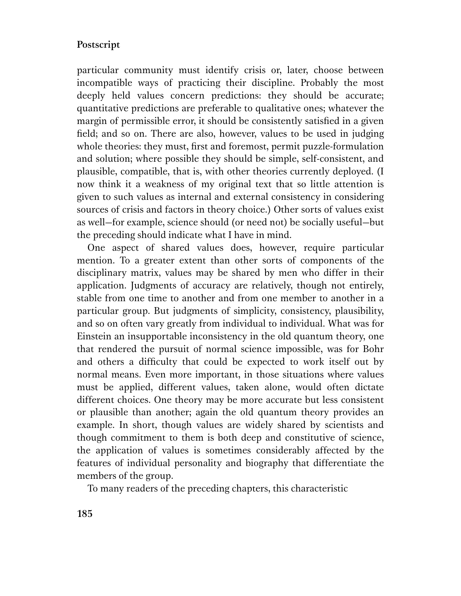particular community must identify crisis or, later, choose between incompatible ways of practicing their discipline. Probably the most deeply held values concern predictions: they should be accurate; quantitative predictions are preferable to qualitative ones; whatever the margin of permissible error, it should be consistently satisfied in a given field; and so on. There are also, however, values to be used in judging whole theories: they must, first and foremost, permit puzzle-formulation and solution; where possible they should be simple, self-consistent, and plausible, compatible, that is, with other theories currently deployed. (I now think it a weakness of my original text that so little attention is given to such values as internal and external consistency in considering sources of crisis and factors in theory choice.) Other sorts of values exist as well—for example, science should (or need not) be socially useful—but the preceding should indicate what I have in mind.

One aspect of shared values does, however, require particular mention. To a greater extent than other sorts of components of the disciplinary matrix, values may be shared by men who differ in their application. Judgments of accuracy are relatively, though not entirely, stable from one time to another and from one member to another in a particular group. But judgments of simplicity, consistency, plausibility, and so on often vary greatly from individual to individual. What was for Einstein an insupportable inconsistency in the old quantum theory, one that rendered the pursuit of normal science impossible, was for Bohr and others a difficulty that could be expected to work itself out by normal means. Even more important, in those situations where values must be applied, different values, taken alone, would often dictate different choices. One theory may be more accurate but less consistent or plausible than another; again the old quantum theory provides an example. In short, though values are widely shared by scientists and though commitment to them is both deep and constitutive of science, the application of values is sometimes considerably affected by the features of individual personality and biography that differentiate the members of the group.

To many readers of the preceding chapters, this characteristic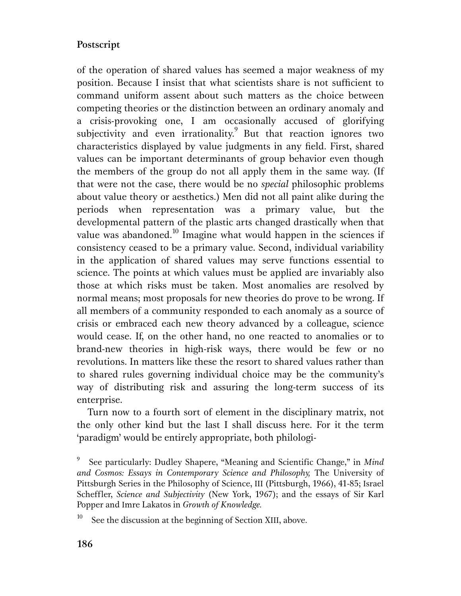of the operation of shared values has seemed a major weakness of my position. Because I insist that what scientists share is not sufficient to command uniform assent about such matters as the choice between competing theories or the distinction between an ordinary anomaly and a crisis-provoking one, I am occasionally accused of glorifying subjectivity and even irrationality.<sup>9</sup> But that reaction ignores two characteristics displayed by value judgments in any field. First, shared values can be important determinants of group behavior even though the members of the group do not all apply them in the same way. (If that were not the case, there would be no *special* philosophic problems about value theory or aesthetics.) Men did not all paint alike during the periods when representation was a primary value, but the developmental pattern of the plastic arts changed drastically when that value was abandoned.<sup>10</sup> Imagine what would happen in the sciences if consistency ceased to be a primary value. Second, individual variability in the application of shared values may serve functions essential to science. The points at which values must be applied are invariably also those at which risks must be taken. Most anomalies are resolved by normal means; most proposals for new theories do prove to be wrong. If all members of a community responded to each anomaly as a source of crisis or embraced each new theory advanced by a colleague, science would cease. If, on the other hand, no one reacted to anomalies or to brand-new theories in high-risk ways, there would be few or no revolutions. In matters like these the resort to shared values rather than to shared rules governing individual choice may be the community's way of distributing risk and assuring the long-term success of its enterprise.

Turn now to a fourth sort of element in the disciplinary matrix, not the only other kind but the last I shall discuss here. For it the term 'paradigm' would be entirely appropriate, both philologi-

<sup>9</sup> See particularly: Dudley Shapere, "Meaning and Scientific Change," in *Mind*  and Cosmos: Essays in Contemporary Science and Philosophy, The University of Pittsburgh Series in the Philosophy of Science, III (Pittsburgh, 1966), 41-85; Israel Scheffler, *Science and Subjectivity* (New York, 1967); and the essays of Sir Karl Popper and Imre Lakatos in *Growth of Knowledge.*

 $10<sup>10</sup>$  See the discussion at the beginning of Section XIII, above.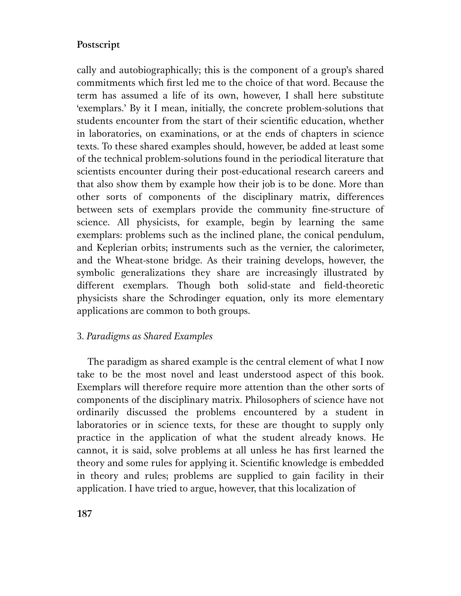cally and autobiographically; this is the component of a group's shared commitments which first led me to the choice of that word. Because the term has assumed a life of its own, however, I shall here substitute 'exemplars.' By it I mean, initially, the concrete problem-solutions that students encounter from the start of their scientific education, whether in laboratories, on examinations, or at the ends of chapters in science texts. To these shared examples should, however, be added at least some of the technical problem-solutions found in the periodical literature that scientists encounter during their post-educational research careers and that also show them by example how their job is to be done. More than other sorts of components of the disciplinary matrix, differences between sets of exemplars provide the community fine-structure of science. All physicists, for example, begin by learning the same exemplars: problems such as the inclined plane, the conical pendulum, and Keplerian orbits; instruments such as the vernier, the calorimeter, and the Wheat-stone bridge. As their training develops, however, the symbolic generalizations they share are increasingly illustrated by different exemplars. Though both solid-state and field-theoretic physicists share the Schrodinger equation, only its more elementary applications are common to both groups.

# 3. *Paradigms as Shared Examples*

The paradigm as shared example is the central element of what I now take to be the most novel and least understood aspect of this book. Exemplars will therefore require more attention than the other sorts of components of the disciplinary matrix. Philosophers of science have not ordinarily discussed the problems encountered by a student in laboratories or in science texts, for these are thought to supply only practice in the application of what the student already knows. He cannot, it is said, solve problems at all unless he has first learned the theory and some rules for applying it. Scientific knowledge is embedded in theory and rules; problems are supplied to gain facility in their application. I have tried to argue, however, that this localization of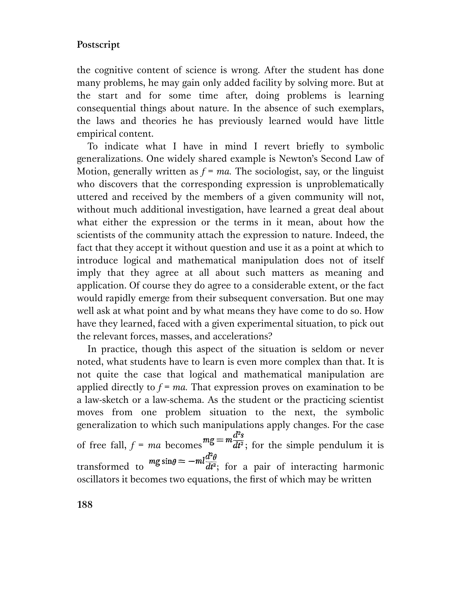the cognitive content of science is wrong. After the student has done many problems, he may gain only added facility by solving more. But at the start and for some time after, doing problems is learning consequential things about nature. In the absence of such exemplars, the laws and theories he has previously learned would have little empirical content.

To indicate what I have in mind I revert briefly to symbolic generalizations. One widely shared example is Newton's Second Law of Motion, generally written as  $f = ma$ . The sociologist, say, or the linguist who discovers that the corresponding expression is unproblematically uttered and received by the members of a given community will not, without much additional investigation, have learned a great deal about what either the expression or the terms in it mean, about how the scientists of the community attach the expression to nature. Indeed, the fact that they accept it without question and use it as a point at which to introduce logical and mathematical manipulation does not of itself imply that they agree at all about such matters as meaning and application. Of course they do agree to a considerable extent, or the fact would rapidly emerge from their subsequent conversation. But one may well ask at what point and by what means they have come to do so. How have they learned, faced with a given experimental situation, to pick out the relevant forces, masses, and accelerations?

In practice, though this aspect of the situation is seldom or never noted, what students have to learn is even more complex than that. It is not quite the case that logical and mathematical manipulation are applied directly to *f* = *ma.* That expression proves on examination to be a law-sketch or a law-schema. As the student or the practicing scientist moves from one problem situation to the next, the symbolic generalization to which such manipulations apply changes. For the case of free fall,  $f = ma$  becomes  $mg = m\frac{d^2s}{dt^2}$ ; for the simple pendulum it is transformed to  $mg \sin\theta = -ml\frac{d^2\theta}{dt^2}$ ; for a pair of interacting harmonic oscillators it becomes two equations, the first of which may be written

188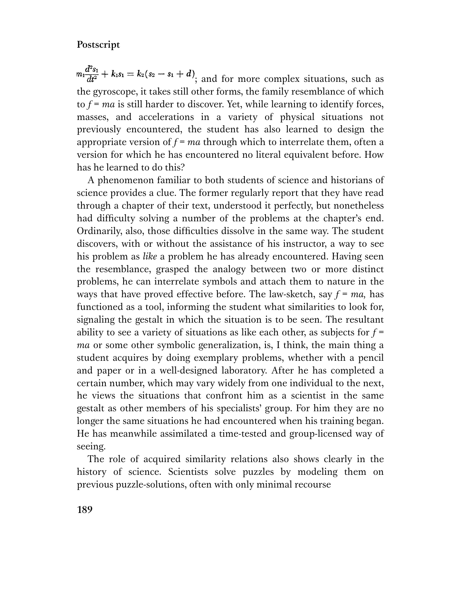$m_1 \frac{d^2s_1}{dt^2} + k_1s_1 = k_2(s_2 - s_1 + d)$ ; and for more complex situations, such as the gyroscope, it takes still other forms, the family resemblance of which to *f* = *ma* is still harder to discover. Yet, while learning to identify forces, masses, and accelerations in a variety of physical situations not previously encountered, the student has also learned to design the appropriate version of *f* = *ma* through which to interrelate them, often a version for which he has encountered no literal equivalent before. How has he learned to do this?

A phenomenon familiar to both students of science and historians of science provides a clue. The former regularly report that they have read through a chapter of their text, understood it perfectly, but nonetheless had difficulty solving a number of the problems at the chapter's end. Ordinarily, also, those difficulties dissolve in the same way. The student discovers, with or without the assistance of his instructor, a way to see his problem as *like* a problem he has already encountered. Having seen the resemblance, grasped the analogy between two or more distinct problems, he can interrelate symbols and attach them to nature in the ways that have proved effective before. The law-sketch, say *f* = *ma,* has functioned as a tool, informing the student what similarities to look for, signaling the gestalt in which the situation is to be seen. The resultant ability to see a variety of situations as like each other, as subjects for  $f =$ *ma* or some other symbolic generalization, is, I think, the main thing a student acquires by doing exemplary problems, whether with a pencil and paper or in a well-designed laboratory. After he has completed a certain number, which may vary widely from one individual to the next, he views the situations that confront him as a scientist in the same gestalt as other members of his specialists' group. For him they are no longer the same situations he had encountered when his training began. He has meanwhile assimilated a time-tested and group-licensed way of seeing.

The role of acquired similarity relations also shows clearly in the history of science. Scientists solve puzzles by modeling them on previous puzzle-solutions, often with only minimal recourse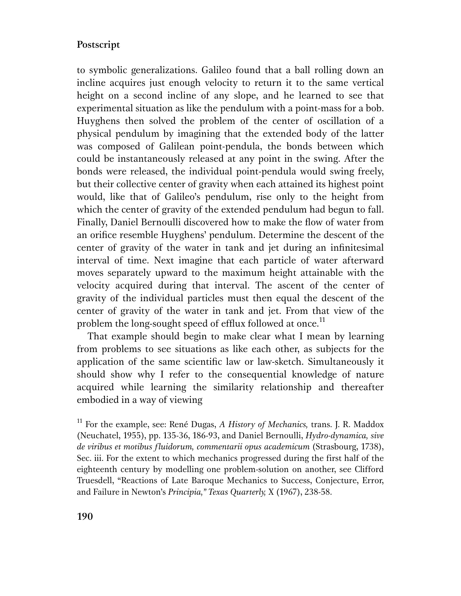to symbolic generalizations. Galileo found that a ball rolling down an incline acquires just enough velocity to return it to the same vertical height on a second incline of any slope, and he learned to see that experimental situation as like the pendulum with a point-mass for a bob. Huyghens then solved the problem of the center of oscillation of a physical pendulum by imagining that the extended body of the latter was composed of Galilean point-pendula, the bonds between which could be instantaneously released at any point in the swing. After the bonds were released, the individual point-pendula would swing freely, but their collective center of gravity when each attained its highest point would, like that of Galileo's pendulum, rise only to the height from which the center of gravity of the extended pendulum had begun to fall. Finally, Daniel Bernoulli discovered how to make the flow of water from an orifice resemble Huyghens' pendulum. Determine the descent of the center of gravity of the water in tank and jet during an infinitesimal interval of time. Next imagine that each particle of water afterward moves separately upward to the maximum height attainable with the velocity acquired during that interval. The ascent of the center of gravity of the individual particles must then equal the descent of the center of gravity of the water in tank and jet. From that view of the problem the long-sought speed of efflux followed at once.<sup>11</sup>

That example should begin to make clear what I mean by learning from problems to see situations as like each other, as subjects for the application of the same scientific law or law-sketch. Simultaneously it should show why I refer to the consequential knowledge of nature acquired while learning the similarity relationship and thereafter embodied in a way of viewing

11 For the example, see: René Dugas, *A History of Mechanics,* trans. J. R. Maddox (Neuchatel, 1955), pp. 135-36, 186-93, and Daniel Bernoulli, *Hydro-dynamica, sive de viribus et motibus fluidorum, commentarii opus academicum* (Strasbourg, 1738), Sec. iii. For the extent to which mechanics progressed during the first half of the eighteenth century by modelling one problem-solution on another, see Clifford Truesdell, "Reactions of Late Baroque Mechanics to Success, Conjecture, Error, and Failure in Newton's *Principia," Texas Quarterly,* X (1967), 238-58.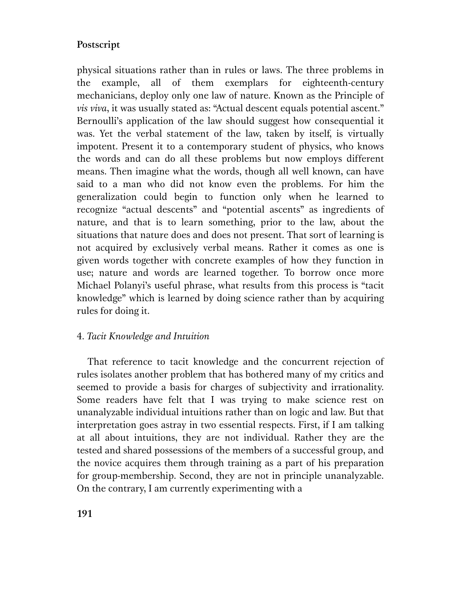physical situations rather than in rules or laws. The three problems in the example, all of them exemplars for eighteenth-century mechanicians, deploy only one law of nature. Known as the Principle of *vis viva*, it was usually stated as: "Actual descent equals potential ascent." Bernoulli's application of the law should suggest how consequential it was. Yet the verbal statement of the law, taken by itself, is virtually impotent. Present it to a contemporary student of physics, who knows the words and can do all these problems but now employs different means. Then imagine what the words, though all well known, can have said to a man who did not know even the problems. For him the generalization could begin to function only when he learned to recognize "actual descents" and "potential ascents" as ingredients of nature, and that is to learn something, prior to the law, about the situations that nature does and does not present. That sort of learning is not acquired by exclusively verbal means. Rather it comes as one is given words together with concrete examples of how they function in use; nature and words are learned together. To borrow once more Michael Polanyi's useful phrase, what results from this process is "tacit knowledge" which is learned by doing science rather than by acquiring rules for doing it.

## 4. *Tacit Knowledge and Intuition*

That reference to tacit knowledge and the concurrent rejection of rules isolates another problem that has bothered many of my critics and seemed to provide a basis for charges of subjectivity and irrationality. Some readers have felt that I was trying to make science rest on unanalyzable individual intuitions rather than on logic and law. But that interpretation goes astray in two essential respects. First, if I am talking at all about intuitions, they are not individual. Rather they are the tested and shared possessions of the members of a successful group, and the novice acquires them through training as a part of his preparation for group-membership. Second, they are not in principle unanalyzable. On the contrary, I am currently experimenting with a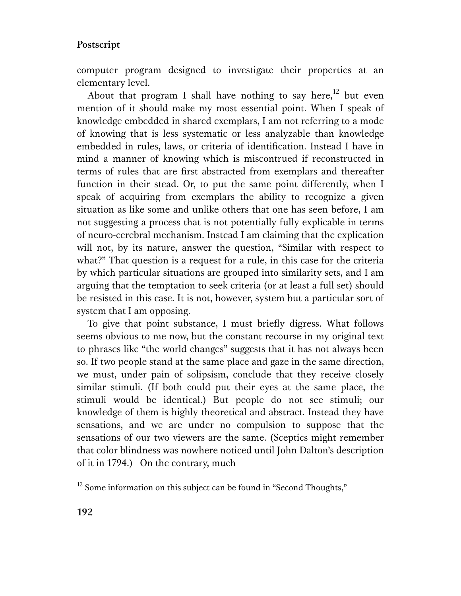computer program designed to investigate their properties at an elementary level.

About that program I shall have nothing to say here,<sup>12</sup> but even mention of it should make my most essential point. When I speak of knowledge embedded in shared exemplars, I am not referring to a mode of knowing that is less systematic or less analyzable than knowledge embedded in rules, laws, or criteria of identification. Instead I have in mind a manner of knowing which is miscontrued if reconstructed in terms of rules that are first abstracted from exemplars and thereafter function in their stead. Or, to put the same point differently, when I speak of acquiring from exemplars the ability to recognize a given situation as like some and unlike others that one has seen before, I am not suggesting a process that is not potentially fully explicable in terms of neuro-cerebral mechanism. Instead I am claiming that the explication will not, by its nature, answer the question, "Similar with respect to what?" That question is a request for a rule, in this case for the criteria by which particular situations are grouped into similarity sets, and I am arguing that the temptation to seek criteria (or at least a full set) should be resisted in this case. It is not, however, system but a particular sort of system that I am opposing.

To give that point substance, I must briefly digress. What follows seems obvious to me now, but the constant recourse in my original text to phrases like "the world changes" suggests that it has not always been so. If two people stand at the same place and gaze in the same direction, we must, under pain of solipsism, conclude that they receive closely similar stimuli. (If both could put their eyes at the same place, the stimuli would be identical.) But people do not see stimuli; our knowledge of them is highly theoretical and abstract. Instead they have sensations, and we are under no compulsion to suppose that the sensations of our two viewers are the same. (Sceptics might remember that color blindness was nowhere noticed until John Dalton's description of it in 1794.) On the contrary, much

 $12$  Some information on this subject can be found in "Second Thoughts,"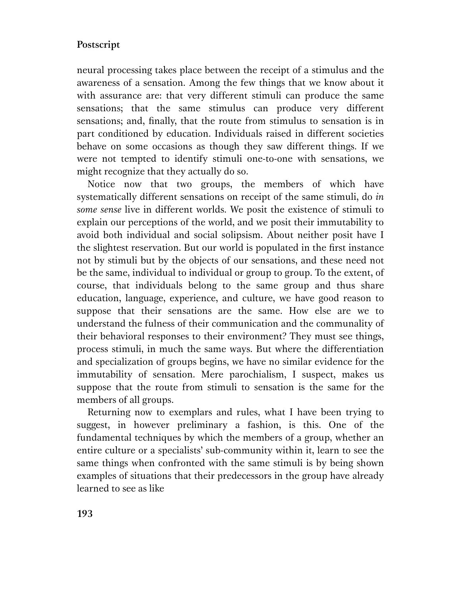neural processing takes place between the receipt of a stimulus and the awareness of a sensation. Among the few things that we know about it with assurance are: that very different stimuli can produce the same sensations; that the same stimulus can produce very different sensations; and, finally, that the route from stimulus to sensation is in part conditioned by education. Individuals raised in different societies behave on some occasions as though they saw different things. If we were not tempted to identify stimuli one-to-one with sensations, we might recognize that they actually do so.

Notice now that two groups, the members of which have systematically different sensations on receipt of the same stimuli, do *in some sense* live in different worlds. We posit the existence of stimuli to explain our perceptions of the world, and we posit their immutability to avoid both individual and social solipsism. About neither posit have I the slightest reservation. But our world is populated in the first instance not by stimuli but by the objects of our sensations, and these need not be the same, individual to individual or group to group. To the extent, of course, that individuals belong to the same group and thus share education, language, experience, and culture, we have good reason to suppose that their sensations are the same. How else are we to understand the fulness of their communication and the communality of their behavioral responses to their environment? They must see things, process stimuli, in much the same ways. But where the differentiation and specialization of groups begins, we have no similar evidence for the immutability of sensation. Mere parochialism, I suspect, makes us suppose that the route from stimuli to sensation is the same for the members of all groups.

Returning now to exemplars and rules, what I have been trying to suggest, in however preliminary a fashion, is this. One of the fundamental techniques by which the members of a group, whether an entire culture or a specialists' sub-community within it, learn to see the same things when confronted with the same stimuli is by being shown examples of situations that their predecessors in the group have already learned to see as like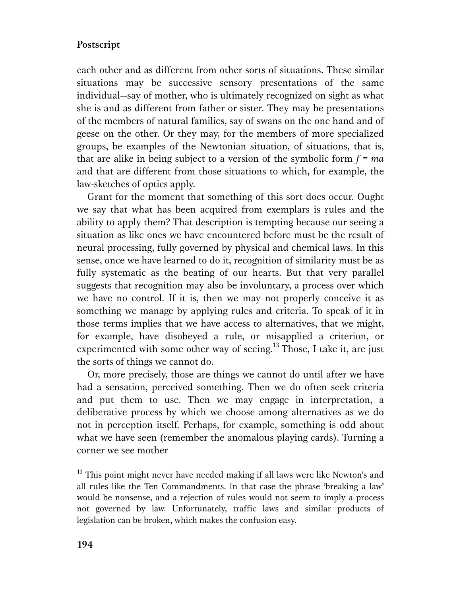each other and as different from other sorts of situations. These similar situations may be successive sensory presentations of the same individual—say of mother, who is ultimately recognized on sight as what she is and as different from father or sister. They may be presentations of the members of natural families, say of swans on the one hand and of geese on the other. Or they may, for the members of more specialized groups, be examples of the Newtonian situation, of situations, that is, that are alike in being subject to a version of the symbolic form *f* = *ma*  and that are different from those situations to which, for example, the law-sketches of optics apply.

Grant for the moment that something of this sort does occur. Ought we say that what has been acquired from exemplars is rules and the ability to apply them? That description is tempting because our seeing a situation as like ones we have encountered before must be the result of neural processing, fully governed by physical and chemical laws. In this sense, once we have learned to do it, recognition of similarity must be as fully systematic as the beating of our hearts. But that very parallel suggests that recognition may also be involuntary, a process over which we have no control. If it is, then we may not properly conceive it as something we manage by applying rules and criteria. To speak of it in those terms implies that we have access to alternatives, that we might, for example, have disobeyed a rule, or misapplied a criterion, or experimented with some other way of seeing.13 Those, I take it, are just the sorts of things we cannot do.

Or, more precisely, those are things we cannot do until after we have had a sensation, perceived something. Then we do often seek criteria and put them to use. Then we may engage in interpretation, a deliberative process by which we choose among alternatives as we do not in perception itself. Perhaps, for example, something is odd about what we have seen (remember the anomalous playing cards). Turning a corner we see mother

 $13$  This point might never have needed making if all laws were like Newton's and all rules like the Ten Commandments. In that case the phrase 'breaking a law' would be nonsense, and a rejection of rules would not seem to imply a process not governed by law. Unfortunately, traffic laws and similar products of legislation can be broken, which makes the confusion easy.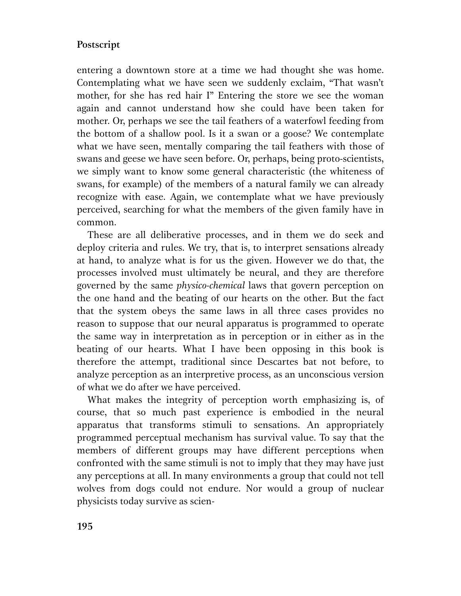entering a downtown store at a time we had thought she was home. Contemplating what we have seen we suddenly exclaim, "That wasn't mother, for she has red hair I" Entering the store we see the woman again and cannot understand how she could have been taken for mother. Or, perhaps we see the tail feathers of a waterfowl feeding from the bottom of a shallow pool. Is it a swan or a goose? We contemplate what we have seen, mentally comparing the tail feathers with those of swans and geese we have seen before. Or, perhaps, being proto-scientists, we simply want to know some general characteristic (the whiteness of swans, for example) of the members of a natural family we can already recognize with ease. Again, we contemplate what we have previously perceived, searching for what the members of the given family have in common.

These are all deliberative processes, and in them we do seek and deploy criteria and rules. We try, that is, to interpret sensations already at hand, to analyze what is for us the given. However we do that, the processes involved must ultimately be neural, and they are therefore governed by the same *physico-chemical* laws that govern perception on the one hand and the beating of our hearts on the other. But the fact that the system obeys the same laws in all three cases provides no reason to suppose that our neural apparatus is programmed to operate the same way in interpretation as in perception or in either as in the beating of our hearts. What I have been opposing in this book is therefore the attempt, traditional since Descartes bat not before, to analyze perception as an interpretive process, as an unconscious version of what we do after we have perceived.

What makes the integrity of perception worth emphasizing is, of course, that so much past experience is embodied in the neural apparatus that transforms stimuli to sensations. An appropriately programmed perceptual mechanism has survival value. To say that the members of different groups may have different perceptions when confronted with the same stimuli is not to imply that they may have just any perceptions at all. In many environments a group that could not tell wolves from dogs could not endure. Nor would a group of nuclear physicists today survive as scien-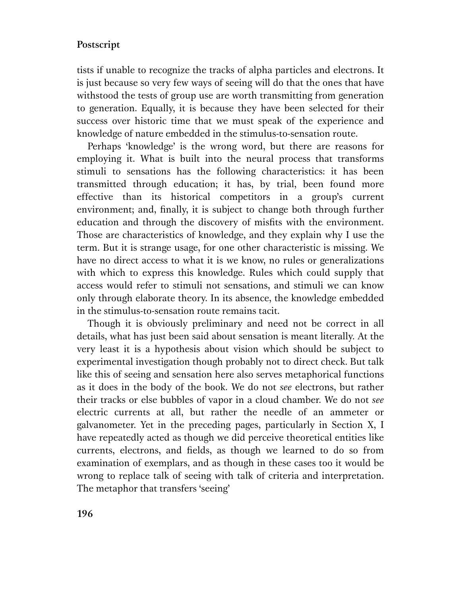tists if unable to recognize the tracks of alpha particles and electrons. It is just because so very few ways of seeing will do that the ones that have withstood the tests of group use are worth transmitting from generation to generation. Equally, it is because they have been selected for their success over historic time that we must speak of the experience and knowledge of nature embedded in the stimulus-to-sensation route.

Perhaps 'knowledge' is the wrong word, but there are reasons for employing it. What is built into the neural process that transforms stimuli to sensations has the following characteristics: it has been transmitted through education; it has, by trial, been found more effective than its historical competitors in a group's current environment; and, finally, it is subject to change both through further education and through the discovery of misfits with the environment. Those are characteristics of knowledge, and they explain why I use the term. But it is strange usage, for one other characteristic is missing. We have no direct access to what it is we know, no rules or generalizations with which to express this knowledge. Rules which could supply that access would refer to stimuli not sensations, and stimuli we can know only through elaborate theory. In its absence, the knowledge embedded in the stimulus-to-sensation route remains tacit.

Though it is obviously preliminary and need not be correct in all details, what has just been said about sensation is meant literally. At the very least it is a hypothesis about vision which should be subject to experimental investigation though probably not to direct check. But talk like this of seeing and sensation here also serves metaphorical functions as it does in the body of the book. We do not *see* electrons, but rather their tracks or else bubbles of vapor in a cloud chamber. We do not *see*  electric currents at all, but rather the needle of an ammeter or galvanometer. Yet in the preceding pages, particularly in Section X, I have repeatedly acted as though we did perceive theoretical entities like currents, electrons, and fields, as though we learned to do so from examination of exemplars, and as though in these cases too it would be wrong to replace talk of seeing with talk of criteria and interpretation. The metaphor that transfers 'seeing'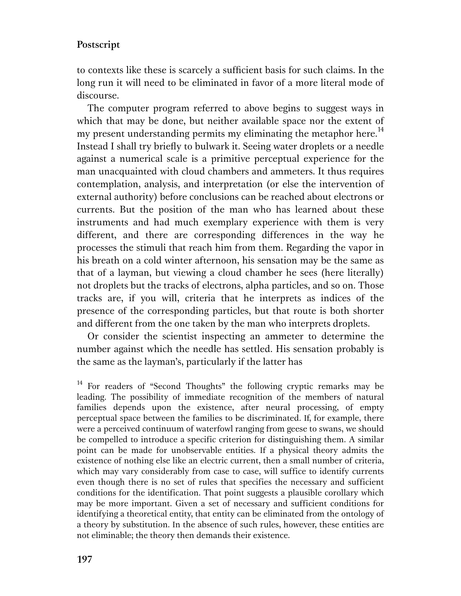to contexts like these is scarcely a sufficient basis for such claims. In the long run it will need to be eliminated in favor of a more literal mode of discourse.

The computer program referred to above begins to suggest ways in which that may be done, but neither available space nor the extent of my present understanding permits my eliminating the metaphor here.<sup>14</sup> Instead I shall try briefly to bulwark it. Seeing water droplets or a needle against a numerical scale is a primitive perceptual experience for the man unacquainted with cloud chambers and ammeters. It thus requires contemplation, analysis, and interpretation (or else the intervention of external authority) before conclusions can be reached about electrons or currents. But the position of the man who has learned about these instruments and had much exemplary experience with them is very different, and there are corresponding differences in the way he processes the stimuli that reach him from them. Regarding the vapor in his breath on a cold winter afternoon, his sensation may be the same as that of a layman, but viewing a cloud chamber he sees (here literally) not droplets but the tracks of electrons, alpha particles, and so on. Those tracks are, if you will, criteria that he interprets as indices of the presence of the corresponding particles, but that route is both shorter and different from the one taken by the man who interprets droplets.

Or consider the scientist inspecting an ammeter to determine the number against which the needle has settled. His sensation probably is the same as the layman's, particularly if the latter has

<sup>14</sup> For readers of "Second Thoughts" the following cryptic remarks may be leading. The possibility of immediate recognition of the members of natural families depends upon the existence, after neural processing, of empty perceptual space between the families to be discriminated. If, for example, there were a perceived continuum of waterfowl ranging from geese to swans, we should be compelled to introduce a specific criterion for distinguishing them. A similar point can be made for unobservable entities. If a physical theory admits the existence of nothing else like an electric current, then a small number of criteria, which may vary considerably from case to case, will suffice to identify currents even though there is no set of rules that specifies the necessary and sufficient conditions for the identification. That point suggests a plausible corollary which may be more important. Given a set of necessary and sufficient conditions for identifying a theoretical entity, that entity can be eliminated from the ontology of a theory by substitution. In the absence of such rules, however, these entities are not eliminable; the theory then demands their existence.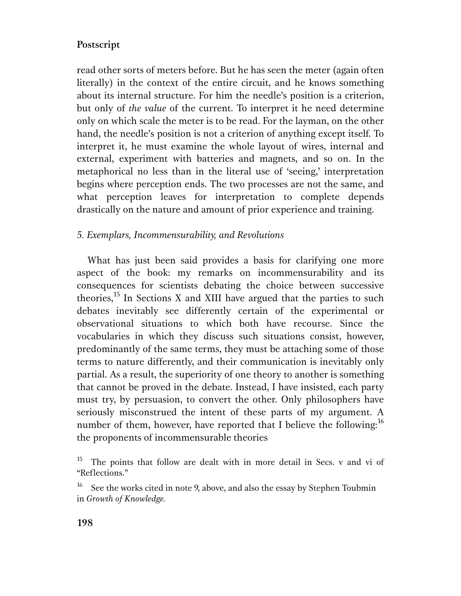read other sorts of meters before. But he has seen the meter (again often literally) in the context of the entire circuit, and he knows something about its internal structure. For him the needle's position is a criterion, but only of *the value* of the current. To interpret it he need determine only on which scale the meter is to be read. For the layman, on the other hand, the needle's position is not a criterion of anything except itself. To interpret it, he must examine the whole layout of wires, internal and external, experiment with batteries and magnets, and so on. In the metaphorical no less than in the literal use of 'seeing,' interpretation begins where perception ends. The two processes are not the same, and what perception leaves for interpretation to complete depends drastically on the nature and amount of prior experience and training.

# *5. Exemplars, Incommensurability, and Revolutions*

What has just been said provides a basis for clarifying one more aspect of the book: my remarks on incommensurability and its consequences for scientists debating the choice between successive theories,  $^{15}$  In Sections X and XIII have argued that the parties to such debates inevitably see differently certain of the experimental or observational situations to which both have recourse. Since the vocabularies in which they discuss such situations consist, however, predominantly of the same terms, they must be attaching some of those terms to nature differently, and their communication is inevitably only partial. As a result, the superiority of one theory to another is something that cannot be proved in the debate. Instead, I have insisted, each party must try, by persuasion, to convert the other. Only philosophers have seriously misconstrued the intent of these parts of my argument. A number of them, however, have reported that I believe the following:  $16$ the proponents of incommensurable theories

 $15$  The points that follow are dealt with in more detail in Secs. v and vi of "Reflections."

See the works cited in note 9, above, and also the essay by Stephen Toubmin in *Growth of Knowledge.*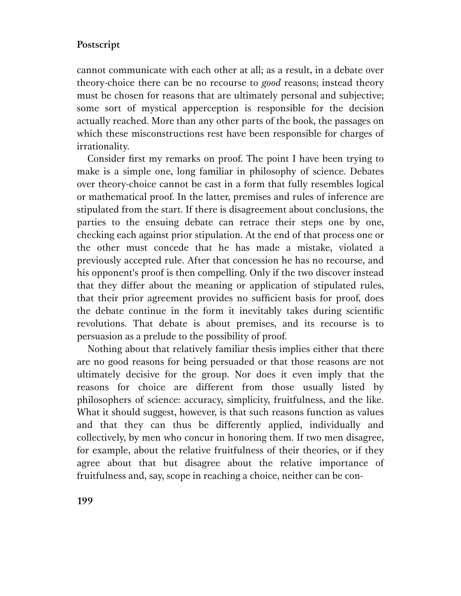cannot communicate with each other at all; as a result, in a debate over theory-choice there can be no recourse to *good* reasons; instead theory must be chosen for reasons that are ultimately personal and subjective; some sort of mystical apperception is responsible for the decision actually reached. More than any other parts of the book, the passages on which these misconstructions rest have been responsible for charges of irrationality.

Consider first my remarks on proof. The point I have been trying to make is a simple one, long familiar in philosophy of science. Debates over theory-choice cannot be cast in a form that fully resembles logical or mathematical proof. In the latter, premises and rules of inference are stipulated from the start. If there is disagreement about conclusions, the parties to the ensuing debate can retrace their steps one by one, checking each against prior stipulation. At the end of that process one or the other must concede that he has made a mistake, violated a previously accepted rule. After that concession he has no recourse, and his opponent's proof is then compelling. Only if the two discover instead that they differ about the meaning or application of stipulated rules, that their prior agreement provides no sufficient basis for proof, does the debate continue in the form it inevitably takes during scientific revolutions. That debate is about premises, and its recourse is to persuasion as a prelude to the possibility of proof.

Nothing about that relatively familiar thesis implies either that there are no good reasons for being persuaded or that those reasons are not ultimately decisive for the group. Nor does it even imply that the reasons for choice are different from those usually listed by philosophers of science: accuracy, simplicity, fruitfulness, and the like. What it should suggest, however, is that such reasons function as values and that they can thus be differently applied, individually and collectively, by men who concur in honoring them. If two men disagree, for example, about the relative fruitfulness of their theories, or if they agree about that but disagree about the relative importance of fruitfulness and, say, scope in reaching a choice, neither can be con-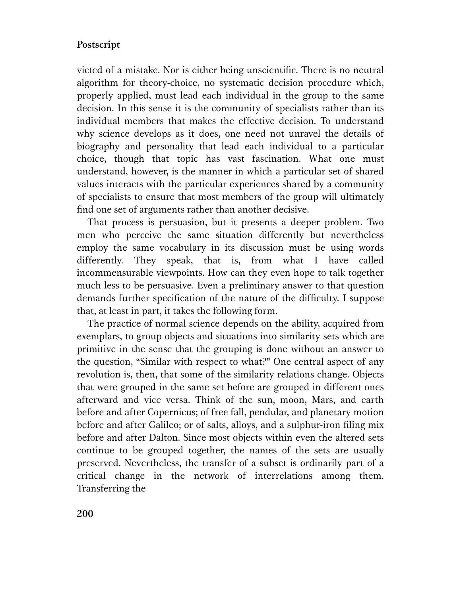victed of a mistake. Nor is either being unscientific. There is no neutral algorithm for theory-choice, no systematic decision procedure which, properly applied, must lead each individual in the group to the same decision. In this sense it is the community of specialists rather than its individual members that makes the effective decision. To understand why science develops as it does, one need not unravel the details of biography and personality that lead each individual to a particular choice, though that topic has vast fascination. What one must understand, however, is the manner in which a particular set of shared values interacts with the particular experiences shared by a community of specialists to ensure that most members of the group will ultimately find one set of arguments rather than another decisive.

That process is persuasion, but it presents a deeper problem. Two men who perceive the same situation differently but nevertheless employ the same vocabulary in its discussion must be using words differently. They speak, that is, from what I have called incommensurable viewpoints. How can they even hope to talk together much less to be persuasive. Even a preliminary answer to that question demands further specification of the nature of the difficulty. I suppose that, at least in part, it takes the following form.

The practice of normal science depends on the ability, acquired from exemplars, to group objects and situations into similarity sets which are primitive in the sense that the grouping is done without an answer to the question, "Similar with respect to what?" One central aspect of any revolution is, then, that some of the similarity relations change. Objects that were grouped in the same set before are grouped in different ones afterward and vice versa. Think of the sun, moon, Mars, and earth before and after Copernicus; of free fall, pendular, and planetary motion before and after Galileo; or of salts, alloys, and a sulphur-iron filing mix before and after Dalton. Since most objects within even the altered sets continue to be grouped together, the names of the sets are usually preserved. Nevertheless, the transfer of a subset is ordinarily part of a critical change in the network of interrelations among them. Transferring the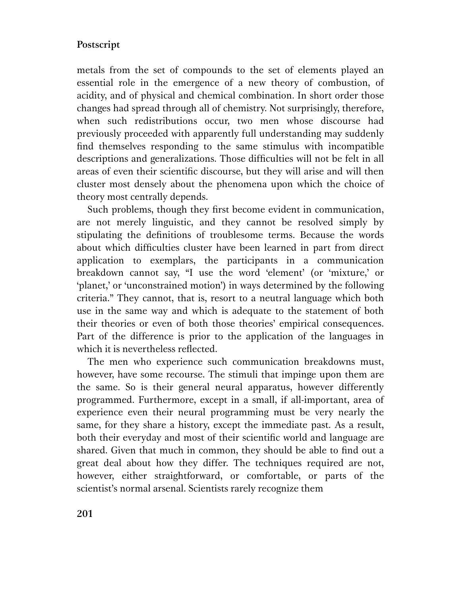metals from the set of compounds to the set of elements played an essential role in the emergence of a new theory of combustion, of acidity, and of physical and chemical combination. In short order those changes had spread through all of chemistry. Not surprisingly, therefore, when such redistributions occur, two men whose discourse had previously proceeded with apparently full understanding may suddenly find themselves responding to the same stimulus with incompatible descriptions and generalizations. Those difficulties will not be felt in all areas of even their scientific discourse, but they will arise and will then cluster most densely about the phenomena upon which the choice of theory most centrally depends.

Such problems, though they first become evident in communication, are not merely linguistic, and they cannot be resolved simply by stipulating the definitions of troublesome terms. Because the words about which difficulties cluster have been learned in part from direct application to exemplars, the participants in a communication breakdown cannot say, "I use the word 'element' (or 'mixture,' or 'planet,' or 'unconstrained motion') in ways determined by the following criteria." They cannot, that is, resort to a neutral language which both use in the same way and which is adequate to the statement of both their theories or even of both those theories' empirical consequences. Part of the difference is prior to the application of the languages in which it is nevertheless reflected.

The men who experience such communication breakdowns must, however, have some recourse. The stimuli that impinge upon them are the same. So is their general neural apparatus, however differently programmed. Furthermore, except in a small, if all-important, area of experience even their neural programming must be very nearly the same, for they share a history, except the immediate past. As a result, both their everyday and most of their scientific world and language are shared. Given that much in common, they should be able to find out a great deal about how they differ. The techniques required are not, however, either straightforward, or comfortable, or parts of the scientist's normal arsenal. Scientists rarely recognize them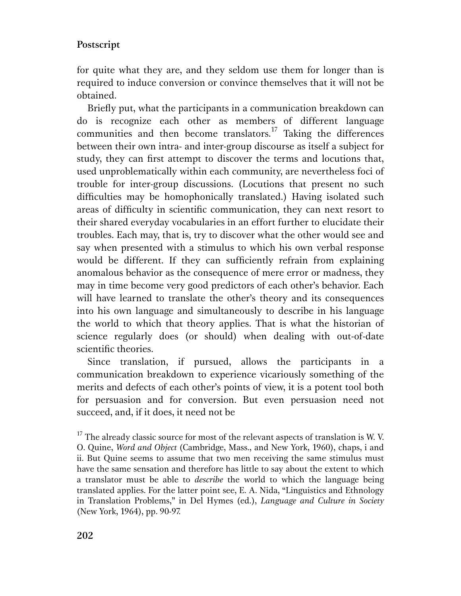for quite what they are, and they seldom use them for longer than is required to induce conversion or convince themselves that it will not be obtained.

Briefly put, what the participants in a communication breakdown can do is recognize each other as members of different language communities and then become translators.17 Taking the differences between their own intra- and inter-group discourse as itself a subject for study, they can first attempt to discover the terms and locutions that, used unproblematically within each community, are nevertheless foci of trouble for inter-group discussions. (Locutions that present no such difficulties may be homophonically translated.) Having isolated such areas of difficulty in scientific communication, they can next resort to their shared everyday vocabularies in an effort further to elucidate their troubles. Each may, that is, try to discover what the other would see and say when presented with a stimulus to which his own verbal response would be different. If they can sufficiently refrain from explaining anomalous behavior as the consequence of mere error or madness, they may in time become very good predictors of each other's behavior. Each will have learned to translate the other's theory and its consequences into his own language and simultaneously to describe in his language the world to which that theory applies. That is what the historian of science regularly does (or should) when dealing with out-of-date scientific theories.

Since translation, if pursued, allows the participants in a communication breakdown to experience vicariously something of the merits and defects of each other's points of view, it is a potent tool both for persuasion and for conversion. But even persuasion need not succeed, and, if it does, it need not be

 $17$  The already classic source for most of the relevant aspects of translation is W. V. O. Quine, *Word and Object* (Cambridge, Mass., and New York, 1960), chaps, i and ii. But Quine seems to assume that two men receiving the same stimulus must have the same sensation and therefore has little to say about the extent to which a translator must be able to *describe* the world to which the language being translated applies. For the latter point see, E. A. Nida, "Linguistics and Ethnology in Translation Problems," in Del Hymes (ed.), *Language and Culture in Society*  (New York, 1964), pp. 90-97.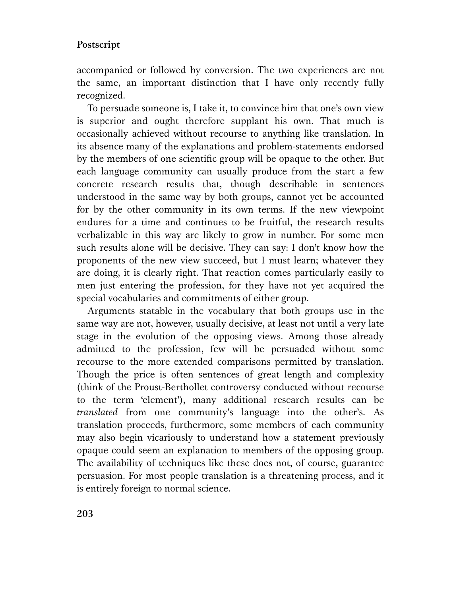accompanied or followed by conversion. The two experiences are not the same, an important distinction that I have only recently fully recognized.

To persuade someone is, I take it, to convince him that one's own view is superior and ought therefore supplant his own. That much is occasionally achieved without recourse to anything like translation. In its absence many of the explanations and problem-statements endorsed by the members of one scientific group will be opaque to the other. But each language community can usually produce from the start a few concrete research results that, though describable in sentences understood in the same way by both groups, cannot yet be accounted for by the other community in its own terms. If the new viewpoint endures for a time and continues to be fruitful, the research results verbalizable in this way are likely to grow in number. For some men such results alone will be decisive. They can say: I don't know how the proponents of the new view succeed, but I must learn; whatever they are doing, it is clearly right. That reaction comes particularly easily to men just entering the profession, for they have not yet acquired the special vocabularies and commitments of either group.

Arguments statable in the vocabulary that both groups use in the same way are not, however, usually decisive, at least not until a very late stage in the evolution of the opposing views. Among those already admitted to the profession, few will be persuaded without some recourse to the more extended comparisons permitted by translation. Though the price is often sentences of great length and complexity (think of the Proust-Berthollet controversy conducted without recourse to the term 'element'), many additional research results can be *translated* from one community's language into the other's. As translation proceeds, furthermore, some members of each community may also begin vicariously to understand how a statement previously opaque could seem an explanation to members of the opposing group. The availability of techniques like these does not, of course, guarantee persuasion. For most people translation is a threatening process, and it is entirely foreign to normal science.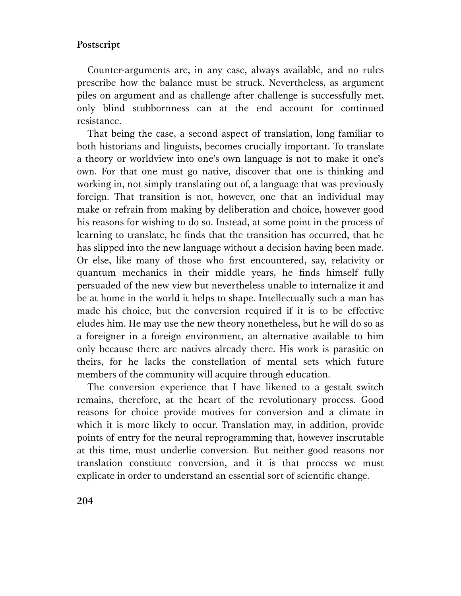Counter-arguments are, in any case, always available, and no rules prescribe how the balance must be struck. Nevertheless, as argument piles on argument and as challenge after challenge is successfully met, only blind stubbornness can at the end account for continued resistance.

That being the case, a second aspect of translation, long familiar to both historians and linguists, becomes crucially important. To translate a theory or worldview into one's own language is not to make it one's own. For that one must go native, discover that one is thinking and working in, not simply translating out of, a language that was previously foreign. That transition is not, however, one that an individual may make or refrain from making by deliberation and choice, however good his reasons for wishing to do so. Instead, at some point in the process of learning to translate, he finds that the transition has occurred, that he has slipped into the new language without a decision having been made. Or else, like many of those who first encountered, say, relativity or quantum mechanics in their middle years, he finds himself fully persuaded of the new view but nevertheless unable to internalize it and be at home in the world it helps to shape. Intellectually such a man has made his choice, but the conversion required if it is to be effective eludes him. He may use the new theory nonetheless, but he will do so as a foreigner in a foreign environment, an alternative available to him only because there are natives already there. His work is parasitic on theirs, for he lacks the constellation of mental sets which future members of the community will acquire through education.

The conversion experience that I have likened to a gestalt switch remains, therefore, at the heart of the revolutionary process. Good reasons for choice provide motives for conversion and a climate in which it is more likely to occur. Translation may, in addition, provide points of entry for the neural reprogramming that, however inscrutable at this time, must underlie conversion. But neither good reasons nor translation constitute conversion, and it is that process we must explicate in order to understand an essential sort of scientific change.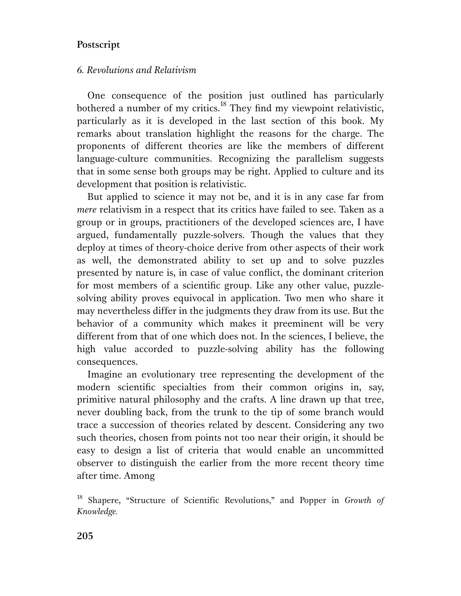#### *6. Revolutions and Relativism*

One consequence of the position just outlined has particularly bothered a number of my critics.<sup>18</sup> They find my viewpoint relativistic, particularly as it is developed in the last section of this book. My remarks about translation highlight the reasons for the charge. The proponents of different theories are like the members of different language-culture communities. Recognizing the parallelism suggests that in some sense both groups may be right. Applied to culture and its development that position is relativistic.

But applied to science it may not be, and it is in any case far from *mere* relativism in a respect that its critics have failed to see. Taken as a group or in groups, practitioners of the developed sciences are, I have argued, fundamentally puzzle-solvers. Though the values that they deploy at times of theory-choice derive from other aspects of their work as well, the demonstrated ability to set up and to solve puzzles presented by nature is, in case of value conflict, the dominant criterion for most members of a scientific group. Like any other value, puzzlesolving ability proves equivocal in application. Two men who share it may nevertheless differ in the judgments they draw from its use. But the behavior of a community which makes it preeminent will be very different from that of one which does not. In the sciences, I believe, the high value accorded to puzzle-solving ability has the following consequences.

Imagine an evolutionary tree representing the development of the modern scientific specialties from their common origins in, say, primitive natural philosophy and the crafts. A line drawn up that tree, never doubling back, from the trunk to the tip of some branch would trace a succession of theories related by descent. Considering any two such theories, chosen from points not too near their origin, it should be easy to design a list of criteria that would enable an uncommitted observer to distinguish the earlier from the more recent theory time after time. Among

<sup>18</sup> Shapere, "Structure of Scientific Revolutions," and Popper in *Growth of Knowledge.*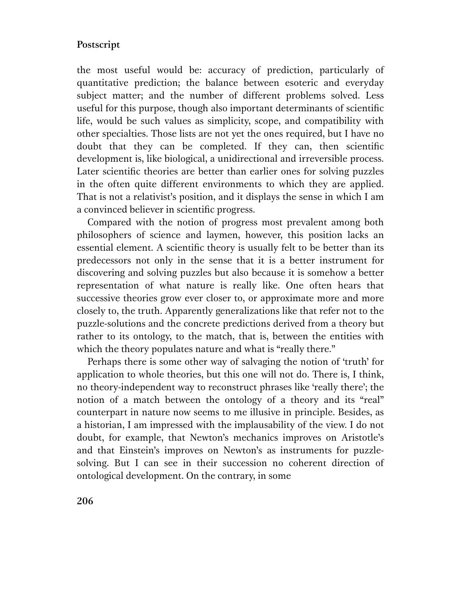the most useful would be: accuracy of prediction, particularly of quantitative prediction; the balance between esoteric and everyday subject matter; and the number of different problems solved. Less useful for this purpose, though also important determinants of scientific life, would be such values as simplicity, scope, and compatibility with other specialties. Those lists are not yet the ones required, but I have no doubt that they can be completed. If they can, then scientific development is, like biological, a unidirectional and irreversible process. Later scientific theories are better than earlier ones for solving puzzles in the often quite different environments to which they are applied. That is not a relativist's position, and it displays the sense in which I am a convinced believer in scientific progress.

Compared with the notion of progress most prevalent among both philosophers of science and laymen, however, this position lacks an essential element. A scientific theory is usually felt to be better than its predecessors not only in the sense that it is a better instrument for discovering and solving puzzles but also because it is somehow a better representation of what nature is really like. One often hears that successive theories grow ever closer to, or approximate more and more closely to, the truth. Apparently generalizations like that refer not to the puzzle-solutions and the concrete predictions derived from a theory but rather to its ontology, to the match, that is, between the entities with which the theory populates nature and what is "really there."

Perhaps there is some other way of salvaging the notion of 'truth' for application to whole theories, but this one will not do. There is, I think, no theory-independent way to reconstruct phrases like 'really there'; the notion of a match between the ontology of a theory and its "real" counterpart in nature now seems to me illusive in principle. Besides, as a historian, I am impressed with the implausability of the view. I do not doubt, for example, that Newton's mechanics improves on Aristotle's and that Einstein's improves on Newton's as instruments for puzzlesolving. But I can see in their succession no coherent direction of ontological development. On the contrary, in some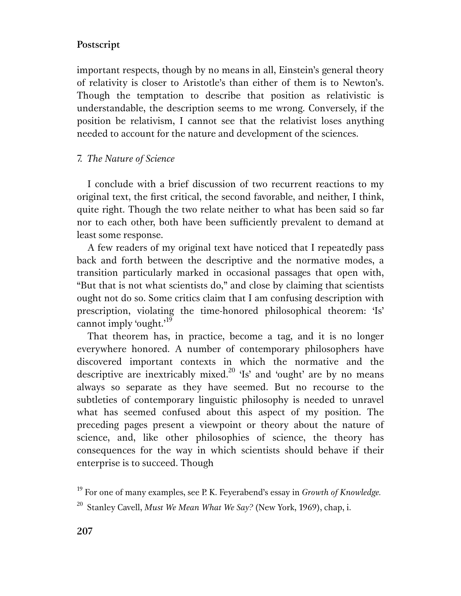important respects, though by no means in all, Einstein's general theory of relativity is closer to Aristotle's than either of them is to Newton's. Though the temptation to describe that position as relativistic is understandable, the description seems to me wrong. Conversely, if the position be relativism, I cannot see that the relativist loses anything needed to account for the nature and development of the sciences.

# 7. *The Nature of Science*

I conclude with a brief discussion of two recurrent reactions to my original text, the first critical, the second favorable, and neither, I think, quite right. Though the two relate neither to what has been said so far nor to each other, both have been sufficiently prevalent to demand at least some response.

A few readers of my original text have noticed that I repeatedly pass back and forth between the descriptive and the normative modes, a transition particularly marked in occasional passages that open with, "But that is not what scientists do," and close by claiming that scientists ought not do so. Some critics claim that I am confusing description with prescription, violating the time-honored philosophical theorem: 'Is' cannot imply 'ought.'<sup>19</sup>

That theorem has, in practice, become a tag, and it is no longer everywhere honored. A number of contemporary philosophers have discovered important contexts in which the normative and the descriptive are inextricably mixed.<sup>20</sup> 'Is' and 'ought' are by no means always so separate as they have seemed. But no recourse to the subtleties of contemporary linguistic philosophy is needed to unravel what has seemed confused about this aspect of my position. The preceding pages present a viewpoint or theory about the nature of science, and, like other philosophies of science, the theory has consequences for the way in which scientists should behave if their enterprise is to succeed. Though

<sup>19</sup> For one of many examples, see P. K. Feyerabend's essay in *Growth of Knowledge.*

<sup>20</sup> Stanley Cavell, *Must We Mean What We Say?* (New York, 1969), chap, i.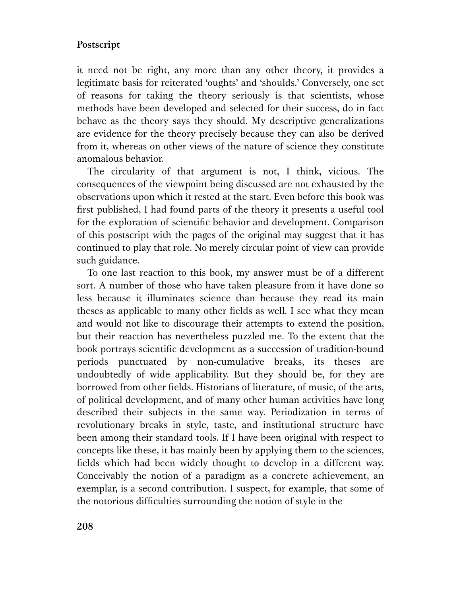it need not be right, any more than any other theory, it provides a legitimate basis for reiterated 'oughts' and 'shoulds.' Conversely, one set of reasons for taking the theory seriously is that scientists, whose methods have been developed and selected for their success, do in fact behave as the theory says they should. My descriptive generalizations are evidence for the theory precisely because they can also be derived from it, whereas on other views of the nature of science they constitute anomalous behavior.

The circularity of that argument is not, I think, vicious. The consequences of the viewpoint being discussed are not exhausted by the observations upon which it rested at the start. Even before this book was first published, I had found parts of the theory it presents a useful tool for the exploration of scientific behavior and development. Comparison of this postscript with the pages of the original may suggest that it has continued to play that role. No merely circular point of view can provide such guidance.

To one last reaction to this book, my answer must be of a different sort. A number of those who have taken pleasure from it have done so less because it illuminates science than because they read its main theses as applicable to many other fields as well. I see what they mean and would not like to discourage their attempts to extend the position, but their reaction has nevertheless puzzled me. To the extent that the book portrays scientific development as a succession of tradition-bound periods punctuated by non-cumulative breaks, its theses are undoubtedly of wide applicability. But they should be, for they are borrowed from other fields. Historians of literature, of music, of the arts, of political development, and of many other human activities have long described their subjects in the same way. Periodization in terms of revolutionary breaks in style, taste, and institutional structure have been among their standard tools. If I have been original with respect to concepts like these, it has mainly been by applying them to the sciences, fields which had been widely thought to develop in a different way. Conceivably the notion of a paradigm as a concrete achievement, an exemplar, is a second contribution. I suspect, for example, that some of the notorious difficulties surrounding the notion of style in the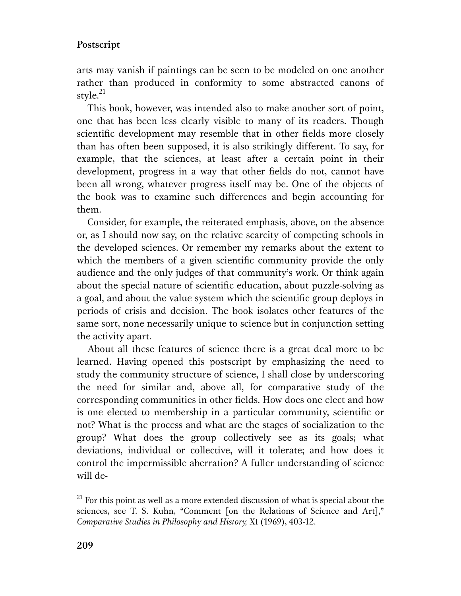arts may vanish if paintings can be seen to be modeled on one another rather than produced in conformity to some abstracted canons of style. $^{21}$ 

This book, however, was intended also to make another sort of point, one that has been less clearly visible to many of its readers. Though scientific development may resemble that in other fields more closely than has often been supposed, it is also strikingly different. To say, for example, that the sciences, at least after a certain point in their development, progress in a way that other fields do not, cannot have been all wrong, whatever progress itself may be. One of the objects of the book was to examine such differences and begin accounting for them.

Consider, for example, the reiterated emphasis, above, on the absence or, as I should now say, on the relative scarcity of competing schools in the developed sciences. Or remember my remarks about the extent to which the members of a given scientific community provide the only audience and the only judges of that community's work. Or think again about the special nature of scientific education, about puzzle-solving as a goal, and about the value system which the scientific group deploys in periods of crisis and decision. The book isolates other features of the same sort, none necessarily unique to science but in conjunction setting the activity apart.

About all these features of science there is a great deal more to be learned. Having opened this postscript by emphasizing the need to study the community structure of science, I shall close by underscoring the need for similar and, above all, for comparative study of the corresponding communities in other fields. How does one elect and how is one elected to membership in a particular community, scientific or not? What is the process and what are the stages of socialization to the group? What does the group collectively see as its goals; what deviations, individual or collective, will it tolerate; and how does it control the impermissible aberration? A fuller understanding of science will de-

 $21$  For this point as well as a more extended discussion of what is special about the sciences, see T. S. Kuhn, "Comment [on the Relations of Science and Art]," *Comparative Studies in Philosophy and History,* XI (1969), 403-12.